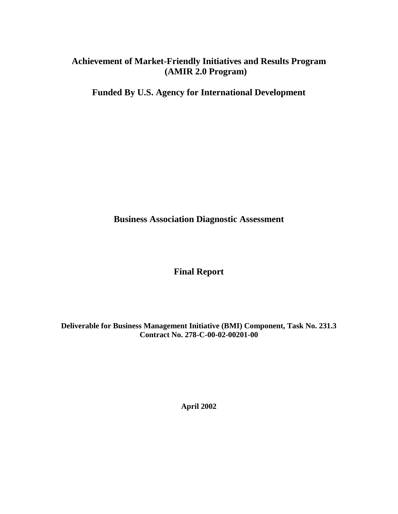# **Achievement of Market-Friendly Initiatives and Results Program (AMIR 2.0 Program)**

**Funded By U.S. Agency for International Development**

**Business Association Diagnostic Assessment**

**Final Report**

**Deliverable for Business Management Initiative (BMI) Component, Task No. 231.3 Contract No. 278-C-00-02-00201-00**

**April 2002**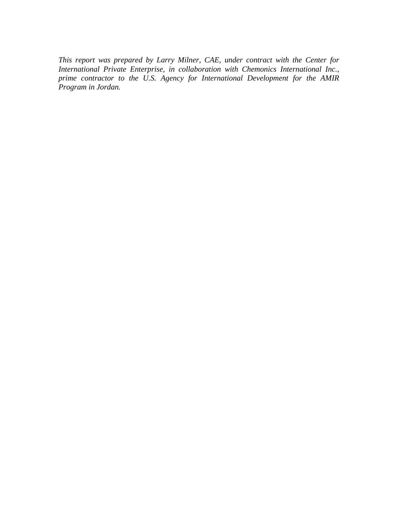*This report was prepared by Larry Milner, CAE, under contract with the Center for International Private Enterprise, in collaboration with Chemonics International Inc., prime contractor to the U.S. Agency for International Development for the AMIR Program in Jordan.*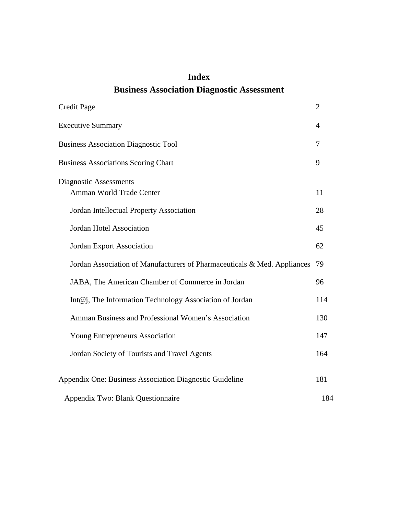# **Index Business Association Diagnostic Assessment**

| <b>Credit Page</b>                                                       | $\overline{2}$ |
|--------------------------------------------------------------------------|----------------|
| <b>Executive Summary</b>                                                 | 4              |
| <b>Business Association Diagnostic Tool</b>                              | 7              |
| <b>Business Associations Scoring Chart</b>                               | 9              |
| Diagnostic Assessments<br>Amman World Trade Center                       | 11             |
| Jordan Intellectual Property Association                                 | 28             |
| <b>Jordan Hotel Association</b>                                          | 45             |
| <b>Jordan Export Association</b>                                         | 62             |
| Jordan Association of Manufacturers of Pharmaceuticals & Med. Appliances | 79             |
| JABA, The American Chamber of Commerce in Jordan                         | 96             |
| Int@j, The Information Technology Association of Jordan                  | 114            |
| Amman Business and Professional Women's Association                      | 130            |
| Young Entrepreneurs Association                                          | 147            |
| Jordan Society of Tourists and Travel Agents                             | 164            |
| Appendix One: Business Association Diagnostic Guideline                  | 181            |
| Appendix Two: Blank Questionnaire                                        | 184            |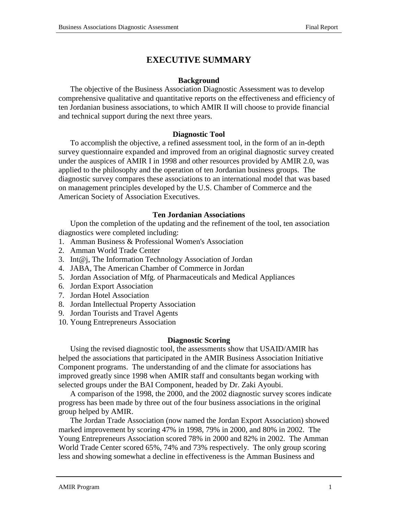# **EXECUTIVE SUMMARY**

### **Background**

The objective of the Business Association Diagnostic Assessment was to develop comprehensive qualitative and quantitative reports on the effectiveness and efficiency of ten Jordanian business associations, to which AMIR II will choose to provide financial and technical support during the next three years.

### **Diagnostic Tool**

To accomplish the objective, a refined assessment tool, in the form of an in-depth survey questionnaire expanded and improved from an original diagnostic survey created under the auspices of AMIR I in 1998 and other resources provided by AMIR 2.0, was applied to the philosophy and the operation of ten Jordanian business groups. The diagnostic survey compares these associations to an international model that was based on management principles developed by the U.S. Chamber of Commerce and the American Society of Association Executives.

### **Ten Jordanian Associations**

Upon the completion of the updating and the refinement of the tool, ten association diagnostics were completed including:

- 1. Amman Business & Professional Women's Association
- 2. Amman World Trade Center
- 3. Int@j, The Information Technology Association of Jordan
- 4. JABA, The American Chamber of Commerce in Jordan
- 5. Jordan Association of Mfg. of Pharmaceuticals and Medical Appliances
- 6. Jordan Export Association
- 7. Jordan Hotel Association
- 8. Jordan Intellectual Property Association
- 9. Jordan Tourists and Travel Agents
- 10. Young Entrepreneurs Association

### **Diagnostic Scoring**

Using the revised diagnostic tool, the assessments show that USAID/AMIR has helped the associations that participated in the AMIR Business Association Initiative Component programs. The understanding of and the climate for associations has improved greatly since 1998 when AMIR staff and consultants began working with selected groups under the BAI Component, headed by Dr. Zaki Ayoubi.

A comparison of the 1998, the 2000, and the 2002 diagnostic survey scores indicate progress has been made by three out of the four business associations in the original group helped by AMIR.

The Jordan Trade Association (now named the Jordan Export Association) showed marked improvement by scoring 47% in 1998, 79% in 2000, and 80% in 2002. The Young Entrepreneurs Association scored 78% in 2000 and 82% in 2002. The Amman World Trade Center scored 65%, 74% and 73% respectively. The only group scoring less and showing somewhat a decline in effectiveness is the Amman Business and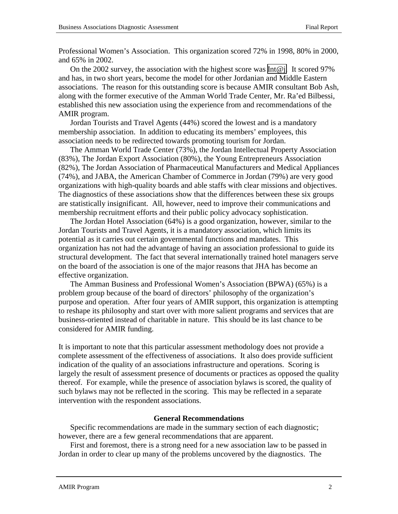Professional Women's Association. This organization scored 72% in 1998, 80% in 2000, and 65% in 2002.

On the 2002 survey, the association with the highest score was  $Int@i$ . It scored 97% and has, in two short years, become the model for other Jordanian and Middle Eastern associations. The reason for this outstanding score is because AMIR consultant Bob Ash, along with the former executive of the Amman World Trade Center, Mr. Ra'ed Bilbessi, established this new association using the experience from and recommendations of the AMIR program.

Jordan Tourists and Travel Agents (44%) scored the lowest and is a mandatory membership association. In addition to educating its members' employees, this association needs to be redirected towards promoting tourism for Jordan.

The Amman World Trade Center (73%), the Jordan Intellectual Property Association (83%), The Jordan Export Association (80%), the Young Entrepreneurs Association (82%), The Jordan Association of Pharmaceutical Manufacturers and Medical Appliances (74%), and JABA, the American Chamber of Commerce in Jordan (79%) are very good organizations with high-quality boards and able staffs with clear missions and objectives. The diagnostics of these associations show that the differences between these six groups are statistically insignificant. All, however, need to improve their communications and membership recruitment efforts and their public policy advocacy sophistication.

The Jordan Hotel Association (64%) is a good organization, however, similar to the Jordan Tourists and Travel Agents, it is a mandatory association, which limits its potential as it carries out certain governmental functions and mandates. This organization has not had the advantage of having an association professional to guide its structural development. The fact that several internationally trained hotel managers serve on the board of the association is one of the major reasons that JHA has become an effective organization.

The Amman Business and Professional Women's Association (BPWA) (65%) is a problem group because of the board of directors' philosophy of the organization's purpose and operation. After four years of AMIR support, this organization is attempting to reshape its philosophy and start over with more salient programs and services that are business-oriented instead of charitable in nature. This should be its last chance to be considered for AMIR funding.

It is important to note that this particular assessment methodology does not provide a complete assessment of the effectiveness of associations. It also does provide sufficient indication of the quality of an associations infrastructure and operations. Scoring is largely the result of assessment presence of documents or practices as opposed the quality thereof. For example, while the presence of association bylaws is scored, the quality of such bylaws may not be reflected in the scoring. This may be reflected in a separate intervention with the respondent associations.

### **General Recommendations**

Specific recommendations are made in the summary section of each diagnostic; however, there are a few general recommendations that are apparent.

First and foremost, there is a strong need for a new association law to be passed in Jordan in order to clear up many of the problems uncovered by the diagnostics. The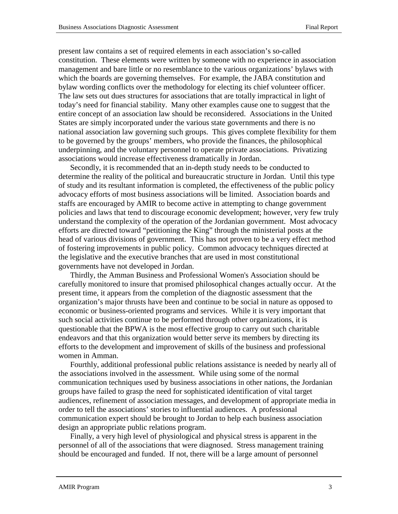present law contains a set of required elements in each association's so-called constitution. These elements were written by someone with no experience in association management and bare little or no resemblance to the various organizations' bylaws with which the boards are governing themselves. For example, the JABA constitution and bylaw wording conflicts over the methodology for electing its chief volunteer officer. The law sets out dues structures for associations that are totally impractical in light of today's need for financial stability. Many other examples cause one to suggest that the entire concept of an association law should be reconsidered. Associations in the United States are simply incorporated under the various state governments and there is no national association law governing such groups. This gives complete flexibility for them to be governed by the groups' members, who provide the finances, the philosophical underpinning, and the voluntary personnel to operate private associations. Privatizing associations would increase effectiveness dramatically in Jordan.

Secondly, it is recommended that an in-depth study needs to be conducted to determine the reality of the political and bureaucratic structure in Jordan. Until this type of study and its resultant information is completed, the effectiveness of the public policy advocacy efforts of most business associations will be limited. Association boards and staffs are encouraged by AMIR to become active in attempting to change government policies and laws that tend to discourage economic development; however, very few truly understand the complexity of the operation of the Jordanian government. Most advocacy efforts are directed toward "petitioning the King" through the ministerial posts at the head of various divisions of government. This has not proven to be a very effect method of fostering improvements in public policy. Common advocacy techniques directed at the legislative and the executive branches that are used in most constitutional governments have not developed in Jordan.

Thirdly, the Amman Business and Professional Women's Association should be carefully monitored to insure that promised philosophical changes actually occur. At the present time, it appears from the completion of the diagnostic assessment that the organization's major thrusts have been and continue to be social in nature as opposed to economic or business-oriented programs and services. While it is very important that such social activities continue to be performed through other organizations, it is questionable that the BPWA is the most effective group to carry out such charitable endeavors and that this organization would better serve its members by directing its efforts to the development and improvement of skills of the business and professional women in Amman.

Fourthly, additional professional public relations assistance is needed by nearly all of the associations involved in the assessment. While using some of the normal communication techniques used by business associations in other nations, the Jordanian groups have failed to grasp the need for sophisticated identification of vital target audiences, refinement of association messages, and development of appropriate media in order to tell the associations' stories to influential audiences. A professional communication expert should be brought to Jordan to help each business association design an appropriate public relations program.

Finally, a very high level of physiological and physical stress is apparent in the personnel of all of the associations that were diagnosed. Stress management training should be encouraged and funded. If not, there will be a large amount of personnel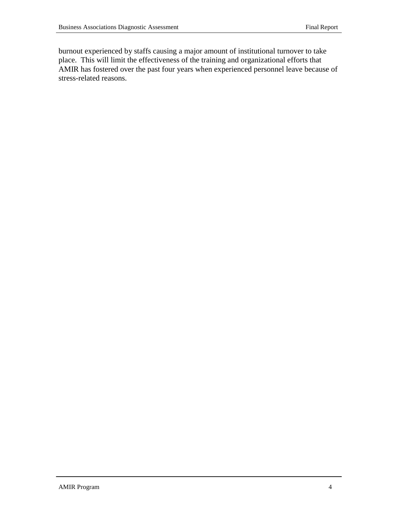burnout experienced by staffs causing a major amount of institutional turnover to take place. This will limit the effectiveness of the training and organizational efforts that AMIR has fostered over the past four years when experienced personnel leave because of stress-related reasons.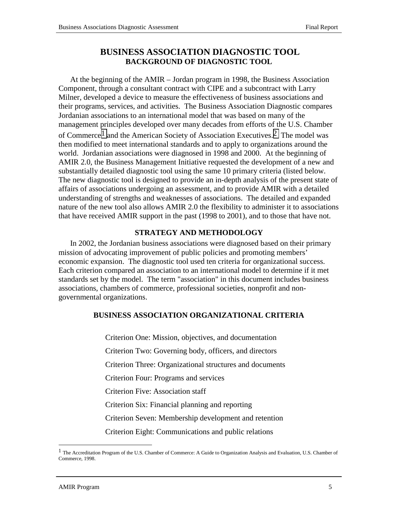# **BUSINESS ASSOCIATION DIAGNOSTIC TOOL BACKGROUND OF DIAGNOSTIC TOOL**

At the beginning of the AMIR – Jordan program in 1998, the Business Association Component, through a consultant contract with CIPE and a subcontract with Larry Milner, developed a device to measure the effectiveness of business associations and their programs, services, and activities. The Business Association Diagnostic compares Jordanian associations to an international model that was based on many of the management principles developed over many decades from efforts of the U.S. Chamber of Commerce<sup>1</sup> and the American Society of Association Executives.<sup>2</sup> The model was then modified to meet international standards and to apply to organizations around the world. Jordanian associations were diagnosed in 1998 and 2000. At the beginning of AMIR 2.0, the Business Management Initiative requested the development of a new and substantially detailed diagnostic tool using the same 10 primary criteria (listed below. The new diagnostic tool is designed to provide an in-depth analysis of the present state of affairs of associations undergoing an assessment, and to provide AMIR with a detailed understanding of strengths and weaknesses of associations. The detailed and expanded nature of the new tool also allows AMIR 2.0 the flexibility to administer it to associations that have received AMIR support in the past (1998 to 2001), and to those that have not.

# **STRATEGY AND METHODOLOGY**

In 2002, the Jordanian business associations were diagnosed based on their primary mission of advocating improvement of public policies and promoting members' economic expansion. The diagnostic tool used ten criteria for organizational success. Each criterion compared an association to an international model to determine if it met standards set by the model. The term "association" in this document includes business associations, chambers of commerce, professional societies, nonprofit and nongovernmental organizations.

# **BUSINESS ASSOCIATION ORGANIZATIONAL CRITERIA**

Criterion One: Mission, objectives, and documentation Criterion Two: Governing body, officers, and directors Criterion Three: Organizational structures and documents Criterion Four: Programs and services Criterion Five: Association staff Criterion Six: Financial planning and reporting Criterion Seven: Membership development and retention Criterion Eight: Communications and public relations

 $\overline{\phantom{a}}$ 

<sup>1</sup> The Accreditation Program of the U.S. Chamber of Commerce: A Guide to Organization Analysis and Evaluation, U.S. Chamber of Commerce, 1998.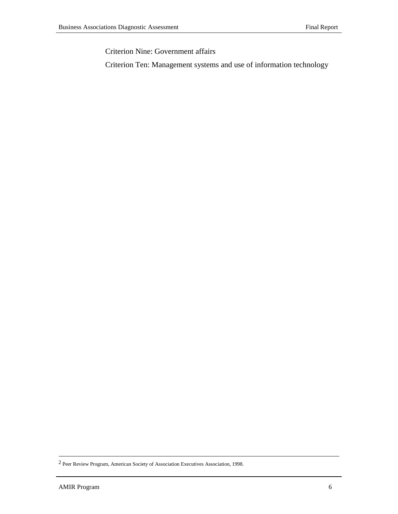Criterion Nine: Government affairs

Criterion Ten: Management systems and use of information technology

 <sup>2</sup> Peer Review Program, American Society of Association Executives Association, 1998.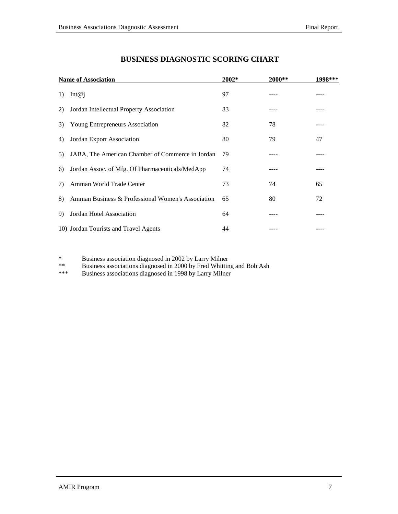| <b>Name of Association</b> |                                                   | $2002*$ | 2000** | 1998*** |
|----------------------------|---------------------------------------------------|---------|--------|---------|
| 1)                         | Int@i                                             | 97      |        |         |
| 2)                         | Jordan Intellectual Property Association          | 83      |        |         |
| 3)                         | <b>Young Entrepreneurs Association</b>            | 82      | 78     |         |
| 4)                         | Jordan Export Association                         | 80      | 79     | 47      |
| 5)                         | JABA, The American Chamber of Commerce in Jordan  | 79      |        |         |
| 6)                         | Jordan Assoc. of Mfg. Of Pharmaceuticals/MedApp   | 74      |        |         |
| 7)                         | Amman World Trade Center                          | 73      | 74     | 65      |
| 8)                         | Amman Business & Professional Women's Association | 65      | 80     | 72      |
| 9)                         | Jordan Hotel Association                          | 64      |        |         |
|                            | 10) Jordan Tourists and Travel Agents             | 44      |        |         |

# **BUSINESS DIAGNOSTIC SCORING CHART**

\* Business association diagnosed in 2002 by Larry Milner

\*\* Business associations diagnosed in 2000 by Fred Whitting and Bob Ash<br>\*\*\* Business associations diagnosed in 1998 by Larry Milner

Business associations diagnosed in 1998 by Larry Milner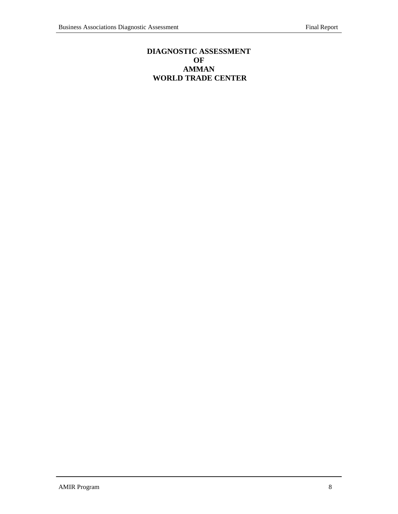# **DIAGNOSTIC ASSESSMENT OF AMMAN WORLD TRADE CENTER**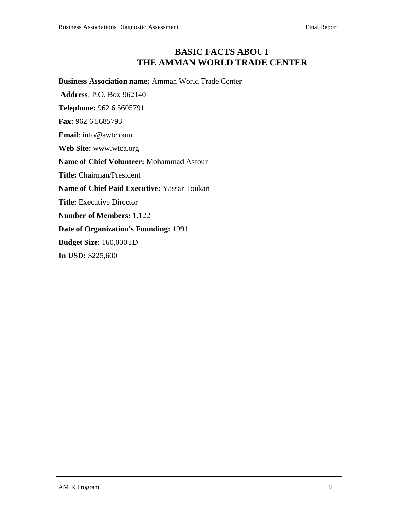# **BASIC FACTS ABOUT THE AMMAN WORLD TRADE CENTER**

**Business Association name:** Amman World Trade Center

 **Address**: P.O. Box 962140

**Telephone:** 962 6 5605791

**Fax:** 962 6 5685793

**Email**: info@awtc.com

**Web Site:** www.wtca.org

**Name of Chief Volunteer:** Mohammad Asfour

**Title:** Chairman/President

**Name of Chief Paid Executive:** Yassar Toukan

**Title:** Executive Director

**Number of Members:** 1,122

**Date of Organization's Founding:** 1991

**Budget Size**: 160,000 JD

**In USD:** \$225,600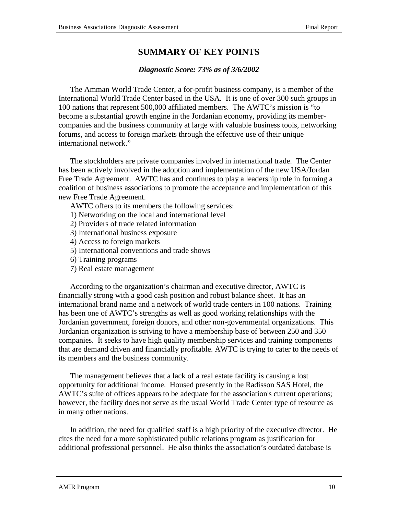# **SUMMARY OF KEY POINTS**

### *Diagnostic Score: 73% as of 3/6/2002*

The Amman World Trade Center, a for-profit business company, is a member of the International World Trade Center based in the USA. It is one of over 300 such groups in 100 nations that represent 500,000 affiliated members. The AWTC's mission is "to become a substantial growth engine in the Jordanian economy, providing its membercompanies and the business community at large with valuable business tools, networking forums, and access to foreign markets through the effective use of their unique international network."

The stockholders are private companies involved in international trade. The Center has been actively involved in the adoption and implementation of the new USA/Jordan Free Trade Agreement. AWTC has and continues to play a leadership role in forming a coalition of business associations to promote the acceptance and implementation of this new Free Trade Agreement.

AWTC offers to its members the following services:

- 1) Networking on the local and international level
- 2) Providers of trade related information
- 3) International business exposure
- 4) Access to foreign markets
- 5) International conventions and trade shows
- 6) Training programs
- 7) Real estate management

According to the organization's chairman and executive director, AWTC is financially strong with a good cash position and robust balance sheet. It has an international brand name and a network of world trade centers in 100 nations. Training has been one of AWTC's strengths as well as good working relationships with the Jordanian government, foreign donors, and other non-governmental organizations. This Jordanian organization is striving to have a membership base of between 250 and 350 companies. It seeks to have high quality membership services and training components that are demand driven and financially profitable. AWTC is trying to cater to the needs of its members and the business community.

The management believes that a lack of a real estate facility is causing a lost opportunity for additional income. Housed presently in the Radisson SAS Hotel, the AWTC's suite of offices appears to be adequate for the association's current operations; however, the facility does not serve as the usual World Trade Center type of resource as in many other nations.

In addition, the need for qualified staff is a high priority of the executive director. He cites the need for a more sophisticated public relations program as justification for additional professional personnel. He also thinks the association's outdated database is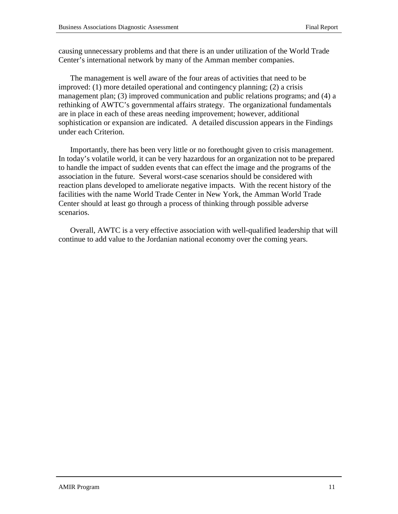causing unnecessary problems and that there is an under utilization of the World Trade Center's international network by many of the Amman member companies.

The management is well aware of the four areas of activities that need to be improved: (1) more detailed operational and contingency planning; (2) a crisis management plan; (3) improved communication and public relations programs; and (4) a rethinking of AWTC's governmental affairs strategy. The organizational fundamentals are in place in each of these areas needing improvement; however, additional sophistication or expansion are indicated. A detailed discussion appears in the Findings under each Criterion.

Importantly, there has been very little or no forethought given to crisis management. In today's volatile world, it can be very hazardous for an organization not to be prepared to handle the impact of sudden events that can effect the image and the programs of the association in the future. Several worst-case scenarios should be considered with reaction plans developed to ameliorate negative impacts. With the recent history of the facilities with the name World Trade Center in New York, the Amman World Trade Center should at least go through a process of thinking through possible adverse scenarios.

Overall, AWTC is a very effective association with well-qualified leadership that will continue to add value to the Jordanian national economy over the coming years.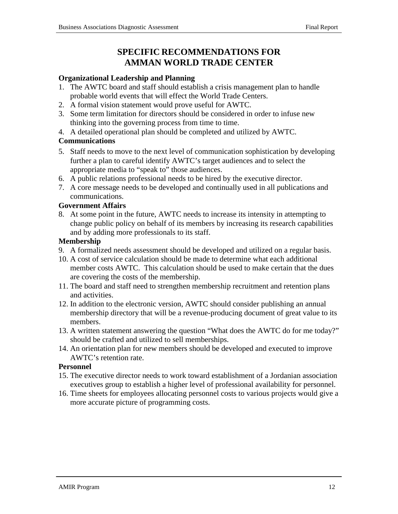# **SPECIFIC RECOMMENDATIONS FOR AMMAN WORLD TRADE CENTER**

### **Organizational Leadership and Planning**

- 1. The AWTC board and staff should establish a crisis management plan to handle probable world events that will effect the World Trade Centers.
- 2. A formal vision statement would prove useful for AWTC.
- 3. Some term limitation for directors should be considered in order to infuse new thinking into the governing process from time to time.
- 4. A detailed operational plan should be completed and utilized by AWTC.

### **Communications**

- 5. Staff needs to move to the next level of communication sophistication by developing further a plan to careful identify AWTC's target audiences and to select the appropriate media to "speak to" those audiences.
- 6. A public relations professional needs to be hired by the executive director.
- 7. A core message needs to be developed and continually used in all publications and communications.

### **Government Affairs**

8. At some point in the future, AWTC needs to increase its intensity in attempting to change public policy on behalf of its members by increasing its research capabilities and by adding more professionals to its staff.

### **Membership**

- 9. A formalized needs assessment should be developed and utilized on a regular basis.
- 10. A cost of service calculation should be made to determine what each additional member costs AWTC. This calculation should be used to make certain that the dues are covering the costs of the membership.
- 11. The board and staff need to strengthen membership recruitment and retention plans and activities.
- 12. In addition to the electronic version, AWTC should consider publishing an annual membership directory that will be a revenue-producing document of great value to its members.
- 13. A written statement answering the question "What does the AWTC do for me today?" should be crafted and utilized to sell memberships.
- 14. An orientation plan for new members should be developed and executed to improve AWTC's retention rate.

### **Personnel**

- 15. The executive director needs to work toward establishment of a Jordanian association executives group to establish a higher level of professional availability for personnel.
- 16. Time sheets for employees allocating personnel costs to various projects would give a more accurate picture of programming costs.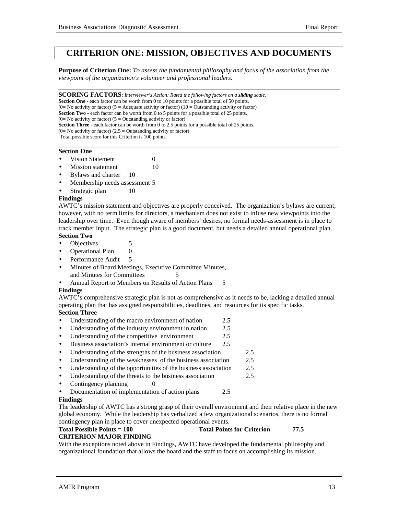# **CRITERION ONE: MISSION, OBJECTIVES AND DOCUMENTS**

**Purpose of Criterion One:** *To assess the fundamental philosophy and focus of the association from the viewpoint of the organization's volunteer and professional leaders.*

**SCORING FACTORS:** *Interviewer's Action: Rated the following factors on a sliding scale.*

**Section One** - each factor can be worth from 0 to 10 points for a possible total of 50 points. (0= No activity or factor) (5 = Adequate activity or factor) (10 = Outstanding activity or factor)

**Section Two** - each factor can be worth from 0 to 5 points for a possible total of 25 points.

 $(0=$  No activity or factor) (5 = Outstanding activity or factor)

**Section Three** - each factor can be worth from 0 to 2.5 points for a possible total of 25 points.

(0= No activity or factor) (2.5 = Outstanding activity or factor)

 Total possible score for this Criterion is 100 points. 

### **Section One**

- **Vision Statement** 0
- **Mission statement** 10
- Bylaws and charter 10
- Membership needs assessment 5
- Strategic plan 10

### **Findings**

AWTC's mission statement and objectives are properly conceived. The organization's bylaws are current; however, with no term limits for directors, a mechanism does not exist to infuse new viewpoints into the leadership over time. Even though aware of members' desires, no formal needs-assessment is in place to track member input. The strategic plan is a good document, but needs a detailed annual operational plan. **Section Two**

- Objectives 5
- Operational Plan 0
- Performance Audit 5
- Minutes of Board Meetings, Executive Committee Minutes, and Minutes for Committees 5
- Annual Report to Members on Results of Action Plans 5

### **Findings**

AWTC's comprehensive strategic plan is not as comprehensive as it needs to be, lacking a detailed annual operating plan that has assigned responsibilities, deadlines, and resources for its specific tasks.

### **Section Three**

- Understanding of the macro environment of nation 2.5
- Understanding of the industry environment in nation 2.5
- Understanding of the competitive environment 2.5
- Business association's internal environment or culture 2.5
- Understanding of the strengths of the business association 2.5
- Understanding of the weaknesses of the business association 2.5
- Understanding of the opportunities of the business association 2.5
- Understanding of the threats to the business association 2.5
- Contingency planning 0
- Documentation of implementation of action plans 2.5

### **Findings**

The leadership of AWTC has a strong grasp of their overall environment and their relative place in the new global economy. While the leadership has verbalized a few organizational scenarios, there is no formal contingency plan in place to cover unexpected operational events.

#### Total Possible Points = 100 Total Points for Criterion 77.5 **CRITERION MAJOR FINDING**

With the exceptions noted above in Findings, AWTC have developed the fundamental philosophy and organizational foundation that allows the board and the staff to focus on accomplishing its mission.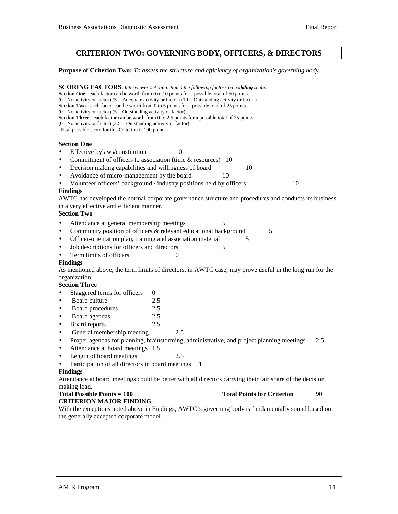# **CRITERION TWO: GOVERNING BODY, OFFICERS, & DIRECTORS**

### **Purpose of Criterion Two:** *To assess the structure and efficiency of organization's governing body.*

| <b>SCORING FACTORS:</b> Interviewer's Action: Rated the following factors on a sliding scale.<br><b>Section One</b> - each factor can be worth from 0 to 10 points for a possible total of 50 points.<br>(0= No activity or factor) (5 = Adequate activity or factor) (10 = Outstanding activity or factor)<br><b>Section Two</b> - each factor can be worth from 0 to 5 points for a possible total of 25 points. |     |          |    |                                   |     |
|--------------------------------------------------------------------------------------------------------------------------------------------------------------------------------------------------------------------------------------------------------------------------------------------------------------------------------------------------------------------------------------------------------------------|-----|----------|----|-----------------------------------|-----|
| $(0=$ No activity or factor) $(5 =$ Outstanding activity or factor)<br><b>Section Three</b> - each factor can be worth from 0 to 2.5 points for a possible total of 25 points.<br>$(0=$ No activity or factor) $(2.5 =$ Outstanding activity or factor)                                                                                                                                                            |     |          |    |                                   |     |
| Total possible score for this Criterion is 100 points.                                                                                                                                                                                                                                                                                                                                                             |     |          |    |                                   |     |
| <b>Section One</b>                                                                                                                                                                                                                                                                                                                                                                                                 |     |          |    |                                   |     |
| Effective bylaws/constitution<br>$\bullet$                                                                                                                                                                                                                                                                                                                                                                         |     | 10       |    |                                   |     |
| Commitment of officers to association (time & resources) 10<br>$\bullet$                                                                                                                                                                                                                                                                                                                                           |     |          |    |                                   |     |
| Decision making capabilities and willingness of board<br>$\bullet$                                                                                                                                                                                                                                                                                                                                                 |     |          |    | 10                                |     |
| Avoidance of micro-management by the board<br>$\bullet$                                                                                                                                                                                                                                                                                                                                                            |     |          | 10 |                                   |     |
| Volunteer officers' background / industry positions held by officers<br>$\bullet$                                                                                                                                                                                                                                                                                                                                  |     |          |    | 10                                |     |
| <b>Findings</b>                                                                                                                                                                                                                                                                                                                                                                                                    |     |          |    |                                   |     |
| AWTC has developed the normal corporate governance structure and procedures and conducts its business                                                                                                                                                                                                                                                                                                              |     |          |    |                                   |     |
| in a very effective and efficient manner.                                                                                                                                                                                                                                                                                                                                                                          |     |          |    |                                   |     |
| <b>Section Two</b>                                                                                                                                                                                                                                                                                                                                                                                                 |     |          |    |                                   |     |
| Attendance at general membership meetings<br>$\bullet$                                                                                                                                                                                                                                                                                                                                                             |     |          | 5  |                                   |     |
| Community position of officers & relevant educational background<br>$\bullet$                                                                                                                                                                                                                                                                                                                                      |     |          |    | 5                                 |     |
| Officer-orientation plan, training and association material<br>$\bullet$                                                                                                                                                                                                                                                                                                                                           |     |          |    | 5                                 |     |
| Job descriptions for officers and directors<br>$\bullet$                                                                                                                                                                                                                                                                                                                                                           |     |          | 5  |                                   |     |
| Term limits of officers<br>$\bullet$                                                                                                                                                                                                                                                                                                                                                                               |     | $\Omega$ |    |                                   |     |
| <b>Findings</b>                                                                                                                                                                                                                                                                                                                                                                                                    |     |          |    |                                   |     |
| As mentioned above, the term limits of directors, in AWTC case, may prove useful in the long run for the                                                                                                                                                                                                                                                                                                           |     |          |    |                                   |     |
| organization.                                                                                                                                                                                                                                                                                                                                                                                                      |     |          |    |                                   |     |
| <b>Section Three</b>                                                                                                                                                                                                                                                                                                                                                                                               |     |          |    |                                   |     |
| Staggered terms for officers<br>$\bullet$                                                                                                                                                                                                                                                                                                                                                                          | 0   |          |    |                                   |     |
| Board culture<br>$\bullet$                                                                                                                                                                                                                                                                                                                                                                                         | 2.5 |          |    |                                   |     |
| Board procedures<br>$\bullet$                                                                                                                                                                                                                                                                                                                                                                                      | 2.5 |          |    |                                   |     |
| Board agendas<br>$\bullet$                                                                                                                                                                                                                                                                                                                                                                                         | 2.5 |          |    |                                   |     |
| Board reports<br>$\bullet$                                                                                                                                                                                                                                                                                                                                                                                         | 2.5 |          |    |                                   |     |
| General membership meeting<br>$\bullet$                                                                                                                                                                                                                                                                                                                                                                            |     | 2.5      |    |                                   |     |
| Proper agendas for planning, brainstorming, administrative, and project planning meetings<br>$\bullet$                                                                                                                                                                                                                                                                                                             |     |          |    |                                   | 2.5 |
| Attendance at board meetings 1.5<br>$\bullet$                                                                                                                                                                                                                                                                                                                                                                      |     |          |    |                                   |     |
| Length of board meetings<br>$\bullet$                                                                                                                                                                                                                                                                                                                                                                              |     | 2.5      |    |                                   |     |
| Participation of all directors in board meetings<br>$\bullet$                                                                                                                                                                                                                                                                                                                                                      |     | 1        |    |                                   |     |
| <b>Findings</b>                                                                                                                                                                                                                                                                                                                                                                                                    |     |          |    |                                   |     |
| Attendance at board meetings could be better with all directors carrying their fair share of the decision                                                                                                                                                                                                                                                                                                          |     |          |    |                                   |     |
| making load.<br><b>Total Possible Points = 100</b>                                                                                                                                                                                                                                                                                                                                                                 |     |          |    | <b>Total Points for Criterion</b> | 90  |
| <b>CRITERION MAJOR FINDING</b>                                                                                                                                                                                                                                                                                                                                                                                     |     |          |    |                                   |     |
| With the exceptions noted above in Findings, AWTC's governing body is fundamentally sound based on                                                                                                                                                                                                                                                                                                                 |     |          |    |                                   |     |
| the generally accepted corporate model.                                                                                                                                                                                                                                                                                                                                                                            |     |          |    |                                   |     |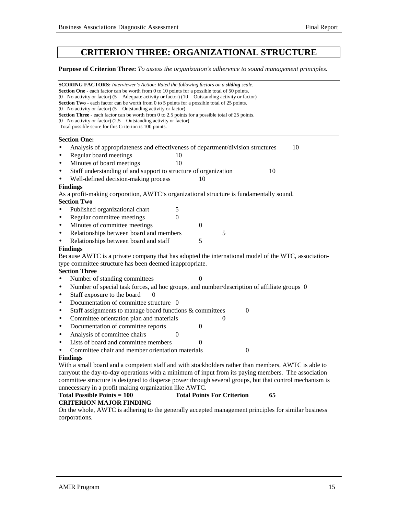# **CRITERION THREE: ORGANIZATIONAL STRUCTURE**

#### **Purpose of Criterion Three:** *To assess the organization's adherence to sound management principles.*

|           | <b>SCORING FACTORS:</b> Interviewer's Action: Rated the following factors on a <b>sliding</b> scale.<br>Section One - each factor can be worth from 0 to 10 points for a possible total of 50 points.<br>(0= No activity or factor) (5 = Adequate activity or factor) (10 = Outstanding activity or factor) |  |  |  |  |
|-----------|-------------------------------------------------------------------------------------------------------------------------------------------------------------------------------------------------------------------------------------------------------------------------------------------------------------|--|--|--|--|
|           | Section Two - each factor can be worth from 0 to 5 points for a possible total of 25 points.                                                                                                                                                                                                                |  |  |  |  |
|           | (0= No activity or factor) ( $5 =$ Outstanding activity or factor)                                                                                                                                                                                                                                          |  |  |  |  |
|           | Section Three - each factor can be worth from 0 to 2.5 points for a possible total of 25 points.<br>(0= No activity or factor) (2.5 = Outstanding activity or factor)                                                                                                                                       |  |  |  |  |
|           | Total possible score for this Criterion is 100 points.                                                                                                                                                                                                                                                      |  |  |  |  |
|           | <b>Section One:</b>                                                                                                                                                                                                                                                                                         |  |  |  |  |
| $\bullet$ | Analysis of appropriateness and effectiveness of department/division structures<br>10                                                                                                                                                                                                                       |  |  |  |  |
| $\bullet$ | Regular board meetings<br>10                                                                                                                                                                                                                                                                                |  |  |  |  |
| $\bullet$ | Minutes of board meetings<br>10                                                                                                                                                                                                                                                                             |  |  |  |  |
| $\bullet$ | Staff understanding of and support to structure of organization<br>10                                                                                                                                                                                                                                       |  |  |  |  |
| $\bullet$ | Well-defined decision-making process<br>10                                                                                                                                                                                                                                                                  |  |  |  |  |
|           | <b>Findings</b>                                                                                                                                                                                                                                                                                             |  |  |  |  |
|           | As a profit-making corporation, AWTC's organizational structure is fundamentally sound.                                                                                                                                                                                                                     |  |  |  |  |
|           | <b>Section Two</b>                                                                                                                                                                                                                                                                                          |  |  |  |  |
| $\bullet$ | Published organizational chart<br>5                                                                                                                                                                                                                                                                         |  |  |  |  |
| $\bullet$ | Regular committee meetings<br>$\boldsymbol{0}$                                                                                                                                                                                                                                                              |  |  |  |  |
| $\bullet$ | Minutes of committee meetings<br>$\mathbf{0}$                                                                                                                                                                                                                                                               |  |  |  |  |
| $\bullet$ | Relationships between board and members<br>5                                                                                                                                                                                                                                                                |  |  |  |  |
| $\bullet$ | 5<br>Relationships between board and staff                                                                                                                                                                                                                                                                  |  |  |  |  |
|           | <b>Findings</b>                                                                                                                                                                                                                                                                                             |  |  |  |  |
|           | Because AWTC is a private company that has adopted the international model of the WTC, association-                                                                                                                                                                                                         |  |  |  |  |
|           | type committee structure has been deemed inappropriate.                                                                                                                                                                                                                                                     |  |  |  |  |
|           | <b>Section Three</b>                                                                                                                                                                                                                                                                                        |  |  |  |  |
| $\bullet$ | Number of standing committees<br>$\theta$                                                                                                                                                                                                                                                                   |  |  |  |  |
| $\bullet$ | Number of special task forces, ad hoc groups, and number/description of affiliate groups 0                                                                                                                                                                                                                  |  |  |  |  |
| $\bullet$ | Staff exposure to the board<br>$\Omega$                                                                                                                                                                                                                                                                     |  |  |  |  |
| $\bullet$ | Documentation of committee structure 0                                                                                                                                                                                                                                                                      |  |  |  |  |
| $\bullet$ | Staff assignments to manage board functions & committees<br>$\theta$                                                                                                                                                                                                                                        |  |  |  |  |
| $\bullet$ | Committee orientation plan and materials<br>0                                                                                                                                                                                                                                                               |  |  |  |  |
| $\bullet$ | Documentation of committee reports<br>$\boldsymbol{0}$                                                                                                                                                                                                                                                      |  |  |  |  |
| $\bullet$ | Analysis of committee chairs<br>$\boldsymbol{0}$                                                                                                                                                                                                                                                            |  |  |  |  |
| $\bullet$ | Lists of board and committee members<br>$\theta$                                                                                                                                                                                                                                                            |  |  |  |  |
| $\bullet$ | Committee chair and member orientation materials<br>$\theta$                                                                                                                                                                                                                                                |  |  |  |  |

#### **Findings**

With a small board and a competent staff and with stockholders rather than members, AWTC is able to carryout the day-to-day operations with a minimum of input from its paying members. The association committee structure is designed to disperse power through several groups, but that control mechanism is unnecessary in a profit making organization like AWTC.

#### **Total Possible Points = 100 Total Points For Criterion 65 CRITERION MAJOR FINDING**

On the whole, AWTC is adhering to the generally accepted management principles for similar business corporations.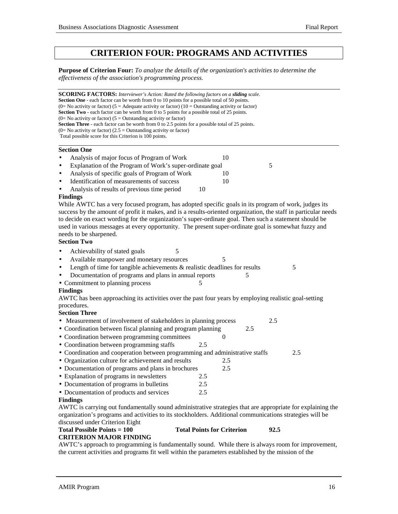# **CRITERION FOUR: PROGRAMS AND ACTIVITIES**

**Purpose of Criterion Four:** *To analyze the details of the organization's activities to determine the effectiveness of the association's programming process.*

**SCORING FACTORS:** *Interviewer's Action: Rated the following factors on a sliding scale.* **Section One** - each factor can be worth from 0 to 10 points for a possible total of 50 points. (0= No activity or factor) (5 = Adequate activity or factor) (10 = Outstanding activity or factor) **Section Two** - each factor can be worth from 0 to 5 points for a possible total of 25 points.  $(0=$  No activity or factor)  $(5 =$  Outstanding activity or factor) **Section Three** - each factor can be worth from 0 to 2.5 points for a possible total of 25 points.  $(0=$  No activity or factor)  $(2.5 =$  Outstanding activity or factor) Total possible score for this Criterion is 100 points. ֦

#### **Section One**

| $\bullet$ | Analysis of major focus of Program of Work               |  |
|-----------|----------------------------------------------------------|--|
| $\bullet$ | Explanation of the Program of Work's super-ordinate goal |  |
| $\bullet$ | Analysis of specific goals of Program of Work            |  |
| $\bullet$ | Identification of measurements of success                |  |
| $\bullet$ | Analysis of results of previous time period              |  |

#### **Findings**

While AWTC has a very focused program, has adopted specific goals in its program of work, judges its success by the amount of profit it makes, and is a results-oriented organization, the staff in particular needs to decide on exact wording for the organization's super-ordinate goal. Then such a statement should be used in various messages at every opportunity. The present super-ordinate goal is somewhat fuzzy and needs to be sharpened.

#### **Section Two**

- Achievability of stated goals 5
- Available manpower and monetary resources 5
- Length of time for tangible achievements & realistic deadlines for results 5
- Documentation of programs and plans in annual reports 5
- Commitment to planning process

### **Findings**

AWTC has been approaching its activities over the past four years by employing realistic goal-setting procedures.

### **Section Three**

- Measurement of involvement of stakeholders in planning process 2.5
- Coordination between fiscal planning and program planning 2.5
- Coordination between programming committees 0
- Coordination between programming staffs 2.5
- Coordination and cooperation between programming and administrative staffs 2.5
- Organization culture for achievement and results 2.5
- Documentation of programs and plans in brochures 2.5
- Explanation of programs in newsletters 2.5
- Documentation of programs in bulletins 2.5
- Documentation of products and services 2.5

#### **Findings**

AWTC is carrying out fundamentally sound administrative strategies that are appropriate for explaining the organization's programs and activities to its stockholders. Additional communications strategies will be discussed under Criterion Eight

### **Total Possible Points = 100 Total Points for Criterion 92.5**

**CRITERION MAJOR FINDING**

AWTC's approach to programming is fundamentally sound. While there is always room for improvement, the current activities and programs fit well within the parameters established by the mission of the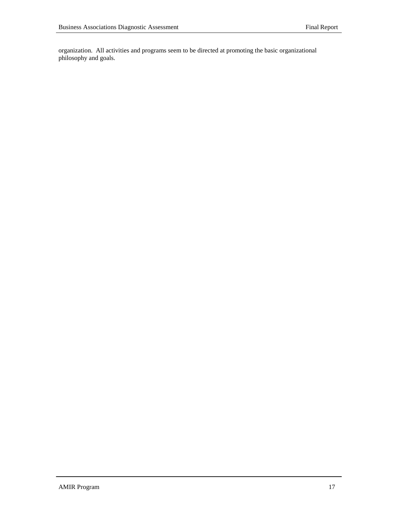organization. All activities and programs seem to be directed at promoting the basic organizational philosophy and goals.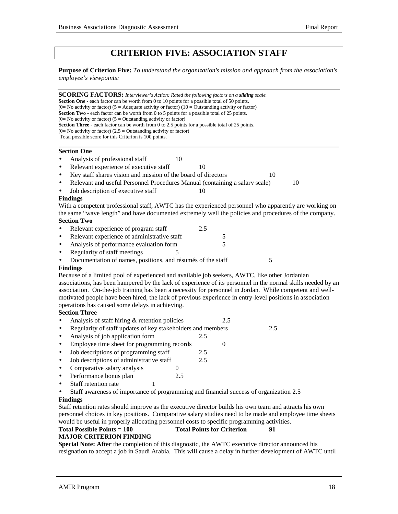# **CRITERION FIVE: ASSOCIATION STAFF**

**Purpose of Criterion Five:** *To understand the organization's mission and approach from the association's employee's viewpoints:*

**SCORING FACTORS:** *Interviewer's Action: Rated the following factors on a sliding scale.* **Section One** - each factor can be worth from 0 to 10 points for a possible total of 50 points. (0= No activity or factor) (5 = Adequate activity or factor) (10 = Outstanding activity or factor) **Section Two** - each factor can be worth from 0 to 5 points for a possible total of 25 points.  $(0=$  No activity or factor) (5 = Outstanding activity or factor) **Section Three** - each factor can be worth from 0 to 2.5 points for a possible total of 25 points. (0= No activity or factor) (2.5 = Outstanding activity or factor) Total possible score for this Criterion is 100 points.  **Section One** Analysis of professional staff 10 Relevant experience of executive staff 10 Key staff shares vision and mission of the board of directors 10 • Relevant and useful Personnel Procedures Manual (containing a salary scale) 10 Job description of executive staff 10 **Findings** With a competent professional staff, AWTC has the experienced personnel who apparently are working on the same "wave length" and have documented extremely well the policies and procedures of the company. **Section Two** Relevant experience of program staff 2.5 Relevant experience of administrative staff 5 Analysis of performance evaluation form 5 Regularity of staff meetings 5 Documentation of names, positions, and résumés of the staff 5 **Findings** Because of a limited pool of experienced and available job seekers, AWTC, like other Jordanian associations, has been hampered by the lack of experience of its personnel in the normal skills needed by an association. On-the-job training has been a necessity for personnel in Jordan. While competent and wellmotivated people have been hired, the lack of previous experience in entry-level positions in association operations has caused some delays in achieving. **Section Three** Analysis of staff hiring & retention policies 2.5 • Regularity of staff updates of key stakeholders and members 2.5 • Analysis of job application form 2.5 Employee time sheet for programming records 0 • Job descriptions of programming staff 2.5 • Job descriptions of administrative staff 2.5 • Comparative salary analysis 0 • Performance bonus plan 2.5 Staff retention rate • Staff awareness of importance of programming and financial success of organization 2.5 **Findings**

Staff retention rates should improve as the executive director builds his own team and attracts his own personnel choices in key positions. Comparative salary studies need to be made and employee time sheets would be useful in properly allocating personnel costs to specific programming activities.

#### **Total Possible Points = 100 Total Points for Criterion 91 MAJOR CRITERION FINDING**

**Special Note: After** the completion of this diagnostic, the AWTC executive director announced his resignation to accept a job in Saudi Arabia. This will cause a delay in further development of AWTC until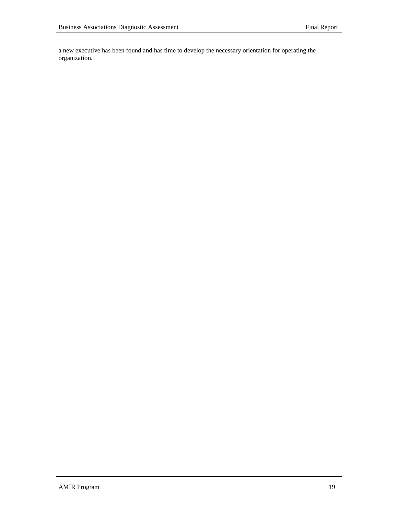a new executive has been found and has time to develop the necessary orientation for operating the organization.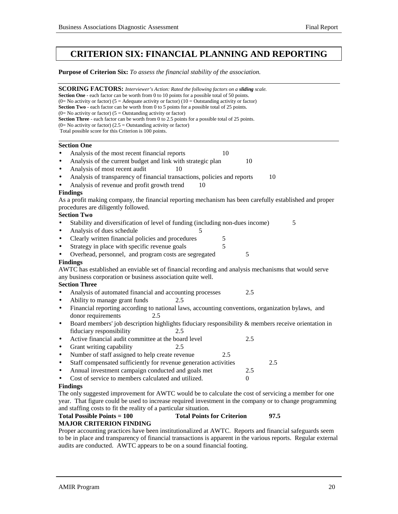# **CRITERION SIX: FINANCIAL PLANNING AND REPORTING**

**Purpose of Criterion Six:** *To assess the financial stability of the association.*

| <b>SCORING FACTORS:</b> Interviewer's Action: Rated the following factors on a <b>sliding</b> scale.                                                                |      |  |  |  |
|---------------------------------------------------------------------------------------------------------------------------------------------------------------------|------|--|--|--|
| Section One - each factor can be worth from 0 to 10 points for a possible total of 50 points.                                                                       |      |  |  |  |
| (0= No activity or factor) (5 = Adequate activity or factor) (10 = Outstanding activity or factor)                                                                  |      |  |  |  |
| Section Two - each factor can be worth from 0 to 5 points for a possible total of 25 points.<br>$(0=$ No activity or factor) $(5 =$ Outstanding activity or factor) |      |  |  |  |
| Section Three - each factor can be worth from 0 to 2.5 points for a possible total of 25 points.                                                                    |      |  |  |  |
| $(0=$ No activity or factor) $(2.5 =$ Outstanding activity or factor)                                                                                               |      |  |  |  |
| Total possible score for this Criterion is 100 points.                                                                                                              |      |  |  |  |
|                                                                                                                                                                     |      |  |  |  |
| <b>Section One</b>                                                                                                                                                  |      |  |  |  |
| Analysis of the most recent financial reports<br>10                                                                                                                 |      |  |  |  |
| Analysis of the current budget and link with strategic plan<br>10<br>٠                                                                                              |      |  |  |  |
| Analysis of most recent audit<br>10<br>٠                                                                                                                            |      |  |  |  |
| Analysis of transparency of financial transactions, policies and reports<br>$\bullet$                                                                               | 10   |  |  |  |
| Analysis of revenue and profit growth trend<br>10                                                                                                                   |      |  |  |  |
| <b>Findings</b>                                                                                                                                                     |      |  |  |  |
| As a profit making company, the financial reporting mechanism has been carefully established and proper                                                             |      |  |  |  |
| procedures are diligently followed.                                                                                                                                 |      |  |  |  |
| <b>Section Two</b>                                                                                                                                                  |      |  |  |  |
| Stability and diversification of level of funding (including non-dues income)                                                                                       | 5    |  |  |  |
| Analysis of dues schedule<br>5<br>٠                                                                                                                                 |      |  |  |  |
| Clearly written financial policies and procedures<br>5<br>٠                                                                                                         |      |  |  |  |
| 5<br>Strategy in place with specific revenue goals                                                                                                                  |      |  |  |  |
| Overhead, personnel, and program costs are segregated<br>5                                                                                                          |      |  |  |  |
| <b>Findings</b>                                                                                                                                                     |      |  |  |  |
| AWTC has established an enviable set of financial recording and analysis mechanisms that would serve                                                                |      |  |  |  |
| any business corporation or business association quite well.                                                                                                        |      |  |  |  |
| <b>Section Three</b>                                                                                                                                                |      |  |  |  |
| Analysis of automated financial and accounting processes<br>2.5                                                                                                     |      |  |  |  |
| Ability to manage grant funds<br>2.5                                                                                                                                |      |  |  |  |
| Financial reporting according to national laws, accounting conventions, organization bylaws, and<br>$\bullet$                                                       |      |  |  |  |
| donor requirements<br>2.5                                                                                                                                           |      |  |  |  |
| Board members' job description highlights fiduciary responsibility & members receive orientation in<br>$\bullet$                                                    |      |  |  |  |
| fiduciary responsibility<br>2.5                                                                                                                                     |      |  |  |  |
| Active financial audit committee at the board level<br>2.5<br>٠                                                                                                     |      |  |  |  |
| Grant writing capability<br>2.5<br>$\bullet$                                                                                                                        |      |  |  |  |
| Number of staff assigned to help create revenue<br>2.5<br>$\bullet$                                                                                                 |      |  |  |  |
| Staff compensated sufficiently for revenue generation activities<br>$\bullet$                                                                                       | 2.5  |  |  |  |
| Annual investment campaign conducted and goals met<br>2.5                                                                                                           |      |  |  |  |
| Cost of service to members calculated and utilized.<br>$\theta$                                                                                                     |      |  |  |  |
| <b>Findings</b>                                                                                                                                                     |      |  |  |  |
| The only suggested improvement for AWTC would be to calculate the cost of servicing a member for one                                                                |      |  |  |  |
| year. That figure could be used to increase required investment in the company or to change programming                                                             |      |  |  |  |
| and staffing costs to fit the reality of a particular situation.                                                                                                    |      |  |  |  |
| <b>Total Possible Points = 100</b><br><b>Total Points for Criterion</b>                                                                                             | 97.5 |  |  |  |
| <b>MAJOR CRITERION FINDING</b>                                                                                                                                      |      |  |  |  |

Proper accounting practices have been institutionalized at AWTC. Reports and financial safeguards seem to be in place and transparency of financial transactions is apparent in the various reports. Regular external audits are conducted. AWTC appears to be on a sound financial footing.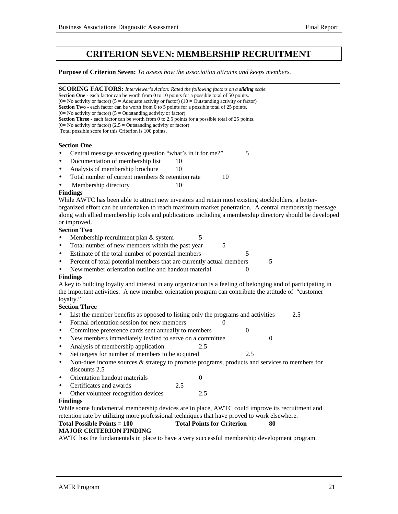# **CRITERION SEVEN: MEMBERSHIP RECRUITMENT**

**Purpose of Criterion Seven:** *To assess how the association attracts and keeps members.*

| <b>SCORING FACTORS:</b> Interviewer's Action: Rated the following factors on a sliding scale.<br>Section One - each factor can be worth from 0 to 10 points for a possible total of 50 points.<br>(0= No activity or factor) (5 = Adequate activity or factor) (10 = Outstanding activity or factor) |  |  |  |
|------------------------------------------------------------------------------------------------------------------------------------------------------------------------------------------------------------------------------------------------------------------------------------------------------|--|--|--|
| Section Two - each factor can be worth from 0 to 5 points for a possible total of 25 points.<br>(0= No activity or factor) ( $5 =$ Outstanding activity or factor)                                                                                                                                   |  |  |  |
| Section Three - each factor can be worth from 0 to 2.5 points for a possible total of 25 points.                                                                                                                                                                                                     |  |  |  |
| $(0=$ No activity or factor) $(2.5 =$ Outstanding activity or factor)                                                                                                                                                                                                                                |  |  |  |
| Total possible score for this Criterion is 100 points.                                                                                                                                                                                                                                               |  |  |  |
|                                                                                                                                                                                                                                                                                                      |  |  |  |
| <b>Section One</b>                                                                                                                                                                                                                                                                                   |  |  |  |
| 5<br>Central message answering question "what's in it for me?"                                                                                                                                                                                                                                       |  |  |  |
| Documentation of membership list<br>10<br>$\bullet$                                                                                                                                                                                                                                                  |  |  |  |
| Analysis of membership brochure<br>10<br>$\bullet$                                                                                                                                                                                                                                                   |  |  |  |
| Total number of current members & retention rate<br>10<br>$\bullet$                                                                                                                                                                                                                                  |  |  |  |
| Membership directory<br>10                                                                                                                                                                                                                                                                           |  |  |  |
| <b>Findings</b>                                                                                                                                                                                                                                                                                      |  |  |  |
| While AWTC has been able to attract new investors and retain most existing stockholders, a better-                                                                                                                                                                                                   |  |  |  |
| organized effort can be undertaken to reach maximum market penetration. A central membership message                                                                                                                                                                                                 |  |  |  |
| along with allied membership tools and publications including a membership directory should be developed                                                                                                                                                                                             |  |  |  |
| or improved.                                                                                                                                                                                                                                                                                         |  |  |  |
| <b>Section Two</b>                                                                                                                                                                                                                                                                                   |  |  |  |
| Membership recruitment plan & system<br>5                                                                                                                                                                                                                                                            |  |  |  |
| Total number of new members within the past year<br>5<br>$\bullet$                                                                                                                                                                                                                                   |  |  |  |
| Estimate of the total number of potential members<br>5<br>$\bullet$                                                                                                                                                                                                                                  |  |  |  |
| Percent of total potential members that are currently actual members<br>5<br>٠                                                                                                                                                                                                                       |  |  |  |
| New member orientation outline and handout material<br>$\overline{0}$                                                                                                                                                                                                                                |  |  |  |
| <b>Findings</b>                                                                                                                                                                                                                                                                                      |  |  |  |
| A key to building loyalty and interest in any organization is a feeling of belonging and of participating in                                                                                                                                                                                         |  |  |  |
| the important activities. A new member orientation program can contribute the attitude of "customer                                                                                                                                                                                                  |  |  |  |
| loyalty."                                                                                                                                                                                                                                                                                            |  |  |  |
| <b>Section Three</b>                                                                                                                                                                                                                                                                                 |  |  |  |
| List the member benefits as opposed to listing only the programs and activities<br>2.5                                                                                                                                                                                                               |  |  |  |
| Formal orientation session for new members<br>$\theta$<br>$\bullet$                                                                                                                                                                                                                                  |  |  |  |
| Committee preference cards sent annually to members<br>$\boldsymbol{0}$<br>$\bullet$                                                                                                                                                                                                                 |  |  |  |
| New members immediately invited to serve on a committee<br>$\boldsymbol{0}$<br>$\bullet$                                                                                                                                                                                                             |  |  |  |
| Analysis of membership application<br>2.5<br>$\bullet$                                                                                                                                                                                                                                               |  |  |  |
| Set targets for number of members to be acquired<br>2.5<br>$\bullet$                                                                                                                                                                                                                                 |  |  |  |
| Non-dues income sources & strategy to promote programs, products and services to members for<br>$\bullet$                                                                                                                                                                                            |  |  |  |
| discounts 2.5                                                                                                                                                                                                                                                                                        |  |  |  |
| Orientation handout materials<br>$\mathbf{0}$                                                                                                                                                                                                                                                        |  |  |  |
| Certificates and awards<br>2.5                                                                                                                                                                                                                                                                       |  |  |  |
| 2.5<br>Other volunteer recognition devices                                                                                                                                                                                                                                                           |  |  |  |
| <b>Findings</b>                                                                                                                                                                                                                                                                                      |  |  |  |
| While some fundamental membership devices are in place, AWTC could improve its recruitment and                                                                                                                                                                                                       |  |  |  |
| retention rate by utilizing more professional techniques that have proved to work elsewhere.                                                                                                                                                                                                         |  |  |  |
| <b>Total Possible Points = 100</b><br><b>Total Points for Criterion</b><br>80                                                                                                                                                                                                                        |  |  |  |
| <b>MAJOR CRITERION FINDING</b>                                                                                                                                                                                                                                                                       |  |  |  |
| AWTC has the fundamentals in place to have a very successful membership development program.                                                                                                                                                                                                         |  |  |  |
|                                                                                                                                                                                                                                                                                                      |  |  |  |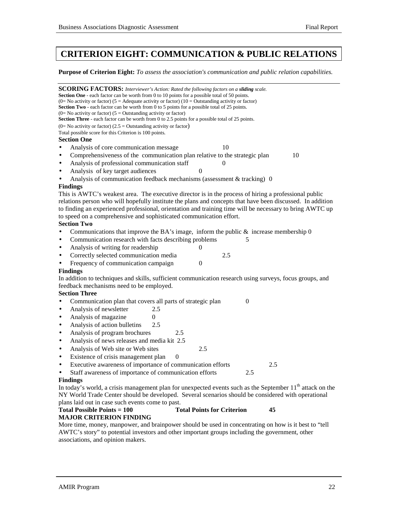# **CRITERION EIGHT: COMMUNICATION & PUBLIC RELATIONS**

**Purpose of Criterion Eight:** *To assess the association's communication and public relation capabilities.*

| <b>SCORING FACTORS:</b> Interviewer's Action: Rated the following factors on a <b>sliding</b> scale.<br><b>Section One</b> - each factor can be worth from 0 to 10 points for a possible total of 50 points.<br>(0= No activity or factor) (5 = Adequate activity or factor) (10 = Outstanding activity or factor)<br>Section Two - each factor can be worth from 0 to 5 points for a possible total of 25 points.<br>(0= No activity or factor) ( $5 =$ Outstanding activity or factor)<br>Section Three - each factor can be worth from 0 to 2.5 points for a possible total of 25 points.<br>$(0=$ No activity or factor) $(2.5 =$ Outstanding activity or factor) |
|-----------------------------------------------------------------------------------------------------------------------------------------------------------------------------------------------------------------------------------------------------------------------------------------------------------------------------------------------------------------------------------------------------------------------------------------------------------------------------------------------------------------------------------------------------------------------------------------------------------------------------------------------------------------------|
| Total possible score for this Criterion is 100 points.                                                                                                                                                                                                                                                                                                                                                                                                                                                                                                                                                                                                                |
| <b>Section One</b>                                                                                                                                                                                                                                                                                                                                                                                                                                                                                                                                                                                                                                                    |
| 10<br>Analysis of core communication message                                                                                                                                                                                                                                                                                                                                                                                                                                                                                                                                                                                                                          |
| Comprehensiveness of the communication plan relative to the strategic plan<br>10                                                                                                                                                                                                                                                                                                                                                                                                                                                                                                                                                                                      |
| Analysis of professional communication staff<br>$\Omega$                                                                                                                                                                                                                                                                                                                                                                                                                                                                                                                                                                                                              |
| Analysis of key target audiences<br>$\Omega$                                                                                                                                                                                                                                                                                                                                                                                                                                                                                                                                                                                                                          |
| Analysis of communication feedback mechanisms (assessment & tracking) 0                                                                                                                                                                                                                                                                                                                                                                                                                                                                                                                                                                                               |
| <b>Findings</b>                                                                                                                                                                                                                                                                                                                                                                                                                                                                                                                                                                                                                                                       |
| This is AWTC's weakest area. The executive director is in the process of hiring a professional public<br>relations person who will hopefully institute the plans and concepts that have been discussed. In addition<br>to finding an experienced professional, orientation and training time will be necessary to bring AWTC up<br>to speed on a comprehensive and sophisticated communication effort.<br><b>Section Two</b>                                                                                                                                                                                                                                          |
| Communications that improve the BA's image, inform the public $\&$ increase membership 0                                                                                                                                                                                                                                                                                                                                                                                                                                                                                                                                                                              |
| Communication research with facts describing problems<br>5                                                                                                                                                                                                                                                                                                                                                                                                                                                                                                                                                                                                            |
| Analysis of writing for readership<br>0<br>$\bullet$                                                                                                                                                                                                                                                                                                                                                                                                                                                                                                                                                                                                                  |
| Correctly selected communication media<br>2.5                                                                                                                                                                                                                                                                                                                                                                                                                                                                                                                                                                                                                         |
| Frequency of communication campaign<br>$\overline{0}$                                                                                                                                                                                                                                                                                                                                                                                                                                                                                                                                                                                                                 |
| <b>Findings</b>                                                                                                                                                                                                                                                                                                                                                                                                                                                                                                                                                                                                                                                       |
| In addition to techniques and skills, sufficient communication research using surveys, focus groups, and                                                                                                                                                                                                                                                                                                                                                                                                                                                                                                                                                              |
| feedback mechanisms need to be employed.                                                                                                                                                                                                                                                                                                                                                                                                                                                                                                                                                                                                                              |
| <b>Section Three</b>                                                                                                                                                                                                                                                                                                                                                                                                                                                                                                                                                                                                                                                  |
| Communication plan that covers all parts of strategic plan<br>$\mathbf{0}$                                                                                                                                                                                                                                                                                                                                                                                                                                                                                                                                                                                            |
| Analysis of newsletter<br>2.5<br>$\bullet$                                                                                                                                                                                                                                                                                                                                                                                                                                                                                                                                                                                                                            |
| Analysis of magazine<br>0<br>٠                                                                                                                                                                                                                                                                                                                                                                                                                                                                                                                                                                                                                                        |
| Analysis of action bulletins<br>2.5<br>$\bullet$                                                                                                                                                                                                                                                                                                                                                                                                                                                                                                                                                                                                                      |
| Analysis of program brochures<br>2.5<br>$\bullet$                                                                                                                                                                                                                                                                                                                                                                                                                                                                                                                                                                                                                     |
| Analysis of news releases and media kit 2.5<br>$\bullet$                                                                                                                                                                                                                                                                                                                                                                                                                                                                                                                                                                                                              |
| Analysis of Web site or Web sites<br>2.5                                                                                                                                                                                                                                                                                                                                                                                                                                                                                                                                                                                                                              |
| $\bullet$                                                                                                                                                                                                                                                                                                                                                                                                                                                                                                                                                                                                                                                             |
| Existence of crisis management plan<br>$\overline{0}$<br>$\bullet$                                                                                                                                                                                                                                                                                                                                                                                                                                                                                                                                                                                                    |
| Executive awareness of importance of communication efforts<br>2.5<br>$\bullet$                                                                                                                                                                                                                                                                                                                                                                                                                                                                                                                                                                                        |
| Staff awareness of importance of communication efforts<br>2.5                                                                                                                                                                                                                                                                                                                                                                                                                                                                                                                                                                                                         |
| <b>Findings</b>                                                                                                                                                                                                                                                                                                                                                                                                                                                                                                                                                                                                                                                       |
| In today's world, a crisis management plan for unexpected events such as the September 11 <sup>th</sup> attack on the                                                                                                                                                                                                                                                                                                                                                                                                                                                                                                                                                 |
| NY World Trade Center should be developed. Several scenarios should be considered with operational                                                                                                                                                                                                                                                                                                                                                                                                                                                                                                                                                                    |
| plans laid out in case such events come to past.                                                                                                                                                                                                                                                                                                                                                                                                                                                                                                                                                                                                                      |
| <b>Total Possible Points = 100</b><br><b>Total Points for Criterion</b><br>45                                                                                                                                                                                                                                                                                                                                                                                                                                                                                                                                                                                         |
| <b>MAJOR CRITERION FINDING</b>                                                                                                                                                                                                                                                                                                                                                                                                                                                                                                                                                                                                                                        |
| More time, money, manpower, and brainpower should be used in concentrating on how is it best to "tell<br>AWTC's story" to potential investors and other important groups including the government, other                                                                                                                                                                                                                                                                                                                                                                                                                                                              |
| associations, and opinion makers.                                                                                                                                                                                                                                                                                                                                                                                                                                                                                                                                                                                                                                     |
|                                                                                                                                                                                                                                                                                                                                                                                                                                                                                                                                                                                                                                                                       |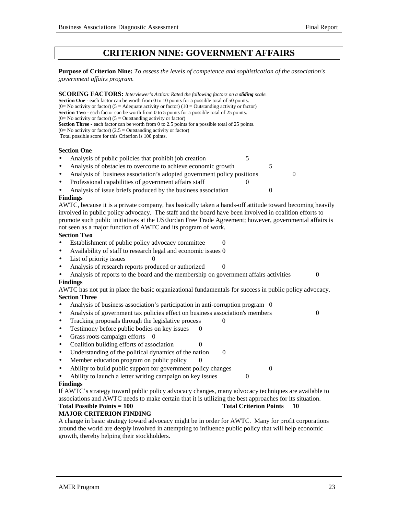# **CRITERION NINE: GOVERNMENT AFFAIRS**

**Purpose of Criterion Nine:** *To assess the levels of competence and sophistication of the association's government affairs program.*

**SCORING FACTORS:** *Interviewer's Action: Rated the following factors on a sliding scale.* **Section One** - each factor can be worth from 0 to 10 points for a possible total of 50 points. (0= No activity or factor) (5 = Adequate activity or factor) (10 = Outstanding activity or factor) **Section Two** - each factor can be worth from 0 to 5 points for a possible total of 25 points.  $(0=$  No activity or factor)  $(5 =$  Outstanding activity or factor) **Section Three** - each factor can be worth from 0 to 2.5 points for a possible total of 25 points.  $(0=$  No activity or factor) (2.5 = Outstanding activity or factor) Total possible score for this Criterion is 100 points. l

#### **Section One**

- Analysis of public policies that prohibit job creation 5 Analysis of obstacles to overcome to achieve economic growth 5
- Analysis of business association's adopted government policy positions 0
- Professional capabilities of government affairs staff 0
- Analysis of issue briefs produced by the business association 0

#### **Findings**

AWTC, because it is a private company, has basically taken a hands-off attitude toward becoming heavily involved in public policy advocacy. The staff and the board have been involved in coalition efforts to promote such public initiatives at the US/Jordan Free Trade Agreement; however, governmental affairs is not seen as a major function of AWTC and its program of work.

### **Section Two**

- Establishment of public policy advocacy committee 0
- Availability of staff to research legal and economic issues 0
- $List$  of priority issues  $0$
- Analysis of research reports produced or authorized 0
- Analysis of reports to the board and the membership on government affairs activities  $\qquad 0$ **Findings**

AWTC has not put in place the basic organizational fundamentals for success in public policy advocacy. **Section Three**

- Analysis of business association's participation in anti-corruption program 0
- Analysis of government tax policies effect on business association's members 0
- Tracking proposals through the legislative process
- Testimony before public bodies on key issues
- Grass roots campaign efforts 0
- Coalition building efforts of association 0
- Understanding of the political dynamics of the nation 0
- Member education program on public policy
- Ability to build public support for government policy changes 0
- Ability to launch a letter writing campaign on key issues 0

### **Findings**

If AWTC's strategy toward public policy advocacy changes, many advocacy techniques are available to associations and AWTC needs to make certain that it is utilizing the best approaches for its situation. **Total Possible Points = 100 Total Criterion Points 10** 

# **MAJOR CRITERION FINDING**

A change in basic strategy toward advocacy might be in order for AWTC. Many for profit corporations around the world are deeply involved in attempting to influence public policy that will help economic growth, thereby helping their stockholders.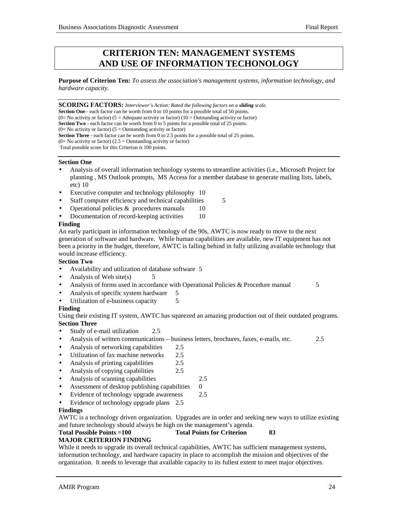# **CRITERION TEN: MANAGEMENT SYSTEMS AND USE OF INFORMATION TECHONOLOGY**

**Purpose of Criterion Ten:** *To assess the association's management systems, information technology, and hardware capacity.*

**SCORING FACTORS:** *Interviewer's Action: Rated the following factors on a sliding scale.*

**Section One** - each factor can be worth from 0 to 10 points for a possible total of 50 points.

(0= No activity or factor) (5 = Adequate activity or factor) (10 = Outstanding activity or factor)

**Section Two** - each factor can be worth from 0 to 5 points for a possible total of 25 points.

 $(0=$  No activity or factor)  $(5 =$  Outstanding activity or factor)

**Section Three** - each factor can be worth from 0 to 2.5 points for a possible total of 25 points.

(0= No activity or factor) (2.5 = Outstanding activity or factor)

Total possible score for this Criterion is 100 points.

#### **Section One**

- Analysis of overall information technology systems to streamline activities (i.e., Microsoft Project for planning , MS Outlook prompts, MS Access for a member database to generate mailing lists, labels, etc) 10
- Executive computer and technology philosophy 10
- Staff computer efficiency and technical capabilities 5
- Operational policies  $&$  procedures manuals 10
- Documentation of record-keeping activities 10

### **Finding**

An early participant in information technology of the 90s, AWTC is now ready to move to the next generation of software and hardware. While human capabilities are available, new IT equipment has not been a priority in the budget, therefore, AWTC is falling behind in fully utilizing available technology that would increase efficiency.

### **Section Two**

- Availability and utilization of database software 5
- Analysis of Web site(s)  $5$
- Analysis of forms used in accordance with Operational Policies & Procedure manual 5
- Analysis of specific system hardware 5
- Utilization of e-business capacity 5

### **Finding**

Using their existing IT system, AWTC has squeezed an amazing production out of their outdated programs. **Section Three**

- Study of e-mail utilization 2.5
- Analysis of written communications business letters, brochures, faxes, e-mails, etc. 2.5
- Analysis of networking capabilities 2.5
- Utilization of fax machine networks 2.5
- Analysis of printing capabilities 2.5
- Analysis of copying capabilities 2.5
- Analysis of scanning capabilities 2.5
- Assessment of desktop publishing capabilities 0
- Evidence of technology upgrade awareness 2.5
- Evidence of technology upgrade plans 2.5

### **Findings**

AWTC is a technology driven organization. Upgrades are in order and seeking new ways to utilize existing and future technology should always be high on the management's agenda.

### **Total Possible Points =100 Total Points for Criterion 83**

### **MAJOR CRITERION FINDING**

While it needs to upgrade its overall technical capabilities, AWTC has sufficient management systems, information technology, and hardware capacity in place to accomplish the mission and objectives of the organization. It needs to leverage that available capacity to its fullest extent to meet major objectives.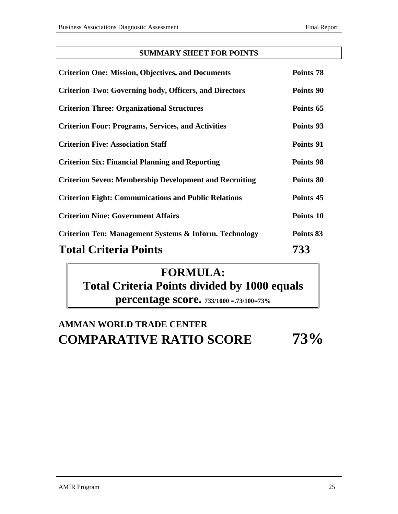# **SUMMARY SHEET FOR POINTS**

| <b>Criterion One: Mission, Objectives, and Documents</b>          | Points 78 |
|-------------------------------------------------------------------|-----------|
| <b>Criterion Two: Governing body, Officers, and Directors</b>     | Points 90 |
| <b>Criterion Three: Organizational Structures</b>                 | Points 65 |
| <b>Criterion Four: Programs, Services, and Activities</b>         | Points 93 |
| <b>Criterion Five: Association Staff</b>                          | Points 91 |
| <b>Criterion Six: Financial Planning and Reporting</b>            | Points 98 |
| <b>Criterion Seven: Membership Development and Recruiting</b>     | Points 80 |
| <b>Criterion Eight: Communications and Public Relations</b>       | Points 45 |
| <b>Criterion Nine: Government Affairs</b>                         | Points 10 |
| <b>Criterion Ten: Management Systems &amp; Inform. Technology</b> | Points 83 |
| <b>Total Criteria Points</b>                                      | 733       |

# **FORMULA: Total Criteria Points divided by 1000 equals percentage score. 733/1000 =.73/100=73%**

# **AMMAN WORLD TRADE CENTER COMPARATIVE RATIO SCORE 73%**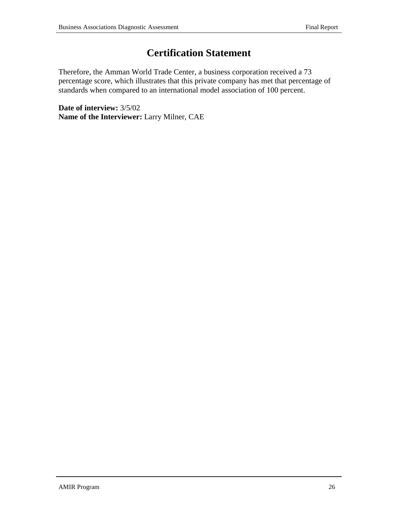# **Certification Statement**

Therefore, the Amman World Trade Center, a business corporation received a 73 percentage score, which illustrates that this private company has met that percentage of standards when compared to an international model association of 100 percent.

**Date of interview:** 3/5/02 **Name of the Interviewer:** Larry Milner, CAE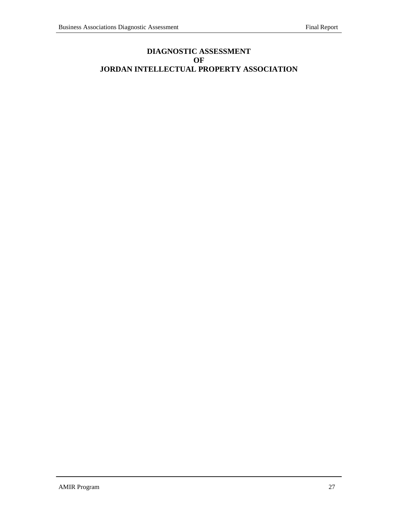# **DIAGNOSTIC ASSESSMENT OF JORDAN INTELLECTUAL PROPERTY ASSOCIATION**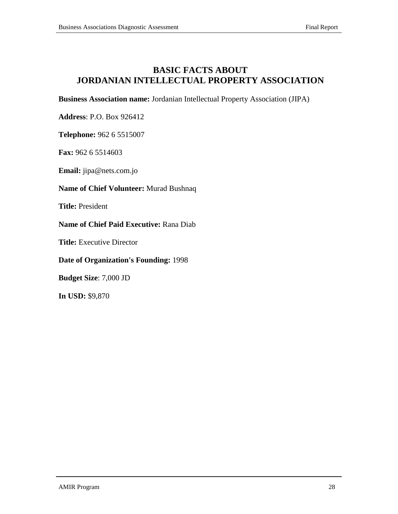# **BASIC FACTS ABOUT JORDANIAN INTELLECTUAL PROPERTY ASSOCIATION**

**Business Association name:** Jordanian Intellectual Property Association (JIPA)

**Address**: P.O. Box 926412

**Telephone:** 962 6 5515007

**Fax:** 962 6 5514603

**Email:** jipa@nets.com.jo

### **Name of Chief Volunteer:** Murad Bushnaq

**Title:** President

**Name of Chief Paid Executive:** Rana Diab

**Title:** Executive Director

### **Date of Organization's Founding:** 1998

**Budget Size**: 7,000 JD

**In USD:** \$9,870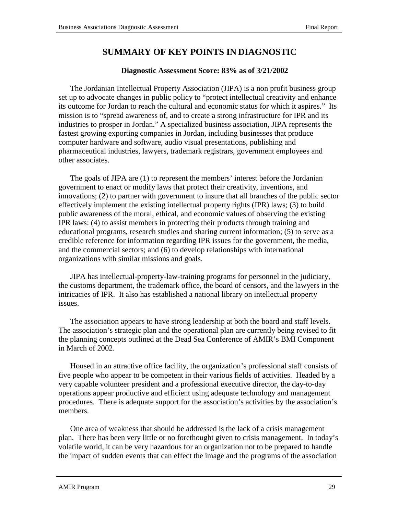# **SUMMARY OF KEY POINTS IN DIAGNOSTIC**

### **Diagnostic Assessment Score: 83% as of 3/21/2002**

The Jordanian Intellectual Property Association (JIPA) is a non profit business group set up to advocate changes in public policy to "protect intellectual creativity and enhance its outcome for Jordan to reach the cultural and economic status for which it aspires." Its mission is to "spread awareness of, and to create a strong infrastructure for IPR and its industries to prosper in Jordan." A specialized business association, JIPA represents the fastest growing exporting companies in Jordan, including businesses that produce computer hardware and software, audio visual presentations, publishing and pharmaceutical industries, lawyers, trademark registrars, government employees and other associates.

The goals of JIPA are (1) to represent the members' interest before the Jordanian government to enact or modify laws that protect their creativity, inventions, and innovations; (2) to partner with government to insure that all branches of the public sector effectively implement the existing intellectual property rights (IPR) laws; (3) to build public awareness of the moral, ethical, and economic values of observing the existing IPR laws: (4) to assist members in protecting their products through training and educational programs, research studies and sharing current information; (5) to serve as a credible reference for information regarding IPR issues for the government, the media, and the commercial sectors; and (6) to develop relationships with international organizations with similar missions and goals.

JIPA has intellectual-property-law-training programs for personnel in the judiciary, the customs department, the trademark office, the board of censors, and the lawyers in the intricacies of IPR. It also has established a national library on intellectual property issues.

The association appears to have strong leadership at both the board and staff levels. The association's strategic plan and the operational plan are currently being revised to fit the planning concepts outlined at the Dead Sea Conference of AMIR's BMI Component in March of 2002.

Housed in an attractive office facility, the organization's professional staff consists of five people who appear to be competent in their various fields of activities. Headed by a very capable volunteer president and a professional executive director, the day-to-day operations appear productive and efficient using adequate technology and management procedures. There is adequate support for the association's activities by the association's members.

One area of weakness that should be addressed is the lack of a crisis management plan. There has been very little or no forethought given to crisis management. In today's volatile world, it can be very hazardous for an organization not to be prepared to handle the impact of sudden events that can effect the image and the programs of the association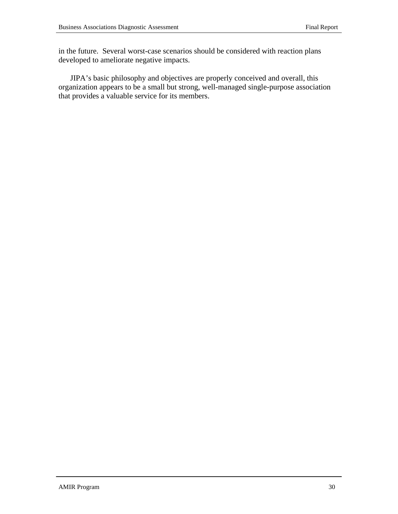in the future. Several worst-case scenarios should be considered with reaction plans developed to ameliorate negative impacts.

JIPA's basic philosophy and objectives are properly conceived and overall, this organization appears to be a small but strong, well-managed single-purpose association that provides a valuable service for its members.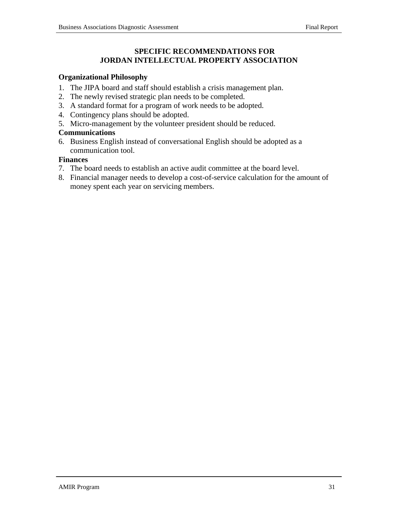### **SPECIFIC RECOMMENDATIONS FOR JORDAN INTELLECTUAL PROPERTY ASSOCIATION**

### **Organizational Philosophy**

- 1. The JIPA board and staff should establish a crisis management plan.
- 2. The newly revised strategic plan needs to be completed.
- 3. A standard format for a program of work needs to be adopted.
- 4. Contingency plans should be adopted.
- 5. Micro-management by the volunteer president should be reduced.

### **Communications**

6. Business English instead of conversational English should be adopted as a communication tool.

### **Finances**

- 7. The board needs to establish an active audit committee at the board level.
- 8. Financial manager needs to develop a cost-of-service calculation for the amount of money spent each year on servicing members.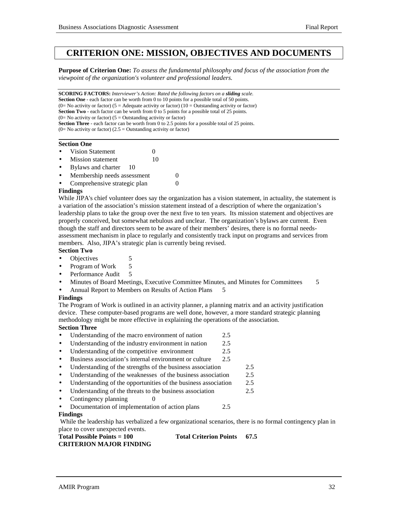# **CRITERION ONE: MISSION, OBJECTIVES AND DOCUMENTS**

**Purpose of Criterion One:** *To assess the fundamental philosophy and focus of the association from the viewpoint of the organization's volunteer and professional leaders.*

**SCORING FACTORS:** *Interviewer's Action: Rated the following factors on a sliding scale.* **Section One** - each factor can be worth from 0 to 10 points for a possible total of 50 points. (0= No activity or factor) (5 = Adequate activity or factor) (10 = Outstanding activity or factor) **Section Two** - each factor can be worth from 0 to 5 points for a possible total of 25 points.  $(0=$  No activity or factor)  $(5 =$  Outstanding activity or factor) **Section Three** - each factor can be worth from 0 to 2.5 points for a possible total of 25 points.  $(0=$  No activity or factor)  $(2.5 =$  Outstanding activity or factor)

#### **Section One**

- Vision Statement 0
- **Mission statement** 10
- Bylaws and charter 10
- Membership needs assessment 0
- Comprehensive strategic plan 0

#### **Findings**

While JIPA's chief volunteer does say the organization has a vision statement, in actuality, the statement is a variation of the association's mission statement instead of a description of where the organization's leadership plans to take the group over the next five to ten years. Its mission statement and objectives are properly conceived, but somewhat nebulous and unclear. The organization's bylaws are current. Even though the staff and directors seem to be aware of their members' desires, there is no formal needsassessment mechanism in place to regularly and consistently track input on programs and services from members. Also, JIPA's strategic plan is currently being revised.

#### **Section Two**

- Objectives 5
- Program of Work 5
- Performance Audit 5
- Minutes of Board Meetings, Executive Committee Minutes, and Minutes for Committees 5
- Annual Report to Members on Results of Action Plans

#### **Findings**

The Program of Work is outlined in an activity planner, a planning matrix and an activity justification device. These computer-based programs are well done, however, a more standard strategic planning methodology might be more effective in explaining the operations of the association. **Section Three**

- Understanding of the macro environment of nation 2.5
- Understanding of the industry environment in nation 2.5
- Understanding of the competitive environment 2.5
- Business association's internal environment or culture 2.5
- Understanding of the strengths of the business association 2.5
- Understanding of the weaknesses of the business association 2.5
- Understanding of the opportunities of the business association 2.5
- Understanding of the threats to the business association 2.5
- Contingency planning 0
- Documentation of implementation of action plans 2.5

#### **Findings**

 While the leadership has verbalized a few organizational scenarios, there is no formal contingency plan in place to cover unexpected events.

#### **Total Possible Points = 100 Total Criterion Points 67.5 CRITERION MAJOR FINDING**

#### AMIR Program 32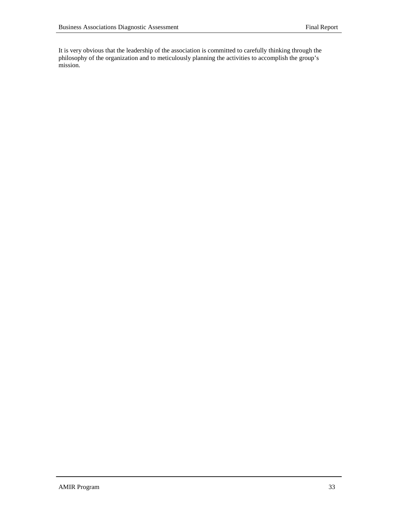It is very obvious that the leadership of the association is committed to carefully thinking through the philosophy of the organization and to meticulously planning the activities to accomplish the group's mission.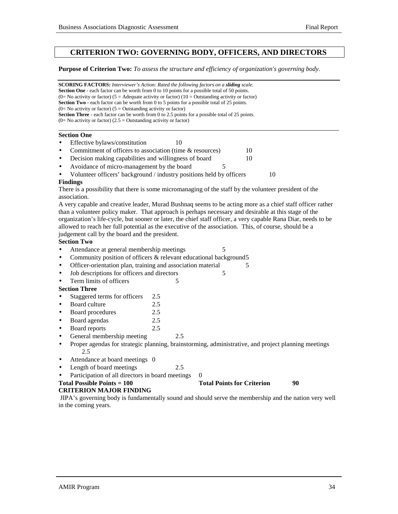## **CRITERION TWO: GOVERNING BODY, OFFICERS, AND DIRECTORS**

#### **Purpose of Criterion Two:** *To assess the structure and efficiency of organization's governing body.*

**SCORING FACTORS:** *Interviewer's Action: Rated the following factors on a sliding scale.* **Section One** - each factor can be worth from 0 to 10 points for a possible total of 50 points. (0= No activity or factor) (5 = Adequate activity or factor) (10 = Outstanding activity or factor) **Section Two** - each factor can be worth from 0 to 5 points for a possible total of 25 points.  $(0=$  No activity or factor)  $(5 =$  Outstanding activity or factor) **Section Three** - each factor can be worth from 0 to 2.5 points for a possible total of 25 points.  $(0=$  No activity or factor)  $(2.5 =$  Outstanding activity or factor) l

#### **Section One**

- Effective bylaws/constitution 10
- Commitment of officers to association (time & resources) 10
- Decision making capabilities and willingness of board 10
- Avoidance of micro-management by the board 5
- Volunteer officers' background / industry positions held by officers 10

#### **Findings**

There is a possibility that there is some micromanaging of the staff by the volunteer president of the association.

A very capable and creative leader, Murad Bushnaq seems to be acting more as a chief staff officer rather than a volunteer policy maker. That approach is perhaps necessary and desirable at this stage of the organization's life-cycle, but sooner or later, the chief staff officer, a very capable Rana Diar, needs to be allowed to reach her full potential as the executive of the association. This, of course, should be a judgement call by the board and the president.

#### **Section Two**

- Attendance at general membership meetings 5
- Community position of officers & relevant educational background5
- Officer-orientation plan, training and association material 5
- Job descriptions for officers and directors 5
- Frem limits of officers 5

#### **Section Three**

- Staggered terms for officers 2.5
- Board culture 2.5
- Board procedures 2.5
- Board agendas 2.5
- Board reports 2.5
- General membership meeting 2.5
- Proper agendas for strategic planning, brainstorming, administrative, and project planning meetings 2.5
- Attendance at board meetings 0
- Length of board meetings 2.5
- Participation of all directors in board meetings 0

**Total Possible Points = 100** Total Points for Criterion 90

#### **CRITERION MAJOR FINDING**

 JIPA's governing body is fundamentally sound and should serve the membership and the nation very well in the coming years.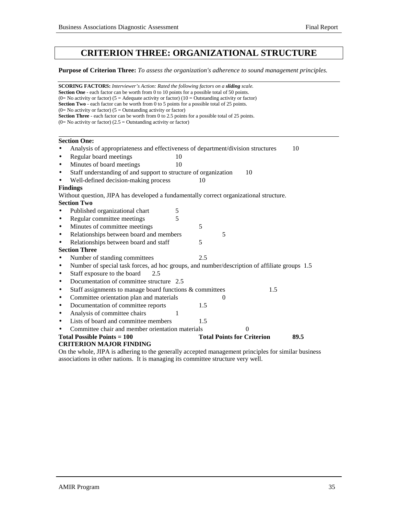# **CRITERION THREE: ORGANIZATIONAL STRUCTURE**

**Purpose of Criterion Three:** *To assess the organization's adherence to sound management principles.*

| <b>SCORING FACTORS:</b> Interviewer's Action: Rated the following factors on a sliding scale.<br><b>Section One</b> - each factor can be worth from 0 to 10 points for a possible total of 50 points.<br>(0= No activity or factor) (5 = Adequate activity or factor) (10 = Outstanding activity or factor)<br>Section Two - each factor can be worth from 0 to 5 points for a possible total of 25 points. |                                                                                                                                                                                  |    |     |          |                                   |     |      |
|-------------------------------------------------------------------------------------------------------------------------------------------------------------------------------------------------------------------------------------------------------------------------------------------------------------------------------------------------------------------------------------------------------------|----------------------------------------------------------------------------------------------------------------------------------------------------------------------------------|----|-----|----------|-----------------------------------|-----|------|
|                                                                                                                                                                                                                                                                                                                                                                                                             | $(0=$ No activity or factor) $(5 =$ Outstanding activity or factor)                                                                                                              |    |     |          |                                   |     |      |
|                                                                                                                                                                                                                                                                                                                                                                                                             | <b>Section Three</b> - each factor can be worth from 0 to 2.5 points for a possible total of 25 points.<br>$(0=$ No activity or factor) $(2.5 =$ Outstanding activity or factor) |    |     |          |                                   |     |      |
|                                                                                                                                                                                                                                                                                                                                                                                                             |                                                                                                                                                                                  |    |     |          |                                   |     |      |
|                                                                                                                                                                                                                                                                                                                                                                                                             | <b>Section One:</b>                                                                                                                                                              |    |     |          |                                   |     |      |
|                                                                                                                                                                                                                                                                                                                                                                                                             | Analysis of appropriateness and effectiveness of department/division structures                                                                                                  |    |     |          |                                   |     | 10   |
| $\bullet$                                                                                                                                                                                                                                                                                                                                                                                                   | Regular board meetings                                                                                                                                                           | 10 |     |          |                                   |     |      |
| $\bullet$                                                                                                                                                                                                                                                                                                                                                                                                   | Minutes of board meetings                                                                                                                                                        | 10 |     |          |                                   |     |      |
| $\bullet$                                                                                                                                                                                                                                                                                                                                                                                                   | Staff understanding of and support to structure of organization                                                                                                                  |    |     |          | 10                                |     |      |
|                                                                                                                                                                                                                                                                                                                                                                                                             | Well-defined decision-making process                                                                                                                                             |    | 10  |          |                                   |     |      |
| <b>Findings</b>                                                                                                                                                                                                                                                                                                                                                                                             |                                                                                                                                                                                  |    |     |          |                                   |     |      |
|                                                                                                                                                                                                                                                                                                                                                                                                             | Without question, JIPA has developed a fundamentally correct organizational structure.                                                                                           |    |     |          |                                   |     |      |
|                                                                                                                                                                                                                                                                                                                                                                                                             | <b>Section Two</b>                                                                                                                                                               |    |     |          |                                   |     |      |
|                                                                                                                                                                                                                                                                                                                                                                                                             | Published organizational chart                                                                                                                                                   | 5  |     |          |                                   |     |      |
| $\bullet$                                                                                                                                                                                                                                                                                                                                                                                                   | Regular committee meetings                                                                                                                                                       | 5  |     |          |                                   |     |      |
| $\bullet$                                                                                                                                                                                                                                                                                                                                                                                                   | Minutes of committee meetings                                                                                                                                                    |    | 5   |          |                                   |     |      |
| $\bullet$                                                                                                                                                                                                                                                                                                                                                                                                   | Relationships between board and members                                                                                                                                          |    |     | 5        |                                   |     |      |
| $\bullet$                                                                                                                                                                                                                                                                                                                                                                                                   | Relationships between board and staff                                                                                                                                            |    | 5   |          |                                   |     |      |
|                                                                                                                                                                                                                                                                                                                                                                                                             | <b>Section Three</b>                                                                                                                                                             |    |     |          |                                   |     |      |
| $\bullet$                                                                                                                                                                                                                                                                                                                                                                                                   | Number of standing committees                                                                                                                                                    |    | 2.5 |          |                                   |     |      |
| $\bullet$                                                                                                                                                                                                                                                                                                                                                                                                   | Number of special task forces, ad hoc groups, and number/description of affiliate groups 1.5                                                                                     |    |     |          |                                   |     |      |
| $\bullet$                                                                                                                                                                                                                                                                                                                                                                                                   | Staff exposure to the board<br>2.5                                                                                                                                               |    |     |          |                                   |     |      |
| $\bullet$                                                                                                                                                                                                                                                                                                                                                                                                   | Documentation of committee structure 2.5                                                                                                                                         |    |     |          |                                   |     |      |
| $\bullet$                                                                                                                                                                                                                                                                                                                                                                                                   | Staff assignments to manage board functions & committees                                                                                                                         |    |     |          |                                   | 1.5 |      |
| $\bullet$                                                                                                                                                                                                                                                                                                                                                                                                   | Committee orientation plan and materials                                                                                                                                         |    |     | $\theta$ |                                   |     |      |
| $\bullet$                                                                                                                                                                                                                                                                                                                                                                                                   | Documentation of committee reports                                                                                                                                               |    | 1.5 |          |                                   |     |      |
| $\bullet$                                                                                                                                                                                                                                                                                                                                                                                                   | Analysis of committee chairs                                                                                                                                                     | 1  |     |          |                                   |     |      |
| $\bullet$                                                                                                                                                                                                                                                                                                                                                                                                   | Lists of board and committee members                                                                                                                                             |    | 1.5 |          |                                   |     |      |
|                                                                                                                                                                                                                                                                                                                                                                                                             | Committee chair and member orientation materials                                                                                                                                 |    |     |          | $\Omega$                          |     |      |
|                                                                                                                                                                                                                                                                                                                                                                                                             | Total Possible Points $= 100$                                                                                                                                                    |    |     |          | <b>Total Points for Criterion</b> |     | 89.5 |
|                                                                                                                                                                                                                                                                                                                                                                                                             | <b>CRITERION MAJOR FINDING</b>                                                                                                                                                   |    |     |          |                                   |     |      |
|                                                                                                                                                                                                                                                                                                                                                                                                             | On the whole IIPA is adhering to the generally accepted management principles for similar business                                                                               |    |     |          |                                   |     |      |

On the whole, JIPA is adhering to the generally accepted management principles for similar business associations in other nations. It is managing its committee structure very well.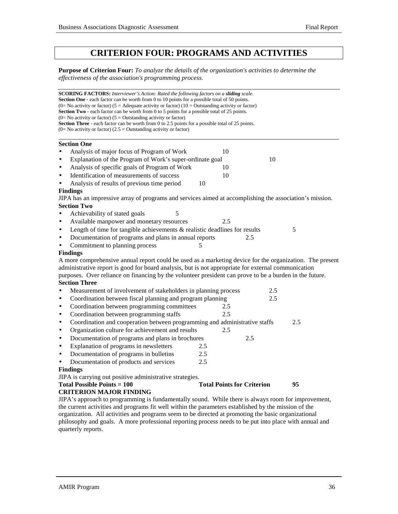# **CRITERION FOUR: PROGRAMS AND ACTIVITIES**

**Purpose of Criterion Four:** *To analyze the details of the organization's activities to determine the effectiveness of the association's programming process.*

|           | <b>SCORING FACTORS:</b> Interviewer's Action: Rated the following factors on a <b>sliding</b> scale.                                                                      |                                   |     |     |  |
|-----------|---------------------------------------------------------------------------------------------------------------------------------------------------------------------------|-----------------------------------|-----|-----|--|
|           | <b>Section One</b> - each factor can be worth from 0 to 10 points for a possible total of 50 points.                                                                      |                                   |     |     |  |
|           | (0= No activity or factor) (5 = Adequate activity or factor) (10 = Outstanding activity or factor)                                                                        |                                   |     |     |  |
|           | <b>Section Two</b> - each factor can be worth from 0 to 5 points for a possible total of 25 points.<br>$(0=$ No activity or factor) $(5=$ Outstanding activity or factor) |                                   |     |     |  |
|           | <b>Section Three</b> - each factor can be worth from 0 to 2.5 points for a possible total of 25 points.                                                                   |                                   |     |     |  |
|           | $(0=$ No activity or factor) $(2.5 =$ Outstanding activity or factor)                                                                                                     |                                   |     |     |  |
|           | <b>Section One</b>                                                                                                                                                        |                                   |     |     |  |
| $\bullet$ | Analysis of major focus of Program of Work                                                                                                                                | 10                                |     |     |  |
| $\bullet$ | Explanation of the Program of Work's super-ordinate goal                                                                                                                  |                                   | 10  |     |  |
| $\bullet$ | Analysis of specific goals of Program of Work                                                                                                                             | 10                                |     |     |  |
| $\bullet$ | Identification of measurements of success                                                                                                                                 | 10                                |     |     |  |
| $\bullet$ | Analysis of results of previous time period<br>10                                                                                                                         |                                   |     |     |  |
|           | <b>Findings</b>                                                                                                                                                           |                                   |     |     |  |
|           | JIPA has an impressive array of programs and services aimed at accomplishing the association's mission.                                                                   |                                   |     |     |  |
|           | <b>Section Two</b>                                                                                                                                                        |                                   |     |     |  |
| $\bullet$ | Achievability of stated goals<br>5                                                                                                                                        |                                   |     |     |  |
| $\bullet$ | Available manpower and monetary resources                                                                                                                                 | 2.5                               |     |     |  |
| $\bullet$ | Length of time for tangible achievements $\&$ realistic deadlines for results                                                                                             |                                   |     | 5   |  |
| $\bullet$ | Documentation of programs and plans in annual reports                                                                                                                     |                                   | 2.5 |     |  |
| $\bullet$ | Commitment to planning process<br>5                                                                                                                                       |                                   |     |     |  |
|           | <b>Findings</b>                                                                                                                                                           |                                   |     |     |  |
|           | A more comprehensive annual report could be used as a marketing device for the organization. The present                                                                  |                                   |     |     |  |
|           | administrative report is good for board analysis, but is not appropriate for external communication                                                                       |                                   |     |     |  |
|           | purposes. Over reliance on financing by the volunteer president can prove to be a burden in the future.                                                                   |                                   |     |     |  |
|           | <b>Section Three</b>                                                                                                                                                      |                                   |     |     |  |
| $\bullet$ | Measurement of involvement of stakeholders in planning process                                                                                                            |                                   | 2.5 |     |  |
| $\bullet$ | Coordination between fiscal planning and program planning                                                                                                                 |                                   | 2.5 |     |  |
| $\bullet$ | Coordination between programming committees                                                                                                                               | 2.5                               |     |     |  |
| ٠         | Coordination between programming staffs                                                                                                                                   | 2.5                               |     |     |  |
| $\bullet$ | Coordination and cooperation between programming and administrative staffs                                                                                                |                                   |     | 2.5 |  |
| $\bullet$ | Organization culture for achievement and results                                                                                                                          | 2.5                               |     |     |  |
| $\bullet$ | Documentation of programs and plans in brochures                                                                                                                          |                                   | 2.5 |     |  |
| $\bullet$ | Explanation of programs in newsletters<br>2.5                                                                                                                             |                                   |     |     |  |
| $\bullet$ | Documentation of programs in bulletins<br>2.5                                                                                                                             |                                   |     |     |  |
| $\bullet$ | Documentation of products and services<br>2.5                                                                                                                             |                                   |     |     |  |
|           | <b>Findings</b>                                                                                                                                                           |                                   |     |     |  |
|           | JIPA is carrying out positive administrative strategies.                                                                                                                  |                                   |     |     |  |
|           | <b>Total Possible Points = 100</b>                                                                                                                                        | <b>Total Points for Criterion</b> |     | 95  |  |
|           | <b>CRITERION MAJOR FINDING</b>                                                                                                                                            |                                   |     |     |  |
|           | JIPA's approach to programming is fundamentally sound. While there is always room for improvement,                                                                        |                                   |     |     |  |
|           | the current activities and programs fit well within the parameters established by the mission of the                                                                      |                                   |     |     |  |

the current activities and programs fit well within the parameters established by the mission of the organization. All activities and programs seem to be directed at promoting the basic organizational philosophy and goals. A more professional reporting process needs to be put into place with annual and

quarterly reports.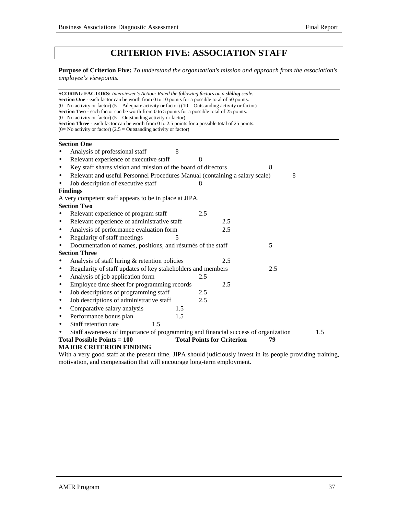# **CRITERION FIVE: ASSOCIATION STAFF**

**Purpose of Criterion Five:** *To understand the organization's mission and approach from the association's employee's viewpoints.*

**SCORING FACTORS:** *Interviewer's Action: Rated the following factors on a sliding scale.* **Section One** - each factor can be worth from 0 to 10 points for a possible total of 50 points. (0= No activity or factor) (5 = Adequate activity or factor) (10 = Outstanding activity or factor) **Section Two** - each factor can be worth from 0 to 5 points for a possible total of 25 points.  $(0=$  No activity or factor)  $(5 =$  Outstanding activity or factor) **Section Three** - each factor can be worth from 0 to 2.5 points for a possible total of 25 points.  $(0=$  No activity or factor)  $(2.5 =$  Outstanding activity or factor)  **Section One** Analysis of professional staff 8 Relevant experience of executive staff 8 Key staff shares vision and mission of the board of directors • Relevant and useful Personnel Procedures Manual (containing a salary scale) 8 Job description of executive staff 8 **Findings** A very competent staff appears to be in place at JIPA. **Section Two** • Relevant experience of program staff 2.5 • Relevant experience of administrative staff 2.5 Analysis of performance evaluation form 2.5 Regularity of staff meetings 5 Documentation of names, positions, and résumés of the staff 5 **Section Three** Analysis of staff hiring & retention policies 2.5 • Regularity of staff updates of key stakeholders and members 2.5 • Analysis of job application form 2.5 • Employee time sheet for programming records 2.5 • Job descriptions of programming staff 2.5 • Job descriptions of administrative staff 2.5 • Comparative salary analysis 1.5 • Performance bonus plan 1.5 Staff retention rate 1.5 Staff awareness of importance of programming and financial success of organization 1.5 **Total Possible Points = 100 Total Points for Criterion 79 MAJOR CRITERION FINDING**

With a very good staff at the present time, JIPA should judiciously invest in its people providing training, motivation, and compensation that will encourage long-term employment.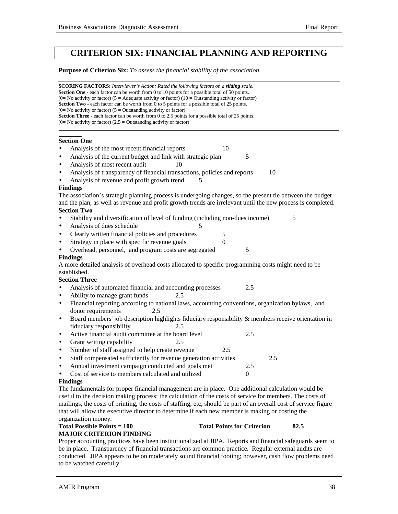# **CRITERION SIX: FINANCIAL PLANNING AND REPORTING**

**Purpose of Criterion Six:** *To assess the financial stability of the association.*

**SCORING FACTORS:** *Interviewer's Action: Rated the following factors on a sliding scale.* **Section One** - each factor can be worth from 0 to 10 points for a possible total of 50 points. (0= No activity or factor) (5 = Adequate activity or factor) (10 = Outstanding activity or factor) **Section Two** - each factor can be worth from 0 to 5 points for a possible total of 25 points. (0= No activity or factor) ( $5 =$  Outstanding activity or factor) **Section Three** - each factor can be worth from 0 to 2.5 points for a possible total of 25 points.  $(0=$  No activity or factor)  $(2.5 =$  Outstanding activity or factor)  $\overline{a}$  $\overline{a}$ **Section One** Analysis of the most recent financial reports 10 Analysis of the current budget and link with strategic plan 5 Analysis of most recent audit 10 Analysis of transparency of financial transactions, policies and reports 10 Analysis of revenue and profit growth trend  $5$ **Findings** The association's strategic planning process is undergoing changes, so the present tie between the budget and the plan, as well as revenue and profit growth trends are irrelevant until the new process is completed. **Section Two** Stability and diversification of level of funding (including non-dues income) 5 Analysis of dues schedule Clearly written financial policies and procedures 5 Strategy in place with specific revenue goals  $\qquad \qquad 0$ Overhead, personnel, and program costs are segregated 5 **Findings** A more detailed analysis of overhead costs allocated to specific programming costs might need to be established. **Section Three** • Analysis of automated financial and accounting processes 2.5 Ability to manage grant funds 2.5 • Financial reporting according to national laws, accounting conventions, organization bylaws, and donor requirements 2.5 • Board members' job description highlights fiduciary responsibility & members receive orientation in fiduciary responsibility 2.5 • Active financial audit committee at the board level 2.5 • Grant writing capability 2.5 • Number of staff assigned to help create revenue 2.5 Staff compensated sufficiently for revenue generation activities 2.5 • Annual investment campaign conducted and goals met 2.5 Cost of service to members calculated and utilized 0 **Findings** The fundamentals for proper financial management are in place. One additional calculation would be useful to the decision making process: the calculation of the costs of service for members. The costs of mailings, the costs of printing, the costs of staffing, etc, should be part of an overall cost of service figure

that will allow the executive director to determine if each new member is making or costing the organization money.

## **Total Possible Points = 100 Total Points for Criterion 82.5**

## **MAJOR CRITERION FINDING**

Proper accounting practices have been institutionalized at JIPA. Reports and financial safeguards seem to be in place. Transparency of financial transactions are common practice. Regular external audits are conducted. JIPA appears to be on moderately sound financial footing; however, cash flow problems need to be watched carefully.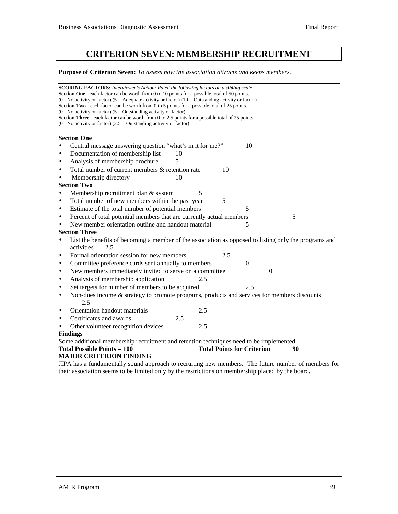# **CRITERION SEVEN: MEMBERSHIP RECRUITMENT**

## **Purpose of Criterion Seven:** *To assess how the association attracts and keeps members.*

| <b>SCORING FACTORS:</b> Interviewer's Action: Rated the following factors on a sliding scale.<br><b>Section One</b> - each factor can be worth from 0 to 10 points for a possible total of 50 points.<br>(0= No activity or factor) (5 = Adequate activity or factor) (10 = Outstanding activity or factor)<br>Section Two - each factor can be worth from 0 to 5 points for a possible total of 25 points. |  |  |  |  |  |  |
|-------------------------------------------------------------------------------------------------------------------------------------------------------------------------------------------------------------------------------------------------------------------------------------------------------------------------------------------------------------------------------------------------------------|--|--|--|--|--|--|
| (0= No activity or factor) ( $5 =$ Outstanding activity or factor)                                                                                                                                                                                                                                                                                                                                          |  |  |  |  |  |  |
| Section Three - each factor can be worth from 0 to 2.5 points for a possible total of 25 points.<br>$(0=$ No activity or factor) $(2.5 =$ Outstanding activity or factor)                                                                                                                                                                                                                                   |  |  |  |  |  |  |
|                                                                                                                                                                                                                                                                                                                                                                                                             |  |  |  |  |  |  |
| <b>Section One</b>                                                                                                                                                                                                                                                                                                                                                                                          |  |  |  |  |  |  |
| Central message answering question "what's in it for me?"<br>10                                                                                                                                                                                                                                                                                                                                             |  |  |  |  |  |  |
| Documentation of membership list<br>10<br>$\bullet$                                                                                                                                                                                                                                                                                                                                                         |  |  |  |  |  |  |
| Analysis of membership brochure<br>5<br>$\bullet$                                                                                                                                                                                                                                                                                                                                                           |  |  |  |  |  |  |
| Total number of current members & retention rate<br>10<br>$\bullet$                                                                                                                                                                                                                                                                                                                                         |  |  |  |  |  |  |
| Membership directory<br>10<br>$\bullet$                                                                                                                                                                                                                                                                                                                                                                     |  |  |  |  |  |  |
| <b>Section Two</b>                                                                                                                                                                                                                                                                                                                                                                                          |  |  |  |  |  |  |
| Membership recruitment plan & system<br>5                                                                                                                                                                                                                                                                                                                                                                   |  |  |  |  |  |  |
| Total number of new members within the past year<br>5<br>$\bullet$                                                                                                                                                                                                                                                                                                                                          |  |  |  |  |  |  |
| Estimate of the total number of potential members<br>5<br>$\bullet$                                                                                                                                                                                                                                                                                                                                         |  |  |  |  |  |  |
| Percent of total potential members that are currently actual members<br>5<br>$\bullet$                                                                                                                                                                                                                                                                                                                      |  |  |  |  |  |  |
| New member orientation outline and handout material<br>5                                                                                                                                                                                                                                                                                                                                                    |  |  |  |  |  |  |
| <b>Section Three</b>                                                                                                                                                                                                                                                                                                                                                                                        |  |  |  |  |  |  |
| List the benefits of becoming a member of the association as opposed to listing only the programs and<br>$\bullet$                                                                                                                                                                                                                                                                                          |  |  |  |  |  |  |
| activities<br>2.5                                                                                                                                                                                                                                                                                                                                                                                           |  |  |  |  |  |  |
| Formal orientation session for new members<br>2.5<br>$\bullet$                                                                                                                                                                                                                                                                                                                                              |  |  |  |  |  |  |
| Committee preference cards sent annually to members<br>$\overline{0}$<br>٠                                                                                                                                                                                                                                                                                                                                  |  |  |  |  |  |  |
| New members immediately invited to serve on a committee<br>$\Omega$<br>$\bullet$                                                                                                                                                                                                                                                                                                                            |  |  |  |  |  |  |
| Analysis of membership application<br>2.5<br>$\bullet$                                                                                                                                                                                                                                                                                                                                                      |  |  |  |  |  |  |
| Set targets for number of members to be acquired<br>2.5<br>$\bullet$                                                                                                                                                                                                                                                                                                                                        |  |  |  |  |  |  |
| Non-dues income & strategy to promote programs, products and services for members discounts<br>$\bullet$<br>2.5                                                                                                                                                                                                                                                                                             |  |  |  |  |  |  |
| Orientation handout materials<br>2.5<br>$\bullet$                                                                                                                                                                                                                                                                                                                                                           |  |  |  |  |  |  |
| Certificates and awards<br>2.5<br>$\bullet$                                                                                                                                                                                                                                                                                                                                                                 |  |  |  |  |  |  |
| Other volunteer recognition devices<br>2.5                                                                                                                                                                                                                                                                                                                                                                  |  |  |  |  |  |  |
| <b>Findings</b>                                                                                                                                                                                                                                                                                                                                                                                             |  |  |  |  |  |  |
| Some additional membership recruitment and retention techniques need to be implemented.                                                                                                                                                                                                                                                                                                                     |  |  |  |  |  |  |
| <b>Total Points for Criterion</b><br>Total Possible Points $= 100$<br>90                                                                                                                                                                                                                                                                                                                                    |  |  |  |  |  |  |
| <b>MAJOR CRITERION FINDING</b>                                                                                                                                                                                                                                                                                                                                                                              |  |  |  |  |  |  |
| JIPA has a fundamentally sound approach to recruiting new members. The future number of members for                                                                                                                                                                                                                                                                                                         |  |  |  |  |  |  |

their association seems to be limited only by the restrictions on membership placed by the board.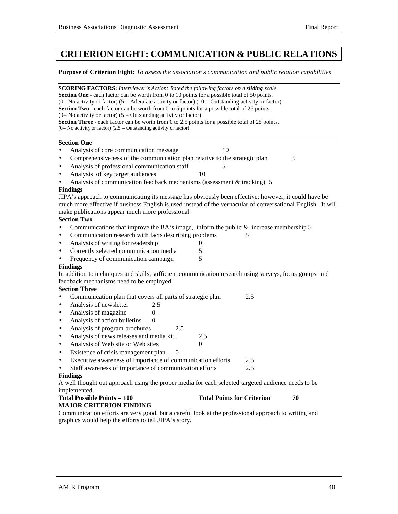# **CRITERION EIGHT: COMMUNICATION & PUBLIC RELATIONS**

**Purpose of Criterion Eight:** *To assess the association's communication and public relation capabilities*

**SCORING FACTORS:** *Interviewer's Action: Rated the following factors on a sliding scale.* **Section One** - each factor can be worth from 0 to 10 points for a possible total of 50 points. (0= No activity or factor) (5 = Adequate activity or factor) (10 = Outstanding activity or factor) **Section Two** - each factor can be worth from 0 to 5 points for a possible total of 25 points.  $(0=$  No activity or factor)  $(5 =$  Outstanding activity or factor) **Section Three** - each factor can be worth from 0 to 2.5 points for a possible total of 25 points. (0= No activity or factor) (2.5 = Outstanding activity or factor)  **Section One** Analysis of core communication message 10 • Comprehensiveness of the communication plan relative to the strategic plan 5 Analysis of professional communication staff 5 Analysis of key target audiences 10 Analysis of communication feedback mechanisms (assessment  $&$  tracking) 5 **Findings** JIPA's approach to communicating its message has obviously been effective; however, it could have be much more effective if business English is used instead of the vernacular of conversational English. It will make publications appear much more professional. **Section Two** • Communications that improve the BA's image, inform the public  $\&$  increase membership 5 • Communication research with facts describing problems 5 Analysis of writing for readership 0 • Correctly selected communication media  $\frac{5}{5}$ <br>Frequency of communication campaign  $\frac{5}{5}$ Frequency of communication campaign **Findings** In addition to techniques and skills, sufficient communication research using surveys, focus groups, and feedback mechanisms need to be employed. **Section Three** • Communication plan that covers all parts of strategic plan 2.5 • Analysis of newsletter 2.5 • Analysis of magazine  $0$ Analysis of action bulletins 0 • Analysis of program brochures 2.5 • Analysis of news releases and media kit . 2.5 Analysis of Web site or Web sites 0 • Existence of crisis management plan 0 • Executive awareness of importance of communication efforts 2.5 Staff awareness of importance of communication efforts 2.5 **Findings** A well thought out approach using the proper media for each selected targeted audience needs to be implemented. **Total Possible Points = 100** Total Points for Criterion 70 **MAJOR CRITERION FINDING** Communication efforts are very good, but a careful look at the professional approach to writing and graphics would help the efforts to tell JIPA's story.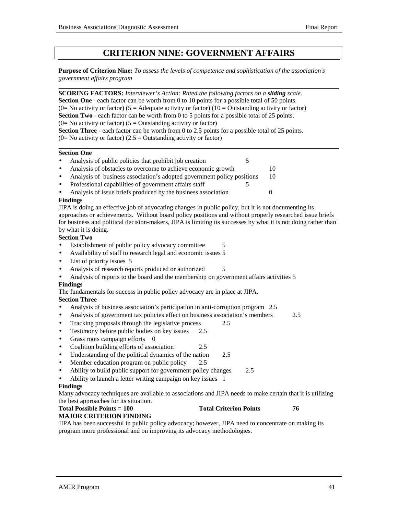# **CRITERION NINE: GOVERNMENT AFFAIRS**

**Purpose of Criterion Nine:** *To assess the levels of competence and sophistication of the association's government affairs program*

l **SCORING FACTORS:** *Interviewer's Action: Rated the following factors on a sliding scale.* **Section One** - each factor can be worth from 0 to 10 points for a possible total of 50 points. (0= No activity or factor) (5 = Adequate activity or factor) (10 = Outstanding activity or factor) **Section Two** - each factor can be worth from 0 to 5 points for a possible total of 25 points.  $(0=$  No activity or factor)  $(5 =$  Outstanding activity or factor) **Section Three** - each factor can be worth from 0 to 2.5 points for a possible total of 25 points.

 $(0=$  No activity or factor)  $(2.5 =$  Outstanding activity or factor) l

#### **Section One**

- Analysis of public policies that prohibit job creation 5
- Analysis of obstacles to overcome to achieve economic growth 10
- Analysis of business association's adopted government policy positions 10
- Professional capabilities of government affairs staff
- Analysis of issue briefs produced by the business association 0

#### **Findings**

JIPA is doing an effective job of advocating changes in public policy, but it is not documenting its approaches or achievements. Without board policy positions and without properly researched issue briefs for business and political decision-makers, JIPA is limiting its successes by what it is not doing rather than by what it is doing.

#### **Section Two**

- Establishment of public policy advocacy committee 5
- Availability of staff to research legal and economic issues 5
- List of priority issues 5
- Analysis of research reports produced or authorized 5
- Analysis of reports to the board and the membership on government affairs activities 5

### **Findings**

The fundamentals for success in public policy advocacy are in place at JIPA.

#### **Section Three**

- Analysis of business association's participation in anti-corruption program 2.5
- Analysis of government tax policies effect on business association's members 2.5
- Tracking proposals through the legislative process 2.5
- Testimony before public bodies on key issues 2.5
- Grass roots campaign efforts 0
- Coalition building efforts of association 2.5
- Understanding of the political dynamics of the nation 2.5
- Member education program on public policy 2.5
- Ability to build public support for government policy changes 2.5
- Ability to launch a letter writing campaign on key issues 1

#### **Findings**

Many advocacy techniques are available to associations and JIPA needs to make certain that it is utilizing the best approaches for its situation.

## **Total Possible Points = 100** Total Criterion Points 76

**MAJOR CRITERION FINDING**

JIPA has been successful in public policy advocacy; however, JIPA need to concentrate on making its program more professional and on improving its advocacy methodologies.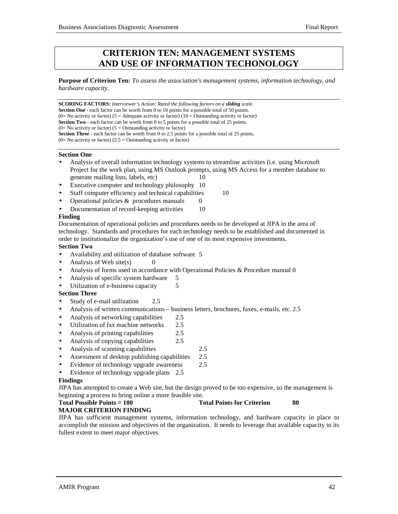# **CRITERION TEN: MANAGEMENT SYSTEMS AND USE OF INFORMATION TECHONOLOGY**

**Purpose of Criterion Ten:** *To assess the association's management systems, information technology, and hardware capacity.*

**SCORING FACTORS:** *Interviewer's Action: Rated the following factors on a sliding scale.* **Section One** - each factor can be worth from 0 to 10 points for a possible total of 50 points. (0= No activity or factor) (5 = Adequate activity or factor) (10 = Outstanding activity or factor) **Section Two** - each factor can be worth from 0 to 5 points for a possible total of 25 points.  $(0=$  No activity or factor)  $(5 =$  Outstanding activity or factor) **Section Three** - each factor can be worth from 0 to 2.5 points for a possible total of 25 points.  $(0=$  No activity or factor)  $(2.5 =$  Outstanding activity or factor)

#### **Section One**

- Analysis of overall information technology systems to streamline activities (i.e. using Microsoft Project for the work plan, using MS Outlook prompts, using MS Access for a member database to generate mailing lists, labels, etc) 10
- Executive computer and technology philosophy 10
- Staff computer efficiency and technical capabilities 10
- Operational policies  $&$  procedures manuals  $0$
- Documentation of record-keeping activities 10

#### **Finding**

Documentation of operational policies and procedures needs to be developed at JIPA in the area of technology. Standards and procedures for each technology needs to be established and documented in order to institutionalize the organization's use of one of its most expensive investments.

#### **Section Two**

- Availability and utilization of database software 5
- Analysis of Web site(s)  $\qquad \qquad 0$
- Analysis of forms used in accordance with Operational Policies & Procedure manual 0
- Analysis of specific system hardware 5
- Utilization of e-business capacity 5

#### **Section Three**

- Study of e-mail utilization 2.5
- Analysis of written communications business letters, brochures, faxes, e-mails, etc. 2.5
- Analysis of networking capabilities 2.5
- Utilization of fax machine networks 2.5
- Analysis of printing capabilities 2.5
- Analysis of copying capabilities 2.5
- Analysis of scanning capabilities 2.5
- Assessment of desktop publishing capabilities 2.5
- Evidence of technology upgrade awareness 2.5
- Evidence of technology upgrade plans 2.5

#### **Findings**

JIPA has attempted to create a Web site, but the design proved to be too expensive, so the management is beginning a process to bring online a more feasible site.

#### **Total Possible Points = 100** Total Points for Criterion 80

#### **MAJOR CRITERION FINDING**

JIPA has sufficient management systems, information technology, and hardware capacity in place to accomplish the mission and objectives of the organization. It needs to leverage that available capacity to its fullest extent to meet major objectives.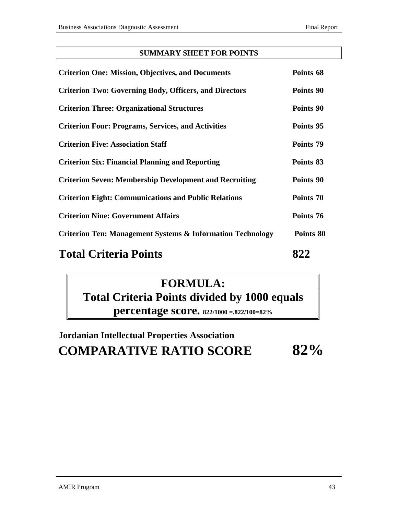## **SUMMARY SHEET FOR POINTS**

| <b>Criterion One: Mission, Objectives, and Documents</b>              | Points 68 |
|-----------------------------------------------------------------------|-----------|
| <b>Criterion Two: Governing Body, Officers, and Directors</b>         | Points 90 |
| <b>Criterion Three: Organizational Structures</b>                     | Points 90 |
| <b>Criterion Four: Programs, Services, and Activities</b>             | Points 95 |
| <b>Criterion Five: Association Staff</b>                              | Points 79 |
| <b>Criterion Six: Financial Planning and Reporting</b>                | Points 83 |
| <b>Criterion Seven: Membership Development and Recruiting</b>         | Points 90 |
| <b>Criterion Eight: Communications and Public Relations</b>           | Points 70 |
| <b>Criterion Nine: Government Affairs</b>                             | Points 76 |
| <b>Criterion Ten: Management Systems &amp; Information Technology</b> | Points 80 |
| <b>Total Criteria Points</b>                                          | 822       |

# **FORMULA: Total Criteria Points divided by 1000 equals percentage score. 822/1000 =.822/100=82%**

# **Jordanian Intellectual Properties Association COMPARATIVE RATIO SCORE 82%**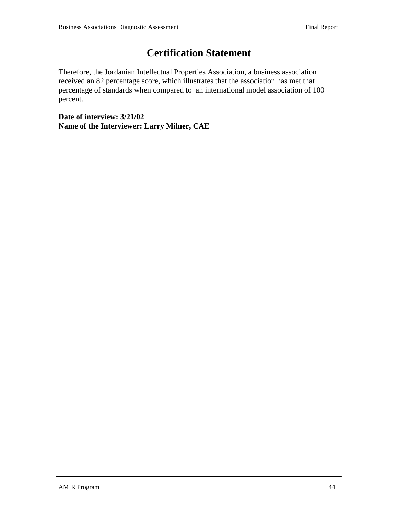# **Certification Statement**

Therefore, the Jordanian Intellectual Properties Association, a business association received an 82 percentage score, which illustrates that the association has met that percentage of standards when compared to an international model association of 100 percent.

**Date of interview: 3/21/02 Name of the Interviewer: Larry Milner, CAE**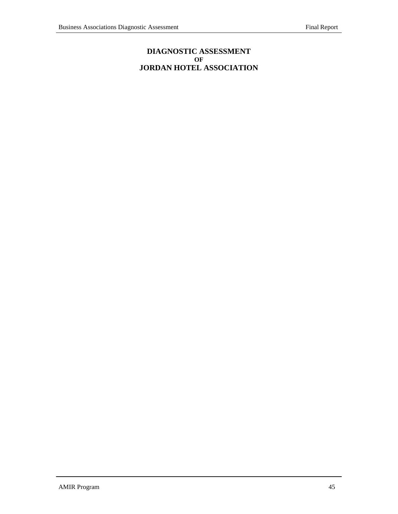## **DIAGNOSTIC ASSESSMENT OF JORDAN HOTEL ASSOCIATION**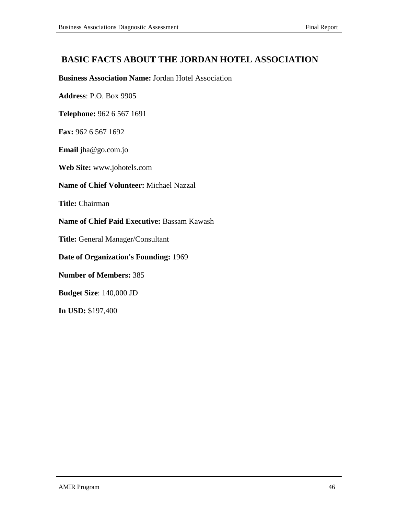# **BASIC FACTS ABOUT THE JORDAN HOTEL ASSOCIATION**

## **Business Association Name:** Jordan Hotel Association

**Address**: P.O. Box 9905

**Telephone:** 962 6 567 1691

**Fax:** 962 6 567 1692

**Email** jha@go.com.jo

**Web Site:** www.johotels.com

## **Name of Chief Volunteer:** Michael Nazzal

**Title:** Chairman

**Name of Chief Paid Executive:** Bassam Kawash

**Title:** General Manager/Consultant

**Date of Organization's Founding:** 1969

**Number of Members:** 385

**Budget Size**: 140,000 JD

**In USD:** \$197,400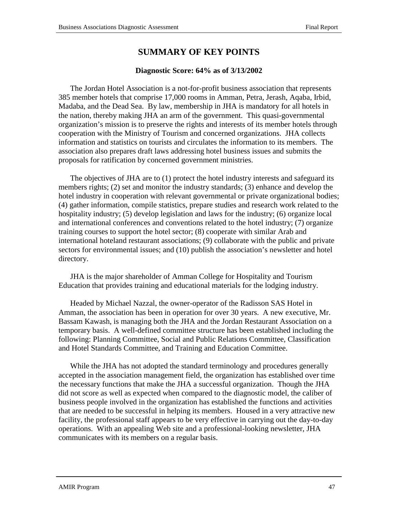# **SUMMARY OF KEY POINTS**

## **Diagnostic Score: 64% as of 3/13/2002**

The Jordan Hotel Association is a not-for-profit business association that represents 385 member hotels that comprise 17,000 rooms in Amman, Petra, Jerash, Aqaba, Irbid, Madaba, and the Dead Sea. By law, membership in JHA is mandatory for all hotels in the nation, thereby making JHA an arm of the government. This quasi-governmental organization's mission is to preserve the rights and interests of its member hotels through cooperation with the Ministry of Tourism and concerned organizations. JHA collects information and statistics on tourists and circulates the information to its members. The association also prepares draft laws addressing hotel business issues and submits the proposals for ratification by concerned government ministries.

The objectives of JHA are to (1) protect the hotel industry interests and safeguard its members rights; (2) set and monitor the industry standards; (3) enhance and develop the hotel industry in cooperation with relevant governmental or private organizational bodies; (4) gather information, compile statistics, prepare studies and research work related to the hospitality industry; (5) develop legislation and laws for the industry; (6) organize local and international conferences and conventions related to the hotel industry; (7) organize training courses to support the hotel sector; (8) cooperate with similar Arab and international hoteland restaurant associations; (9) collaborate with the public and private sectors for environmental issues; and (10) publish the association's newsletter and hotel directory.

JHA is the major shareholder of Amman College for Hospitality and Tourism Education that provides training and educational materials for the lodging industry.

Headed by Michael Nazzal, the owner-operator of the Radisson SAS Hotel in Amman, the association has been in operation for over 30 years. A new executive, Mr. Bassam Kawash, is managing both the JHA and the Jordan Restaurant Association on a temporary basis. A well-defined committee structure has been established including the following: Planning Committee, Social and Public Relations Committee, Classification and Hotel Standards Committee, and Training and Education Committee.

While the JHA has not adopted the standard terminology and procedures generally accepted in the association management field, the organization has established over time the necessary functions that make the JHA a successful organization. Though the JHA did not score as well as expected when compared to the diagnostic model, the caliber of business people involved in the organization has established the functions and activities that are needed to be successful in helping its members. Housed in a very attractive new facility, the professional staff appears to be very effective in carrying out the day-to-day operations. With an appealing Web site and a professional-looking newsletter, JHA communicates with its members on a regular basis.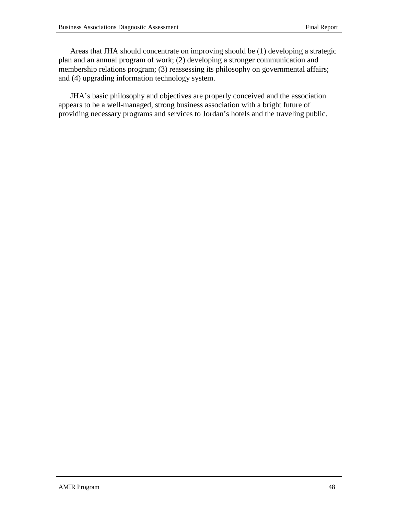Areas that JHA should concentrate on improving should be (1) developing a strategic plan and an annual program of work; (2) developing a stronger communication and membership relations program; (3) reassessing its philosophy on governmental affairs; and (4) upgrading information technology system.

JHA's basic philosophy and objectives are properly conceived and the association appears to be a well-managed, strong business association with a bright future of providing necessary programs and services to Jordan's hotels and the traveling public.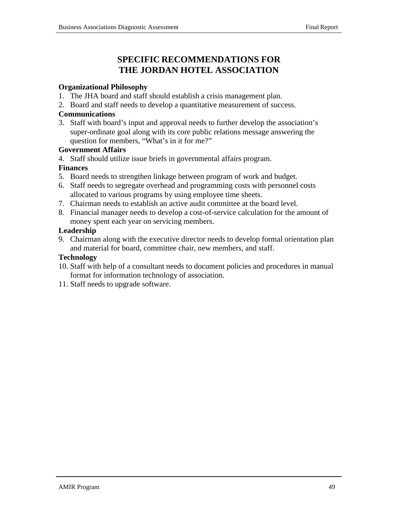# **SPECIFIC RECOMMENDATIONS FOR THE JORDAN HOTEL ASSOCIATION**

## **Organizational Philosophy**

- 1. The JHA board and staff should establish a crisis management plan.
- 2. Board and staff needs to develop a quantitative measurement of success.

## **Communications**

3. Staff with board's input and approval needs to further develop the association's super-ordinate goal along with its core public relations message answering the question for members, "What's in it for me?"

## **Government Affairs**

4. Staff should utilize issue briefs in governmental affairs program.

## **Finances**

- 5. Board needs to strengthen linkage between program of work and budget.
- 6. Staff needs to segregate overhead and programming costs with personnel costs allocated to various programs by using employee time sheets.
- 7. Chairman needs to establish an active audit committee at the board level.
- 8. Financial manager needs to develop a cost-of-service calculation for the amount of money spent each year on servicing members.

## **Leadership**

9. Chairman along with the executive director needs to develop formal orientation plan and material for board, committee chair, new members, and staff.

## **Technology**

- 10. Staff with help of a consultant needs to document policies and procedures in manual format for information technology of association.
- 11. Staff needs to upgrade software.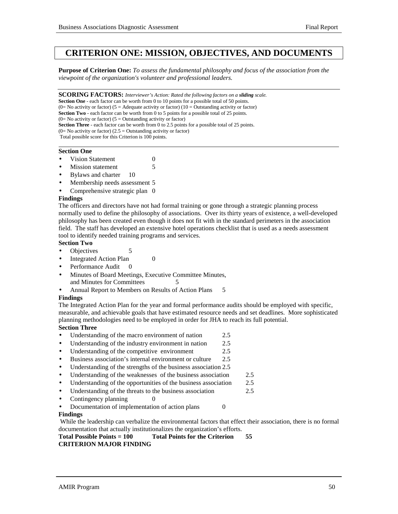# **CRITERION ONE: MISSION, OBJECTIVES, AND DOCUMENTS**

**Purpose of Criterion One:** *To assess the fundamental philosophy and focus of the association from the viewpoint of the organization's volunteer and professional leaders.*

**SCORING FACTORS:** *Interviewer's Action: Rated the following factors on a sliding scale.*

**Section One** - each factor can be worth from 0 to 10 points for a possible total of 50 points. (0= No activity or factor) (5 = Adequate activity or factor) (10 = Outstanding activity or factor)

**Section Two** - each factor can be worth from 0 to 5 points for a possible total of 25 points.

 $(0=$  No activity or factor) (5 = Outstanding activity or factor)

**Section Three** - each factor can be worth from 0 to 2.5 points for a possible total of 25 points.

(0= No activity or factor) (2.5 = Outstanding activity or factor)

 Total possible score for this Criterion is 100 points. l

#### **Section One**

- **Vision Statement** 0
- Mission statement 5
- Bylaws and charter 10
- Membership needs assessment 5
- Comprehensive strategic plan 0

#### **Findings**

The officers and directors have not had formal training or gone through a strategic planning process normally used to define the philosophy of associations. Over its thirty years of existence, a well-developed philosophy has been created even though it does not fit with in the standard perimeters in the association field. The staff has developed an extensive hotel operations checklist that is used as a needs assessment tool to identify needed training programs and services.

#### **Section Two**

- Objectives 5
- Integrated Action Plan 0
- Performance Audit
- Minutes of Board Meetings, Executive Committee Minutes, and Minutes for Committees 5
- Annual Report to Members on Results of Action Plans 5

#### **Findings**

The Integrated Action Plan for the year and formal performance audits should be employed with specific, measurable, and achievable goals that have estimated resource needs and set deadlines. More sophisticated planning methodologies need to be employed in order for JHA to reach its full potential.

### **Section Three**

- Understanding of the macro environment of nation 2.5
- Understanding of the industry environment in nation 2.5
- Understanding of the competitive environment 2.5
- Business association's internal environment or culture 2.5
- Understanding of the strengths of the business association 2.5
- Understanding of the weaknesses of the business association 2.5
- Understanding of the opportunities of the business association 2.5
- Understanding of the threats to the business association 2.5
- Contingency planning 0
- Documentation of implementation of action plans 0

#### **Findings**

 While the leadership can verbalize the environmental factors that effect their association, there is no formal documentation that actually institutionalizes the organization's efforts.

**Total Possible Points = 100 Total Points for the Criterion 55**

## **CRITERION MAJOR FINDING**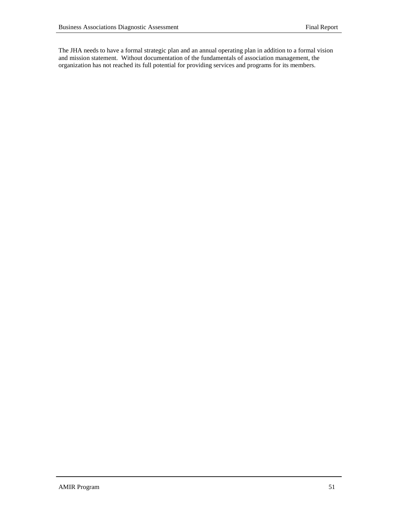The JHA needs to have a formal strategic plan and an annual operating plan in addition to a formal vision and mission statement. Without documentation of the fundamentals of association management, the organization has not reached its full potential for providing services and programs for its members.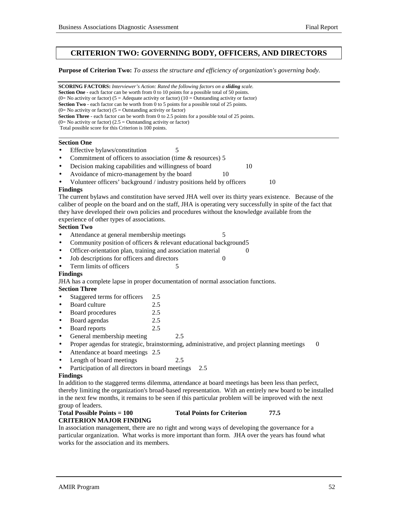## **CRITERION TWO: GOVERNING BODY, OFFICERS, AND DIRECTORS**

**Purpose of Criterion Two:** *To assess the structure and efficiency of organization's governing body.*

**SCORING FACTORS:** *Interviewer's Action: Rated the following factors on a sliding scale.* **Section One** - each factor can be worth from 0 to 10 points for a possible total of 50 points. (0= No activity or factor) (5 = Adequate activity or factor) (10 = Outstanding activity or factor) **Section Two** - each factor can be worth from 0 to 5 points for a possible total of 25 points.  $(0=$  No activity or factor)  $(5 =$  Outstanding activity or factor) **Section Three** - each factor can be worth from 0 to 2.5 points for a possible total of 25 points.  $(0=$  No activity or factor)  $(2.5 =$  Outstanding activity or factor) Total possible score for this Criterion is 100 points. l

#### **Section One**

- Effective bylaws/constitution 5
- Commitment of officers to association (time & resources) 5
- Decision making capabilities and willingness of board 10
- Avoidance of micro-management by the board 10
- Volunteer officers' background / industry positions held by officers 10

#### **Findings**

The current bylaws and constitution have served JHA well over its thirty years existence. Because of the caliber of people on the board and on the staff, JHA is operating very successfully in spite of the fact that they have developed their own policies and procedures without the knowledge available from the experience of other types of associations.

### **Section Two**

- Attendance at general membership meetings 5
- Community position of officers & relevant educational background5
- Officer-orientation plan, training and association material 0
- Job descriptions for officers and directors 0
- Term limits of officers 5

#### **Findings**

JHA has a complete lapse in proper documentation of normal association functions.

### **Section Three**

- Staggered terms for officers 2.5
- Board culture 2.5
- Board procedures 2.5
- Board agendas 2.5
- Board reports 2.5
- General membership meeting 2.5
- Proper agendas for strategic, brainstorming, administrative, and project planning meetings 0
- Attendance at board meetings 2.5
- Length of board meetings 2.5
- Participation of all directors in board meetings 2.5

#### **Findings**

In addition to the staggered terms dilemma, attendance at board meetings has been less than perfect, thereby limiting the organization's broad-based representation. With an entirely new board to be installed in the next few months, it remains to be seen if this particular problem will be improved with the next group of leaders.

#### **Total Possible Points = 100 Total Points for Criterion 77.5 CRITERION MAJOR FINDING**

In association management, there are no right and wrong ways of developing the governance for a particular organization. What works is more important than form. JHA over the years has found what works for the association and its members.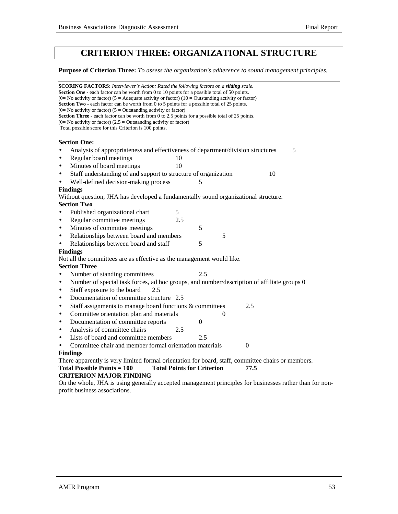# **CRITERION THREE: ORGANIZATIONAL STRUCTURE**

**Purpose of Criterion Three:** *To assess the organization's adherence to sound management principles.*

| <b>SCORING FACTORS:</b> Interviewer's Action: Rated the following factors on a <b>sliding</b> scale.<br><b>Section One</b> - each factor can be worth from 0 to 10 points for a possible total of 50 points.<br>(0= No activity or factor) (5 = Adequate activity or factor) (10 = Outstanding activity or factor)<br><b>Section Two</b> - each factor can be worth from 0 to 5 points for a possible total of 25 points.<br>$(0=$ No activity or factor) $(5=$ Outstanding activity or factor)<br><b>Section Three</b> - each factor can be worth from 0 to 2.5 points for a possible total of 25 points.<br>$(0=$ No activity or factor) $(2.5 =$ Outstanding activity or factor)<br>Total possible score for this Criterion is 100 points.<br><b>Section One:</b><br>Analysis of appropriateness and effectiveness of department/division structures<br>5<br>Regular board meetings<br>10<br>Minutes of board meetings<br>10<br>Staff understanding of and support to structure of organization<br>10<br>Well-defined decision-making process<br>5<br><b>Findings</b><br>Without question, JHA has developed a fundamentally sound organizational structure.<br><b>Section Two</b><br>5<br>Published organizational chart<br>Regular committee meetings<br>2.5<br>Minutes of committee meetings<br>5<br>Relationships between board and members<br>5<br>Relationships between board and staff<br>5<br><b>Findings</b><br>Not all the committees are as effective as the management would like.<br><b>Section Three</b><br>2.5<br>Number of standing committees<br>Number of special task forces, ad hoc groups, and number/description of affiliate groups 0<br>Staff exposure to the board<br>2.5<br>Documentation of committee structure 2.5<br>Staff assignments to manage board functions & committees<br>2.5<br>$\bullet$<br>Committee orientation plan and materials<br>0<br>$\bullet$<br>Documentation of committee reports<br>$\overline{0}$<br>$\bullet$<br>Analysis of committee chairs<br>2.5<br>$\bullet$<br>Lists of board and committee members<br>2.5<br>$\bullet$<br>Committee chair and member formal orientation materials<br>0<br>$\bullet$<br><b>Findings</b><br>There apparently is very limited formal orientation for board, staff, committee chairs or members. |           |  |  |  |  |  |  |  |
|--------------------------------------------------------------------------------------------------------------------------------------------------------------------------------------------------------------------------------------------------------------------------------------------------------------------------------------------------------------------------------------------------------------------------------------------------------------------------------------------------------------------------------------------------------------------------------------------------------------------------------------------------------------------------------------------------------------------------------------------------------------------------------------------------------------------------------------------------------------------------------------------------------------------------------------------------------------------------------------------------------------------------------------------------------------------------------------------------------------------------------------------------------------------------------------------------------------------------------------------------------------------------------------------------------------------------------------------------------------------------------------------------------------------------------------------------------------------------------------------------------------------------------------------------------------------------------------------------------------------------------------------------------------------------------------------------------------------------------------------------------------------------------------------------------------------------------------------------------------------------------------------------------------------------------------------------------------------------------------------------------------------------------------------------------------------------------------------------------------------------------------------------------------------------------------------------------------------------------------------------------------------------------------------|-----------|--|--|--|--|--|--|--|
|                                                                                                                                                                                                                                                                                                                                                                                                                                                                                                                                                                                                                                                                                                                                                                                                                                                                                                                                                                                                                                                                                                                                                                                                                                                                                                                                                                                                                                                                                                                                                                                                                                                                                                                                                                                                                                                                                                                                                                                                                                                                                                                                                                                                                                                                                            |           |  |  |  |  |  |  |  |
|                                                                                                                                                                                                                                                                                                                                                                                                                                                                                                                                                                                                                                                                                                                                                                                                                                                                                                                                                                                                                                                                                                                                                                                                                                                                                                                                                                                                                                                                                                                                                                                                                                                                                                                                                                                                                                                                                                                                                                                                                                                                                                                                                                                                                                                                                            |           |  |  |  |  |  |  |  |
|                                                                                                                                                                                                                                                                                                                                                                                                                                                                                                                                                                                                                                                                                                                                                                                                                                                                                                                                                                                                                                                                                                                                                                                                                                                                                                                                                                                                                                                                                                                                                                                                                                                                                                                                                                                                                                                                                                                                                                                                                                                                                                                                                                                                                                                                                            |           |  |  |  |  |  |  |  |
|                                                                                                                                                                                                                                                                                                                                                                                                                                                                                                                                                                                                                                                                                                                                                                                                                                                                                                                                                                                                                                                                                                                                                                                                                                                                                                                                                                                                                                                                                                                                                                                                                                                                                                                                                                                                                                                                                                                                                                                                                                                                                                                                                                                                                                                                                            |           |  |  |  |  |  |  |  |
|                                                                                                                                                                                                                                                                                                                                                                                                                                                                                                                                                                                                                                                                                                                                                                                                                                                                                                                                                                                                                                                                                                                                                                                                                                                                                                                                                                                                                                                                                                                                                                                                                                                                                                                                                                                                                                                                                                                                                                                                                                                                                                                                                                                                                                                                                            |           |  |  |  |  |  |  |  |
|                                                                                                                                                                                                                                                                                                                                                                                                                                                                                                                                                                                                                                                                                                                                                                                                                                                                                                                                                                                                                                                                                                                                                                                                                                                                                                                                                                                                                                                                                                                                                                                                                                                                                                                                                                                                                                                                                                                                                                                                                                                                                                                                                                                                                                                                                            |           |  |  |  |  |  |  |  |
|                                                                                                                                                                                                                                                                                                                                                                                                                                                                                                                                                                                                                                                                                                                                                                                                                                                                                                                                                                                                                                                                                                                                                                                                                                                                                                                                                                                                                                                                                                                                                                                                                                                                                                                                                                                                                                                                                                                                                                                                                                                                                                                                                                                                                                                                                            |           |  |  |  |  |  |  |  |
|                                                                                                                                                                                                                                                                                                                                                                                                                                                                                                                                                                                                                                                                                                                                                                                                                                                                                                                                                                                                                                                                                                                                                                                                                                                                                                                                                                                                                                                                                                                                                                                                                                                                                                                                                                                                                                                                                                                                                                                                                                                                                                                                                                                                                                                                                            |           |  |  |  |  |  |  |  |
|                                                                                                                                                                                                                                                                                                                                                                                                                                                                                                                                                                                                                                                                                                                                                                                                                                                                                                                                                                                                                                                                                                                                                                                                                                                                                                                                                                                                                                                                                                                                                                                                                                                                                                                                                                                                                                                                                                                                                                                                                                                                                                                                                                                                                                                                                            | $\bullet$ |  |  |  |  |  |  |  |
|                                                                                                                                                                                                                                                                                                                                                                                                                                                                                                                                                                                                                                                                                                                                                                                                                                                                                                                                                                                                                                                                                                                                                                                                                                                                                                                                                                                                                                                                                                                                                                                                                                                                                                                                                                                                                                                                                                                                                                                                                                                                                                                                                                                                                                                                                            | $\bullet$ |  |  |  |  |  |  |  |
|                                                                                                                                                                                                                                                                                                                                                                                                                                                                                                                                                                                                                                                                                                                                                                                                                                                                                                                                                                                                                                                                                                                                                                                                                                                                                                                                                                                                                                                                                                                                                                                                                                                                                                                                                                                                                                                                                                                                                                                                                                                                                                                                                                                                                                                                                            | $\bullet$ |  |  |  |  |  |  |  |
|                                                                                                                                                                                                                                                                                                                                                                                                                                                                                                                                                                                                                                                                                                                                                                                                                                                                                                                                                                                                                                                                                                                                                                                                                                                                                                                                                                                                                                                                                                                                                                                                                                                                                                                                                                                                                                                                                                                                                                                                                                                                                                                                                                                                                                                                                            | $\bullet$ |  |  |  |  |  |  |  |
|                                                                                                                                                                                                                                                                                                                                                                                                                                                                                                                                                                                                                                                                                                                                                                                                                                                                                                                                                                                                                                                                                                                                                                                                                                                                                                                                                                                                                                                                                                                                                                                                                                                                                                                                                                                                                                                                                                                                                                                                                                                                                                                                                                                                                                                                                            | $\bullet$ |  |  |  |  |  |  |  |
|                                                                                                                                                                                                                                                                                                                                                                                                                                                                                                                                                                                                                                                                                                                                                                                                                                                                                                                                                                                                                                                                                                                                                                                                                                                                                                                                                                                                                                                                                                                                                                                                                                                                                                                                                                                                                                                                                                                                                                                                                                                                                                                                                                                                                                                                                            |           |  |  |  |  |  |  |  |
|                                                                                                                                                                                                                                                                                                                                                                                                                                                                                                                                                                                                                                                                                                                                                                                                                                                                                                                                                                                                                                                                                                                                                                                                                                                                                                                                                                                                                                                                                                                                                                                                                                                                                                                                                                                                                                                                                                                                                                                                                                                                                                                                                                                                                                                                                            |           |  |  |  |  |  |  |  |
|                                                                                                                                                                                                                                                                                                                                                                                                                                                                                                                                                                                                                                                                                                                                                                                                                                                                                                                                                                                                                                                                                                                                                                                                                                                                                                                                                                                                                                                                                                                                                                                                                                                                                                                                                                                                                                                                                                                                                                                                                                                                                                                                                                                                                                                                                            |           |  |  |  |  |  |  |  |
|                                                                                                                                                                                                                                                                                                                                                                                                                                                                                                                                                                                                                                                                                                                                                                                                                                                                                                                                                                                                                                                                                                                                                                                                                                                                                                                                                                                                                                                                                                                                                                                                                                                                                                                                                                                                                                                                                                                                                                                                                                                                                                                                                                                                                                                                                            | $\bullet$ |  |  |  |  |  |  |  |
|                                                                                                                                                                                                                                                                                                                                                                                                                                                                                                                                                                                                                                                                                                                                                                                                                                                                                                                                                                                                                                                                                                                                                                                                                                                                                                                                                                                                                                                                                                                                                                                                                                                                                                                                                                                                                                                                                                                                                                                                                                                                                                                                                                                                                                                                                            | $\bullet$ |  |  |  |  |  |  |  |
|                                                                                                                                                                                                                                                                                                                                                                                                                                                                                                                                                                                                                                                                                                                                                                                                                                                                                                                                                                                                                                                                                                                                                                                                                                                                                                                                                                                                                                                                                                                                                                                                                                                                                                                                                                                                                                                                                                                                                                                                                                                                                                                                                                                                                                                                                            | $\bullet$ |  |  |  |  |  |  |  |
|                                                                                                                                                                                                                                                                                                                                                                                                                                                                                                                                                                                                                                                                                                                                                                                                                                                                                                                                                                                                                                                                                                                                                                                                                                                                                                                                                                                                                                                                                                                                                                                                                                                                                                                                                                                                                                                                                                                                                                                                                                                                                                                                                                                                                                                                                            | $\bullet$ |  |  |  |  |  |  |  |
|                                                                                                                                                                                                                                                                                                                                                                                                                                                                                                                                                                                                                                                                                                                                                                                                                                                                                                                                                                                                                                                                                                                                                                                                                                                                                                                                                                                                                                                                                                                                                                                                                                                                                                                                                                                                                                                                                                                                                                                                                                                                                                                                                                                                                                                                                            | $\bullet$ |  |  |  |  |  |  |  |
|                                                                                                                                                                                                                                                                                                                                                                                                                                                                                                                                                                                                                                                                                                                                                                                                                                                                                                                                                                                                                                                                                                                                                                                                                                                                                                                                                                                                                                                                                                                                                                                                                                                                                                                                                                                                                                                                                                                                                                                                                                                                                                                                                                                                                                                                                            |           |  |  |  |  |  |  |  |
|                                                                                                                                                                                                                                                                                                                                                                                                                                                                                                                                                                                                                                                                                                                                                                                                                                                                                                                                                                                                                                                                                                                                                                                                                                                                                                                                                                                                                                                                                                                                                                                                                                                                                                                                                                                                                                                                                                                                                                                                                                                                                                                                                                                                                                                                                            |           |  |  |  |  |  |  |  |
|                                                                                                                                                                                                                                                                                                                                                                                                                                                                                                                                                                                                                                                                                                                                                                                                                                                                                                                                                                                                                                                                                                                                                                                                                                                                                                                                                                                                                                                                                                                                                                                                                                                                                                                                                                                                                                                                                                                                                                                                                                                                                                                                                                                                                                                                                            |           |  |  |  |  |  |  |  |
|                                                                                                                                                                                                                                                                                                                                                                                                                                                                                                                                                                                                                                                                                                                                                                                                                                                                                                                                                                                                                                                                                                                                                                                                                                                                                                                                                                                                                                                                                                                                                                                                                                                                                                                                                                                                                                                                                                                                                                                                                                                                                                                                                                                                                                                                                            | $\bullet$ |  |  |  |  |  |  |  |
|                                                                                                                                                                                                                                                                                                                                                                                                                                                                                                                                                                                                                                                                                                                                                                                                                                                                                                                                                                                                                                                                                                                                                                                                                                                                                                                                                                                                                                                                                                                                                                                                                                                                                                                                                                                                                                                                                                                                                                                                                                                                                                                                                                                                                                                                                            | $\bullet$ |  |  |  |  |  |  |  |
|                                                                                                                                                                                                                                                                                                                                                                                                                                                                                                                                                                                                                                                                                                                                                                                                                                                                                                                                                                                                                                                                                                                                                                                                                                                                                                                                                                                                                                                                                                                                                                                                                                                                                                                                                                                                                                                                                                                                                                                                                                                                                                                                                                                                                                                                                            | $\bullet$ |  |  |  |  |  |  |  |
|                                                                                                                                                                                                                                                                                                                                                                                                                                                                                                                                                                                                                                                                                                                                                                                                                                                                                                                                                                                                                                                                                                                                                                                                                                                                                                                                                                                                                                                                                                                                                                                                                                                                                                                                                                                                                                                                                                                                                                                                                                                                                                                                                                                                                                                                                            | $\bullet$ |  |  |  |  |  |  |  |
|                                                                                                                                                                                                                                                                                                                                                                                                                                                                                                                                                                                                                                                                                                                                                                                                                                                                                                                                                                                                                                                                                                                                                                                                                                                                                                                                                                                                                                                                                                                                                                                                                                                                                                                                                                                                                                                                                                                                                                                                                                                                                                                                                                                                                                                                                            |           |  |  |  |  |  |  |  |
|                                                                                                                                                                                                                                                                                                                                                                                                                                                                                                                                                                                                                                                                                                                                                                                                                                                                                                                                                                                                                                                                                                                                                                                                                                                                                                                                                                                                                                                                                                                                                                                                                                                                                                                                                                                                                                                                                                                                                                                                                                                                                                                                                                                                                                                                                            |           |  |  |  |  |  |  |  |
|                                                                                                                                                                                                                                                                                                                                                                                                                                                                                                                                                                                                                                                                                                                                                                                                                                                                                                                                                                                                                                                                                                                                                                                                                                                                                                                                                                                                                                                                                                                                                                                                                                                                                                                                                                                                                                                                                                                                                                                                                                                                                                                                                                                                                                                                                            |           |  |  |  |  |  |  |  |
|                                                                                                                                                                                                                                                                                                                                                                                                                                                                                                                                                                                                                                                                                                                                                                                                                                                                                                                                                                                                                                                                                                                                                                                                                                                                                                                                                                                                                                                                                                                                                                                                                                                                                                                                                                                                                                                                                                                                                                                                                                                                                                                                                                                                                                                                                            |           |  |  |  |  |  |  |  |
|                                                                                                                                                                                                                                                                                                                                                                                                                                                                                                                                                                                                                                                                                                                                                                                                                                                                                                                                                                                                                                                                                                                                                                                                                                                                                                                                                                                                                                                                                                                                                                                                                                                                                                                                                                                                                                                                                                                                                                                                                                                                                                                                                                                                                                                                                            |           |  |  |  |  |  |  |  |
|                                                                                                                                                                                                                                                                                                                                                                                                                                                                                                                                                                                                                                                                                                                                                                                                                                                                                                                                                                                                                                                                                                                                                                                                                                                                                                                                                                                                                                                                                                                                                                                                                                                                                                                                                                                                                                                                                                                                                                                                                                                                                                                                                                                                                                                                                            |           |  |  |  |  |  |  |  |
|                                                                                                                                                                                                                                                                                                                                                                                                                                                                                                                                                                                                                                                                                                                                                                                                                                                                                                                                                                                                                                                                                                                                                                                                                                                                                                                                                                                                                                                                                                                                                                                                                                                                                                                                                                                                                                                                                                                                                                                                                                                                                                                                                                                                                                                                                            |           |  |  |  |  |  |  |  |
|                                                                                                                                                                                                                                                                                                                                                                                                                                                                                                                                                                                                                                                                                                                                                                                                                                                                                                                                                                                                                                                                                                                                                                                                                                                                                                                                                                                                                                                                                                                                                                                                                                                                                                                                                                                                                                                                                                                                                                                                                                                                                                                                                                                                                                                                                            |           |  |  |  |  |  |  |  |
| <b>Total Possible Points = 100</b><br><b>Total Points for Criterion</b><br>77.5                                                                                                                                                                                                                                                                                                                                                                                                                                                                                                                                                                                                                                                                                                                                                                                                                                                                                                                                                                                                                                                                                                                                                                                                                                                                                                                                                                                                                                                                                                                                                                                                                                                                                                                                                                                                                                                                                                                                                                                                                                                                                                                                                                                                            |           |  |  |  |  |  |  |  |
| <b>CRITERION MAJOR FINDING</b>                                                                                                                                                                                                                                                                                                                                                                                                                                                                                                                                                                                                                                                                                                                                                                                                                                                                                                                                                                                                                                                                                                                                                                                                                                                                                                                                                                                                                                                                                                                                                                                                                                                                                                                                                                                                                                                                                                                                                                                                                                                                                                                                                                                                                                                             |           |  |  |  |  |  |  |  |
| On the whole, JHA is using generally accepted management principles for businesses rather than for non-                                                                                                                                                                                                                                                                                                                                                                                                                                                                                                                                                                                                                                                                                                                                                                                                                                                                                                                                                                                                                                                                                                                                                                                                                                                                                                                                                                                                                                                                                                                                                                                                                                                                                                                                                                                                                                                                                                                                                                                                                                                                                                                                                                                    |           |  |  |  |  |  |  |  |
| profit business associations.                                                                                                                                                                                                                                                                                                                                                                                                                                                                                                                                                                                                                                                                                                                                                                                                                                                                                                                                                                                                                                                                                                                                                                                                                                                                                                                                                                                                                                                                                                                                                                                                                                                                                                                                                                                                                                                                                                                                                                                                                                                                                                                                                                                                                                                              |           |  |  |  |  |  |  |  |
|                                                                                                                                                                                                                                                                                                                                                                                                                                                                                                                                                                                                                                                                                                                                                                                                                                                                                                                                                                                                                                                                                                                                                                                                                                                                                                                                                                                                                                                                                                                                                                                                                                                                                                                                                                                                                                                                                                                                                                                                                                                                                                                                                                                                                                                                                            |           |  |  |  |  |  |  |  |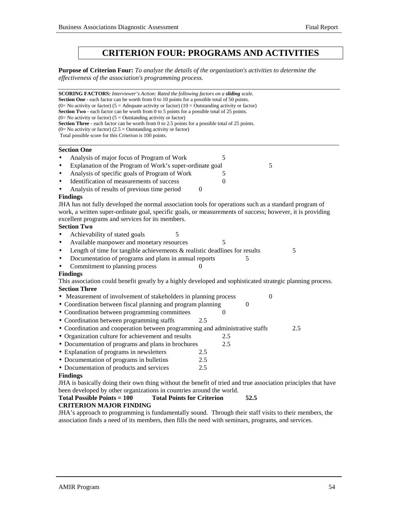# **CRITERION FOUR: PROGRAMS AND ACTIVITIES**

**Purpose of Criterion Four:** *To analyze the details of the organization's activities to determine the effectiveness of the association's programming process.*

**SCORING FACTORS:** *Interviewer's Action: Rated the following factors on a sliding scale.* **Section One** - each factor can be worth from 0 to 10 points for a possible total of 50 points. (0= No activity or factor) (5 = Adequate activity or factor) (10 = Outstanding activity or factor) **Section Two** - each factor can be worth from 0 to 5 points for a possible total of 25 points.  $(0=$  No activity or factor)  $(5 =$  Outstanding activity or factor) **Section Three** - each factor can be worth from 0 to 2.5 points for a possible total of 25 points.  $(0=$  No activity or factor)  $(2.5 =$  Outstanding activity or factor) Total possible score for this Criterion is 100 points. l **Section One** Analysis of major focus of Program of Work 5 Explanation of the Program of Work's super-ordinate goal 5 Analysis of specific goals of Program of Work 5 Identification of measurements of success 0 Analysis of results of previous time period 0 **Findings** JHA has not fully developed the normal association tools for operations such as a standard program of work, a written super-ordinate goal, specific goals, or measurements of success; however, it is providing excellent programs and services for its members. **Section Two** Achievability of stated goals 5 Available manpower and monetary resources 5 Length of time for tangible achievements  $\&$  realistic deadlines for results  $5$ Documentation of programs and plans in annual reports 5 Commitment to planning process **Findings** This association could benefit greatly by a highly developed and sophisticated strategic planning process. **Section Three** • Measurement of involvement of stakeholders in planning process 0 • Coordination between fiscal planning and program planning 0 • Coordination between programming committees 0 • Coordination between programming staffs 2.5 • Coordination and cooperation between programming and administrative staffs 2.5 • Organization culture for achievement and results 2.5 • Documentation of programs and plans in brochures 2.5 • Explanation of programs in newsletters 2.5 • Documentation of programs in bulletins 2.5 • Documentation of products and services 2.5 **Findings** JHA is basically doing their own thing without the benefit of tried and true association principles that have been developed by other organizations in countries around the world. **Total Possible Points = 100 Total Points for Criterion 52.5 CRITERION MAJOR FINDING**

JHA's approach to programming is fundamentally sound. Through their staff visits to their members, the association finds a need of its members, then fills the need with seminars, programs, and services.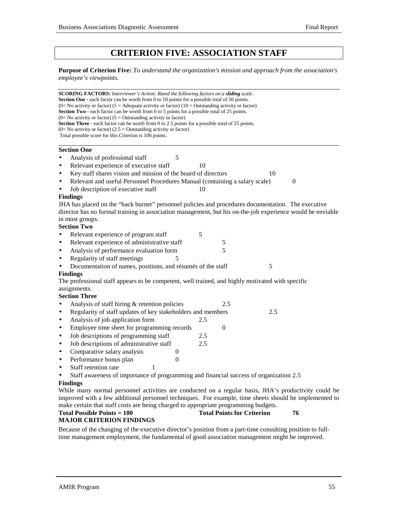# **CRITERION FIVE: ASSOCIATION STAFF**

**Purpose of Criterion Five:** *To understand the organization's mission and approach from the association's employee's viewpoints.*

**SCORING FACTORS:** *Interviewer's Action: Rated the following factors on a sliding scale.* **Section One** - each factor can be worth from 0 to 10 points for a possible total of 50 points. (0= No activity or factor) (5 = Adequate activity or factor) (10 = Outstanding activity or factor) **Section Two** - each factor can be worth from 0 to 5 points for a possible total of 25 points.  $(0=$  No activity or factor)  $(5 =$  Outstanding activity or factor) **Section Three** - each factor can be worth from 0 to 2.5 points for a possible total of 25 points.  $(0=$  No activity or factor)  $(2.5 =$  Outstanding activity or factor) Total possible score for this Criterion is 100 points.  **Section One** Analysis of professional staff 5 Relevant experience of executive staff 10 Key staff shares vision and mission of the board of directors 10 • Relevant and useful Personnel Procedures Manual (containing a salary scale) 0 Job description of executive staff 10 **Findings** JHA has placed on the "back burner" personnel policies and procedures documentation. The executive director has no formal training in association management, but his on-the-job experience would be enviable in most groups. **Section Two** Relevant experience of program staff 5 Relevant experience of administrative staff 5 Analysis of performance evaluation form 5 Regularity of staff meetings 5 Documentation of names, positions, and résumés of the staff 5 **Findings** The professional staff appears to be competent, well trained, and highly motivated with specific assignments. **Section Three** Analysis of staff hiring & retention policies 2.5 • Regularity of staff updates of key stakeholders and members 2.5 Analysis of job application form 2.5 Employee time sheet for programming records 0 • Job descriptions of programming staff 2.5 • Job descriptions of administrative staff 2.5 • Comparative salary analysis  $\qquad \qquad 0$ • Performance bonus plan 0 Staff retention rate 1 • Staff awareness of importance of programming and financial success of organization 2.5 **Findings** While many normal personnel activities are conducted on a regular basis, JHA's productivity could be improved with a few additional personnel techniques. For example, time sheets should be implemented to

## make certain that staff costs are being charged to appropriate programming budgets. **Total Possible Points = 100** Total Points for Criterion 76

#### **MAJOR CRITERION FINDINGS**

Because of the changing of the executive director's position from a part-time consulting position to fulltime management employment, the fundamental of good association management might be improved.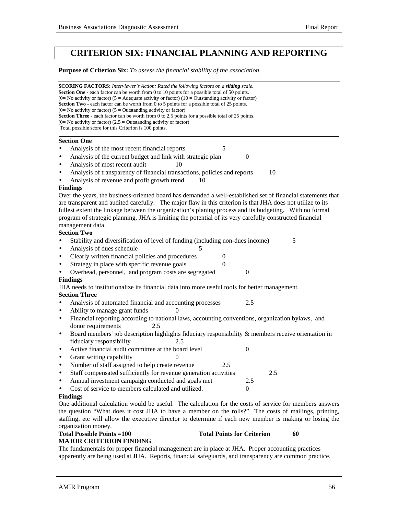# **CRITERION SIX: FINANCIAL PLANNING AND REPORTING**

#### **Purpose of Criterion Six:** *To assess the financial stability of the association.*

| <b>SCORING FACTORS:</b> Interviewer's Action: Rated the following factors on a sliding scale.<br>Section One - each factor can be worth from 0 to 10 points for a possible total of 50 points.<br>(0= No activity or factor) (5 = Adequate activity or factor) (10 = Outstanding activity or factor)<br><b>Section Two</b> - each factor can be worth from 0 to 5 points for a possible total of 25 points.<br>$(0=$ No activity or factor) $(5=$ Outstanding activity or factor)<br><b>Section Three</b> - each factor can be worth from 0 to 2.5 points for a possible total of 25 points.<br>$(0=$ No activity or factor) $(2.5 =$ Outstanding activity or factor)<br>Total possible score for this Criterion is 100 points. |  |
|---------------------------------------------------------------------------------------------------------------------------------------------------------------------------------------------------------------------------------------------------------------------------------------------------------------------------------------------------------------------------------------------------------------------------------------------------------------------------------------------------------------------------------------------------------------------------------------------------------------------------------------------------------------------------------------------------------------------------------|--|
| <b>Section One</b>                                                                                                                                                                                                                                                                                                                                                                                                                                                                                                                                                                                                                                                                                                              |  |
| Analysis of the most recent financial reports<br>5                                                                                                                                                                                                                                                                                                                                                                                                                                                                                                                                                                                                                                                                              |  |
| Analysis of the current budget and link with strategic plan<br>$\theta$<br>$\bullet$                                                                                                                                                                                                                                                                                                                                                                                                                                                                                                                                                                                                                                            |  |
| Analysis of most recent audit<br>10<br>$\bullet$                                                                                                                                                                                                                                                                                                                                                                                                                                                                                                                                                                                                                                                                                |  |
| Analysis of transparency of financial transactions, policies and reports<br>10<br>$\bullet$                                                                                                                                                                                                                                                                                                                                                                                                                                                                                                                                                                                                                                     |  |
| Analysis of revenue and profit growth trend<br>10                                                                                                                                                                                                                                                                                                                                                                                                                                                                                                                                                                                                                                                                               |  |
| <b>Findings</b>                                                                                                                                                                                                                                                                                                                                                                                                                                                                                                                                                                                                                                                                                                                 |  |
| Over the years, the business-oriented board has demanded a well-established set of financial statements that<br>are transparent and audited carefully. The major flaw in this criterion is that JHA does not utilize to its<br>fullest extent the linkage between the organization's planing process and its budgeting. With no formal<br>program of strategic planning, JHA is limiting the potential of its very carefully constructed financial<br>management data.                                                                                                                                                                                                                                                          |  |
| <b>Section Two</b>                                                                                                                                                                                                                                                                                                                                                                                                                                                                                                                                                                                                                                                                                                              |  |
| Stability and diversification of level of funding (including non-dues income)<br>5                                                                                                                                                                                                                                                                                                                                                                                                                                                                                                                                                                                                                                              |  |
| Analysis of dues schedule<br>5<br>$\bullet$                                                                                                                                                                                                                                                                                                                                                                                                                                                                                                                                                                                                                                                                                     |  |
| Clearly written financial policies and procedures<br>0<br>$\bullet$                                                                                                                                                                                                                                                                                                                                                                                                                                                                                                                                                                                                                                                             |  |
| Strategy in place with specific revenue goals<br>$\overline{0}$<br>$\bullet$                                                                                                                                                                                                                                                                                                                                                                                                                                                                                                                                                                                                                                                    |  |
| Overhead, personnel, and program costs are segregated<br>$\overline{0}$                                                                                                                                                                                                                                                                                                                                                                                                                                                                                                                                                                                                                                                         |  |
| <b>Findings</b><br>JHA needs to institutionalize its financial data into more useful tools for better management.                                                                                                                                                                                                                                                                                                                                                                                                                                                                                                                                                                                                               |  |
| <b>Section Three</b>                                                                                                                                                                                                                                                                                                                                                                                                                                                                                                                                                                                                                                                                                                            |  |
| 2.5<br>Analysis of automated financial and accounting processes<br>$\bullet$                                                                                                                                                                                                                                                                                                                                                                                                                                                                                                                                                                                                                                                    |  |
| Ability to manage grant funds<br>0<br>$\bullet$                                                                                                                                                                                                                                                                                                                                                                                                                                                                                                                                                                                                                                                                                 |  |
| Financial reporting according to national laws, accounting conventions, organization bylaws, and<br>$\bullet$                                                                                                                                                                                                                                                                                                                                                                                                                                                                                                                                                                                                                   |  |
| donor requirements<br>2.5                                                                                                                                                                                                                                                                                                                                                                                                                                                                                                                                                                                                                                                                                                       |  |
| Board members' job description highlights fiduciary responsibility & members receive orientation in<br>$\bullet$<br>fiduciary responsibility<br>2.5                                                                                                                                                                                                                                                                                                                                                                                                                                                                                                                                                                             |  |
| Active financial audit committee at the board level<br>$\overline{0}$<br>$\bullet$                                                                                                                                                                                                                                                                                                                                                                                                                                                                                                                                                                                                                                              |  |
| Grant writing capability<br>0<br>$\bullet$                                                                                                                                                                                                                                                                                                                                                                                                                                                                                                                                                                                                                                                                                      |  |
| Number of staff assigned to help create revenue<br>2.5<br>$\bullet$                                                                                                                                                                                                                                                                                                                                                                                                                                                                                                                                                                                                                                                             |  |
| Staff compensated sufficiently for revenue generation activities<br>2.5<br>$\bullet$                                                                                                                                                                                                                                                                                                                                                                                                                                                                                                                                                                                                                                            |  |
| Annual investment campaign conducted and goals met<br>2.5<br>$\bullet$                                                                                                                                                                                                                                                                                                                                                                                                                                                                                                                                                                                                                                                          |  |
| Cost of service to members calculated and utilized.<br>$\theta$                                                                                                                                                                                                                                                                                                                                                                                                                                                                                                                                                                                                                                                                 |  |
| <b>Findings</b>                                                                                                                                                                                                                                                                                                                                                                                                                                                                                                                                                                                                                                                                                                                 |  |
| One additional calculation would be useful. The calculation for the costs of service for members answers                                                                                                                                                                                                                                                                                                                                                                                                                                                                                                                                                                                                                        |  |

the question "What does it cost JHA to have a member on the rolls?" The costs of mailings, printing, staffing, etc will allow the executive director to determine if each new member is making or losing the organization money.

# **MAJOR CRITERION FINDING**

#### **Total Possible Points =100 Total Points for Criterion 60**

The fundamentals for proper financial management are in place at JHA. Proper accounting practices apparently are being used at JHA. Reports, financial safeguards, and transparency are common practice.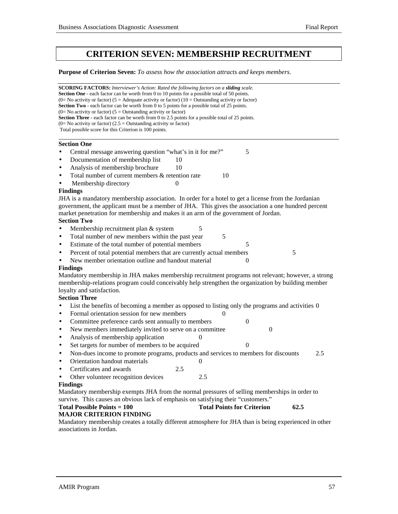# **CRITERION SEVEN: MEMBERSHIP RECRUITMENT**

**Purpose of Criterion Seven:** *To assess how the association attracts and keeps members.*

**SCORING FACTORS:** *Interviewer's Action: Rated the following factors on a sliding scale.* **Section One** - each factor can be worth from 0 to 10 points for a possible total of 50 points. (0= No activity or factor) (5 = Adequate activity or factor) (10 = Outstanding activity or factor) **Section Two** - each factor can be worth from 0 to 5 points for a possible total of 25 points.  $(0=$  No activity or factor)  $(5 =$  Outstanding activity or factor) Section Three - each factor can be worth from 0 to 2.5 points for a possible total of 25 points.  $(0=$  No activity or factor)  $(2.5 =$  Outstanding activity or factor) Total possible score for this Criterion is 100 points. l **Section One** • Central message answering question "what's in it for me?" 5 Documentation of membership list 10 Analysis of membership brochure 10 Total number of current members  $&$  retention rate  $10$ **Membership directory** 0 **Findings** JHA is a mandatory membership association. In order for a hotel to get a license from the Jordanian government, the applicant must be a member of JHA. This gives the association a one hundred percent market penetration for membership and makes it an arm of the government of Jordan. **Section Two** Membership recruitment plan & system 5 • Total number of new members within the past year 5 Estimate of the total number of potential members 5 Percent of total potential members that are currently actual members 5 New member orientation outline and handout material 0 **Findings** Mandatory membership in JHA makes membership recruitment programs not relevant; however, a strong membership-relations program could conceivably help strengthen the organization by building member loyalty and satisfaction. **Section Three** • List the benefits of becoming a member as opposed to listing only the programs and activities 0 • Formal orientation session for new members 0 • Committee preference cards sent annually to members 0 • New members immediately invited to serve on a committee 0 Analysis of membership application • Set targets for number of members to be acquired 0 • Non-dues income to promote programs, products and services to members for discounts 2.5 • Orientation handout materials 0 • Certificates and awards 2.5 Other volunteer recognition devices 2.5 **Findings** Mandatory membership exempts JHA from the normal pressures of selling memberships in order to survive. This causes an obvious lack of emphasis on satisfying their "customers." **Total Possible Points = 100** Total Points for Criterion 62.5 **MAJOR CRITERION FINDING** Mandatory membership creates a totally different atmosphere for JHA than is being experienced in other associations in Jordan.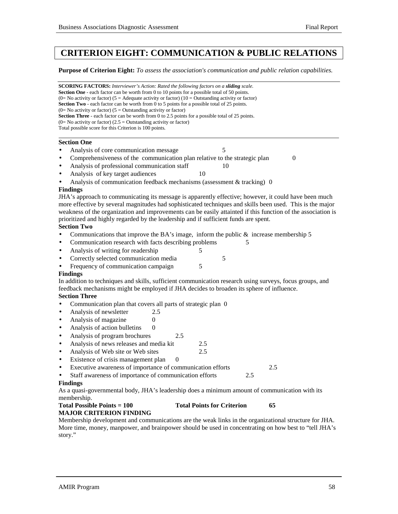# **CRITERION EIGHT: COMMUNICATION & PUBLIC RELATIONS**

**Purpose of Criterion Eight:** *To assess the association's communication and public relation capabilities.*

**SCORING FACTORS:** *Interviewer's Action: Rated the following factors on a sliding scale.* **Section One** - each factor can be worth from 0 to 10 points for a possible total of 50 points. (0= No activity or factor) (5 = Adequate activity or factor) (10 = Outstanding activity or factor) **Section Two** - each factor can be worth from 0 to 5 points for a possible total of 25 points.  $(0=$  No activity or factor) (5 = Outstanding activity or factor) **Section Three** - each factor can be worth from 0 to 2.5 points for a possible total of 25 points.  $(0=$  No activity or factor)  $(2.5 =$  Outstanding activity or factor) Total possible score for this Criterion is 100 points. l

### **Section One**

- Analysis of core communication message 5
- Comprehensiveness of the communication plan relative to the strategic plan 0
- Analysis of professional communication staff 10
- Analysis of key target audiences 10
- Analysis of communication feedback mechanisms (assessment & tracking) 0

#### **Findings**

JHA's approach to communicating its message is apparently effective; however, it could have been much more effective by several magnitudes had sophisticated techniques and skills been used. This is the major weakness of the organization and improvements can be easily attainted if this function of the association is prioritized and highly regarded by the leadership and if sufficient funds are spent.

### **Section Two**

- Communications that improve the BA's image, inform the public  $\&$  increase membership 5
- Communication research with facts describing problems 5
- Analysis of writing for readership 5
- Correctly selected communication media 5
- Frequency of communication campaign 5

#### **Findings**

In addition to techniques and skills, sufficient communication research using surveys, focus groups, and feedback mechanisms might be employed if JHA decides to broaden its sphere of influence.

#### **Section Three**

- Communication plan that covers all parts of strategic plan 0
- Analysis of newsletter 2.5
- Analysis of magazine 0
- Analysis of action bulletins 0
- Analysis of program brochures 2.5
- Analysis of news releases and media kit 2.5
- Analysis of Web site or Web sites 2.5
- Existence of crisis management plan 0
- Executive awareness of importance of communication efforts 2.5

#### Staff awareness of importance of communication efforts 2.5 **Findings**

As a quasi-governmental body, JHA's leadership does a minimum amount of communication with its membership.

## **Total Possible Points = 100 Total Points for Criterion 65**

### **MAJOR CRITERION FINDING**

Membership development and communications are the weak links in the organizational structure for JHA. More time, money, manpower, and brainpower should be used in concentrating on how best to "tell JHA's story."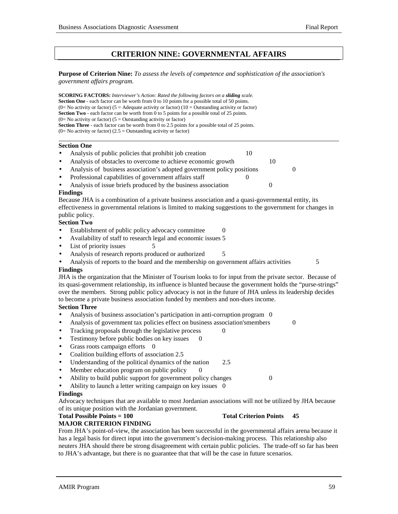## **CRITERION NINE: GOVERNMENTAL AFFAIRS**

**Purpose of Criterion Nine:** *To assess the levels of competence and sophistication of the association's government affairs program.*

**SCORING FACTORS:** *Interviewer's Action: Rated the following factors on a sliding scale.* **Section One** - each factor can be worth from 0 to 10 points for a possible total of 50 points. (0= No activity or factor) (5 = Adequate activity or factor) (10 = Outstanding activity or factor) **Section Two** - each factor can be worth from 0 to 5 points for a possible total of 25 points.  $(0=$  No activity or factor)  $(5 =$  Outstanding activity or factor) **Section Three** - each factor can be worth from 0 to 2.5 points for a possible total of 25 points.  $(0=$  No activity or factor)  $(2.5 =$  Outstanding activity or factor)

#### **Section One**

l

- Analysis of public policies that prohibit job creation 10
- Analysis of obstacles to overcome to achieve economic growth 10
- Analysis of business association's adopted government policy positions 0
- Professional capabilities of government affairs staff 0
- Analysis of issue briefs produced by the business association 0

#### **Findings**

Because JHA is a combination of a private business association and a quasi-governmental entity, its effectiveness in governmental relations is limited to making suggestions to the government for changes in public policy.

#### **Section Two**

- Establishment of public policy advocacy committee 0
- Availability of staff to research legal and economic issues 5
- List of priority issues 5
- Analysis of research reports produced or authorized 5
- Analysis of reports to the board and the membership on government affairs activities  $\sim$  5 **Findings**

JHA is the organization that the Minister of Tourism looks to for input from the private sector. Because of its quasi-government relationship, its influence is blunted because the government holds the "purse-strings" over the members. Strong public policy advocacy is not in the future of JHA unless its leadership decides to become a private business association funded by members and non-dues income.

#### **Section Three**

- Analysis of business association's participation in anti-corruption program 0
- Analysis of government tax policies effect on business association'smembers 0
- Tracking proposals through the legislative process 0
- Testimony before public bodies on key issues  $\qquad 0$
- Grass roots campaign efforts 0
- Coalition building efforts of association 2.5
- Understanding of the political dynamics of the nation 2.5
- Member education program on public policy
- Ability to build public support for government policy changes 0
- Ability to launch a letter writing campaign on key issues 0

#### **Findings**

Advocacy techniques that are available to most Jordanian associations will not be utilized by JHA because of its unique position with the Jordanian government.

### **Total Possible Points = 100** Total Criterion Points 45

#### **MAJOR CRITERION FINDING**

From JHA's point-of-view, the association has been successful in the governmental affairs arena because it has a legal basis for direct input into the government's decision-making process. This relationship also neuters JHA should there be strong disagreement with certain public policies. The trade-off so far has been to JHA's advantage, but there is no guarantee that that will be the case in future scenarios.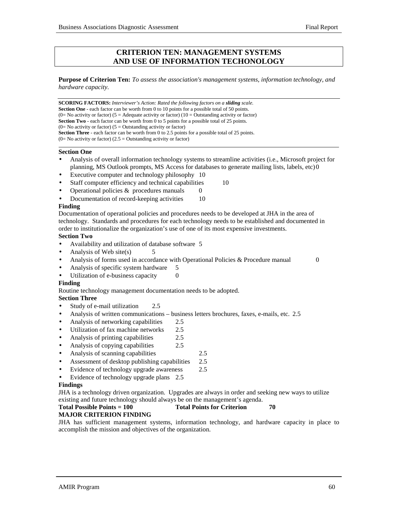## **CRITERION TEN: MANAGEMENT SYSTEMS AND USE OF INFORMATION TECHONOLOGY**

**Purpose of Criterion Ten:** *To assess the association's management systems, information technology, and hardware capacity.*

**SCORING FACTORS:** *Interviewer's Action: Rated the following factors on a sliding scale.* **Section One** - each factor can be worth from 0 to 10 points for a possible total of 50 points. (0= No activity or factor) (5 = Adequate activity or factor) (10 = Outstanding activity or factor) **Section Two** - each factor can be worth from 0 to 5 points for a possible total of 25 points.  $(0=$  No activity or factor) (5 = Outstanding activity or factor) **Section Three** - each factor can be worth from 0 to 2.5 points for a possible total of 25 points.  $(0=$  No activity or factor)  $(2.5 =$  Outstanding activity or factor)

#### **Section One**

 $\overline{a}$ 

- Analysis of overall information technology systems to streamline activities (i.e., Microsoft project for planning, MS Outlook prompts, MS Access for databases to generate mailing lists, labels, etc)0
- Executive computer and technology philosophy 10
- Staff computer efficiency and technical capabilities 10
- Operational policies  $&$  procedures manuals  $0$
- Documentation of record-keeping activities 10

#### **Finding**

Documentation of operational policies and procedures needs to be developed at JHA in the area of technology. Standards and procedures for each technology needs to be established and documented in order to institutionalize the organization's use of one of its most expensive investments.

#### **Section Two**

- Availability and utilization of database software 5
- Analysis of Web site(s)  $5$
- Analysis of forms used in accordance with Operational Policies & Procedure manual 0
- Analysis of specific system hardware 5
- Utilization of e-business capacity 0

#### **Finding**

Routine technology management documentation needs to be adopted.

#### **Section Three**

- Study of e-mail utilization 2.5
- Analysis of written communications business letters brochures, faxes, e-mails, etc. 2.5
- Analysis of networking capabilities 2.5
- Utilization of fax machine networks 2.5
- Analysis of printing capabilities 2.5
- Analysis of copying capabilities 2.5
- Analysis of scanning capabilities 2.5
- Assessment of desktop publishing capabilities 2.5
- Evidence of technology upgrade awareness 2.5
- Evidence of technology upgrade plans 2.5

#### **Findings**

JHA is a technology driven organization. Upgrades are always in order and seeking new ways to utilize existing and future technology should always be on the management's agenda.

## Total Possible Points = 100 Total Points for Criterion 70

#### **MAJOR CRITERION FINDING**

JHA has sufficient management systems, information technology, and hardware capacity in place to accomplish the mission and objectives of the organization.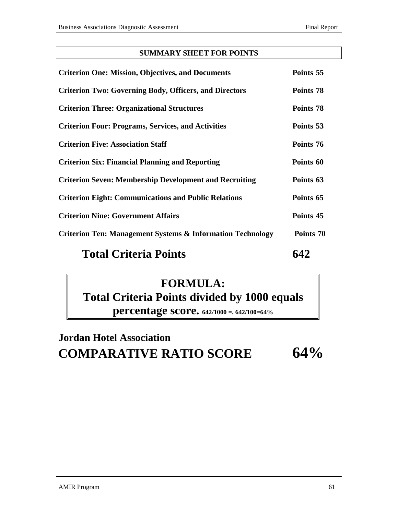## **SUMMARY SHEET FOR POINTS**

| <b>Criterion One: Mission, Objectives, and Documents</b>              | Points 55 |
|-----------------------------------------------------------------------|-----------|
| <b>Criterion Two: Governing Body, Officers, and Directors</b>         | Points 78 |
| <b>Criterion Three: Organizational Structures</b>                     | Points 78 |
| <b>Criterion Four: Programs, Services, and Activities</b>             | Points 53 |
| <b>Criterion Five: Association Staff</b>                              | Points 76 |
| <b>Criterion Six: Financial Planning and Reporting</b>                | Points 60 |
| <b>Criterion Seven: Membership Development and Recruiting</b>         | Points 63 |
| <b>Criterion Eight: Communications and Public Relations</b>           | Points 65 |
| <b>Criterion Nine: Government Affairs</b>                             | Points 45 |
| <b>Criterion Ten: Management Systems &amp; Information Technology</b> | Points 70 |
|                                                                       |           |

# Total Criteria Points 642

# **FORMULA: Total Criteria Points divided by 1000 equals percentage score. 642/1000 =. 642/100=64%**

# **Jordan Hotel Association COMPARATIVE RATIO SCORE 64%**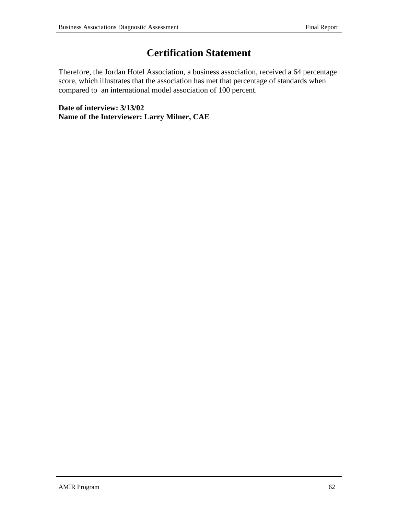# **Certification Statement**

Therefore, the Jordan Hotel Association, a business association, received a 64 percentage score, which illustrates that the association has met that percentage of standards when compared to an international model association of 100 percent.

**Date of interview: 3/13/02 Name of the Interviewer: Larry Milner, CAE**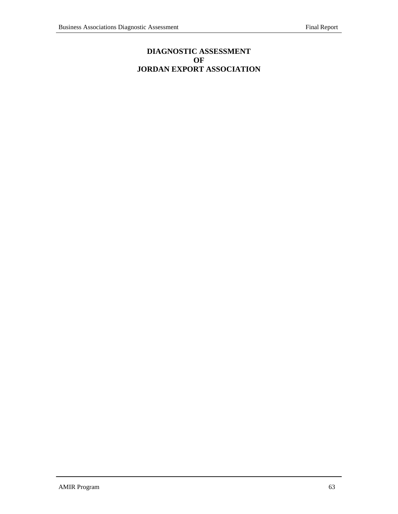## **DIAGNOSTIC ASSESSMENT OF JORDAN EXPORT ASSOCIATION**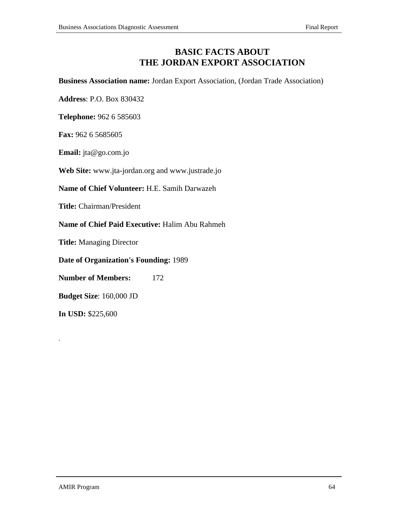# **BASIC FACTS ABOUT THE JORDAN EXPORT ASSOCIATION**

**Business Association name:** Jordan Export Association, (Jordan Trade Association)

**Address**: P.O. Box 830432

**Telephone:** 962 6 585603

**Fax:** 962 6 5685605

**Email:** jta@go.com.jo

**Web Site:** www.jta-jordan.org and www.justrade.jo

**Name of Chief Volunteer:** H.E. Samih Darwazeh

**Title:** Chairman/President

**Name of Chief Paid Executive:** Halim Abu Rahmeh

**Title:** Managing Director

**Date of Organization's Founding:** 1989

**Number of Members:** 172

**Budget Size**: 160,000 JD

**In USD:** \$225,600

.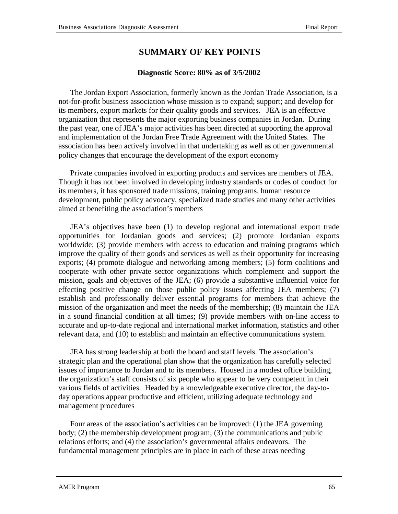# **SUMMARY OF KEY POINTS**

## **Diagnostic Score: 80% as of 3/5/2002**

The Jordan Export Association, formerly known as the Jordan Trade Association, is a not-for-profit business association whose mission is to expand; support; and develop for its members, export markets for their quality goods and services. JEA is an effective organization that represents the major exporting business companies in Jordan. During the past year, one of JEA's major activities has been directed at supporting the approval and implementation of the Jordan Free Trade Agreement with the United States. The association has been actively involved in that undertaking as well as other governmental policy changes that encourage the development of the export economy

Private companies involved in exporting products and services are members of JEA. Though it has not been involved in developing industry standards or codes of conduct for its members, it has sponsored trade missions, training programs, human resource development, public policy advocacy, specialized trade studies and many other activities aimed at benefiting the association's members

JEA's objectives have been (1) to develop regional and international export trade opportunities for Jordanian goods and services; (2) promote Jordanian exports worldwide; (3) provide members with access to education and training programs which improve the quality of their goods and services as well as their opportunity for increasing exports; (4) promote dialogue and networking among members; (5) form coalitions and cooperate with other private sector organizations which complement and support the mission, goals and objectives of the JEA; (6) provide a substantive influential voice for effecting positive change on those public policy issues affecting JEA members; (7) establish and professionally deliver essential programs for members that achieve the mission of the organization and meet the needs of the membership; (8) maintain the JEA in a sound financial condition at all times; (9) provide members with on-line access to accurate and up-to-date regional and international market information, statistics and other relevant data, and (10) to establish and maintain an effective communications system.

JEA has strong leadership at both the board and staff levels. The association's strategic plan and the operational plan show that the organization has carefully selected issues of importance to Jordan and to its members. Housed in a modest office building, the organization's staff consists of six people who appear to be very competent in their various fields of activities. Headed by a knowledgeable executive director, the day-today operations appear productive and efficient, utilizing adequate technology and management procedures

Four areas of the association's activities can be improved: (1) the JEA governing body; (2) the membership development program; (3) the communications and public relations efforts; and (4) the association's governmental affairs endeavors. The fundamental management principles are in place in each of these areas needing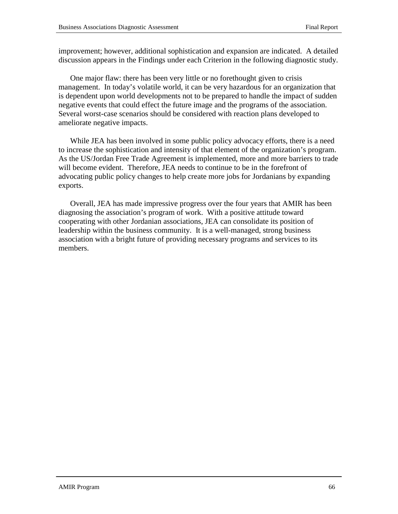improvement; however, additional sophistication and expansion are indicated. A detailed discussion appears in the Findings under each Criterion in the following diagnostic study.

One major flaw: there has been very little or no forethought given to crisis management. In today's volatile world, it can be very hazardous for an organization that is dependent upon world developments not to be prepared to handle the impact of sudden negative events that could effect the future image and the programs of the association. Several worst-case scenarios should be considered with reaction plans developed to ameliorate negative impacts.

While JEA has been involved in some public policy advocacy efforts, there is a need to increase the sophistication and intensity of that element of the organization's program. As the US/Jordan Free Trade Agreement is implemented, more and more barriers to trade will become evident. Therefore, JEA needs to continue to be in the forefront of advocating public policy changes to help create more jobs for Jordanians by expanding exports.

Overall, JEA has made impressive progress over the four years that AMIR has been diagnosing the association's program of work. With a positive attitude toward cooperating with other Jordanian associations, JEA can consolidate its position of leadership within the business community. It is a well-managed, strong business association with a bright future of providing necessary programs and services to its members.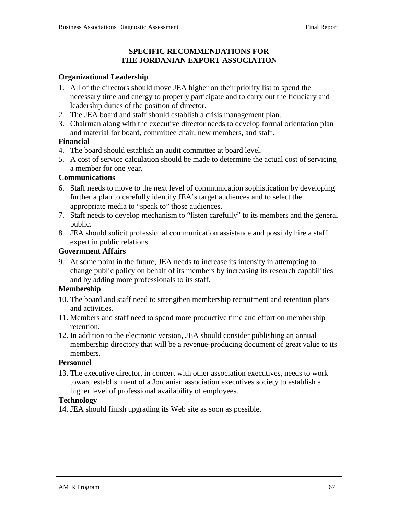## **SPECIFIC RECOMMENDATIONS FOR THE JORDANIAN EXPORT ASSOCIATION**

## **Organizational Leadership**

- 1. All of the directors should move JEA higher on their priority list to spend the necessary time and energy to properly participate and to carry out the fiduciary and leadership duties of the position of director.
- 2. The JEA board and staff should establish a crisis management plan.
- 3. Chairman along with the executive director needs to develop formal orientation plan and material for board, committee chair, new members, and staff.

## **Financial**

- 4. The board should establish an audit committee at board level.
- 5. A cost of service calculation should be made to determine the actual cost of servicing a member for one year.

## **Communications**

- 6. Staff needs to move to the next level of communication sophistication by developing further a plan to carefully identify JEA's target audiences and to select the appropriate media to "speak to" those audiences.
- 7. Staff needs to develop mechanism to "listen carefully" to its members and the general public.
- 8. JEA should solicit professional communication assistance and possibly hire a staff expert in public relations.

## **Government Affairs**

9. At some point in the future, JEA needs to increase its intensity in attempting to change public policy on behalf of its members by increasing its research capabilities and by adding more professionals to its staff.

## **Membership**

- 10. The board and staff need to strengthen membership recruitment and retention plans and activities.
- 11. Members and staff need to spend more productive time and effort on membership retention.
- 12. In addition to the electronic version, JEA should consider publishing an annual membership directory that will be a revenue-producing document of great value to its members.

## **Personnel**

13. The executive director, in concert with other association executives, needs to work toward establishment of a Jordanian association executives society to establish a higher level of professional availability of employees.

## **Technology**

14. JEA should finish upgrading its Web site as soon as possible.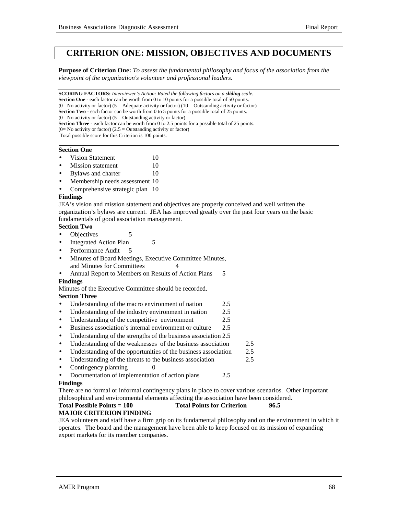# **CRITERION ONE: MISSION, OBJECTIVES AND DOCUMENTS**

**Purpose of Criterion One:** *To assess the fundamental philosophy and focus of the association from the viewpoint of the organization's volunteer and professional leaders.*

**SCORING FACTORS:** *Interviewer's Action: Rated the following factors on a sliding scale.* **Section One** - each factor can be worth from 0 to 10 points for a possible total of 50 points. (0= No activity or factor) (5 = Adequate activity or factor) (10 = Outstanding activity or factor) **Section Two** - each factor can be worth from 0 to 5 points for a possible total of 25 points.  $(0=$  No activity or factor)  $(5 =$  Outstanding activity or factor) **Section Three** - each factor can be worth from 0 to 2.5 points for a possible total of 25 points.  $(0=$  No activity or factor)  $(2.5 =$  Outstanding activity or factor) Total possible score for this Criterion is 100 points.

#### **Section One**

- Vision Statement 10
- **Mission statement** 10
- **Bylaws and charter 10**
- Membership needs assessment 10
- Comprehensive strategic plan 10

#### **Findings**

JEA's vision and mission statement and objectives are properly conceived and well written the organization's bylaws are current. JEA has improved greatly over the past four years on the basic fundamentals of good association management.

## **Section Two**

- Objectives 5
- Integrated Action Plan 5
- Performance Audit 5
- Minutes of Board Meetings, Executive Committee Minutes, and Minutes for Committees 4
- Annual Report to Members on Results of Action Plans 5 **Findings**

Minutes of the Executive Committee should be recorded.

#### **Section Three**

- Understanding of the macro environment of nation 2.5
- Understanding of the industry environment in nation 2.5
- Understanding of the competitive environment 2.5
- Business association's internal environment or culture 2.5
- Understanding of the strengths of the business association 2.5
- Understanding of the weaknesses of the business association 2.5
- Understanding of the opportunities of the business association 2.5
- Understanding of the threats to the business association 2.5
- Contingency planning 0
- Documentation of implementation of action plans 2.5

#### **Findings**

There are no formal or informal contingency plans in place to cover various scenarios. Other important philosophical and environmental elements affecting the association have been considered.

**Total Possible Points = 100 Total Points for Criterion 96.5**

#### **MAJOR CRITERION FINDING**

JEA volunteers and staff have a firm grip on its fundamental philosophy and on the environment in which it operates. The board and the management have been able to keep focused on its mission of expanding export markets for its member companies.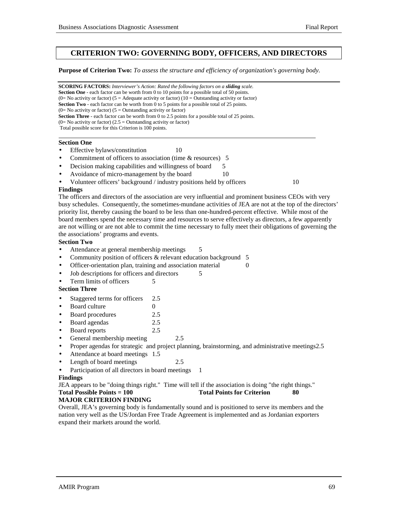## **CRITERION TWO: GOVERNING BODY, OFFICERS, AND DIRECTORS**

**Purpose of Criterion Two:** *To assess the structure and efficiency of organization's governing body.*

**SCORING FACTORS:** *Interviewer's Action: Rated the following factors on a sliding scale.* **Section One** - each factor can be worth from 0 to 10 points for a possible total of 50 points. (0= No activity or factor) (5 = Adequate activity or factor) (10 = Outstanding activity or factor) **Section Two** - each factor can be worth from 0 to 5 points for a possible total of 25 points.  $(0=$  No activity or factor)  $(5 =$  Outstanding activity or factor) **Section Three** - each factor can be worth from 0 to 2.5 points for a possible total of 25 points.  $(0=$  No activity or factor)  $(2.5 =$  Outstanding activity or factor) Total possible score for this Criterion is 100 points. l

#### **Section One**

- Effective bylaws/constitution 10
- Commitment of officers to association (time & resources) 5
- Decision making capabilities and willingness of board 5
- Avoidance of micro-management by the board 10
- Volunteer officers' background / industry positions held by officers 10

#### **Findings**

The officers and directors of the association are very influential and prominent business CEOs with very busy schedules. Consequently, the sometimes-mundane activities of JEA are not at the top of the directors' priority list, thereby causing the board to be less than one-hundred-percent effective. While most of the board members spend the necessary time and resources to serve effectively as directors, a few apparently are not willing or are not able to commit the time necessary to fully meet their obligations of governing the the associations' programs and events.

#### **Section Two**

- Attendance at general membership meetings 5
- Community position of officers & relevant education background 5
- Officer-orientation plan, training and association material 0
- Job descriptions for officers and directors 5
- Term limits of officers 5

### **Section Three**

- Staggered terms for officers 2.5
- **Board culture** 0
- Board procedures 2.5
- Board agendas 2.5
- Board reports 2.5
- General membership meeting 2.5
- Proper agendas for strategic and project planning, brainstorming, and administrative meetings2.5
- Attendance at board meetings 1.5
- Length of board meetings 2.5
- Participation of all directors in board meetings

#### **Findings**

JEA appears to be "doing things right." Time will tell if the association is doing "the right things." **Total Possible Points = 100** Total Points for Criterion 80

#### **MAJOR CRITERION FINDING**

Overall, JEA's governing body is fundamentally sound and is positioned to serve its members and the nation very well as the US/Jordan Free Trade Agreement is implemented and as Jordanian exporters expand their markets around the world.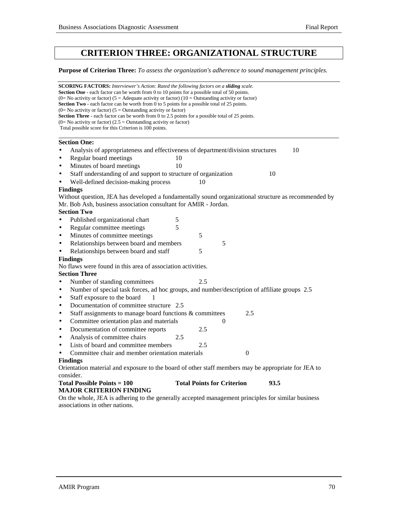# **CRITERION THREE: ORGANIZATIONAL STRUCTURE**

**Purpose of Criterion Three:** *To assess the organization's adherence to sound management principles.*

|           | <b>SCORING FACTORS:</b> Interviewer's Action: Rated the following factors on a <b>sliding</b> scale.                                                                                                       |
|-----------|------------------------------------------------------------------------------------------------------------------------------------------------------------------------------------------------------------|
|           | <b>Section One</b> - each factor can be worth from 0 to 10 points for a possible total of 50 points.<br>(0= No activity or factor) (5 = Adequate activity or factor) (10 = Outstanding activity or factor) |
|           | <b>Section Two</b> - each factor can be worth from 0 to 5 points for a possible total of 25 points.                                                                                                        |
|           | $(0=$ No activity or factor) $(5=$ Outstanding activity or factor)                                                                                                                                         |
|           | <b>Section Three</b> - each factor can be worth from 0 to 2.5 points for a possible total of 25 points.<br>$(0=$ No activity or factor) $(2.5 =$ Outstanding activity or factor)                           |
|           | Total possible score for this Criterion is 100 points.                                                                                                                                                     |
|           |                                                                                                                                                                                                            |
| $\bullet$ | <b>Section One:</b><br>10                                                                                                                                                                                  |
| $\bullet$ | Analysis of appropriateness and effectiveness of department/division structures<br>Regular board meetings<br>10                                                                                            |
|           | Minutes of board meetings<br>10                                                                                                                                                                            |
| $\bullet$ |                                                                                                                                                                                                            |
| $\bullet$ | Staff understanding of and support to structure of organization<br>10                                                                                                                                      |
| $\bullet$ | Well-defined decision-making process<br>10                                                                                                                                                                 |
|           | <b>Findings</b><br>Without question, JEA has developed a fundamentally sound organizational structure as recommended by                                                                                    |
|           | Mr. Bob Ash, business association consultant for AMIR - Jordan.                                                                                                                                            |
|           | <b>Section Two</b>                                                                                                                                                                                         |
| $\bullet$ | $\sqrt{5}$<br>Published organizational chart                                                                                                                                                               |
| $\bullet$ | 5<br>Regular committee meetings                                                                                                                                                                            |
| $\bullet$ | 5<br>Minutes of committee meetings                                                                                                                                                                         |
| $\bullet$ | Relationships between board and members<br>5                                                                                                                                                               |
| $\bullet$ | Relationships between board and staff<br>5                                                                                                                                                                 |
|           | <b>Findings</b>                                                                                                                                                                                            |
|           | No flaws were found in this area of association activities.                                                                                                                                                |
|           | <b>Section Three</b>                                                                                                                                                                                       |
| $\bullet$ | 2.5<br>Number of standing committees                                                                                                                                                                       |
| $\bullet$ | Number of special task forces, ad hoc groups, and number/description of affiliate groups 2.5                                                                                                               |
| $\bullet$ | Staff exposure to the board<br>1                                                                                                                                                                           |
| $\bullet$ | Documentation of committee structure 2.5                                                                                                                                                                   |
| $\bullet$ | Staff assignments to manage board functions & committees<br>2.5                                                                                                                                            |
| $\bullet$ | Committee orientation plan and materials<br>0                                                                                                                                                              |
| $\bullet$ | Documentation of committee reports<br>2.5                                                                                                                                                                  |
| $\bullet$ | Analysis of committee chairs<br>2.5                                                                                                                                                                        |
| $\bullet$ | Lists of board and committee members<br>2.5                                                                                                                                                                |
| $\bullet$ | Committee chair and member orientation materials<br>$\overline{0}$                                                                                                                                         |
|           | <b>Findings</b>                                                                                                                                                                                            |
|           | Orientation material and exposure to the board of other staff members may be appropriate for JEA to                                                                                                        |
|           | consider.                                                                                                                                                                                                  |
|           | <b>Total Possible Points = 100</b><br><b>Total Points for Criterion</b><br>93.5                                                                                                                            |
|           | <b>MAJOR CRITERION FINDING</b>                                                                                                                                                                             |
|           | On the whole, JEA is adhering to the generally accepted management principles for similar business                                                                                                         |
|           | associations in other nations.                                                                                                                                                                             |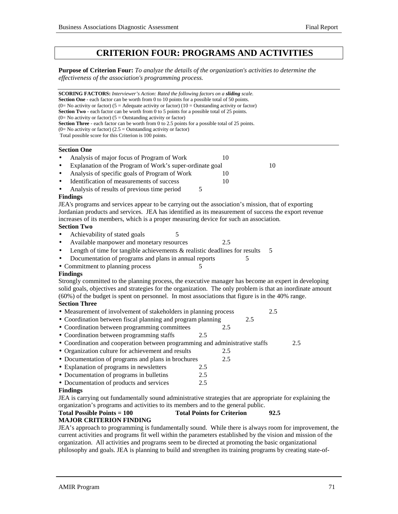# **CRITERION FOUR: PROGRAMS AND ACTIVITIES**

**Purpose of Criterion Four:** *To analyze the details of the organization's activities to determine the effectiveness of the association's programming process.*

**SCORING FACTORS:** *Interviewer's Action: Rated the following factors on a sliding scale.* **Section One** - each factor can be worth from 0 to 10 points for a possible total of 50 points. (0= No activity or factor) (5 = Adequate activity or factor) (10 = Outstanding activity or factor) **Section Two** - each factor can be worth from 0 to 5 points for a possible total of 25 points.  $(0=$  No activity or factor)  $(5 =$  Outstanding activity or factor) **Section Three** - each factor can be worth from 0 to 2.5 points for a possible total of 25 points.  $(0=$  No activity or factor)  $(2.5 =$  Outstanding activity or factor) Total possible score for this Criterion is 100 points. l **Section One** Analysis of major focus of Program of Work 10 Explanation of the Program of Work's super-ordinate goal 10 Analysis of specific goals of Program of Work 10 Identification of measurements of success 10 Analysis of results of previous time period 5 **Findings** JEA's programs and services appear to be carrying out the association's mission, that of exporting Jordanian products and services. JEA has identified as its measurement of success the export revenue increases of its members, which is a proper measuring device for such an association. **Section Two** • Achievability of stated goals 5 • Available manpower and monetary resources 2.5 Length of time for tangible achievements  $&$  realistic deadlines for results  $5$ Documentation of programs and plans in annual reports 5 • Commitment to planning process **Findings** Strongly committed to the planning process, the executive manager has become an expert in developing solid goals, objectives and strategies for the organization. The only problem is that an inordinate amount (60%) of the budget is spent on personnel. In most associations that figure is in the 40% range. **Section Three** • Measurement of involvement of stakeholders in planning process 2.5 • Coordination between fiscal planning and program planning 2.5 • Coordination between programming committees 2.5 • Coordination between programming staffs 2.5 • Coordination and cooperation between programming and administrative staffs 2.5 • Organization culture for achievement and results 2.5 • Documentation of programs and plans in brochures 2.5 • Explanation of programs in newsletters 2.5 • Documentation of programs in bulletins 2.5 • Documentation of products and services 2.5 **Findings** JEA is carrying out fundamentally sound administrative strategies that are appropriate for explaining the organization's programs and activities to its members and to the general public. **Total Possible Points = 100 Total Points for Criterion 92.5 MAJOR CRITERION FINDING** JEA's approach to programming is fundamentally sound. While there is always room for improvement, the current activities and programs fit well within the parameters established by the vision and mission of the

organization. All activities and programs seem to be directed at promoting the basic organizational philosophy and goals. JEA is planning to build and strengthen its training programs by creating state-of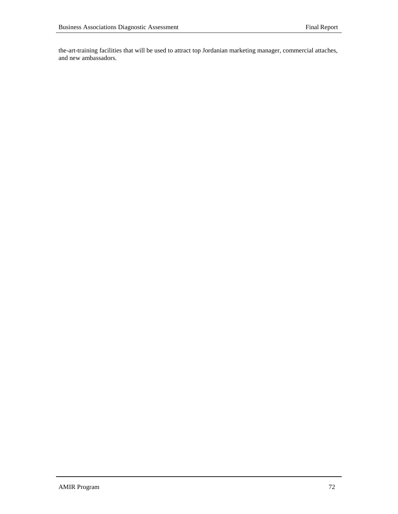the-art-training facilities that will be used to attract top Jordanian marketing manager, commercial attaches, and new ambassadors.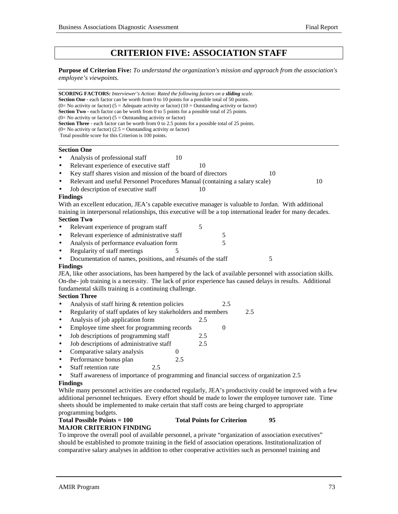# **CRITERION FIVE: ASSOCIATION STAFF**

**Purpose of Criterion Five:** *To understand the organization's mission and approach from the association's employee's viewpoints.*

**SCORING FACTORS:** *Interviewer's Action: Rated the following factors on a sliding scale.* **Section One** - each factor can be worth from 0 to 10 points for a possible total of 50 points. (0= No activity or factor) (5 = Adequate activity or factor) (10 = Outstanding activity or factor) **Section Two** - each factor can be worth from 0 to 5 points for a possible total of 25 points.  $(0=$  No activity or factor)  $(5 =$  Outstanding activity or factor) **Section Three** - each factor can be worth from 0 to 2.5 points for a possible total of 25 points.  $(0=$  No activity or factor)  $(2.5 =$  Outstanding activity or factor) Total possible score for this Criterion is 100 points.  **Section One** Analysis of professional staff 10 Relevant experience of executive staff 10 Key staff shares vision and mission of the board of directors 10 • Relevant and useful Personnel Procedures Manual (containing a salary scale) 10 Job description of executive staff 10 **Findings** With an excellent education, JEA's capable executive manager is valuable to Jordan. With additional training in interpersonal relationships, this executive will be a top international leader for many decades. **Section Two** • Relevant experience of program staff 5 Relevant experience of administrative staff 5 Analysis of performance evaluation form 5 Regularity of staff meetings 5 Documentation of names, positions, and résumés of the staff 5 **Findings** JEA, like other associations, has been hampered by the lack of available personnel with association skills. On-the- job training is a necessity. The lack of prior experience has caused delays in results. Additional fundamental skills training is a continuing challenge. **Section Three** Analysis of staff hiring & retention policies 2.5 • Regularity of staff updates of key stakeholders and members 2.5 Analysis of job application form 2.5 Employee time sheet for programming records 0

- Job descriptions of programming staff 2.5
- Job descriptions of administrative staff 2.5
- Comparative salary analysis 0
- Performance bonus plan 2.5
- Staff retention rate 2.5
- Staff awareness of importance of programming and financial success of organization 2.5

#### **Findings**

While many personnel activities are conducted regularly, JEA's productivity could be improved with a few additional personnel techniques. Every effort should be made to lower the employee turnover rate. Time sheets should be implemented to make certain that staff costs are being charged to appropriate programming budgets.

#### **Total Possible Points = 100 Total Points for Criterion 95 MAJOR CRITERION FINDING**

To improve the overall pool of available personnel, a private "organization of association executives" should be established to promote training in the field of association operations. Institutionalization of comparative salary analyses in addition to other cooperative activities such as personnel training and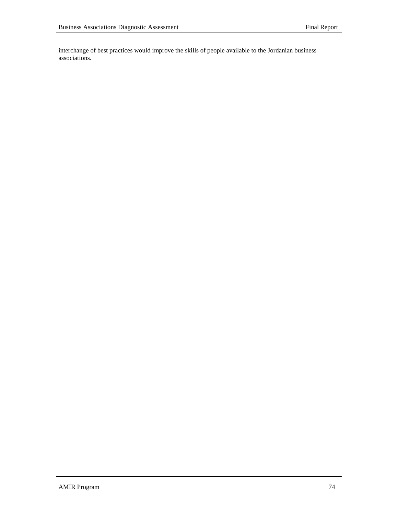interchange of best practices would improve the skills of people available to the Jordanian business associations.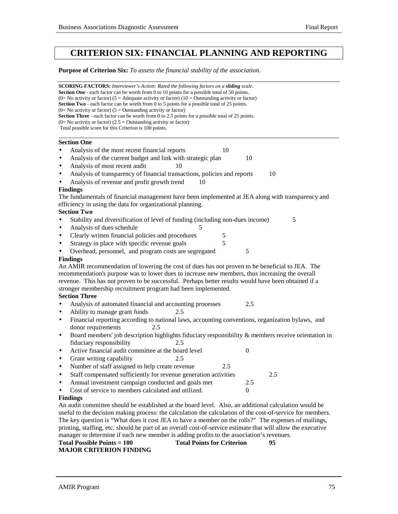# **CRITERION SIX: FINANCIAL PLANNING AND REPORTING**

**Purpose of Criterion Six:** *To assess the financial stability of the association.*

| <b>SCORING FACTORS:</b> Interviewer's Action: Rated the following factors on a sliding scale.<br><b>Section One</b> - each factor can be worth from 0 to 10 points for a possible total of 50 points.     |  |  |  |  |
|-----------------------------------------------------------------------------------------------------------------------------------------------------------------------------------------------------------|--|--|--|--|
| (0= No activity or factor) (5 = Adequate activity or factor) (10 = Outstanding activity or factor)<br><b>Section Two</b> - each factor can be worth from 0 to 5 points for a possible total of 25 points. |  |  |  |  |
| (0= No activity or factor) ( $5 =$ Outstanding activity or factor)                                                                                                                                        |  |  |  |  |
| Section Three - each factor can be worth from 0 to 2.5 points for a possible total of 25 points.                                                                                                          |  |  |  |  |
| $(0=$ No activity or factor) $(2.5 =$ Outstanding activity or factor)                                                                                                                                     |  |  |  |  |
| Total possible score for this Criterion is 100 points.                                                                                                                                                    |  |  |  |  |
| <b>Section One</b>                                                                                                                                                                                        |  |  |  |  |
| Analysis of the most recent financial reports<br>10                                                                                                                                                       |  |  |  |  |
| Analysis of the current budget and link with strategic plan<br>10<br>$\bullet$                                                                                                                            |  |  |  |  |
| Analysis of most recent audit<br>10<br>$\bullet$                                                                                                                                                          |  |  |  |  |
| Analysis of transparency of financial transactions, policies and reports<br>10<br>٠                                                                                                                       |  |  |  |  |
| Analysis of revenue and profit growth trend<br>10                                                                                                                                                         |  |  |  |  |
| <b>Findings</b>                                                                                                                                                                                           |  |  |  |  |
| The fundamentals of financial management have been implemented at JEA along with transparency and                                                                                                         |  |  |  |  |
| efficiency in using the data for organizational planning.                                                                                                                                                 |  |  |  |  |
| <b>Section Two</b>                                                                                                                                                                                        |  |  |  |  |
| Stability and diversification of level of funding (including non-dues income)<br>5                                                                                                                        |  |  |  |  |
| Analysis of dues schedule<br>5<br>$\bullet$                                                                                                                                                               |  |  |  |  |
| Clearly written financial policies and procedures<br>5<br>$\bullet$                                                                                                                                       |  |  |  |  |
| 5<br>Strategy in place with specific revenue goals<br>٠                                                                                                                                                   |  |  |  |  |
| Overhead, personnel, and program costs are segregated<br>5                                                                                                                                                |  |  |  |  |
| <b>Findings</b>                                                                                                                                                                                           |  |  |  |  |
| An AMIR recommendation of lowering the cost of dues has not proven to be beneficial to JEA. The                                                                                                           |  |  |  |  |
| recommendation's purpose was to lower dues to increase new members, thus increasing the overall                                                                                                           |  |  |  |  |
| revenue. This has not proven to be successful. Perhaps better results would have been obtained if a                                                                                                       |  |  |  |  |
| stronger membership recruitment program had been implemented.                                                                                                                                             |  |  |  |  |
| <b>Section Three</b>                                                                                                                                                                                      |  |  |  |  |
| Analysis of automated financial and accounting processes<br>2.5                                                                                                                                           |  |  |  |  |
| Ability to manage grant funds<br>2.5<br>$\bullet$                                                                                                                                                         |  |  |  |  |
| Financial reporting according to national laws, accounting conventions, organization bylaws, and<br>$\bullet$                                                                                             |  |  |  |  |
| donor requirements<br>2.5                                                                                                                                                                                 |  |  |  |  |
| Board members' job description highlights fiduciary responsibility & members receive orientation in<br>٠                                                                                                  |  |  |  |  |
| fiduciary responsibility<br>2.5                                                                                                                                                                           |  |  |  |  |
| Active financial audit committee at the board level<br>$\boldsymbol{0}$<br>٠                                                                                                                              |  |  |  |  |
| Grant writing capability<br>2.5<br>$\bullet$                                                                                                                                                              |  |  |  |  |
| Number of staff assigned to help create revenue<br>2.5<br>$\bullet$                                                                                                                                       |  |  |  |  |
| Staff compensated sufficiently for revenue generation activities<br>2.5                                                                                                                                   |  |  |  |  |
| Annual investment campaign conducted and goals met<br>2.5<br>$\bullet$                                                                                                                                    |  |  |  |  |
| Cost of service to members calculated and utilized.<br>$\Omega$                                                                                                                                           |  |  |  |  |
| <b>Findings</b>                                                                                                                                                                                           |  |  |  |  |
| An audit committee should be established at the board level. Also, an additional calculation would be                                                                                                     |  |  |  |  |
| useful to the decision making process: the calculation the calculation of the cost-of-service for members.                                                                                                |  |  |  |  |
| The key question is "What does it cost JEA to have a member on the rolls?" The expenses of mailings,                                                                                                      |  |  |  |  |
| printing, staffing, etc, should be part of an overall cost-of-service estimate that will allow the executive                                                                                              |  |  |  |  |
| manager to determine if each new member is adding profits to the association's revenues.                                                                                                                  |  |  |  |  |
| Total Doints for Critorian<br>$Total Doccithlo Dcircint0 = 100$                                                                                                                                           |  |  |  |  |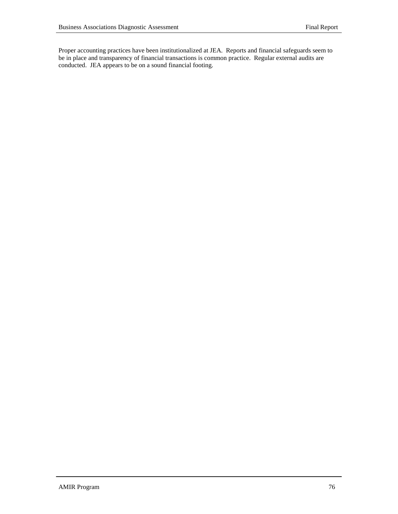Proper accounting practices have been institutionalized at JEA. Reports and financial safeguards seem to be in place and transparency of financial transactions is common practice. Regular external audits are conducted. JEA appears to be on a sound financial footing.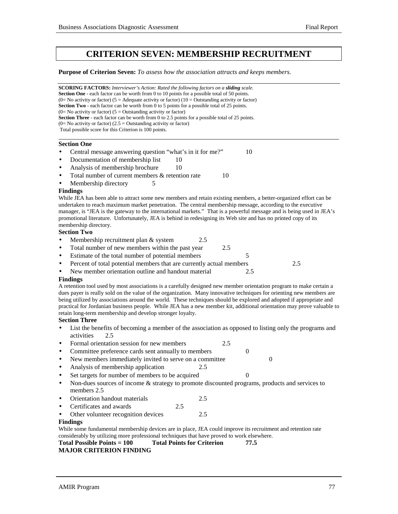# **CRITERION SEVEN: MEMBERSHIP RECRUITMENT**

**Purpose of Criterion Seven:** *To assess how the association attracts and keeps members.*

**SCORING FACTORS:** *Interviewer's Action: Rated the following factors on a sliding scale.* **Section One** - each factor can be worth from 0 to 10 points for a possible total of 50 points. (0= No activity or factor) (5 = Adequate activity or factor) (10 = Outstanding activity or factor) **Section Two** - each factor can be worth from 0 to 5 points for a possible total of 25 points.  $(0=$  No activity or factor)  $(5 =$  Outstanding activity or factor) **Section Three** - each factor can be worth from 0 to 2.5 points for a possible total of 25 points.  $(0=$  No activity or factor)  $(2.5 =$  Outstanding activity or factor) Total possible score for this Criterion is 100 points. l

#### **Section One**

- Central message answering question "what's in it for me?" 10
- Documentation of membership list 10
- Analysis of membership brochure 10
- Total number of current members  $&$  retention rate  $10$
- Membership directory 5

#### **Findings**

While JEA has been able to attract some new members and retain existing members, a better-organized effort can be undertaken to reach maximum market penetration. The central membership message, according to the executive manager, is "JEA is the gateway to the international markets." That is a powerful message and is being used in JEA's promotional literature. Unfortunately, JEA is behind in redesigning its Web site and has no printed copy of its membership directory.

#### **Section Two**

- Membership recruitment plan & system 2.5
- Total number of new members within the past year 2.5
- Estimate of the total number of potential members 5
- Percent of total potential members that are currently actual members 2.5
- New member orientation outline and handout material 2.5

#### **Findings**

A retention tool used by most associations is a carefully designed new member orientation program to make certain a dues payer is really sold on the value of the organization. Many innovative techniques for orienting new members are being utilized by associations around the world. These techniques should be explored and adopted if appropriate and practical for Jordanian business people. While JEA has a new member kit, additional orientation may prove valuable to retain long-term membership and develop stronger loyalty.

#### **Section Three**

- List the benefits of becoming a member of the association as opposed to listing only the programs and activities 2.5
- Formal orientation session for new members 2.5
- Committee preference cards sent annually to members 0
- New members immediately invited to serve on a committee 0
- Analysis of membership application 2.5
- $\text{Set targets}$  for number of members to be acquired  $\qquad \qquad 0$
- Non-dues sources of income & strategy to promote discounted programs, products and services to members 2.5
- Orientation handout materials 2.5
- Certificates and awards 2.5
- Other volunteer recognition devices 2.5

#### **Findings**

While some fundamental membership devices are in place, JEA could improve its recruitment and retention rate considerably by utilizing more professional techniques that have proved to work elsewhere.

```
Total Possible Points = 100 Total Points for Criterion 77.5
MAJOR CRITERION FINDING
```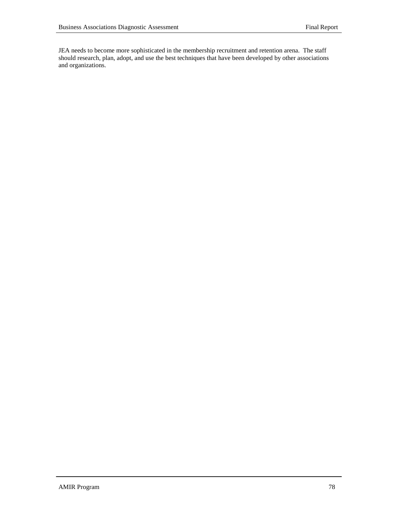JEA needs to become more sophisticated in the membership recruitment and retention arena. The staff should research, plan, adopt, and use the best techniques that have been developed by other associations and organizations.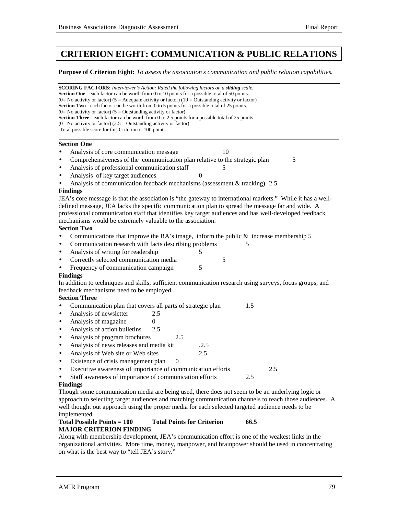# **CRITERION EIGHT: COMMUNICATION & PUBLIC RELATIONS**

**Purpose of Criterion Eight:** *To assess the association's communication and public relation capabilities.*

**SCORING FACTORS:** *Interviewer's Action: Rated the following factors on a sliding scale.* **Section One** - each factor can be worth from 0 to 10 points for a possible total of 50 points. (0= No activity or factor) (5 = Adequate activity or factor) (10 = Outstanding activity or factor) **Section Two** - each factor can be worth from 0 to 5 points for a possible total of 25 points.  $(0=$  No activity or factor)  $(5 =$  Outstanding activity or factor) **Section Three** - each factor can be worth from 0 to 2.5 points for a possible total of 25 points.  $(0=$  No activity or factor)  $(2.5 =$  Outstanding activity or factor) Total possible score for this Criterion is 100 points. l **Section One** Analysis of core communication message 10 • Comprehensiveness of the communication plan relative to the strategic plan 5 Analysis of professional communication staff 5 Analysis of key target audiences • Analysis of communication feedback mechanisms (assessment & tracking) 2.5 **Findings** JEA's core message is that the association is "the gateway to international markets." While it has a welldefined message, JEA lacks the specific communication plan to spread the message far and wide. A professional communication staff that identifies key target audiences and has well-developed feedback mechanisms would be extremely valuable to the association. **Section Two** • Communications that improve the BA's image, inform the public  $\&$  increase membership 5 • Communication research with facts describing problems 5 Analysis of writing for readership 5 • Correctly selected communication media 5 Frequency of communication campaign 5 **Findings** In addition to techniques and skills, sufficient communication research using surveys, focus groups, and feedback mechanisms need to be employed. **Section Three** • Communication plan that covers all parts of strategic plan 1.5 • Analysis of newsletter 2.5 • Analysis of magazine  $0$ Analysis of action bulletins 2.5 Analysis of program brochures 2.5 • Analysis of news releases and media kit .2.5 • Analysis of Web site or Web sites 2.5 Existence of crisis management plan 0 • Executive awareness of importance of communication efforts 2.5 Staff awareness of importance of communication efforts 2.5 **Findings** Though some communication media are being used, there does not seem to be an underlying logic or approach to selecting target audiences and matching communication channels to reach those audiences. A well thought out approach using the proper media for each selected targeted audience needs to be implemented. **Total Possible Points = 100 Total Points for Criterion 66.5 MAJOR CRITERION FINDING**

Along with membership development, JEA's communication effort is one of the weakest links in the organizational activities. More time, money, manpower, and brainpower should be used in concentrating on what is the best way to "tell JEA's story."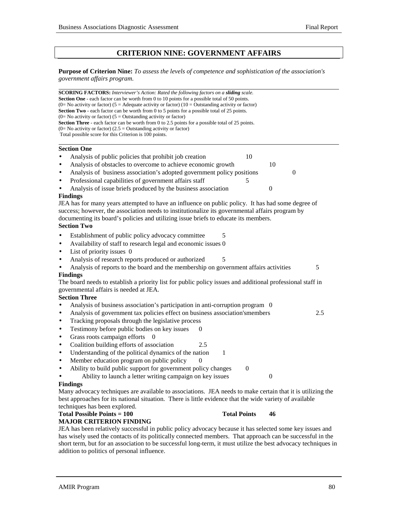l

### **CRITERION NINE: GOVERNMENT AFFAIRS**

**Purpose of Criterion Nine:** *To assess the levels of competence and sophistication of the association's government affairs program.*

| <b>SCORING FACTORS:</b> Interviewer's Action: Rated the following factors on a sliding scale.<br><b>Section One</b> - each factor can be worth from 0 to 10 points for a possible total of 50 points. |                     |                  |          |
|-------------------------------------------------------------------------------------------------------------------------------------------------------------------------------------------------------|---------------------|------------------|----------|
| (0= No activity or factor) (5 = Adequate activity or factor) (10 = Outstanding activity or factor)                                                                                                    |                     |                  |          |
| <b>Section Two</b> - each factor can be worth from 0 to 5 points for a possible total of 25 points.                                                                                                   |                     |                  |          |
| $(0=$ No activity or factor) $(5 =$ Outstanding activity or factor)<br><b>Section Three</b> - each factor can be worth from 0 to 2.5 points for a possible total of 25 points.                        |                     |                  |          |
| $(0=$ No activity or factor) $(2.5 =$ Outstanding activity or factor)                                                                                                                                 |                     |                  |          |
| Total possible score for this Criterion is 100 points.                                                                                                                                                |                     |                  |          |
| <b>Section One</b>                                                                                                                                                                                    |                     |                  |          |
| Analysis of public policies that prohibit job creation                                                                                                                                                | 10                  |                  |          |
| Analysis of obstacles to overcome to achieve economic growth<br>$\bullet$                                                                                                                             |                     | 10               |          |
| Analysis of business association's adopted government policy positions                                                                                                                                |                     |                  | $\theta$ |
| Professional capabilities of government affairs staff<br>$\bullet$                                                                                                                                    |                     |                  |          |
| Analysis of issue briefs produced by the business association                                                                                                                                         |                     | $\theta$         |          |
| <b>Findings</b>                                                                                                                                                                                       |                     |                  |          |
| JEA has for many years attempted to have an influence on public policy. It has had some degree of                                                                                                     |                     |                  |          |
| success; however, the association needs to institutionalize its governmental affairs program by                                                                                                       |                     |                  |          |
| documenting its board's policies and utilizing issue briefs to educate its members.                                                                                                                   |                     |                  |          |
| <b>Section Two</b>                                                                                                                                                                                    |                     |                  |          |
| Establishment of public policy advocacy committee                                                                                                                                                     | 5                   |                  |          |
| Availability of staff to research legal and economic issues 0<br>٠                                                                                                                                    |                     |                  |          |
| List of priority issues 0<br>$\bullet$                                                                                                                                                                |                     |                  |          |
| Analysis of research reports produced or authorized<br>$\bullet$                                                                                                                                      | 5                   |                  |          |
| Analysis of reports to the board and the membership on government affairs activities                                                                                                                  |                     |                  | 5        |
| <b>Findings</b>                                                                                                                                                                                       |                     |                  |          |
| The board needs to establish a priority list for public policy issues and additional professional staff in                                                                                            |                     |                  |          |
| governmental affairs is needed at JEA.                                                                                                                                                                |                     |                  |          |
| <b>Section Three</b>                                                                                                                                                                                  |                     |                  |          |
| Analysis of business association's participation in anti-corruption program 0                                                                                                                         |                     |                  |          |
| Analysis of government tax policies effect on business association'smembers<br>$\bullet$                                                                                                              |                     |                  | 2.5      |
| Tracking proposals through the legislative process<br>$\bullet$                                                                                                                                       |                     |                  |          |
| Testimony before public bodies on key issues<br>0<br>$\bullet$                                                                                                                                        |                     |                  |          |
| Grass roots campaign efforts<br>- 0<br>$\bullet$                                                                                                                                                      |                     |                  |          |
| Coalition building efforts of association<br>2.5<br>٠                                                                                                                                                 |                     |                  |          |
| Understanding of the political dynamics of the nation<br>٠                                                                                                                                            | 1                   |                  |          |
| Member education program on public policy<br>$\bullet$                                                                                                                                                |                     |                  |          |
| Ability to build public support for government policy changes<br>$\bullet$                                                                                                                            | $\boldsymbol{0}$    |                  |          |
| Ability to launch a letter writing campaign on key issues                                                                                                                                             |                     | $\boldsymbol{0}$ |          |
| <b>Findings</b>                                                                                                                                                                                       |                     |                  |          |
| Many advocacy techniques are available to associations. JEA needs to make certain that it is utilizing the                                                                                            |                     |                  |          |
| best approaches for its national situation. There is little evidence that the wide variety of available                                                                                               |                     |                  |          |
| techniques has been explored.                                                                                                                                                                         |                     |                  |          |
| <b>Total Possible Points = 100</b>                                                                                                                                                                    | <b>Total Points</b> | 46               |          |
| <b>MAJOR CRITERION FINDING</b>                                                                                                                                                                        |                     |                  |          |
| JEA has been relatively successful in public policy advocacy because it has selected some key issues and                                                                                              |                     |                  |          |
| has wisely used the contacts of its politically connected members. That approach can be successful in the                                                                                             |                     |                  |          |

short term, but for an association to be successful long-term, it must utilize the best advocacy techniques in addition to politics of personal influence.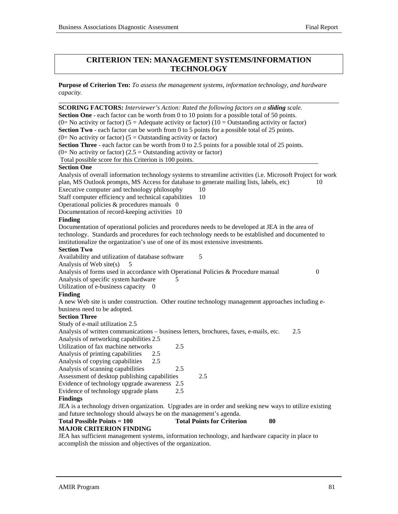# **CRITERION TEN: MANAGEMENT SYSTEMS/INFORMATION TECHNOLOGY**

**Purpose of Criterion Ten:** *To assess the management systems, information technology, and hardware capacity.*

| SCORING FACTORS: Interviewer's Action: Rated the following factors on a sliding scale.                       |     |                                         |    |
|--------------------------------------------------------------------------------------------------------------|-----|-----------------------------------------|----|
| <b>Section One</b> - each factor can be worth from 0 to 10 points for a possible total of 50 points.         |     |                                         |    |
| (0= No activity or factor) (5 = Adequate activity or factor) (10 = Outstanding activity or factor)           |     |                                         |    |
| <b>Section Two</b> - each factor can be worth from 0 to 5 points for a possible total of 25 points.          |     |                                         |    |
| $(0=$ No activity or factor) $(5=$ Outstanding activity or factor)                                           |     |                                         |    |
| Section Three - each factor can be worth from 0 to 2.5 points for a possible total of 25 points.             |     |                                         |    |
| $(0=$ No activity or factor) (2.5 = Outstanding activity or factor)                                          |     |                                         |    |
| Total possible score for this Criterion is 100 points.                                                       |     |                                         |    |
| <b>Section One</b>                                                                                           |     |                                         |    |
| Analysis of overall information technology systems to streamline activities (i.e. Microsoft Project for work |     |                                         |    |
| plan, MS Outlook prompts, MS Access for database to generate mailing lists, labels, etc)                     |     |                                         | 10 |
| Executive computer and technology philosophy                                                                 |     | 10                                      |    |
| Staff computer efficiency and technical capabilities                                                         |     | 10                                      |    |
| Operational policies & procedures manuals 0                                                                  |     |                                         |    |
| Documentation of record-keeping activities 10                                                                |     |                                         |    |
| Finding                                                                                                      |     |                                         |    |
| Documentation of operational policies and procedures needs to be developed at JEA in the area of             |     |                                         |    |
| technology. Standards and procedures for each technology needs to be established and documented to           |     |                                         |    |
| institutionalize the organization's use of one of its most extensive investments.                            |     |                                         |    |
| <b>Section Two</b>                                                                                           |     |                                         |    |
| Availability and utilization of database software                                                            |     | 5                                       |    |
| Analysis of Web site(s)<br>5                                                                                 |     |                                         |    |
| Analysis of forms used in accordance with Operational Policies & Procedure manual                            |     |                                         | 0  |
| Analysis of specific system hardware<br>5                                                                    |     |                                         |    |
| Utilization of e-business capacity 0                                                                         |     |                                         |    |
| <b>Finding</b>                                                                                               |     |                                         |    |
| A new Web site is under construction. Other routine technology management approaches including e-            |     |                                         |    |
| business need to be adopted.                                                                                 |     |                                         |    |
| <b>Section Three</b>                                                                                         |     |                                         |    |
| Study of e-mail utilization 2.5                                                                              |     |                                         |    |
| Analysis of written communications - business letters, brochures, faxes, e-mails, etc.                       |     | 2.5                                     |    |
| Analysis of networking capabilities 2.5                                                                      |     |                                         |    |
| Utilization of fax machine networks                                                                          | 2.5 |                                         |    |
| Analysis of printing capabilities<br>2.5                                                                     |     |                                         |    |
| 2.5<br>Analysis of copying capabilities                                                                      |     |                                         |    |
| Analysis of scanning capabilities                                                                            | 2.5 |                                         |    |
| Assessment of desktop publishing capabilities                                                                |     | 2.5                                     |    |
| Evidence of technology upgrade awareness 2.5                                                                 |     |                                         |    |
| Evidence of technology upgrade plans                                                                         | 2.5 |                                         |    |
| <b>Findings</b>                                                                                              |     |                                         |    |
| JEA is a technology driven organization. Upgrades are in order and seeking new ways to utilize existing      |     |                                         |    |
| and future technology should always be on the management's agenda.                                           |     |                                         |    |
| <b>Total Possible Points = 100</b>                                                                           |     | <b>Total Points for Criterion</b><br>80 |    |
| <b>MAJOR CRITERION FINDING</b>                                                                               |     |                                         |    |
|                                                                                                              |     |                                         |    |

JEA has sufficient management systems, information technology, and hardware capacity in place to accomplish the mission and objectives of the organization.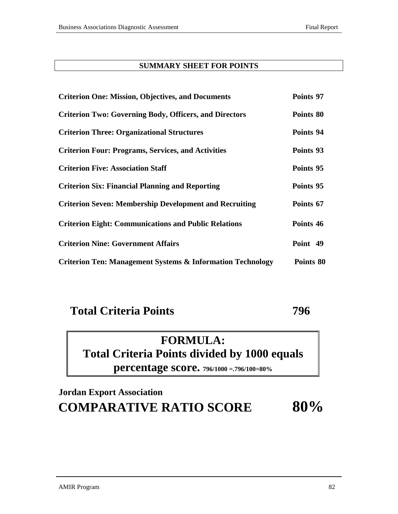# **SUMMARY SHEET FOR POINTS**

| <b>Criterion One: Mission, Objectives, and Documents</b>              | Points 97 |
|-----------------------------------------------------------------------|-----------|
| <b>Criterion Two: Governing Body, Officers, and Directors</b>         | Points 80 |
| <b>Criterion Three: Organizational Structures</b>                     | Points 94 |
| <b>Criterion Four: Programs, Services, and Activities</b>             | Points 93 |
| <b>Criterion Five: Association Staff</b>                              | Points 95 |
| <b>Criterion Six: Financial Planning and Reporting</b>                | Points 95 |
| <b>Criterion Seven: Membership Development and Recruiting</b>         | Points 67 |
| <b>Criterion Eight: Communications and Public Relations</b>           | Points 46 |
| <b>Criterion Nine: Government Affairs</b>                             | Point 49  |
| <b>Criterion Ten: Management Systems &amp; Information Technology</b> | Points 80 |

# **Total Criteria Points 796**

# **FORMULA: Total Criteria Points divided by 1000 equals percentage score. 796/1000 =.796/100=80%**

# **Jordan Export Association COMPARATIVE RATIO SCORE 80%**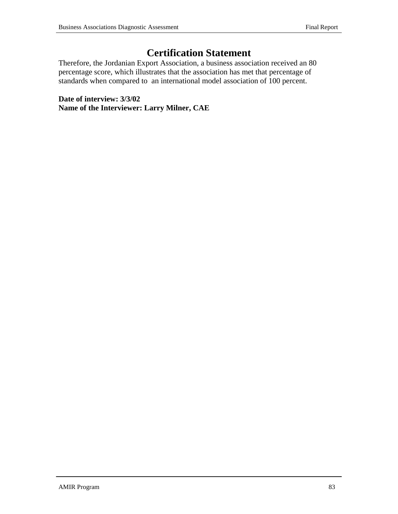# **Certification Statement**

Therefore, the Jordanian Export Association, a business association received an 80 percentage score, which illustrates that the association has met that percentage of standards when compared to an international model association of 100 percent.

**Date of interview: 3/3/02 Name of the Interviewer: Larry Milner, CAE**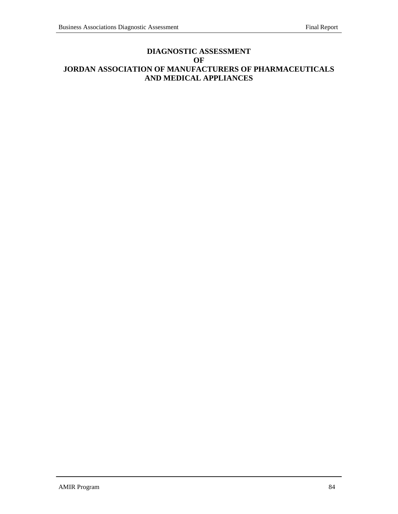## **DIAGNOSTIC ASSESSMENT OF JORDAN ASSOCIATION OF MANUFACTURERS OF PHARMACEUTICALS AND MEDICAL APPLIANCES**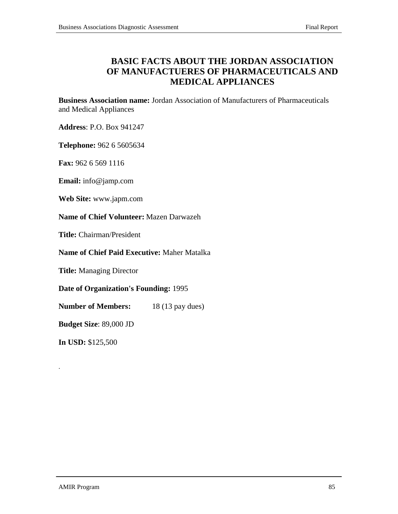# **BASIC FACTS ABOUT THE JORDAN ASSOCIATION OF MANUFACTUERES OF PHARMACEUTICALS AND MEDICAL APPLIANCES**

**Business Association name:** Jordan Association of Manufacturers of Pharmaceuticals and Medical Appliances

**Address**: P.O. Box 941247

**Telephone:** 962 6 5605634

**Fax:** 962 6 569 1116

**Email:** info@jamp.com

**Web Site:** www.japm.com

**Name of Chief Volunteer:** Mazen Darwazeh

**Title:** Chairman/President

**Name of Chief Paid Executive:** Maher Matalka

**Title:** Managing Director

**Date of Organization's Founding:** 1995

**Number of Members:** 18 (13 pay dues)

**Budget Size**: 89,000 JD

**In USD:** \$125,500

.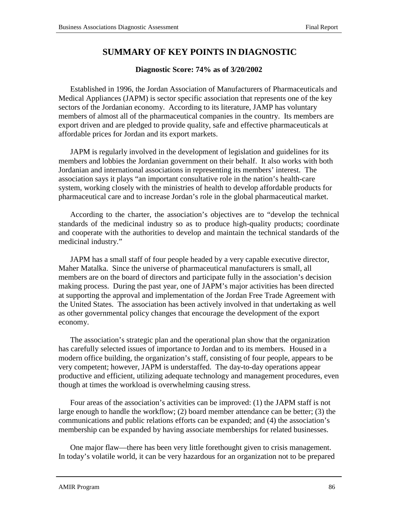# **SUMMARY OF KEY POINTS IN DIAGNOSTIC**

### **Diagnostic Score: 74% as of 3/20/2002**

Established in 1996, the Jordan Association of Manufacturers of Pharmaceuticals and Medical Appliances (JAPM) is sector specific association that represents one of the key sectors of the Jordanian economy. According to its literature, JAMP has voluntary members of almost all of the pharmaceutical companies in the country. Its members are export driven and are pledged to provide quality, safe and effective pharmaceuticals at affordable prices for Jordan and its export markets.

JAPM is regularly involved in the development of legislation and guidelines for its members and lobbies the Jordanian government on their behalf. It also works with both Jordanian and international associations in representing its members' interest. The association says it plays "an important consultative role in the nation's health-care system, working closely with the ministries of health to develop affordable products for pharmaceutical care and to increase Jordan's role in the global pharmaceutical market.

According to the charter, the association's objectives are to "develop the technical standards of the medicinal industry so as to produce high-quality products; coordinate and cooperate with the authorities to develop and maintain the technical standards of the medicinal industry."

JAPM has a small staff of four people headed by a very capable executive director, Maher Matalka. Since the universe of pharmaceutical manufacturers is small, all members are on the board of directors and participate fully in the association's decision making process. During the past year, one of JAPM's major activities has been directed at supporting the approval and implementation of the Jordan Free Trade Agreement with the United States. The association has been actively involved in that undertaking as well as other governmental policy changes that encourage the development of the export economy.

The association's strategic plan and the operational plan show that the organization has carefully selected issues of importance to Jordan and to its members. Housed in a modern office building, the organization's staff, consisting of four people, appears to be very competent; however, JAPM is understaffed. The day-to-day operations appear productive and efficient, utilizing adequate technology and management procedures, even though at times the workload is overwhelming causing stress.

Four areas of the association's activities can be improved: (1) the JAPM staff is not large enough to handle the workflow; (2) board member attendance can be better; (3) the communications and public relations efforts can be expanded; and (4) the association's membership can be expanded by having associate memberships for related businesses.

One major flaw—there has been very little forethought given to crisis management. In today's volatile world, it can be very hazardous for an organization not to be prepared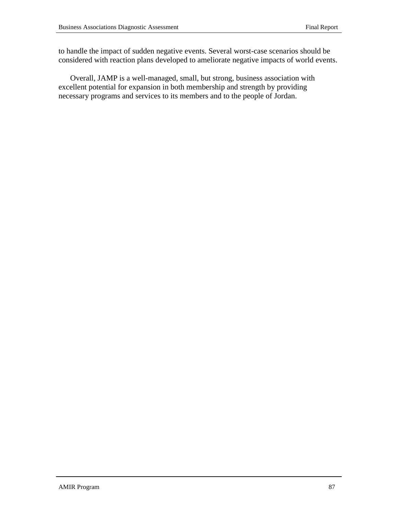to handle the impact of sudden negative events. Several worst-case scenarios should be considered with reaction plans developed to ameliorate negative impacts of world events.

Overall, JAMP is a well-managed, small, but strong, business association with excellent potential for expansion in both membership and strength by providing necessary programs and services to its members and to the people of Jordan.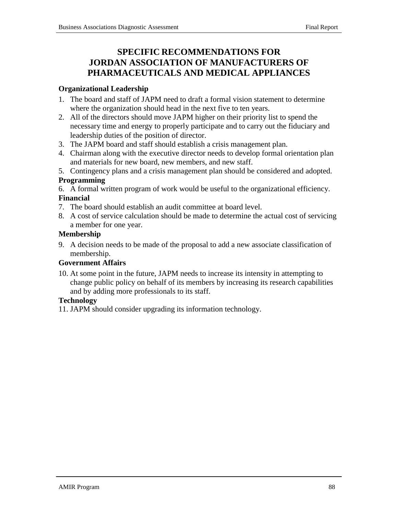# **SPECIFIC RECOMMENDATIONS FOR JORDAN ASSOCIATION OF MANUFACTURERS OF PHARMACEUTICALS AND MEDICAL APPLIANCES**

# **Organizational Leadership**

- 1. The board and staff of JAPM need to draft a formal vision statement to determine where the organization should head in the next five to ten years.
- 2. All of the directors should move JAPM higher on their priority list to spend the necessary time and energy to properly participate and to carry out the fiduciary and leadership duties of the position of director.
- 3. The JAPM board and staff should establish a crisis management plan.
- 4. Chairman along with the executive director needs to develop formal orientation plan and materials for new board, new members, and new staff.
- 5. Contingency plans and a crisis management plan should be considered and adopted.

# **Programming**

- 6. A formal written program of work would be useful to the organizational efficiency. **Financial**
- 7. The board should establish an audit committee at board level.
- 8. A cost of service calculation should be made to determine the actual cost of servicing a member for one year.

# **Membership**

9. A decision needs to be made of the proposal to add a new associate classification of membership.

# **Government Affairs**

10. At some point in the future, JAPM needs to increase its intensity in attempting to change public policy on behalf of its members by increasing its research capabilities and by adding more professionals to its staff.

# **Technology**

11. JAPM should consider upgrading its information technology.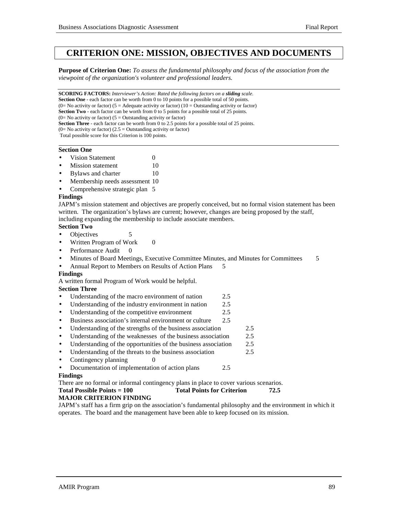# **CRITERION ONE: MISSION, OBJECTIVES AND DOCUMENTS**

**Purpose of Criterion One:** *To assess the fundamental philosophy and focus of the association from the viewpoint of the organization's volunteer and professional leaders.*

**SCORING FACTORS:** *Interviewer's Action: Rated the following factors on a sliding scale.* **Section One** - each factor can be worth from 0 to 10 points for a possible total of 50 points. (0= No activity or factor) (5 = Adequate activity or factor) (10 = Outstanding activity or factor) **Section Two** - each factor can be worth from 0 to 5 points for a possible total of 25 points.  $(0=$  No activity or factor)  $(5 =$  Outstanding activity or factor) **Section Three** - each factor can be worth from 0 to 2.5 points for a possible total of 25 points.  $(0=$  No activity or factor)  $(2.5 =$  Outstanding activity or factor) Total possible score for this Criterion is 100 points.

#### **Section One**

- **Vision Statement** 0
- **Mission statement** 10
- **Bylaws and charter 10**
- Membership needs assessment 10
- Comprehensive strategic plan 5

#### **Findings**

JAPM's mission statement and objectives are properly conceived, but no formal vision statement has been written. The organization's bylaws are current; however, changes are being proposed by the staff, including expanding the membership to include associate members.

#### **Section Two**

- Objectives 5
- Written Program of Work 0
- Performance Audit 0
- Minutes of Board Meetings, Executive Committee Minutes, and Minutes for Committees 5
- Annual Report to Members on Results of Action Plans 5

#### **Findings**

A written formal Program of Work would be helpful.

#### **Section Three**

- Understanding of the macro environment of nation 2.5
- Understanding of the industry environment in nation 2.5
- Understanding of the competitive environment 2.5
- Business association's internal environment or culture 2.5
- Understanding of the strengths of the business association 2.5
- Understanding of the weaknesses of the business association 2.5
- Understanding of the opportunities of the business association 2.5
- Understanding of the threats to the business association 2.5
- Contingency planning  $\qquad \qquad 0$
- Documentation of implementation of action plans 2.5

#### **Findings**

There are no formal or informal contingency plans in place to cover various scenarios. **Total Possible Points = 100 Total Points for Criterion 72.5**

#### **MAJOR CRITERION FINDING**

JAPM's staff has a firm grip on the association's fundamental philosophy and the environment in which it operates. The board and the management have been able to keep focused on its mission.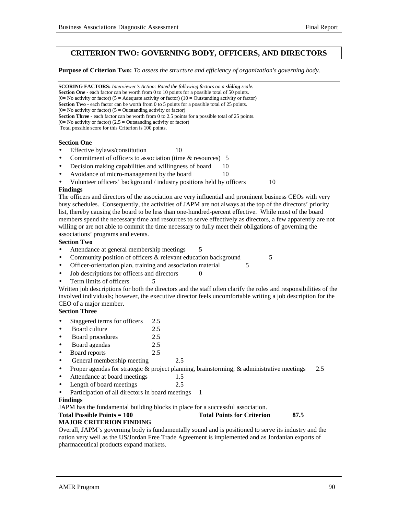## **CRITERION TWO: GOVERNING BODY, OFFICERS, AND DIRECTORS**

**Purpose of Criterion Two:** *To assess the structure and efficiency of organization's governing body.*

**SCORING FACTORS:** *Interviewer's Action: Rated the following factors on a sliding scale.* **Section One** - each factor can be worth from 0 to 10 points for a possible total of 50 points. (0= No activity or factor) (5 = Adequate activity or factor) (10 = Outstanding activity or factor) **Section Two** - each factor can be worth from 0 to 5 points for a possible total of 25 points. (0= No activity or factor) ( $5 =$  Outstanding activity or factor) **Section Three** - each factor can be worth from 0 to 2.5 points for a possible total of 25 points.  $(0=$  No activity or factor)  $(2.5 =$  Outstanding activity or factor) Total possible score for this Criterion is 100 points. l

#### **Section One**

- Effective bylaws/constitution 10
- Commitment of officers to association (time & resources) 5
- Decision making capabilities and willingness of board 10
- Avoidance of micro-management by the board 10
- Volunteer officers' background / industry positions held by officers 10

#### **Findings**

The officers and directors of the association are very influential and prominent business CEOs with very busy schedules. Consequently, the activities of JAPM are not always at the top of the directors' priority list, thereby causing the board to be less than one-hundred-percent effective. While most of the board members spend the necessary time and resources to serve effectively as directors, a few apparently are not willing or are not able to commit the time necessary to fully meet their obligations of governing the associations' programs and events.

#### **Section Two**

- Attendance at general membership meetings 5
- Community position of officers & relevant education background 5
- Officer-orientation plan, training and association material 5
- Job descriptions for officers and directors 0
- Term limits of officers

Written job descriptions for both the directors and the staff often clarify the roles and responsibilities of the involved individuals; however, the executive director feels uncomfortable writing a job description for the CEO of a major member.

#### **Section Three**

- Staggered terms for officers 2.5
- Board culture 2.5
- Board procedures 2.5
- Board agendas 2.5
- Board reports 2.5
- General membership meeting 2.5
- Proper agendas for strategic  $\&$  project planning, brainstorming,  $\&$  administrative meetings 2.5
- Attendance at board meetings 1.5
- Length of board meetings 2.5
- Participation of all directors in board meetings 1

#### **Findings**

JAPM has the fundamental building blocks in place for a successful association.

#### Total Possible Points = 100 Total Points for Criterion 87.5

#### **MAJOR CRITERION FINDING**

Overall, JAPM's governing body is fundamentally sound and is positioned to serve its industry and the nation very well as the US/Jordan Free Trade Agreement is implemented and as Jordanian exports of pharmaceutical products expand markets.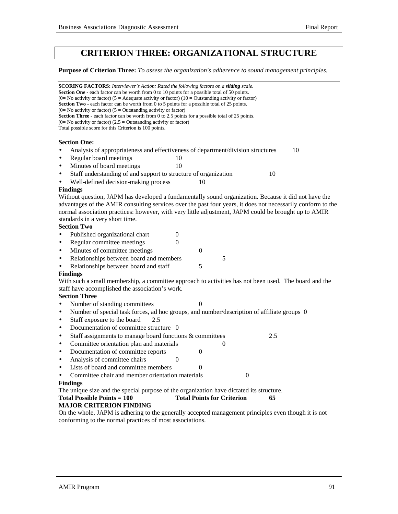# **CRITERION THREE: ORGANIZATIONAL STRUCTURE**

**Purpose of Criterion Three:** *To assess the organization's adherence to sound management principles.*

|           | <b>SCORING FACTORS:</b> Interviewer's Action: Rated the following factors on a sliding scale.<br><b>Section One</b> - each factor can be worth from 0 to 10 points for a possible total of 50 points.<br>(0= No activity or factor) (5 = Adequate activity or factor) (10 = Outstanding activity or factor) |                  |  |
|-----------|-------------------------------------------------------------------------------------------------------------------------------------------------------------------------------------------------------------------------------------------------------------------------------------------------------------|------------------|--|
|           | <b>Section Two</b> - each factor can be worth from 0 to 5 points for a possible total of 25 points.<br>(0= No activity or factor) ( $5 =$ Outstanding activity or factor)                                                                                                                                   |                  |  |
|           | Section Three - each factor can be worth from 0 to 2.5 points for a possible total of 25 points.                                                                                                                                                                                                            |                  |  |
|           | $(0=$ No activity or factor) $(2.5 =$ Outstanding activity or factor)                                                                                                                                                                                                                                       |                  |  |
|           | Total possible score for this Criterion is 100 points.                                                                                                                                                                                                                                                      |                  |  |
|           | <b>Section One:</b>                                                                                                                                                                                                                                                                                         |                  |  |
| $\bullet$ | Analysis of appropriateness and effectiveness of department/division structures                                                                                                                                                                                                                             | 10               |  |
| $\bullet$ | Regular board meetings<br>10                                                                                                                                                                                                                                                                                |                  |  |
| $\bullet$ | Minutes of board meetings<br>10                                                                                                                                                                                                                                                                             |                  |  |
| $\bullet$ | Staff understanding of and support to structure of organization                                                                                                                                                                                                                                             | 10               |  |
| $\bullet$ | Well-defined decision-making process<br>10                                                                                                                                                                                                                                                                  |                  |  |
|           | <b>Findings</b>                                                                                                                                                                                                                                                                                             |                  |  |
|           | Without question, JAPM has developed a fundamentally sound organization. Because it did not have the                                                                                                                                                                                                        |                  |  |
|           | advantages of the AMIR consulting services over the past four years, it does not necessarily conform to the                                                                                                                                                                                                 |                  |  |
|           | normal association practices: however, with very little adjustment, JAPM could be brought up to AMIR                                                                                                                                                                                                        |                  |  |
|           | standards in a very short time.                                                                                                                                                                                                                                                                             |                  |  |
|           | <b>Section Two</b>                                                                                                                                                                                                                                                                                          |                  |  |
| $\bullet$ | Published organizational chart<br>$\mathbf{0}$                                                                                                                                                                                                                                                              |                  |  |
| ٠         | Regular committee meetings<br>$\theta$                                                                                                                                                                                                                                                                      |                  |  |
| $\bullet$ | Minutes of committee meetings<br>$\boldsymbol{0}$                                                                                                                                                                                                                                                           |                  |  |
| $\bullet$ | 5<br>Relationships between board and members                                                                                                                                                                                                                                                                |                  |  |
| $\bullet$ | 5<br>Relationships between board and staff                                                                                                                                                                                                                                                                  |                  |  |
|           | <b>Findings</b>                                                                                                                                                                                                                                                                                             |                  |  |
|           | With such a small membership, a committee approach to activities has not been used. The board and the                                                                                                                                                                                                       |                  |  |
|           | staff have accomplished the association's work.                                                                                                                                                                                                                                                             |                  |  |
|           | <b>Section Three</b>                                                                                                                                                                                                                                                                                        |                  |  |
| $\bullet$ | Number of standing committees<br>0                                                                                                                                                                                                                                                                          |                  |  |
| $\bullet$ | Number of special task forces, ad hoc groups, and number/description of affiliate groups 0                                                                                                                                                                                                                  |                  |  |
| $\bullet$ | Staff exposure to the board<br>2.5                                                                                                                                                                                                                                                                          |                  |  |
| $\bullet$ | Documentation of committee structure 0                                                                                                                                                                                                                                                                      |                  |  |
| $\bullet$ | Staff assignments to manage board functions & committees                                                                                                                                                                                                                                                    | 2.5              |  |
| ٠         | Committee orientation plan and materials<br>0                                                                                                                                                                                                                                                               |                  |  |
| $\bullet$ | Documentation of committee reports<br>$\mathbf{0}$                                                                                                                                                                                                                                                          |                  |  |
| $\bullet$ | Analysis of committee chairs<br>$\overline{0}$                                                                                                                                                                                                                                                              |                  |  |
| $\bullet$ | Lists of board and committee members<br>$\boldsymbol{0}$                                                                                                                                                                                                                                                    |                  |  |
|           | Committee chair and member orientation materials                                                                                                                                                                                                                                                            | $\boldsymbol{0}$ |  |
|           | <b>Findings</b>                                                                                                                                                                                                                                                                                             |                  |  |
|           | The unique size and the special purpose of the organization have dictated its structure.                                                                                                                                                                                                                    |                  |  |
|           | <b>Total Points for Criterion</b><br><b>Total Possible Points = 100</b>                                                                                                                                                                                                                                     | 65               |  |
|           | <b>MAJOR CRITERION FINDING</b>                                                                                                                                                                                                                                                                              |                  |  |
|           | On the whole, JAPM is adhering to the generally accepted management principles even though it is not                                                                                                                                                                                                        |                  |  |
|           | conforming to the normal practices of most associations.                                                                                                                                                                                                                                                    |                  |  |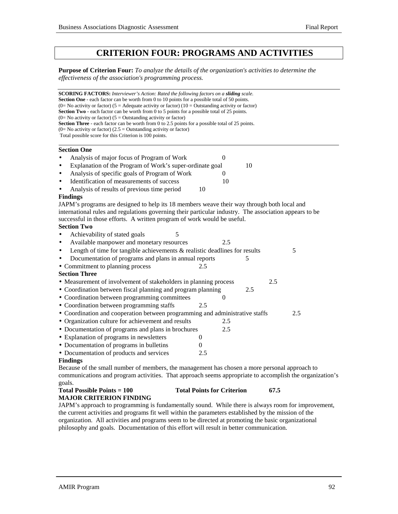# **CRITERION FOUR: PROGRAMS AND ACTIVITIES**

**Purpose of Criterion Four:** *To analyze the details of the organization's activities to determine the effectiveness of the association's programming process.*

| <b>SCORING FACTORS:</b> Interviewer's Action: Rated the following factors on a sliding scale.                                                                       |                |              |     |     |     |
|---------------------------------------------------------------------------------------------------------------------------------------------------------------------|----------------|--------------|-----|-----|-----|
| <b>Section One</b> - each factor can be worth from 0 to 10 points for a possible total of 50 points.                                                                |                |              |     |     |     |
| (0= No activity or factor) (5 = Adequate activity or factor) (10 = Outstanding activity or factor)                                                                  |                |              |     |     |     |
| Section Two - each factor can be worth from 0 to 5 points for a possible total of 25 points.<br>$(0=$ No activity or factor) $(5 =$ Outstanding activity or factor) |                |              |     |     |     |
| Section Three - each factor can be worth from 0 to 2.5 points for a possible total of 25 points.                                                                    |                |              |     |     |     |
| $(0=$ No activity or factor) $(2.5 =$ Outstanding activity or factor)                                                                                               |                |              |     |     |     |
| Total possible score for this Criterion is 100 points.                                                                                                              |                |              |     |     |     |
| <b>Section One</b>                                                                                                                                                  |                |              |     |     |     |
| Analysis of major focus of Program of Work<br>$\bullet$                                                                                                             |                | $\mathbf{0}$ |     |     |     |
| Explanation of the Program of Work's super-ordinate goal<br>$\bullet$                                                                                               |                |              | 10  |     |     |
| Analysis of specific goals of Program of Work<br>$\bullet$                                                                                                          |                | $\Omega$     |     |     |     |
| Identification of measurements of success<br>$\bullet$                                                                                                              |                | 10           |     |     |     |
| Analysis of results of previous time period                                                                                                                         | 10             |              |     |     |     |
| <b>Findings</b>                                                                                                                                                     |                |              |     |     |     |
| JAPM's programs are designed to help its 18 members weave their way through both local and                                                                          |                |              |     |     |     |
| international rules and regulations governing their particular industry. The association appears to be                                                              |                |              |     |     |     |
| successful in those efforts. A written program of work would be useful.                                                                                             |                |              |     |     |     |
| <b>Section Two</b>                                                                                                                                                  |                |              |     |     |     |
| Achievability of stated goals<br>5                                                                                                                                  |                |              |     |     |     |
| Available manpower and monetary resources<br>$\bullet$                                                                                                              |                | 2.5          |     |     |     |
| Length of time for tangible achievements & realistic deadlines for results<br>$\bullet$                                                                             |                |              |     |     | 5   |
| Documentation of programs and plans in annual reports                                                                                                               |                |              | 5   |     |     |
| • Commitment to planning process                                                                                                                                    | 2.5            |              |     |     |     |
| <b>Section Three</b>                                                                                                                                                |                |              |     |     |     |
| • Measurement of involvement of stakeholders in planning process                                                                                                    |                |              |     | 2.5 |     |
| • Coordination between fiscal planning and program planning                                                                                                         |                |              | 2.5 |     |     |
| • Coordination between programming committees                                                                                                                       |                | 0            |     |     |     |
| • Coordination between programming staffs                                                                                                                           | 2.5            |              |     |     |     |
| • Coordination and cooperation between programming and administrative staffs                                                                                        |                |              |     |     | 2.5 |
| • Organization culture for achievement and results                                                                                                                  |                | 2.5          |     |     |     |
| • Documentation of programs and plans in brochures                                                                                                                  |                | 2.5          |     |     |     |
| • Explanation of programs in newsletters                                                                                                                            | 0              |              |     |     |     |
| • Documentation of programs in bulletins                                                                                                                            | $\overline{0}$ |              |     |     |     |
| • Documentation of products and services                                                                                                                            | 2.5            |              |     |     |     |
| <b>Findings</b>                                                                                                                                                     |                |              |     |     |     |
| Because of the small number of members, the management has chosen a more personal approach to<br>$\mathbf{r}$ , and $\mathbf{r}$ , and $\mathbf{r}$                 |                |              |     |     |     |
|                                                                                                                                                                     | $\sim$ 1       |              |     |     |     |

communications and program activities. That approach seems appropriate to accomplish the organization's goals.

#### Total Possible Points = 100 Total Points for Criterion 67.5 **MAJOR CRITERION FINDING**

JAPM's approach to programming is fundamentally sound. While there is always room for improvement, the current activities and programs fit well within the parameters established by the mission of the organization. All activities and programs seem to be directed at promoting the basic organizational philosophy and goals. Documentation of this effort will result in better communication.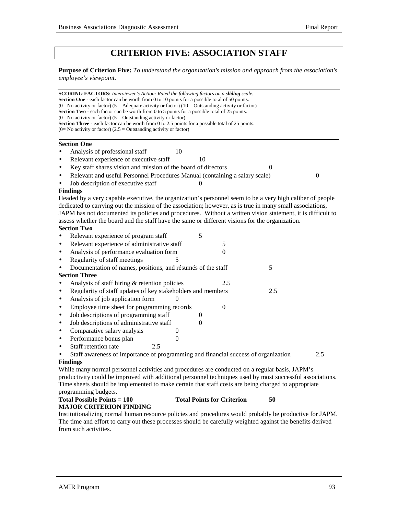# **CRITERION FIVE: ASSOCIATION STAFF**

**Purpose of Criterion Five:** *To understand the organization's mission and approach from the association's employee's viewpoint.*

**SCORING FACTORS:** *Interviewer's Action: Rated the following factors on a sliding scale.* **Section One** - each factor can be worth from 0 to 10 points for a possible total of 50 points. (0= No activity or factor) (5 = Adequate activity or factor) (10 = Outstanding activity or factor) **Section Two** - each factor can be worth from 0 to 5 points for a possible total of 25 points. (0= No activity or factor) ( $5 =$  Outstanding activity or factor) **Section Three** - each factor can be worth from 0 to 2.5 points for a possible total of 25 points.  $(0=$  No activity or factor)  $(2.5 =$  Outstanding activity or factor)  **Section One** Analysis of professional staff 10 Relevant experience of executive staff 10 Key staff shares vision and mission of the board of directors 0 • Relevant and useful Personnel Procedures Manual (containing a salary scale) 0 Job description of executive staff 0 **Findings** Headed by a very capable executive, the organization's personnel seem to be a very high caliber of people dedicated to carrying out the mission of the association; however, as is true in many small associations, JAPM has not documented its policies and procedures. Without a written vision statement, it is difficult to assess whether the board and the staff have the same or different visions for the organization. **Section Two** • Relevant experience of program staff 5 • Relevant experience of administrative staff 5 Analysis of performance evaluation form 0 • Regularity of staff meetings 5 Documentation of names, positions, and résumés of the staff 5 **Section Three** Analysis of staff hiring & retention policies 2.5 • Regularity of staff updates of key stakeholders and members 2.5 • Analysis of job application form 0 • Employee time sheet for programming records 0 • Job descriptions of programming staff  $\qquad \qquad 0$ • Job descriptions of administrative staff  $\qquad \qquad 0$ • Comparative salary analysis  $\qquad \qquad 0$ • Performance bonus plan 0 Staff retention rate 2.5 • Staff awareness of importance of programming and financial success of organization 2.5 **Findings** While many normal personnel activities and procedures are conducted on a regular basis, JAPM's productivity could be improved with additional personnel techniques used by most successful associations. Time sheets should be implemented to make certain that staff costs are being charged to appropriate programming budgets.

#### **Total Possible Points = 100 Total Points for Criterion 50 MAJOR CRITERION FINDING**

Institutionalizing normal human resource policies and procedures would probably be productive for JAPM. The time and effort to carry out these processes should be carefully weighted against the benefits derived from such activities.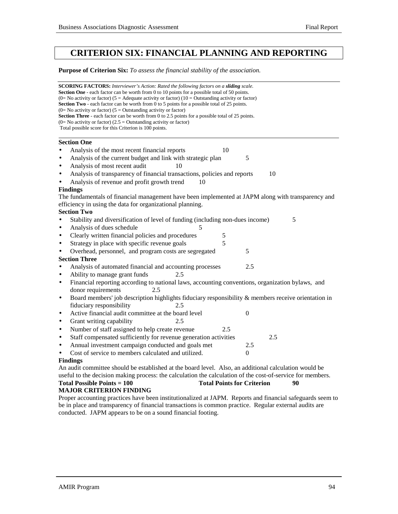# **CRITERION SIX: FINANCIAL PLANNING AND REPORTING**

**Purpose of Criterion Six:** *To assess the financial stability of the association.*

| <b>SCORING FACTORS:</b> Interviewer's Action: Rated the following factors on a <b>sliding</b> scale.<br><b>Section One</b> - each factor can be worth from 0 to 10 points for a possible total of 50 points.<br>(0= No activity or factor) (5 = Adequate activity or factor) (10 = Outstanding activity or factor)<br><b>Section Two</b> - each factor can be worth from 0 to 5 points for a possible total of 25 points.<br>$(0=$ No activity or factor) $(5 =$ Outstanding activity or factor)<br>Section Three - each factor can be worth from 0 to 2.5 points for a possible total of 25 points.<br>$(0=$ No activity or factor) $(2.5 =$ Outstanding activity or factor)<br>Total possible score for this Criterion is 100 points. |
|-----------------------------------------------------------------------------------------------------------------------------------------------------------------------------------------------------------------------------------------------------------------------------------------------------------------------------------------------------------------------------------------------------------------------------------------------------------------------------------------------------------------------------------------------------------------------------------------------------------------------------------------------------------------------------------------------------------------------------------------|
| <b>Section One</b>                                                                                                                                                                                                                                                                                                                                                                                                                                                                                                                                                                                                                                                                                                                      |
| Analysis of the most recent financial reports<br>10                                                                                                                                                                                                                                                                                                                                                                                                                                                                                                                                                                                                                                                                                     |
| Analysis of the current budget and link with strategic plan<br>5<br>$\bullet$                                                                                                                                                                                                                                                                                                                                                                                                                                                                                                                                                                                                                                                           |
| Analysis of most recent audit<br>10<br>$\bullet$                                                                                                                                                                                                                                                                                                                                                                                                                                                                                                                                                                                                                                                                                        |
| Analysis of transparency of financial transactions, policies and reports<br>10<br>$\bullet$                                                                                                                                                                                                                                                                                                                                                                                                                                                                                                                                                                                                                                             |
| Analysis of revenue and profit growth trend<br>10                                                                                                                                                                                                                                                                                                                                                                                                                                                                                                                                                                                                                                                                                       |
| <b>Findings</b>                                                                                                                                                                                                                                                                                                                                                                                                                                                                                                                                                                                                                                                                                                                         |
| The fundamentals of financial management have been implemented at JAPM along with transparency and                                                                                                                                                                                                                                                                                                                                                                                                                                                                                                                                                                                                                                      |
| efficiency in using the data for organizational planning.                                                                                                                                                                                                                                                                                                                                                                                                                                                                                                                                                                                                                                                                               |
| <b>Section Two</b>                                                                                                                                                                                                                                                                                                                                                                                                                                                                                                                                                                                                                                                                                                                      |
| Stability and diversification of level of funding (including non-dues income)<br>5                                                                                                                                                                                                                                                                                                                                                                                                                                                                                                                                                                                                                                                      |
| Analysis of dues schedule<br>5<br>$\bullet$                                                                                                                                                                                                                                                                                                                                                                                                                                                                                                                                                                                                                                                                                             |
| Clearly written financial policies and procedures<br>5<br>$\bullet$                                                                                                                                                                                                                                                                                                                                                                                                                                                                                                                                                                                                                                                                     |
| 5<br>Strategy in place with specific revenue goals<br>$\bullet$                                                                                                                                                                                                                                                                                                                                                                                                                                                                                                                                                                                                                                                                         |
| Overhead, personnel, and program costs are segregated<br>5<br>$\bullet$                                                                                                                                                                                                                                                                                                                                                                                                                                                                                                                                                                                                                                                                 |
| <b>Section Three</b>                                                                                                                                                                                                                                                                                                                                                                                                                                                                                                                                                                                                                                                                                                                    |
| Analysis of automated financial and accounting processes<br>2.5<br>$\bullet$                                                                                                                                                                                                                                                                                                                                                                                                                                                                                                                                                                                                                                                            |
| Ability to manage grant funds<br>2.5<br>$\bullet$                                                                                                                                                                                                                                                                                                                                                                                                                                                                                                                                                                                                                                                                                       |
| Financial reporting according to national laws, accounting conventions, organization bylaws, and<br>$\bullet$<br>donor requirements<br>2.5                                                                                                                                                                                                                                                                                                                                                                                                                                                                                                                                                                                              |
| Board members' job description highlights fiduciary responsibility & members receive orientation in<br>$\bullet$                                                                                                                                                                                                                                                                                                                                                                                                                                                                                                                                                                                                                        |
| fiduciary responsibility<br>2.5                                                                                                                                                                                                                                                                                                                                                                                                                                                                                                                                                                                                                                                                                                         |
| Active financial audit committee at the board level<br>$\overline{0}$<br>$\bullet$                                                                                                                                                                                                                                                                                                                                                                                                                                                                                                                                                                                                                                                      |
| Grant writing capability<br>2.5<br>$\bullet$                                                                                                                                                                                                                                                                                                                                                                                                                                                                                                                                                                                                                                                                                            |
| Number of staff assigned to help create revenue<br>2.5<br>$\bullet$                                                                                                                                                                                                                                                                                                                                                                                                                                                                                                                                                                                                                                                                     |
| Staff compensated sufficiently for revenue generation activities<br>2.5<br>$\bullet$                                                                                                                                                                                                                                                                                                                                                                                                                                                                                                                                                                                                                                                    |
| Annual investment campaign conducted and goals met<br>2.5<br>$\bullet$                                                                                                                                                                                                                                                                                                                                                                                                                                                                                                                                                                                                                                                                  |
| Cost of service to members calculated and utilized.<br>$\mathbf{0}$                                                                                                                                                                                                                                                                                                                                                                                                                                                                                                                                                                                                                                                                     |
| <b>Findings</b>                                                                                                                                                                                                                                                                                                                                                                                                                                                                                                                                                                                                                                                                                                                         |
| An audit committee should be established at the board level. Also, an additional calculation would be                                                                                                                                                                                                                                                                                                                                                                                                                                                                                                                                                                                                                                   |
| useful to the decision making process: the calculation the calculation of the cost-of-service for members.                                                                                                                                                                                                                                                                                                                                                                                                                                                                                                                                                                                                                              |
| Total Possible Points $= 100$<br><b>Total Points for Criterion</b><br>90                                                                                                                                                                                                                                                                                                                                                                                                                                                                                                                                                                                                                                                                |
| <b>MAJOR CRITERION FINDING</b>                                                                                                                                                                                                                                                                                                                                                                                                                                                                                                                                                                                                                                                                                                          |
| Proper accounting practices have been institutionalized at JAPM. Reports and financial safeguards seem to                                                                                                                                                                                                                                                                                                                                                                                                                                                                                                                                                                                                                               |

be in place and transparency of financial transactions is common practice. Regular external audits are conducted. JAPM appears to be on a sound financial footing.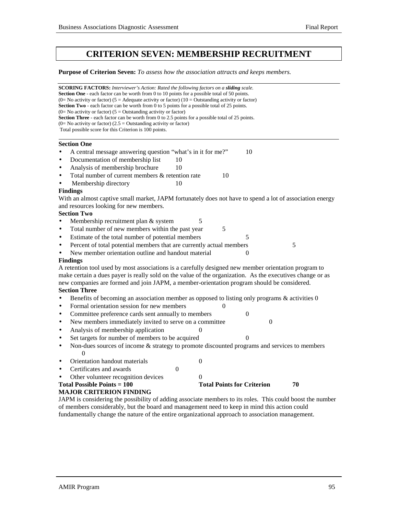# **CRITERION SEVEN: MEMBERSHIP RECRUITMENT**

**Purpose of Criterion Seven:** *To assess how the association attracts and keeps members.*

|           | <b>SCORING FACTORS:</b> Interviewer's Action: Rated the following factors on a <b>sliding</b> scale.<br><b>Section One</b> - each factor can be worth from 0 to 10 points for a possible total of 50 points.<br>(0= No activity or factor) (5 = Adequate activity or factor) (10 = Outstanding activity or factor) |  |  |  |  |
|-----------|--------------------------------------------------------------------------------------------------------------------------------------------------------------------------------------------------------------------------------------------------------------------------------------------------------------------|--|--|--|--|
|           | <b>Section Two</b> - each factor can be worth from 0 to 5 points for a possible total of 25 points.                                                                                                                                                                                                                |  |  |  |  |
|           | $(0=$ No activity or factor) $(5=$ Outstanding activity or factor)                                                                                                                                                                                                                                                 |  |  |  |  |
|           | <b>Section Three</b> - each factor can be worth from 0 to 2.5 points for a possible total of 25 points.                                                                                                                                                                                                            |  |  |  |  |
|           | $(0=$ No activity or factor) $(2.5 =$ Outstanding activity or factor)<br>Total possible score for this Criterion is 100 points.                                                                                                                                                                                    |  |  |  |  |
|           |                                                                                                                                                                                                                                                                                                                    |  |  |  |  |
|           | <b>Section One</b>                                                                                                                                                                                                                                                                                                 |  |  |  |  |
|           | 10<br>A central message answering question "what's in it for me?"                                                                                                                                                                                                                                                  |  |  |  |  |
| $\bullet$ | Documentation of membership list<br>10                                                                                                                                                                                                                                                                             |  |  |  |  |
| $\bullet$ | Analysis of membership brochure<br>10                                                                                                                                                                                                                                                                              |  |  |  |  |
| $\bullet$ | Total number of current members & retention rate<br>10                                                                                                                                                                                                                                                             |  |  |  |  |
| $\bullet$ | Membership directory<br>10                                                                                                                                                                                                                                                                                         |  |  |  |  |
|           | <b>Findings</b>                                                                                                                                                                                                                                                                                                    |  |  |  |  |
|           | With an almost captive small market, JAPM fortunately does not have to spend a lot of association energy                                                                                                                                                                                                           |  |  |  |  |
|           | and resources looking for new members.                                                                                                                                                                                                                                                                             |  |  |  |  |
|           | <b>Section Two</b>                                                                                                                                                                                                                                                                                                 |  |  |  |  |
| $\bullet$ | Membership recruitment plan & system<br>5                                                                                                                                                                                                                                                                          |  |  |  |  |
| $\bullet$ | Total number of new members within the past year<br>$\mathfrak{S}$                                                                                                                                                                                                                                                 |  |  |  |  |
| $\bullet$ | Estimate of the total number of potential members<br>5                                                                                                                                                                                                                                                             |  |  |  |  |
| $\bullet$ | Percent of total potential members that are currently actual members<br>5                                                                                                                                                                                                                                          |  |  |  |  |
|           | New member orientation outline and handout material<br>$\theta$                                                                                                                                                                                                                                                    |  |  |  |  |
|           | <b>Findings</b>                                                                                                                                                                                                                                                                                                    |  |  |  |  |
|           | A retention tool used by most associations is a carefully designed new member orientation program to                                                                                                                                                                                                               |  |  |  |  |
|           | make certain a dues payer is really sold on the value of the organization. As the executives change or as                                                                                                                                                                                                          |  |  |  |  |
|           | new companies are formed and join JAPM, a member-orientation program should be considered.                                                                                                                                                                                                                         |  |  |  |  |
|           | <b>Section Three</b>                                                                                                                                                                                                                                                                                               |  |  |  |  |
| $\bullet$ | Benefits of becoming an association member as opposed to listing only programs $\&$ activities $0$                                                                                                                                                                                                                 |  |  |  |  |
| $\bullet$ | Formal orientation session for new members<br>$\Omega$                                                                                                                                                                                                                                                             |  |  |  |  |
| $\bullet$ | Committee preference cards sent annually to members<br>0                                                                                                                                                                                                                                                           |  |  |  |  |
| $\bullet$ | New members immediately invited to serve on a committee<br>$\overline{0}$                                                                                                                                                                                                                                          |  |  |  |  |
| $\bullet$ | Analysis of membership application<br>0                                                                                                                                                                                                                                                                            |  |  |  |  |
| $\bullet$ | Set targets for number of members to be acquired<br>$\Omega$                                                                                                                                                                                                                                                       |  |  |  |  |
| $\bullet$ | Non-dues sources of income & strategy to promote discounted programs and services to members                                                                                                                                                                                                                       |  |  |  |  |
|           | $\Omega$                                                                                                                                                                                                                                                                                                           |  |  |  |  |
| ٠         | Orientation handout materials<br>0                                                                                                                                                                                                                                                                                 |  |  |  |  |
| $\bullet$ | Certificates and awards<br>$\boldsymbol{0}$                                                                                                                                                                                                                                                                        |  |  |  |  |
|           | Other volunteer recognition devices<br>0                                                                                                                                                                                                                                                                           |  |  |  |  |
|           | <b>Total Possible Points = 100</b><br><b>Total Points for Criterion</b><br>70                                                                                                                                                                                                                                      |  |  |  |  |
|           | <b>MAJOR CRITERION FINDING</b>                                                                                                                                                                                                                                                                                     |  |  |  |  |
|           | JAPM is considering the possibility of adding associate members to its roles. This could boost the number                                                                                                                                                                                                          |  |  |  |  |
|           | of members considerably, but the board and management need to keep in mind this action could                                                                                                                                                                                                                       |  |  |  |  |

fundamentally change the nature of the entire organizational approach to association management.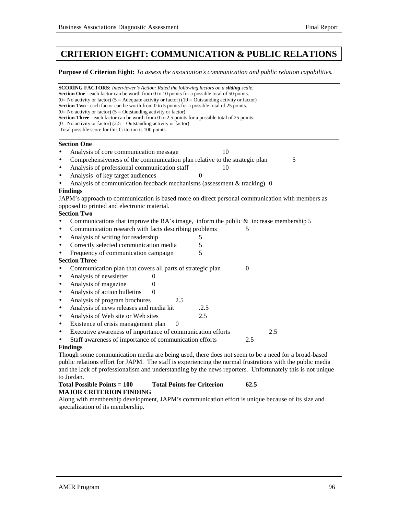# **CRITERION EIGHT: COMMUNICATION & PUBLIC RELATIONS**

**Purpose of Criterion Eight:** *To assess the association's communication and public relation capabilities.*

| <b>SCORING FACTORS:</b> Interviewer's Action: Rated the following factors on a sliding scale.<br><b>Section One</b> - each factor can be worth from 0 to 10 points for a possible total of 50 points.<br>(0= No activity or factor) (5 = Adequate activity or factor) (10 = Outstanding activity or factor)<br><b>Section Two</b> - each factor can be worth from 0 to 5 points for a possible total of 25 points.<br>$(0=$ No activity or factor) $(5=$ Outstanding activity or factor)<br>Section Three - each factor can be worth from 0 to 2.5 points for a possible total of 25 points.<br>(0= No activity or factor) (2.5 = Outstanding activity or factor)<br>Total possible score for this Criterion is 100 points. |                  |  |  |  |
|-----------------------------------------------------------------------------------------------------------------------------------------------------------------------------------------------------------------------------------------------------------------------------------------------------------------------------------------------------------------------------------------------------------------------------------------------------------------------------------------------------------------------------------------------------------------------------------------------------------------------------------------------------------------------------------------------------------------------------|------------------|--|--|--|
| <b>Section One</b>                                                                                                                                                                                                                                                                                                                                                                                                                                                                                                                                                                                                                                                                                                          |                  |  |  |  |
| Analysis of core communication message                                                                                                                                                                                                                                                                                                                                                                                                                                                                                                                                                                                                                                                                                      | 10               |  |  |  |
| Comprehensiveness of the communication plan relative to the strategic plan<br>$\bullet$                                                                                                                                                                                                                                                                                                                                                                                                                                                                                                                                                                                                                                     | 5                |  |  |  |
| Analysis of professional communication staff<br>$\bullet$                                                                                                                                                                                                                                                                                                                                                                                                                                                                                                                                                                                                                                                                   | 10               |  |  |  |
| Analysis of key target audiences<br>$\bullet$                                                                                                                                                                                                                                                                                                                                                                                                                                                                                                                                                                                                                                                                               | $\Omega$         |  |  |  |
| Analysis of communication feedback mechanisms (assessment $&$ tracking) 0                                                                                                                                                                                                                                                                                                                                                                                                                                                                                                                                                                                                                                                   |                  |  |  |  |
| <b>Findings</b>                                                                                                                                                                                                                                                                                                                                                                                                                                                                                                                                                                                                                                                                                                             |                  |  |  |  |
| JAPM's approach to communication is based more on direct personal communication with members as                                                                                                                                                                                                                                                                                                                                                                                                                                                                                                                                                                                                                             |                  |  |  |  |
| opposed to printed and electronic material.                                                                                                                                                                                                                                                                                                                                                                                                                                                                                                                                                                                                                                                                                 |                  |  |  |  |
| <b>Section Two</b>                                                                                                                                                                                                                                                                                                                                                                                                                                                                                                                                                                                                                                                                                                          |                  |  |  |  |
| Communications that improve the BA's image, inform the public $\&$ increase membership 5                                                                                                                                                                                                                                                                                                                                                                                                                                                                                                                                                                                                                                    |                  |  |  |  |
| Communication research with facts describing problems<br>$\bullet$                                                                                                                                                                                                                                                                                                                                                                                                                                                                                                                                                                                                                                                          | 5                |  |  |  |
| Analysis of writing for readership<br>٠                                                                                                                                                                                                                                                                                                                                                                                                                                                                                                                                                                                                                                                                                     | 5                |  |  |  |
| Correctly selected communication media<br>$\bullet$                                                                                                                                                                                                                                                                                                                                                                                                                                                                                                                                                                                                                                                                         | 5                |  |  |  |
| Frequency of communication campaign<br>$\bullet$                                                                                                                                                                                                                                                                                                                                                                                                                                                                                                                                                                                                                                                                            | 5                |  |  |  |
| <b>Section Three</b>                                                                                                                                                                                                                                                                                                                                                                                                                                                                                                                                                                                                                                                                                                        |                  |  |  |  |
| Communication plan that covers all parts of strategic plan<br>$\bullet$                                                                                                                                                                                                                                                                                                                                                                                                                                                                                                                                                                                                                                                     | $\boldsymbol{0}$ |  |  |  |
| Analysis of newsletter<br>$\theta$<br>$\bullet$                                                                                                                                                                                                                                                                                                                                                                                                                                                                                                                                                                                                                                                                             |                  |  |  |  |
| Analysis of magazine<br>$\theta$<br>$\bullet$                                                                                                                                                                                                                                                                                                                                                                                                                                                                                                                                                                                                                                                                               |                  |  |  |  |
| Analysis of action bulletins<br>$\theta$<br>$\bullet$                                                                                                                                                                                                                                                                                                                                                                                                                                                                                                                                                                                                                                                                       |                  |  |  |  |
| Analysis of program brochures<br>2.5<br>$\bullet$                                                                                                                                                                                                                                                                                                                                                                                                                                                                                                                                                                                                                                                                           |                  |  |  |  |
| Analysis of news releases and media kit<br>$\bullet$                                                                                                                                                                                                                                                                                                                                                                                                                                                                                                                                                                                                                                                                        | .2.5             |  |  |  |
| Analysis of Web site or Web sites<br>$\bullet$                                                                                                                                                                                                                                                                                                                                                                                                                                                                                                                                                                                                                                                                              | 2.5              |  |  |  |
| Existence of crisis management plan<br>$\boldsymbol{0}$<br>$\bullet$                                                                                                                                                                                                                                                                                                                                                                                                                                                                                                                                                                                                                                                        |                  |  |  |  |
| Executive awareness of importance of communication efforts<br>$\bullet$                                                                                                                                                                                                                                                                                                                                                                                                                                                                                                                                                                                                                                                     | 2.5              |  |  |  |
| Staff awareness of importance of communication efforts<br>$\bullet$                                                                                                                                                                                                                                                                                                                                                                                                                                                                                                                                                                                                                                                         | 2.5              |  |  |  |
| <b>Findings</b>                                                                                                                                                                                                                                                                                                                                                                                                                                                                                                                                                                                                                                                                                                             |                  |  |  |  |
| Though some communication media are being used, there does not seem to be a need for a broad-based<br>public relations effort for LADM. The staff is experiencing the normal frustrations with the public media                                                                                                                                                                                                                                                                                                                                                                                                                                                                                                             |                  |  |  |  |

public relations effort for JAPM. The staff is experiencing the normal frustrations with the public media and the lack of professionalism and understanding by the news reporters. Unfortunately this is not unique to Jordan.

#### **Total Possible Points = 100 Total Points for Criterion 62.5 MAJOR CRITERION FINDING**

Along with membership development, JAPM's communication effort is unique because of its size and specialization of its membership.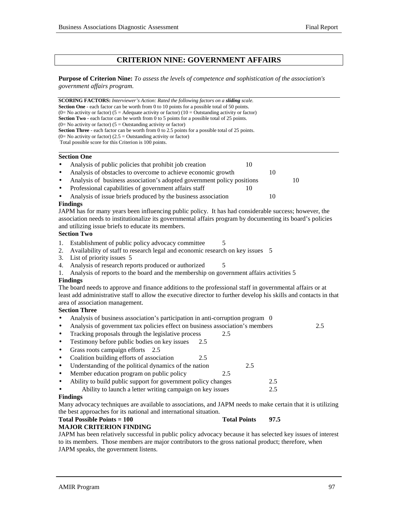### **CRITERION NINE: GOVERNMENT AFFAIRS**

**Purpose of Criterion Nine:** *To assess the levels of competence and sophistication of the association's government affairs program.*

**SCORING FACTORS:** *Interviewer's Action: Rated the following factors on a sliding scale.* **Section One** - each factor can be worth from 0 to 10 points for a possible total of 50 points.  $(0=$  No activity or factor)  $(5 =$  Adequate activity or factor)  $(10 =$  Outstanding activity or factor) **Section Two** - each factor can be worth from 0 to 5 points for a possible total of 25 points.  $(0=$  No activity or factor)  $(5 =$  Outstanding activity or factor) **Section Three** - each factor can be worth from 0 to 2.5 points for a possible total of 25 points.  $(0=$  No activity or factor)  $(2.5 =$  Outstanding activity or factor) Total possible score for this Criterion is 100 points. l

#### **Section One**

- Analysis of public policies that prohibit job creation 10
- Analysis of obstacles to overcome to achieve economic growth 10
- Analysis of business association's adopted government policy positions 10
- Professional capabilities of government affairs staff 10
- Analysis of issue briefs produced by the business association 10

#### **Findings**

JAPM has for many years been influencing public policy. It has had considerable success; however, the association needs to institutionalize its governmental affairs program by documenting its board's policies and utilizing issue briefs to educate its members.

#### **Section Two**

- 1. Establishment of public policy advocacy committee 5
- 2. Availability of staff to research legal and economic research on key issues 5
- 3. List of priority issues 5
- 4. Analysis of research reports produced or authorized  $\qquad 5$
- 1. Analysis of reports to the board and the membership on government affairs activities 5

#### **Findings**

The board needs to approve and finance additions to the professional staff in governmental affairs or at least add administrative staff to allow the executive director to further develop his skills and contacts in that area of association management.

#### **Section Three**

- Analysis of business association's participation in anti-corruption program 0
- Analysis of government tax policies effect on business association's members 2.5
- Tracking proposals through the legislative process 2.5
- Testimony before public bodies on key issues 2.5
- Grass roots campaign efforts 2.5
- Coalition building efforts of association 2.5
- Understanding of the political dynamics of the nation 2.5
- Member education program on public policy 2.5

| Ability to build public support for government policy changes | 2.5 |
|---------------------------------------------------------------|-----|
| Ability to launch a letter writing campaign on key issues     | 2.5 |

#### **Findings**

Many advocacy techniques are available to associations, and JAPM needs to make certain that it is utilizing the best approaches for its national and international situation.

#### **Total Possible Points = 100** Total Points 97.5

#### **MAJOR CRITERION FINDING**

JAPM has been relatively successful in public policy advocacy because it has selected key issues of interest to its members. Those members are major contributors to the gross national product; therefore, when JAPM speaks, the government listens.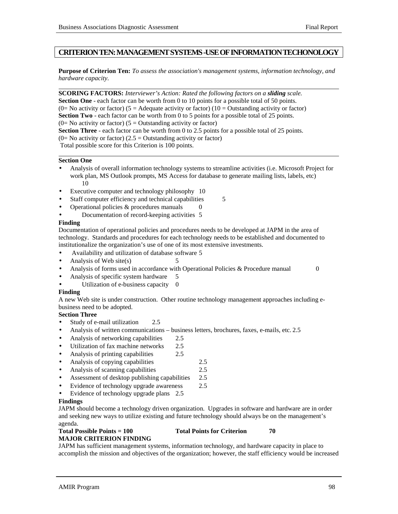### **CRITERION TEN: MANAGEMENT SYSTEMS -USE OF INFORMATION TECHONOLOGY**

**Purpose of Criterion Ten:** *To assess the association's management systems, information technology, and hardware capacity.*

**SCORING FACTORS:** *Interviewer's Action: Rated the following factors on a sliding scale.* **Section One** - each factor can be worth from 0 to 10 points for a possible total of 50 points. (0= No activity or factor) (5 = Adequate activity or factor) (10 = Outstanding activity or factor) **Section Two** - each factor can be worth from 0 to 5 points for a possible total of 25 points.  $(0=$  No activity or factor)  $(5=$  Outstanding activity or factor) **Section Three** - each factor can be worth from 0 to 2.5 points for a possible total of 25 points.  $(0=$  No activity or factor)  $(2.5 =$  Outstanding activity or factor) Total possible score for this Criterion is 100 points.

#### **Section One**

l

l

- Analysis of overall information technology systems to streamline activities (i.e. Microsoft Project for work plan, MS Outlook prompts, MS Access for database to generate mailing lists, labels, etc) 10
- Executive computer and technology philosophy 10
- Staff computer efficiency and technical capabilities 5
- Operational policies  $&$  procedures manuals  $\qquad 0$
- Documentation of record-keeping activities 5

#### **Finding**

Documentation of operational policies and procedures needs to be developed at JAPM in the area of technology. Standards and procedures for each technology needs to be established and documented to institutionalize the organization's use of one of its most extensive investments.

- Availability and utilization of database software 5
- Analysis of Web site(s) 5
- Analysis of forms used in accordance with Operational Policies & Procedure manual 0
	-
- Analysis of specific system hardware 5 Utilization of e-business capacity 0
- 

### **Finding**

A new Web site is under construction. Other routine technology management approaches including ebusiness need to be adopted.

### **Section Three**

- Study of e-mail utilization 2.5
- Analysis of written communications business letters, brochures, faxes, e-mails, etc. 2.5
- Analysis of networking capabilities 2.5
- Utilization of fax machine networks 2.5
- Analysis of printing capabilities 2.5
- Analysis of copying capabilities 2.5
- Analysis of scanning capabilities 2.5
- Assessment of desktop publishing capabilities 2.5
- Evidence of technology upgrade awareness 2.5
- Evidence of technology upgrade plans 2.5

### **Findings**

JAPM should become a technology driven organization. Upgrades in software and hardware are in order and seeking new ways to utilize existing and future technology should always be on the management's agenda.

#### Total Possible Points = 100 Total Points for Criterion 70 **MAJOR CRITERION FINDING**

JAPM has sufficient management systems, information technology, and hardware capacity in place to accomplish the mission and objectives of the organization; however, the staff efficiency would be increased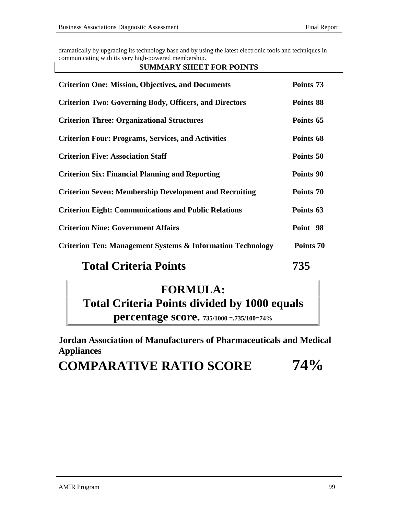dramatically by upgrading its technology base and by using the latest electronic tools and techniques in communicating with its very high-powered membership.

#### **SUMMARY SHEET FOR POINTS**

| <b>Criterion One: Mission, Objectives, and Documents</b>              | Points 73 |
|-----------------------------------------------------------------------|-----------|
| <b>Criterion Two: Governing Body, Officers, and Directors</b>         | Points 88 |
| <b>Criterion Three: Organizational Structures</b>                     | Points 65 |
| <b>Criterion Four: Programs, Services, and Activities</b>             | Points 68 |
| <b>Criterion Five: Association Staff</b>                              | Points 50 |
| <b>Criterion Six: Financial Planning and Reporting</b>                | Points 90 |
| <b>Criterion Seven: Membership Development and Recruiting</b>         | Points 70 |
| <b>Criterion Eight: Communications and Public Relations</b>           | Points 63 |
| <b>Criterion Nine: Government Affairs</b>                             | Point 98  |
| <b>Criterion Ten: Management Systems &amp; Information Technology</b> | Points 70 |
|                                                                       |           |

# **Total Criteria Points 735**

# **FORMULA: Total Criteria Points divided by 1000 equals percentage score. 735/1000 =.735/100=74%**

**Jordan Association of Manufacturers of Pharmaceuticals and Medical**

**Appliances**

# **COMPARATIVE RATIO SCORE 74%**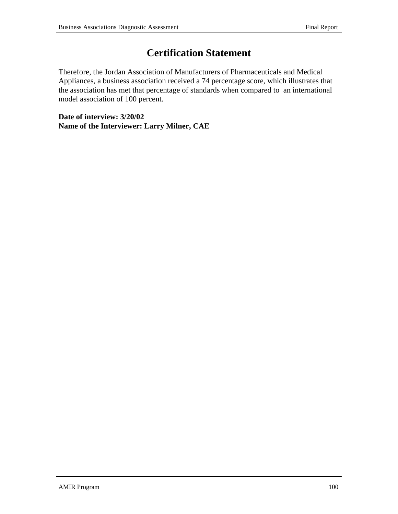# **Certification Statement**

Therefore, the Jordan Association of Manufacturers of Pharmaceuticals and Medical Appliances, a business association received a 74 percentage score, which illustrates that the association has met that percentage of standards when compared to an international model association of 100 percent.

**Date of interview: 3/20/02 Name of the Interviewer: Larry Milner, CAE**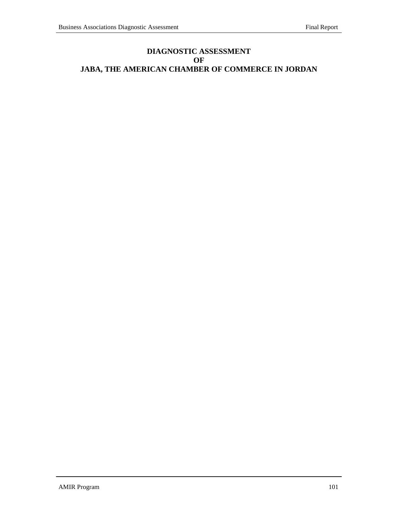# **DIAGNOSTIC ASSESSMENT OF JABA, THE AMERICAN CHAMBER OF COMMERCE IN JORDAN**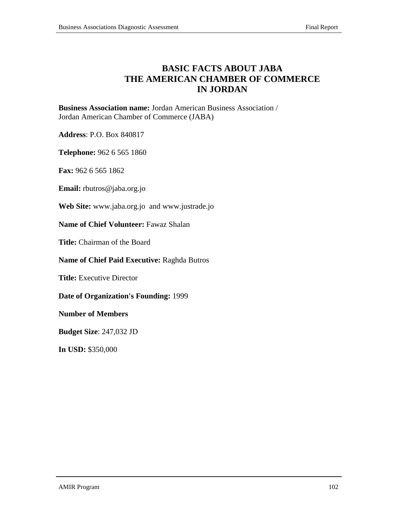# **BASIC FACTS ABOUT JABA THE AMERICAN CHAMBER OF COMMERCE IN JORDAN**

**Business Association name:** Jordan American Business Association / Jordan American Chamber of Commerce (JABA)

**Address**: P.O. Box 840817

**Telephone:** 962 6 565 1860

**Fax:** 962 6 565 1862

**Email:** rbutros@jaba.org.jo

**Web Site:** www.jaba.org.jo and www.justrade.jo

**Name of Chief Volunteer:** Fawaz Shalan

**Title:** Chairman of the Board

**Name of Chief Paid Executive:** Raghda Butros

**Title:** Executive Director

**Date of Organization's Founding:** 1999

**Number of Members**

**Budget Size**: 247,032 JD

**In USD:** \$350,000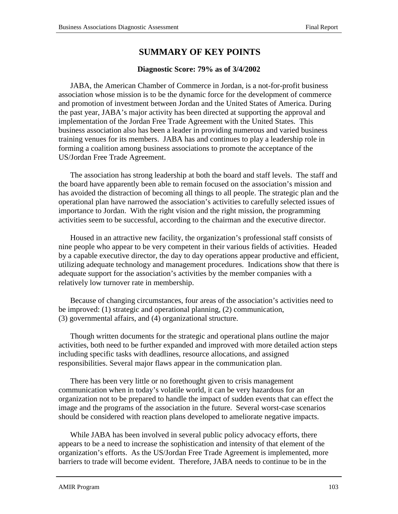# **SUMMARY OF KEY POINTS**

### **Diagnostic Score: 79% as of 3/4/2002**

JABA, the American Chamber of Commerce in Jordan, is a not-for-profit business association whose mission is to be the dynamic force for the development of commerce and promotion of investment between Jordan and the United States of America. During the past year, JABA's major activity has been directed at supporting the approval and implementation of the Jordan Free Trade Agreement with the United States. This business association also has been a leader in providing numerous and varied business training venues for its members.JABA has and continues to play a leadership role in forming a coalition among business associations to promote the acceptance of the US/Jordan Free Trade Agreement.

The association has strong leadership at both the board and staff levels. The staff and the board have apparently been able to remain focused on the association's mission and has avoided the distraction of becoming all things to all people. The strategic plan and the operational plan have narrowed the association's activities to carefully selected issues of importance to Jordan. With the right vision and the right mission, the programming activities seem to be successful, according to the chairman and the executive director.

Housed in an attractive new facility, the organization's professional staff consists of nine people who appear to be very competent in their various fields of activities. Headed by a capable executive director, the day to day operations appear productive and efficient, utilizing adequate technology and management procedures. Indications show that there is adequate support for the association's activities by the member companies with a relatively low turnover rate in membership.

Because of changing circumstances, four areas of the association's activities need to be improved: (1) strategic and operational planning, (2) communication, (3) governmental affairs, and (4) organizational structure.

Though written documents for the strategic and operational plans outline the major activities, both need to be further expanded and improved with more detailed action steps including specific tasks with deadlines, resource allocations, and assigned responsibilities. Several major flaws appear in the communication plan.

There has been very little or no forethought given to crisis management communication when in today's volatile world, it can be very hazardous for an organization not to be prepared to handle the impact of sudden events that can effect the image and the programs of the association in the future. Several worst-case scenarios should be considered with reaction plans developed to ameliorate negative impacts.

While JABA has been involved in several public policy advocacy efforts, there appears to be a need to increase the sophistication and intensity of that element of the organization's efforts. As the US/Jordan Free Trade Agreement is implemented, more barriers to trade will become evident. Therefore, JABA needs to continue to be in the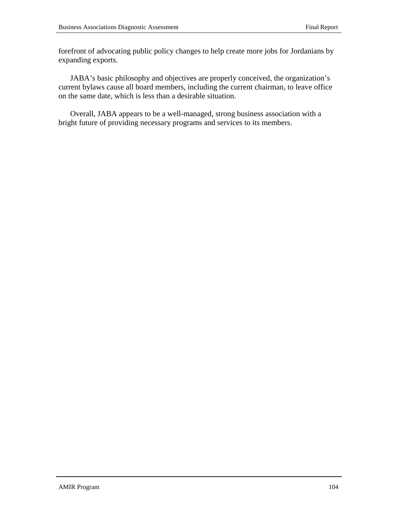forefront of advocating public policy changes to help create more jobs for Jordanians by expanding exports.

JABA's basic philosophy and objectives are properly conceived, the organization's current bylaws cause all board members, including the current chairman, to leave office on the same date, which is less than a desirable situation.

Overall, JABA appears to be a well-managed, strong business association with a bright future of providing necessary programs and services to its members.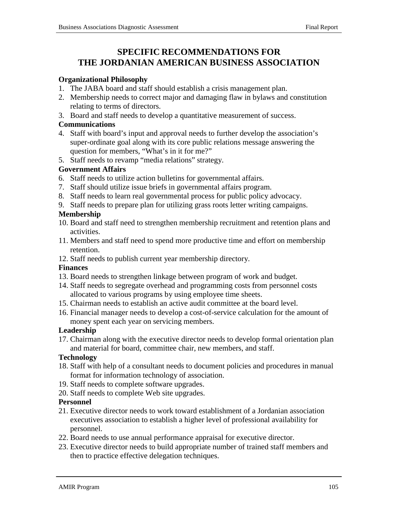# **SPECIFIC RECOMMENDATIONS FOR THE JORDANIAN AMERICAN BUSINESS ASSOCIATION**

### **Organizational Philosophy**

- 1. The JABA board and staff should establish a crisis management plan.
- 2. Membership needs to correct major and damaging flaw in bylaws and constitution relating to terms of directors.
- 3. Board and staff needs to develop a quantitative measurement of success.

### **Communications**

- 4. Staff with board's input and approval needs to further develop the association's super-ordinate goal along with its core public relations message answering the question for members, "What's in it for me?"
- 5. Staff needs to revamp "media relations" strategy.

### **Government Affairs**

- 6. Staff needs to utilize action bulletins for governmental affairs.
- 7. Staff should utilize issue briefs in governmental affairs program.
- 8. Staff needs to learn real governmental process for public policy advocacy.
- 9. Staff needs to prepare plan for utilizing grass roots letter writing campaigns.

# **Membership**

- 10. Board and staff need to strengthen membership recruitment and retention plans and activities.
- 11. Members and staff need to spend more productive time and effort on membership retention.
- 12. Staff needs to publish current year membership directory.

# **Finances**

- 13. Board needs to strengthen linkage between program of work and budget.
- 14. Staff needs to segregate overhead and programming costs from personnel costs allocated to various programs by using employee time sheets.
- 15. Chairman needs to establish an active audit committee at the board level.
- 16. Financial manager needs to develop a cost-of-service calculation for the amount of money spent each year on servicing members.

# **Leadership**

17. Chairman along with the executive director needs to develop formal orientation plan and material for board, committee chair, new members, and staff.

# **Technology**

- 18. Staff with help of a consultant needs to document policies and procedures in manual format for information technology of association.
- 19. Staff needs to complete software upgrades.
- 20. Staff needs to complete Web site upgrades.

# **Personnel**

- 21. Executive director needs to work toward establishment of a Jordanian association executives association to establish a higher level of professional availability for personnel.
- 22. Board needs to use annual performance appraisal for executive director.
- 23. Executive director needs to build appropriate number of trained staff members and then to practice effective delegation techniques.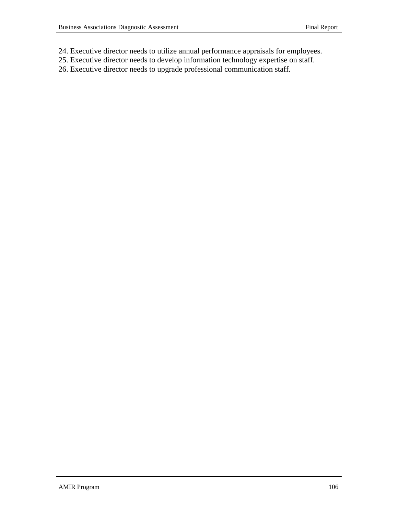- 24. Executive director needs to utilize annual performance appraisals for employees.
- 25. Executive director needs to develop information technology expertise on staff.
- 26. Executive director needs to upgrade professional communication staff.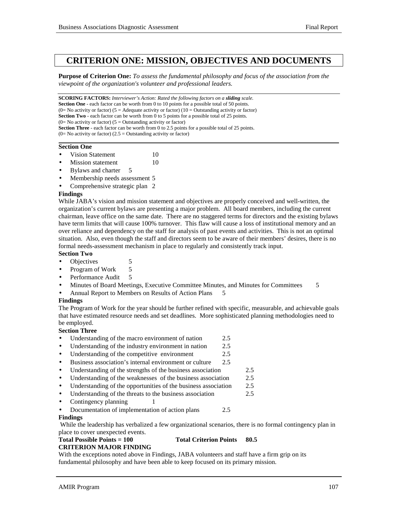## **CRITERION ONE: MISSION, OBJECTIVES AND DOCUMENTS**

**Purpose of Criterion One:** *To assess the fundamental philosophy and focus of the association from the viewpoint of the organization's volunteer and professional leaders.*

**SCORING FACTORS:** *Interviewer's Action: Rated the following factors on a sliding scale.* **Section One** - each factor can be worth from 0 to 10 points for a possible total of 50 points. (0= No activity or factor) (5 = Adequate activity or factor) (10 = Outstanding activity or factor) **Section Two** - each factor can be worth from 0 to 5 points for a possible total of 25 points.  $(0=$  No activity or factor)  $(5 =$  Outstanding activity or factor) **Section Three** - each factor can be worth from 0 to 2.5 points for a possible total of 25 points.  $(0=$  No activity or factor)  $(2.5 =$  Outstanding activity or factor) 

#### **Section One**

- Vision Statement 10
- **Mission statement** 10
- Bylaws and charter 5
- Membership needs assessment 5
- Comprehensive strategic plan 2

#### **Findings**

While JABA's vision and mission statement and objectives are properly conceived and well-written, the organization's current bylaws are presenting a major problem. All board members, including the current chairman, leave office on the same date. There are no staggered terms for directors and the existing bylaws have term limits that will cause 100% turnover. This flaw will cause a loss of institutional memory and an over reliance and dependency on the staff for analysis of past events and activities. This is not an optimal situation. Also, even though the staff and directors seem to be aware of their members' desires, there is no formal needs-assessment mechanism in place to regularly and consistently track input.

## **Section Two**

- Objectives 5
- Program of Work 5
- Performance Audit 5
- Minutes of Board Meetings, Executive Committee Minutes, and Minutes for Committees 5
- Annual Report to Members on Results of Action Plans 5

#### **Findings**

The Program of Work for the year should be further refined with specific, measurable, and achievable goals that have estimated resource needs and set deadlines. More sophisticated planning methodologies need to be employed.

#### **Section Three**

- Understanding of the macro environment of nation 2.5
- Understanding of the industry environment in nation 2.5
- Understanding of the competitive environment 2.5
- Business association's internal environment or culture 2.5
- Understanding of the strengths of the business association 2.5
- Understanding of the weaknesses of the business association 2.5
- Understanding of the opportunities of the business association 2.5
- Understanding of the threats to the business association 2.5
- Contingency planning 1
- Documentation of implementation of action plans 2.5

#### **Findings**

 While the leadership has verbalized a few organizational scenarios, there is no formal contingency plan in place to cover unexpected events.

# **Total Possible Points = 100 Total Criterion Points 80.5**

## **CRITERION MAJOR FINDING**

With the exceptions noted above in Findings, JABA volunteers and staff have a firm grip on its fundamental philosophy and have been able to keep focused on its primary mission.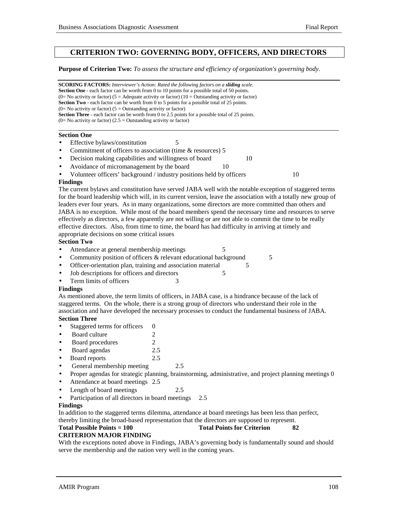## **CRITERION TWO: GOVERNING BODY, OFFICERS, AND DIRECTORS**

#### **Purpose of Criterion Two:** *To assess the structure and efficiency of organization's governing body.*

|                    |                                                                                                                                                                                                           | <b>SCORING FACTORS:</b> Interviewer's Action: Rated the following factors on a <b>sliding</b> scale.    |  |  |  |  |  |
|--------------------|-----------------------------------------------------------------------------------------------------------------------------------------------------------------------------------------------------------|---------------------------------------------------------------------------------------------------------|--|--|--|--|--|
|                    |                                                                                                                                                                                                           | <b>Section One</b> - each factor can be worth from 0 to 10 points for a possible total of 50 points.    |  |  |  |  |  |
|                    | (0= No activity or factor) (5 = Adequate activity or factor) (10 = Outstanding activity or factor)<br><b>Section Two</b> - each factor can be worth from 0 to 5 points for a possible total of 25 points. |                                                                                                         |  |  |  |  |  |
|                    |                                                                                                                                                                                                           |                                                                                                         |  |  |  |  |  |
|                    | (0= No activity or factor) ( $5 =$ Outstanding activity or factor)                                                                                                                                        |                                                                                                         |  |  |  |  |  |
|                    |                                                                                                                                                                                                           | <b>Section Three</b> - each factor can be worth from 0 to 2.5 points for a possible total of 25 points. |  |  |  |  |  |
|                    | $(0=$ No activity or factor) $(2.5 =$ Outstanding activity or factor)                                                                                                                                     |                                                                                                         |  |  |  |  |  |
| <b>Section One</b> |                                                                                                                                                                                                           |                                                                                                         |  |  |  |  |  |
| $\bullet$          | Effective bylaws/constitution                                                                                                                                                                             |                                                                                                         |  |  |  |  |  |

- Commitment of officers to association (time & resources) 5
- **Decision making capabilities and willingness of board** 10
- Avoidance of micromanagement by the board 10
- Volunteer officers' background / industry positions held by officers 10

#### **Findings**

The current bylaws and constitution have served JABA well with the notable exception of staggered terms for the board leadership which will, in its current version, leave the association with a totally new group of leaders ever four years. As in many organizations, some directors are more committed than others and JABA is no exception. While most of the board members spend the necessary time and resources to serve effectively as directors, a few apparently are not willing or are not able to commit the time to be really effective directors. Also, from time to time, the board has had difficulty in arriving at timely and appropriate decisions on some critical issues

#### **Section Two**

- Attendance at general membership meetings 5
- Community position of officers & relevant educational background 5
- Officer-orientation plan, training and association material 5
- Job descriptions for officers and directors 5
- Fram limits of officers 3

#### **Findings**

As mentioned above, the term limits of officers, in JABA case, is a hindrance because of the lack of staggered terms. On the whole, there is a strong group of directors who understand their role in the association and have developed the necessary processes to conduct the fundamental business of JABA.

#### **Section Three**

- Staggered terms for officers 0
- Board culture 2
- Board procedures 2
- Board agendas 2.5
- Board reports 2.5
- General membership meeting 2.5
- Proper agendas for strategic planning, brainstorming, administrative, and project planning meetings 0
- Attendance at board meetings 2.5
- Length of board meetings 2.5
- Participation of all directors in board meetings 2.5

## **Findings**

In addition to the staggered terms dilemma, attendance at board meetings has been less than perfect, thereby limiting the broad-based representation that the directors are supposed to represent.

#### **Total Possible Points = 100** Total Points for Criterion 82

## **CRITERION MAJOR FINDING**

With the exceptions noted above in Findings, JABA's governing body is fundamentally sound and should serve the membership and the nation very well in the coming years.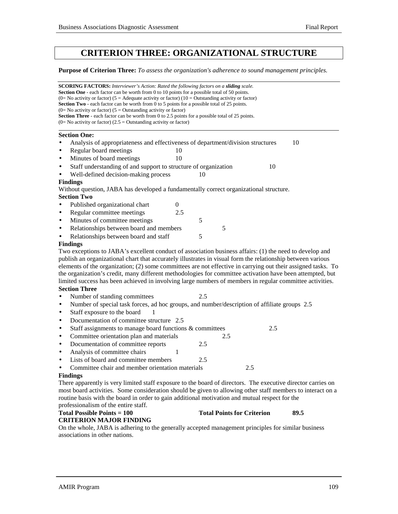## **CRITERION THREE: ORGANIZATIONAL STRUCTURE**

**Purpose of Criterion Three:** *To assess the organization's adherence to sound management principles.*

| SCORING FACTORS: Interviewer's Action: Rated the following factors on a sliding scale.<br><b>Section One</b> - each factor can be worth from 0 to 10 points for a possible total of 50 points.<br>(0= No activity or factor) (5 = Adequate activity or factor) (10 = Outstanding activity or factor)<br><b>Section Two</b> - each factor can be worth from 0 to 5 points for a possible total of 25 points. |                                                                                                              |
|-------------------------------------------------------------------------------------------------------------------------------------------------------------------------------------------------------------------------------------------------------------------------------------------------------------------------------------------------------------------------------------------------------------|--------------------------------------------------------------------------------------------------------------|
| $(0=$ No activity or factor) $(5 =$ Outstanding activity or factor)                                                                                                                                                                                                                                                                                                                                         |                                                                                                              |
| Section Three - each factor can be worth from 0 to 2.5 points for a possible total of 25 points.                                                                                                                                                                                                                                                                                                            |                                                                                                              |
| $(0=$ No activity or factor) (2.5 = Outstanding activity or factor)                                                                                                                                                                                                                                                                                                                                         |                                                                                                              |
| <b>Section One:</b>                                                                                                                                                                                                                                                                                                                                                                                         |                                                                                                              |
| Analysis of appropriateness and effectiveness of department/division structures<br>$\bullet$                                                                                                                                                                                                                                                                                                                | 10                                                                                                           |
| Regular board meetings<br>10<br>$\bullet$                                                                                                                                                                                                                                                                                                                                                                   |                                                                                                              |
| Minutes of board meetings<br>10<br>$\bullet$                                                                                                                                                                                                                                                                                                                                                                |                                                                                                              |
| Staff understanding of and support to structure of organization<br>$\bullet$                                                                                                                                                                                                                                                                                                                                | 10                                                                                                           |
| Well-defined decision-making process<br>$\bullet$                                                                                                                                                                                                                                                                                                                                                           | 10                                                                                                           |
| <b>Findings</b>                                                                                                                                                                                                                                                                                                                                                                                             |                                                                                                              |
| Without question, JABA has developed a fundamentally correct organizational structure.                                                                                                                                                                                                                                                                                                                      |                                                                                                              |
| <b>Section Two</b>                                                                                                                                                                                                                                                                                                                                                                                          |                                                                                                              |
| Published organizational chart<br>$\boldsymbol{0}$<br>$\bullet$                                                                                                                                                                                                                                                                                                                                             |                                                                                                              |
| Regular committee meetings<br>2.5<br>$\bullet$                                                                                                                                                                                                                                                                                                                                                              |                                                                                                              |
| Minutes of committee meetings<br>$\bullet$                                                                                                                                                                                                                                                                                                                                                                  | 5                                                                                                            |
| Relationships between board and members<br>$\bullet$                                                                                                                                                                                                                                                                                                                                                        | 5                                                                                                            |
| Relationships between board and staff<br>$\bullet$                                                                                                                                                                                                                                                                                                                                                          | 5                                                                                                            |
| <b>Findings</b>                                                                                                                                                                                                                                                                                                                                                                                             |                                                                                                              |
|                                                                                                                                                                                                                                                                                                                                                                                                             | Two exceptions to JABA's excellent conduct of association business affairs: (1) the need to develop and      |
|                                                                                                                                                                                                                                                                                                                                                                                                             | publish an organizational chart that accurately illustrates in visual form the relationship between various  |
|                                                                                                                                                                                                                                                                                                                                                                                                             | elements of the organization; (2) some committees are not effective in carrying out their assigned tasks. To |
|                                                                                                                                                                                                                                                                                                                                                                                                             | the organization's credit, many different methodologies for committee activation have been attempted, but    |
|                                                                                                                                                                                                                                                                                                                                                                                                             | limited success has been achieved in involving large numbers of members in regular committee activities.     |
| <b>Section Three</b>                                                                                                                                                                                                                                                                                                                                                                                        |                                                                                                              |
| Number of standing committees                                                                                                                                                                                                                                                                                                                                                                               | 2.5                                                                                                          |
| $\bullet$                                                                                                                                                                                                                                                                                                                                                                                                   | Number of special task forces, ad hoc groups, and number/description of affiliate groups 2.5                 |
| Staff exposure to the board<br>٠                                                                                                                                                                                                                                                                                                                                                                            |                                                                                                              |
| Documentation of committee structure 2.5<br>$\bullet$                                                                                                                                                                                                                                                                                                                                                       |                                                                                                              |
| Staff assignments to manage board functions & committees<br>$\bullet$                                                                                                                                                                                                                                                                                                                                       | 2.5                                                                                                          |
| Committee orientation plan and materials<br>$\bullet$                                                                                                                                                                                                                                                                                                                                                       | 2.5                                                                                                          |
| Documentation of committee reports<br>$\bullet$                                                                                                                                                                                                                                                                                                                                                             | 2.5                                                                                                          |
| Analysis of committee chairs<br>1<br>$\bullet$                                                                                                                                                                                                                                                                                                                                                              |                                                                                                              |
| Lists of board and committee members<br>$\bullet$                                                                                                                                                                                                                                                                                                                                                           | 2.5                                                                                                          |
| Committee chair and member orientation materials                                                                                                                                                                                                                                                                                                                                                            | 2.5                                                                                                          |
| <b>Findings</b>                                                                                                                                                                                                                                                                                                                                                                                             |                                                                                                              |
|                                                                                                                                                                                                                                                                                                                                                                                                             | There apparently is very limited staff exposure to the board of directors. The executive director carries on |
|                                                                                                                                                                                                                                                                                                                                                                                                             | most board activities. Some consideration should be given to allowing other staff members to interact on a   |
| routine basis with the board in order to gain additional motivation and mutual respect for the                                                                                                                                                                                                                                                                                                              |                                                                                                              |
| professionalism of the entire staff.                                                                                                                                                                                                                                                                                                                                                                        |                                                                                                              |
| <b>Total Possible Points = 100</b>                                                                                                                                                                                                                                                                                                                                                                          | <b>Total Points for Criterion</b><br>89.5                                                                    |
| <b>CRITERION MAJOR FINDING</b>                                                                                                                                                                                                                                                                                                                                                                              |                                                                                                              |

On the whole, JABA is adhering to the generally accepted management principles for similar business associations in other nations.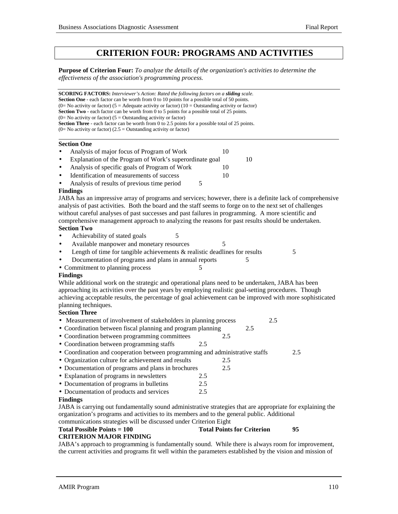## **CRITERION FOUR: PROGRAMS AND ACTIVITIES**

**Purpose of Criterion Four:** *To analyze the details of the organization's activities to determine the effectiveness of the association's programming process.*

**SCORING FACTORS:** *Interviewer's Action: Rated the following factors on a sliding scale.* **Section One** - each factor can be worth from 0 to 10 points for a possible total of 50 points. (0= No activity or factor) (5 = Adequate activity or factor) (10 = Outstanding activity or factor) **Section Two** - each factor can be worth from 0 to 5 points for a possible total of 25 points.  $(0=$  No activity or factor)  $(5 =$  Outstanding activity or factor) **Section Three** - each factor can be worth from 0 to 2.5 points for a possible total of 25 points.  $(0=$  No activity or factor)  $(2.5 =$  Outstanding activity or factor) l **Section One** Analysis of major focus of Program of Work 10 Explanation of the Program of Work's superordinate goal 10 Analysis of specific goals of Program of Work 10 Identification of measurements of success 10 Analysis of results of previous time period  $\frac{5}{5}$ **Findings** JABA has an impressive array of programs and services; however, there is a definite lack of comprehensive analysis of past activities. Both the board and the staff seems to forge on to the next set of challenges without careful analyses of past successes and past failures in programming. A more scientific and comprehensive management approach to analyzing the reasons for past results should be undertaken. **Section Two** • Achievability of stated goals 5 • Available manpower and monetary resources 5 • Length of time for tangible achievements & realistic deadlines for results 5 Documentation of programs and plans in annual reports 5 • Commitment to planning process 5 **Findings** While additional work on the strategic and operational plans need to be undertaken, JABA has been approaching its activities over the past years by employing realistic goal-setting procedures. Though achieving acceptable results, the percentage of goal achievement can be improved with more sophisticated planning techniques. **Section Three** • Measurement of involvement of stakeholders in planning process 2.5 • Coordination between fiscal planning and program planning 2.5 • Coordination between programming committees 2.5 • Coordination between programming staffs 2.5 • Coordination and cooperation between programming and administrative staffs 2.5 • Organization culture for achievement and results 2.5 • Documentation of programs and plans in brochures 2.5 • Explanation of programs in newsletters 2.5 • Documentation of programs in bulletins 2.5 • Documentation of products and services 2.5 **Findings** JABA is carrying out fundamentally sound administrative strategies that are appropriate for explaining the organization's programs and activities to its members and to the general public. Additional communications strategies will be discussed under Criterion Eight Total Possible Points = 100 Total Points for Criterion 95

#### **CRITERION MAJOR FINDING**

JABA's approach to programming is fundamentally sound. While there is always room for improvement, the current activities and programs fit well within the parameters established by the vision and mission of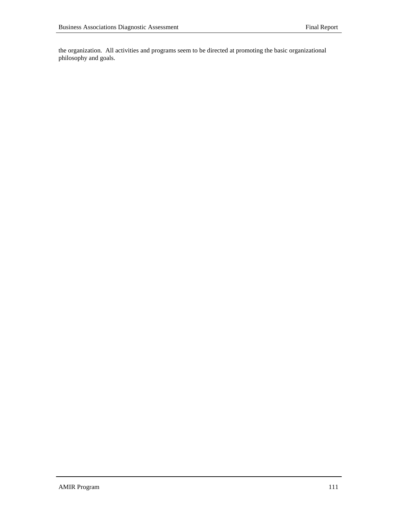the organization. All activities and programs seem to be directed at promoting the basic organizational philosophy and goals.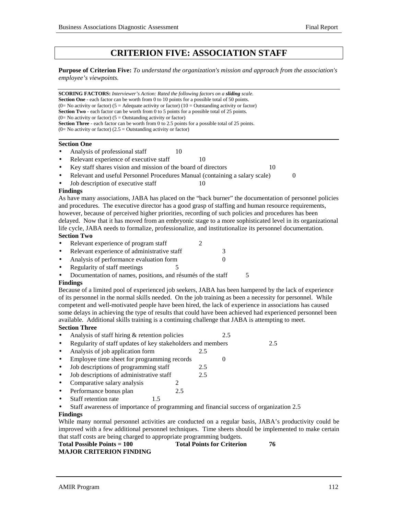## **CRITERION FIVE: ASSOCIATION STAFF**

**Purpose of Criterion Five:** *To understand the organization's mission and approach from the association's employee's viewpoints.*

**SCORING FACTORS:** *Interviewer's Action: Rated the following factors on a sliding scale.* **Section One** - each factor can be worth from 0 to 10 points for a possible total of 50 points. (0= No activity or factor) (5 = Adequate activity or factor) (10 = Outstanding activity or factor) **Section Two** - each factor can be worth from 0 to 5 points for a possible total of 25 points.  $(0=$  No activity or factor)  $(5 =$  Outstanding activity or factor) **Section Three** - each factor can be worth from 0 to 2.5 points for a possible total of 25 points.  $(0=$  No activity or factor)  $(2.5 =$  Outstanding activity or factor)

#### **Section One**

- Analysis of professional staff 10
- Relevant experience of executive staff 10
- Key staff shares vision and mission of the board of directors 10

• Relevant and useful Personnel Procedures Manual (containing a salary scale) 0

Job description of executive staff 10

#### **Findings**

As have many associations, JABA has placed on the "back burner" the documentation of personnel policies and procedures. The executive director has a good grasp of staffing and human resource requirements, however, because of perceived higher priorities, recording of such policies and procedures has been delayed. Now that it has moved from an embryonic stage to a more sophisticated level in its organizational life cycle, JABA needs to formalize, professionalize, and institutionalize its personnel documentation. **Section Two**

- Relevant experience of program staff 2
- Relevant experience of administrative staff 3
- Analysis of performance evaluation form 0
- Regularity of staff meetings 5
- Documentation of names, positions, and résumés of the staff 5

#### **Findings**

Because of a limited pool of experienced job seekers, JABA has been hampered by the lack of experience of its personnel in the normal skills needed. On the job training as been a necessity for personnel. While competent and well-motivated people have been hired, the lack of experience in associations has caused some delays in achieving the type of results that could have been achieved had experienced personnel been available. Additional skills training is a continuing challenge that JABA is attempting to meet. **Section Three**

- Analysis of staff hiring & retention policies 2.5
- Regularity of staff updates of key stakeholders and members 2.5
- Analysis of job application form 2.5
- Employee time sheet for programming records 0
- Job descriptions of programming staff 2.5
- Job descriptions of administrative staff 2.5
- Comparative salary analysis 2
- Performance bonus plan 2.5
- Staff retention rate 1.5
- Staff awareness of importance of programming and financial success of organization 2.5

## **Findings**

While many normal personnel activities are conducted on a regular basis, JABA's productivity could be improved with a few additional personnel techniques. Time sheets should be implemented to make certain that staff costs are being charged to appropriate programming budgets.

| Total Possible Points $= 100$  | <b>Total Points for Criterion</b> |  |
|--------------------------------|-----------------------------------|--|
| <b>MAJOR CRITERION FINDING</b> |                                   |  |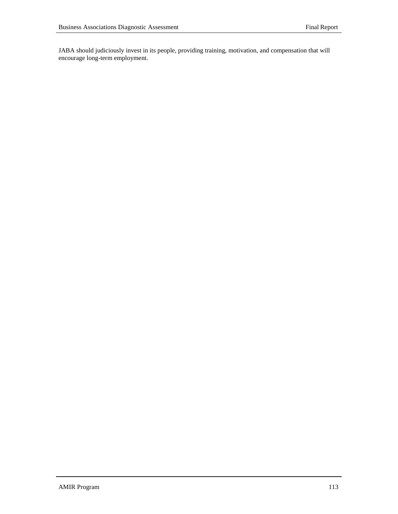JABA should judiciously invest in its people, providing training, motivation, and compensation that will encourage long-term employment.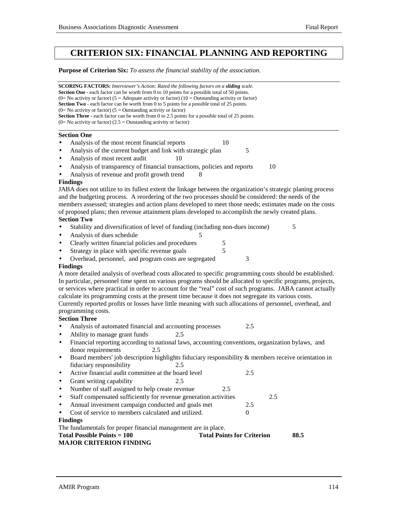## **CRITERION SIX: FINANCIAL PLANNING AND REPORTING**

**Purpose of Criterion Six:** *To assess the financial stability of the association.*

| <b>SCORING FACTORS:</b> Interviewer's Action: Rated the following factors on a sliding scale.<br><b>Section One</b> - each factor can be worth from 0 to 10 points for a possible total of 50 points.<br>(0= No activity or factor) (5 = Adequate activity or factor) (10 = Outstanding activity or factor)<br><b>Section Two</b> - each factor can be worth from 0 to 5 points for a possible total of 25 points.<br>$(0=$ No activity or factor) $(5 =$ Outstanding activity or factor)<br>Section Three - each factor can be worth from 0 to 2.5 points for a possible total of 25 points.<br>$(0=$ No activity or factor) $(2.5 =$ Outstanding activity or factor) |  |  |  |  |
|------------------------------------------------------------------------------------------------------------------------------------------------------------------------------------------------------------------------------------------------------------------------------------------------------------------------------------------------------------------------------------------------------------------------------------------------------------------------------------------------------------------------------------------------------------------------------------------------------------------------------------------------------------------------|--|--|--|--|
| <b>Section One</b>                                                                                                                                                                                                                                                                                                                                                                                                                                                                                                                                                                                                                                                     |  |  |  |  |
| Analysis of the most recent financial reports<br>10                                                                                                                                                                                                                                                                                                                                                                                                                                                                                                                                                                                                                    |  |  |  |  |
| Analysis of the current budget and link with strategic plan<br>5<br>$\bullet$                                                                                                                                                                                                                                                                                                                                                                                                                                                                                                                                                                                          |  |  |  |  |
| Analysis of most recent audit<br>10<br>$\bullet$                                                                                                                                                                                                                                                                                                                                                                                                                                                                                                                                                                                                                       |  |  |  |  |
| Analysis of transparency of financial transactions, policies and reports<br>10<br>$\bullet$                                                                                                                                                                                                                                                                                                                                                                                                                                                                                                                                                                            |  |  |  |  |
| Analysis of revenue and profit growth trend<br>8                                                                                                                                                                                                                                                                                                                                                                                                                                                                                                                                                                                                                       |  |  |  |  |
| <b>Findings</b>                                                                                                                                                                                                                                                                                                                                                                                                                                                                                                                                                                                                                                                        |  |  |  |  |
| JABA does not utilize to its fullest extent the linkage between the organization's strategic planing process                                                                                                                                                                                                                                                                                                                                                                                                                                                                                                                                                           |  |  |  |  |
| and the budgeting process. A reordering of the two processes should be considered: the needs of the                                                                                                                                                                                                                                                                                                                                                                                                                                                                                                                                                                    |  |  |  |  |
| members assessed; strategies and action plans developed to meet those needs; estimates made on the costs                                                                                                                                                                                                                                                                                                                                                                                                                                                                                                                                                               |  |  |  |  |
| of proposed plans; then revenue attainment plans developed to accomplish the newly created plans.<br><b>Section Two</b>                                                                                                                                                                                                                                                                                                                                                                                                                                                                                                                                                |  |  |  |  |
| 5<br>Stability and diversification of level of funding (including non-dues income)                                                                                                                                                                                                                                                                                                                                                                                                                                                                                                                                                                                     |  |  |  |  |
| Analysis of dues schedule<br>$\bullet$                                                                                                                                                                                                                                                                                                                                                                                                                                                                                                                                                                                                                                 |  |  |  |  |
| Clearly written financial policies and procedures<br>5<br>$\bullet$                                                                                                                                                                                                                                                                                                                                                                                                                                                                                                                                                                                                    |  |  |  |  |
| 5<br>Strategy in place with specific revenue goals<br>$\bullet$                                                                                                                                                                                                                                                                                                                                                                                                                                                                                                                                                                                                        |  |  |  |  |
| Overhead, personnel, and program costs are segregated<br>3                                                                                                                                                                                                                                                                                                                                                                                                                                                                                                                                                                                                             |  |  |  |  |
| <b>Findings</b>                                                                                                                                                                                                                                                                                                                                                                                                                                                                                                                                                                                                                                                        |  |  |  |  |
| A more detailed analysis of overhead costs allocated to specific programming costs should be established.                                                                                                                                                                                                                                                                                                                                                                                                                                                                                                                                                              |  |  |  |  |
| In particular, personnel time spent on various programs should be allocated to specific programs, projects,                                                                                                                                                                                                                                                                                                                                                                                                                                                                                                                                                            |  |  |  |  |
| or services where practical in order to account for the "real" cost of such programs. JABA cannot actually                                                                                                                                                                                                                                                                                                                                                                                                                                                                                                                                                             |  |  |  |  |
| calculate its programming costs at the present time because it does not segregate its various costs.                                                                                                                                                                                                                                                                                                                                                                                                                                                                                                                                                                   |  |  |  |  |
| Currently reported profits or losses have little meaning with such allocations of personnel, overhead, and                                                                                                                                                                                                                                                                                                                                                                                                                                                                                                                                                             |  |  |  |  |
| programming costs.                                                                                                                                                                                                                                                                                                                                                                                                                                                                                                                                                                                                                                                     |  |  |  |  |
| <b>Section Three</b><br>2.5                                                                                                                                                                                                                                                                                                                                                                                                                                                                                                                                                                                                                                            |  |  |  |  |
| Analysis of automated financial and accounting processes                                                                                                                                                                                                                                                                                                                                                                                                                                                                                                                                                                                                               |  |  |  |  |
| Ability to manage grant funds<br>2.5<br>$\bullet$<br>Financial reporting according to national laws, accounting conventions, organization bylaws, and<br>$\bullet$                                                                                                                                                                                                                                                                                                                                                                                                                                                                                                     |  |  |  |  |
| donor requirements<br>2.5                                                                                                                                                                                                                                                                                                                                                                                                                                                                                                                                                                                                                                              |  |  |  |  |
| Board members' job description highlights fiduciary responsibility & members receive orientation in<br>$\bullet$                                                                                                                                                                                                                                                                                                                                                                                                                                                                                                                                                       |  |  |  |  |
| fiduciary responsibility<br>2.5                                                                                                                                                                                                                                                                                                                                                                                                                                                                                                                                                                                                                                        |  |  |  |  |
| Active financial audit committee at the board level<br>2.5                                                                                                                                                                                                                                                                                                                                                                                                                                                                                                                                                                                                             |  |  |  |  |
| Grant writing capability<br>2.5<br>$\bullet$                                                                                                                                                                                                                                                                                                                                                                                                                                                                                                                                                                                                                           |  |  |  |  |
| Number of staff assigned to help create revenue<br>2.5<br>$\bullet$                                                                                                                                                                                                                                                                                                                                                                                                                                                                                                                                                                                                    |  |  |  |  |
| Staff compensated sufficiently for revenue generation activities<br>2.5<br>$\bullet$                                                                                                                                                                                                                                                                                                                                                                                                                                                                                                                                                                                   |  |  |  |  |
| Annual investment campaign conducted and goals met<br>2.5<br>$\bullet$                                                                                                                                                                                                                                                                                                                                                                                                                                                                                                                                                                                                 |  |  |  |  |
| Cost of service to members calculated and utilized.<br>$\mathbf{0}$<br>$\bullet$                                                                                                                                                                                                                                                                                                                                                                                                                                                                                                                                                                                       |  |  |  |  |
| <b>Findings</b>                                                                                                                                                                                                                                                                                                                                                                                                                                                                                                                                                                                                                                                        |  |  |  |  |
| The fundamentals for proper financial management are in place.                                                                                                                                                                                                                                                                                                                                                                                                                                                                                                                                                                                                         |  |  |  |  |
| <b>Total Possible Points = 100</b><br><b>Total Points for Criterion</b><br>88.5                                                                                                                                                                                                                                                                                                                                                                                                                                                                                                                                                                                        |  |  |  |  |
| <b>MAJOR CRITERION FINDING</b>                                                                                                                                                                                                                                                                                                                                                                                                                                                                                                                                                                                                                                         |  |  |  |  |
|                                                                                                                                                                                                                                                                                                                                                                                                                                                                                                                                                                                                                                                                        |  |  |  |  |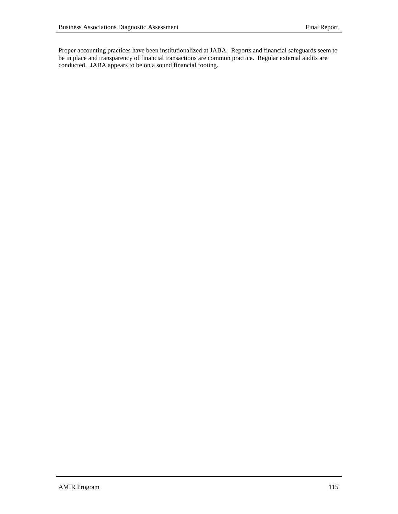Proper accounting practices have been institutionalized at JABA. Reports and financial safeguards seem to be in place and transparency of financial transactions are common practice. Regular external audits are conducted. JABA appears to be on a sound financial footing.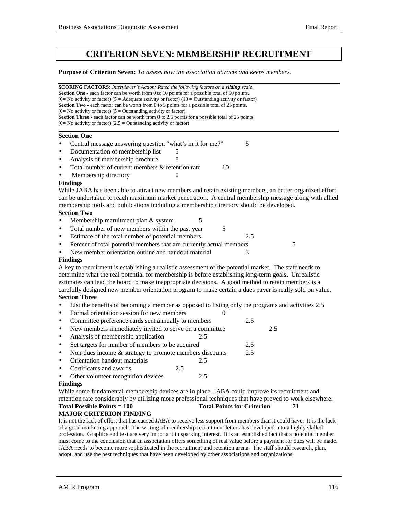## **CRITERION SEVEN: MEMBERSHIP RECRUITMENT**

**Purpose of Criterion Seven:** *To assess how the association attracts and keeps members.*

**SCORING FACTORS:** *Interviewer's Action: Rated the following factors on a sliding scale.* **Section One** - each factor can be worth from 0 to 10 points for a possible total of 50 points. (0= No activity or factor) (5 = Adequate activity or factor) (10 = Outstanding activity or factor) **Section Two** - each factor can be worth from 0 to 5 points for a possible total of 25 points.  $(0=$  No activity or factor)  $(5 =$  Outstanding activity or factor) **Section Three** - each factor can be worth from 0 to 2.5 points for a possible total of 25 points.  $(0=$  No activity or factor)  $(2.5 =$  Outstanding activity or factor)  $\overline{a}$ **Section One** Central message answering question "what's in it for me?" 5 Documentation of membership list 5 Analysis of membership brochure 8 Total number of current members  $&$  retention rate  $10$ Membership directory 0 **Findings** While JABA has been able to attract new members and retain existing members, an better-organized effort can be undertaken to reach maximum market penetration. A central membership message along with allied membership tools and publications including a membership directory should be developed. **Section Two** Membership recruitment plan & system 5 Total number of new members within the past year 5 Estimate of the total number of potential members 2.5 Percent of total potential members that are currently actual members 5 New member orientation outline and handout material 3 **Findings** A key to recruitment is establishing a realistic assessment of the potential market. The staff needs to determine what the real potential for membership is before establishing long-term goals. Unrealistic estimates can lead the board to make inappropriate decisions. A good method to retain members is a carefully designed new member orientation program to make certain a dues payer is really sold on value. **Section Three** • List the benefits of becoming a member as opposed to listing only the programs and activities 2.5 • Formal orientation session for new members 0 • Committee preference cards sent annually to members 2.5 New members immediately invited to serve on a committee 2.5 • Analysis of membership application 2.5 Set targets for number of members to be acquired 2.5 Non-dues income  $&$  strategy to promote members discounts 2.5 • Orientation handout materials 2.5 • Certificates and awards 2.5 Other volunteer recognition devices 2.5 **Findings** While some fundamental membership devices are in place, JABA could improve its recruitment and

## retention rate considerably by utilizing more professional techniques that have proved to work elsewhere. **Total Possible Points = 100 Total Points for Criterion 71**

## **MAJOR CRITERION FINDING**

It is not the lack of effort that has caused JABA to receive less support from members than it could have. It is the lack of a good marketing approach. The writing of membership recruitment letters has developed into a highly skilled profession. Graphics and text are very important in sparking interest. It is an established fact that a potential member must come to the conclusion that an association offers something of real value before a payment for dues will be made. JABA needs to become more sophisticated in the recruitment and retention arena. The staff should research, plan, adopt, and use the best techniques that have been developed by other associations and organizations.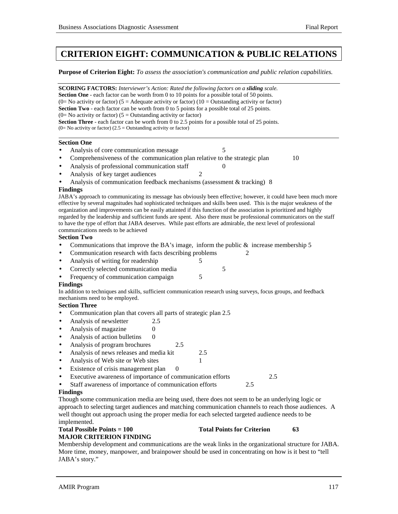## **CRITERION EIGHT: COMMUNICATION & PUBLIC RELATIONS**

**Purpose of Criterion Eight:** *To assess the association's communication and public relation capabilities.*

| <b>SCORING FACTORS:</b> Interviewer's Action: Rated the following factors on a <b>sliding</b> scale.<br><b>Section One</b> - each factor can be worth from 0 to 10 points for a possible total of 50 points.<br>(0= No activity or factor) (5 = Adequate activity or factor) (10 = Outstanding activity or factor)<br><b>Section Two</b> - each factor can be worth from 0 to 5 points for a possible total of 25 points.<br>(0= No activity or factor) (5 = Outstanding activity or factor)<br>Section Three - each factor can be worth from 0 to 2.5 points for a possible total of 25 points.<br>$(0=$ No activity or factor) $(2.5 =$ Outstanding activity or factor) |
|---------------------------------------------------------------------------------------------------------------------------------------------------------------------------------------------------------------------------------------------------------------------------------------------------------------------------------------------------------------------------------------------------------------------------------------------------------------------------------------------------------------------------------------------------------------------------------------------------------------------------------------------------------------------------|
| <b>Section One</b>                                                                                                                                                                                                                                                                                                                                                                                                                                                                                                                                                                                                                                                        |
| 5<br>Analysis of core communication message                                                                                                                                                                                                                                                                                                                                                                                                                                                                                                                                                                                                                               |
| Comprehensiveness of the communication plan relative to the strategic plan<br>10<br>$\bullet$                                                                                                                                                                                                                                                                                                                                                                                                                                                                                                                                                                             |
| Analysis of professional communication staff<br>$\overline{0}$<br>$\bullet$                                                                                                                                                                                                                                                                                                                                                                                                                                                                                                                                                                                               |
| Analysis of key target audiences<br>2<br>$\bullet$                                                                                                                                                                                                                                                                                                                                                                                                                                                                                                                                                                                                                        |
| Analysis of communication feedback mechanisms (assessment $&$ tracking) 8                                                                                                                                                                                                                                                                                                                                                                                                                                                                                                                                                                                                 |
| <b>Findings</b>                                                                                                                                                                                                                                                                                                                                                                                                                                                                                                                                                                                                                                                           |
| JABA's approach to communicating its message has obviously been effective; however, it could have been much more<br>effective by several magnitudes had sophisticated techniques and skills been used. This is the major weakness of the<br>organization and improvements can be easily attainted if this function of the association is prioritized and highly<br>regarded by the leadership and sufficient funds are spent. Also there must be professional communicators on the staff<br>to have the type of effort that JABA deserves. While past efforts are admirable, the next level of professional<br>communications needs to be achieved<br><b>Section Two</b>  |
| Communications that improve the BA's image, inform the public $\&$ increase membership 5<br>$\bullet$                                                                                                                                                                                                                                                                                                                                                                                                                                                                                                                                                                     |
| Communication research with facts describing problems<br>2<br>٠                                                                                                                                                                                                                                                                                                                                                                                                                                                                                                                                                                                                           |
| Analysis of writing for readership<br>5<br>$\bullet$                                                                                                                                                                                                                                                                                                                                                                                                                                                                                                                                                                                                                      |
| Correctly selected communication media<br>5<br>$\bullet$                                                                                                                                                                                                                                                                                                                                                                                                                                                                                                                                                                                                                  |
| Frequency of communication campaign<br>5                                                                                                                                                                                                                                                                                                                                                                                                                                                                                                                                                                                                                                  |
| <b>Findings</b>                                                                                                                                                                                                                                                                                                                                                                                                                                                                                                                                                                                                                                                           |
| In addition to techniques and skills, sufficient communication research using surveys, focus groups, and feedback                                                                                                                                                                                                                                                                                                                                                                                                                                                                                                                                                         |
| mechanisms need to be employed.                                                                                                                                                                                                                                                                                                                                                                                                                                                                                                                                                                                                                                           |
| <b>Section Three</b>                                                                                                                                                                                                                                                                                                                                                                                                                                                                                                                                                                                                                                                      |
| Communication plan that covers all parts of strategic plan 2.5                                                                                                                                                                                                                                                                                                                                                                                                                                                                                                                                                                                                            |
| Analysis of newsletter<br>2.5<br>$\bullet$                                                                                                                                                                                                                                                                                                                                                                                                                                                                                                                                                                                                                                |
| Analysis of magazine<br>$\overline{0}$<br>$\bullet$                                                                                                                                                                                                                                                                                                                                                                                                                                                                                                                                                                                                                       |
| Analysis of action bulletins<br>$\Omega$<br>$\bullet$<br>2.5                                                                                                                                                                                                                                                                                                                                                                                                                                                                                                                                                                                                              |
| Analysis of program brochures<br>$\bullet$<br>Analysis of news releases and media kit<br>2.5<br>$\bullet$                                                                                                                                                                                                                                                                                                                                                                                                                                                                                                                                                                 |
| Analysis of Web site or Web sites<br>1<br>$\bullet$                                                                                                                                                                                                                                                                                                                                                                                                                                                                                                                                                                                                                       |
| Existence of crisis management plan<br>0<br>$\bullet$                                                                                                                                                                                                                                                                                                                                                                                                                                                                                                                                                                                                                     |
| Executive awareness of importance of communication efforts<br>2.5<br>$\bullet$                                                                                                                                                                                                                                                                                                                                                                                                                                                                                                                                                                                            |
| Staff awareness of importance of communication efforts<br>2.5                                                                                                                                                                                                                                                                                                                                                                                                                                                                                                                                                                                                             |
| <b>Findings</b>                                                                                                                                                                                                                                                                                                                                                                                                                                                                                                                                                                                                                                                           |
| Though some communication media are being used, there does not seem to be an underlying logic or                                                                                                                                                                                                                                                                                                                                                                                                                                                                                                                                                                          |
| approach to selecting target audiences and matching communication channels to reach those audiences. A                                                                                                                                                                                                                                                                                                                                                                                                                                                                                                                                                                    |

well thought out approach using the proper media for each selected targeted audience needs to be implemented.

#### Total Possible Points = 100 Total Points for Criterion 63 **MAJOR CRITERION FINDING**

Membership development and communications are the weak links in the organizational structure for JABA. More time, money, manpower, and brainpower should be used in concentrating on how is it best to "tell JABA's story."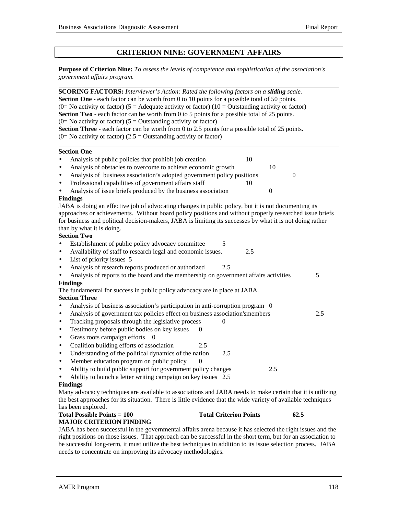l

## **CRITERION NINE: GOVERNMENT AFFAIRS**

**Purpose of Criterion Nine:** *To assess the levels of competence and sophistication of the association's government affairs program.*

| <b>SCORING FACTORS:</b> Interviewer's Action: Rated the following factors on a sliding scale.                                                                                                                                                                                                                                                                                   |                               |                  |                  |
|---------------------------------------------------------------------------------------------------------------------------------------------------------------------------------------------------------------------------------------------------------------------------------------------------------------------------------------------------------------------------------|-------------------------------|------------------|------------------|
| <b>Section One</b> - each factor can be worth from 0 to 10 points for a possible total of 50 points.                                                                                                                                                                                                                                                                            |                               |                  |                  |
| (0= No activity or factor) (5 = Adequate activity or factor) (10 = Outstanding activity or factor)                                                                                                                                                                                                                                                                              |                               |                  |                  |
| <b>Section Two</b> - each factor can be worth from 0 to 5 points for a possible total of 25 points.                                                                                                                                                                                                                                                                             |                               |                  |                  |
| (0= No activity or factor) ( $5 =$ Outstanding activity or factor)                                                                                                                                                                                                                                                                                                              |                               |                  |                  |
| <b>Section Three</b> - each factor can be worth from 0 to 2.5 points for a possible total of 25 points.                                                                                                                                                                                                                                                                         |                               |                  |                  |
| (0= No activity or factor) (2.5 = Outstanding activity or factor)                                                                                                                                                                                                                                                                                                               |                               |                  |                  |
| <b>Section One</b>                                                                                                                                                                                                                                                                                                                                                              |                               |                  |                  |
| Analysis of public policies that prohibit job creation<br>$\bullet$                                                                                                                                                                                                                                                                                                             |                               | 10               |                  |
| Analysis of obstacles to overcome to achieve economic growth<br>٠                                                                                                                                                                                                                                                                                                               |                               | 10               |                  |
| Analysis of business association's adopted government policy positions<br>$\bullet$                                                                                                                                                                                                                                                                                             |                               |                  | $\boldsymbol{0}$ |
| Professional capabilities of government affairs staff<br>$\bullet$                                                                                                                                                                                                                                                                                                              |                               | 10               |                  |
| Analysis of issue briefs produced by the business association<br>$\bullet$                                                                                                                                                                                                                                                                                                      |                               | $\boldsymbol{0}$ |                  |
| <b>Findings</b>                                                                                                                                                                                                                                                                                                                                                                 |                               |                  |                  |
| JABA is doing an effective job of advocating changes in public policy, but it is not documenting its<br>approaches or achievements. Without board policy positions and without properly researched issue briefs<br>for business and political decision-makers, JABA is limiting its successes by what it is not doing rather<br>than by what it is doing.<br><b>Section Two</b> |                               |                  |                  |
| Establishment of public policy advocacy committee<br>$\bullet$                                                                                                                                                                                                                                                                                                                  | 5                             |                  |                  |
| Availability of staff to research legal and economic issues.<br>$\bullet$                                                                                                                                                                                                                                                                                                       |                               | 2.5              |                  |
| List of priority issues 5<br>$\bullet$                                                                                                                                                                                                                                                                                                                                          |                               |                  |                  |
| Analysis of research reports produced or authorized<br>$\bullet$                                                                                                                                                                                                                                                                                                                | 2.5                           |                  |                  |
| Analysis of reports to the board and the membership on government affairs activities<br>$\bullet$                                                                                                                                                                                                                                                                               |                               |                  | 5                |
| <b>Findings</b>                                                                                                                                                                                                                                                                                                                                                                 |                               |                  |                  |
| The fundamental for success in public policy advocacy are in place at JABA.                                                                                                                                                                                                                                                                                                     |                               |                  |                  |
| <b>Section Three</b>                                                                                                                                                                                                                                                                                                                                                            |                               |                  |                  |
| Analysis of business association's participation in anti-corruption program 0<br>$\bullet$                                                                                                                                                                                                                                                                                      |                               |                  |                  |
| Analysis of government tax policies effect on business association'smembers<br>$\bullet$                                                                                                                                                                                                                                                                                        |                               |                  | 2.5              |
| Tracking proposals through the legislative process<br>$\bullet$                                                                                                                                                                                                                                                                                                                 | $\boldsymbol{0}$              |                  |                  |
| Testimony before public bodies on key issues<br>$\bullet$                                                                                                                                                                                                                                                                                                                       | $\boldsymbol{0}$              |                  |                  |
| Grass roots campaign efforts<br>$\bullet$                                                                                                                                                                                                                                                                                                                                       |                               |                  |                  |
| Coalition building efforts of association<br>$\bullet$                                                                                                                                                                                                                                                                                                                          | 2.5                           |                  |                  |
| Understanding of the political dynamics of the nation<br>$\bullet$                                                                                                                                                                                                                                                                                                              | 2.5                           |                  |                  |
| Member education program on public policy<br>$\bullet$                                                                                                                                                                                                                                                                                                                          | 0                             |                  |                  |
| Ability to build public support for government policy changes<br>$\bullet$                                                                                                                                                                                                                                                                                                      |                               | 2.5              |                  |
| Ability to launch a letter writing campaign on key issues 2.5<br>$\bullet$                                                                                                                                                                                                                                                                                                      |                               |                  |                  |
| <b>Findings</b>                                                                                                                                                                                                                                                                                                                                                                 |                               |                  |                  |
| Many advocacy techniques are available to associations and JABA needs to make certain that it is utilizing                                                                                                                                                                                                                                                                      |                               |                  |                  |
| the best approaches for its situation. There is little evidence that the wide variety of available techniques                                                                                                                                                                                                                                                                   |                               |                  |                  |
| has been explored.                                                                                                                                                                                                                                                                                                                                                              |                               |                  |                  |
| <b>Total Possible Points = 100</b>                                                                                                                                                                                                                                                                                                                                              | <b>Total Criterion Points</b> |                  | 62.5             |
| <b>MAJOR CRITERION FINDING</b>                                                                                                                                                                                                                                                                                                                                                  |                               |                  |                  |
| JABA has been successful in the governmental affairs arena because it has selected the right issues and the                                                                                                                                                                                                                                                                     |                               |                  |                  |

right positions on those issues. That approach can be successful in the short term, but for an association to be successful long-term, it must utilize the best techniques in addition to its issue selection process. JABA needs to concentrate on improving its advocacy methodologies.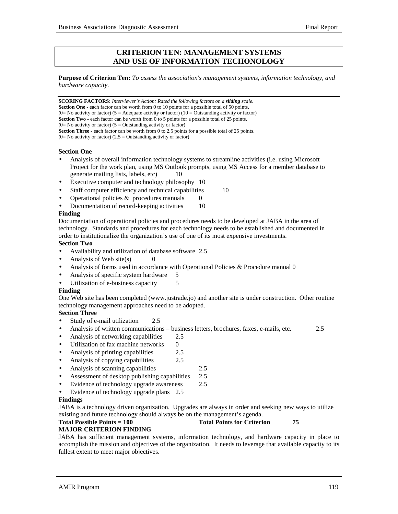## **CRITERION TEN: MANAGEMENT SYSTEMS AND USE OF INFORMATION TECHONOLOGY**

**Purpose of Criterion Ten:** *To assess the association's management systems, information technology, and hardware capacity.*

**SCORING FACTORS:** *Interviewer's Action: Rated the following factors on a sliding scale.* **Section One** - each factor can be worth from 0 to 10 points for a possible total of 50 points. (0= No activity or factor) (5 = Adequate activity or factor) (10 = Outstanding activity or factor) **Section Two** - each factor can be worth from 0 to 5 points for a possible total of 25 points.  $(0=$  No activity or factor)  $(5 =$  Outstanding activity or factor) **Section Three** - each factor can be worth from 0 to 2.5 points for a possible total of 25 points.  $(0=$  No activity or factor)  $(2.5 =$  Outstanding activity or factor)

#### **Section One**

- Analysis of overall information technology systems to streamline activities (i.e. using Microsoft Project for the work plan, using MS Outlook prompts, using MS Access for a member database to generate mailing lists, labels, etc) 10
- Executive computer and technology philosophy 10
- Staff computer efficiency and technical capabilities 10
- Operational policies  $&$  procedures manuals  $\qquad 0$
- Documentation of record-keeping activities 10

#### **Finding**

Documentation of operational policies and procedures needs to be developed at JABA in the area of technology. Standards and procedures for each technology needs to be established and documented in order to institutionalize the organization's use of one of its most expensive investments.

## **Section Two**

- Availability and utilization of database software 2.5
- Analysis of Web site $(s)$
- Analysis of forms used in accordance with Operational Policies & Procedure manual 0
- Analysis of specific system hardware 5
- Utilization of e-business capacity 5

#### **Finding**

One Web site has been completed (www.justrade.jo) and another site is under construction. Other routine technology management approaches need to be adopted.

## **Section Three**

- Study of e-mail utilization 2.5
- Analysis of written communications business letters, brochures, faxes, e-mails, etc. 2.5
- Analysis of networking capabilities 2.5
- Utilization of fax machine networks 0
- Analysis of printing capabilities 2.5
- Analysis of copying capabilities 2.5
- Analysis of scanning capabilities 2.5
- Assessment of desktop publishing capabilities 2.5
- Evidence of technology upgrade awareness 2.5
- Evidence of technology upgrade plans 2.5

#### **Findings**

JABA is a technology driven organization. Upgrades are always in order and seeking new ways to utilize existing and future technology should always be on the management's agenda.

## **Total Possible Points = 100** Total Points for Criterion 75

## **MAJOR CRITERION FINDING**

JABA has sufficient management systems, information technology, and hardware capacity in place to accomplish the mission and objectives of the organization. It needs to leverage that available capacity to its fullest extent to meet major objectives.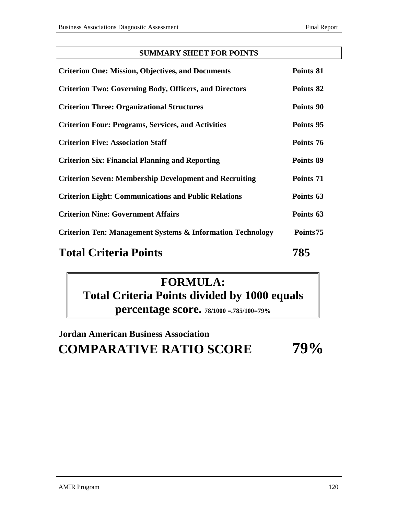## **SUMMARY SHEET FOR POINTS**

| <b>Criterion One: Mission, Objectives, and Documents</b>              | Points 81 |
|-----------------------------------------------------------------------|-----------|
| <b>Criterion Two: Governing Body, Officers, and Directors</b>         | Points 82 |
| <b>Criterion Three: Organizational Structures</b>                     | Points 90 |
| <b>Criterion Four: Programs, Services, and Activities</b>             | Points 95 |
| <b>Criterion Five: Association Staff</b>                              | Points 76 |
| <b>Criterion Six: Financial Planning and Reporting</b>                | Points 89 |
| <b>Criterion Seven: Membership Development and Recruiting</b>         | Points 71 |
| <b>Criterion Eight: Communications and Public Relations</b>           | Points 63 |
| <b>Criterion Nine: Government Affairs</b>                             | Points 63 |
| <b>Criterion Ten: Management Systems &amp; Information Technology</b> | Points75  |
| $T = 1.1 \times 1.1$                                                  | 70 F      |

# **Total Criteria Points 785**

# **FORMULA: Total Criteria Points divided by 1000 equals percentage score. 78/1000 =.785/100=79%**

# **Jordan American Business Association COMPARATIVE RATIO SCORE 79%**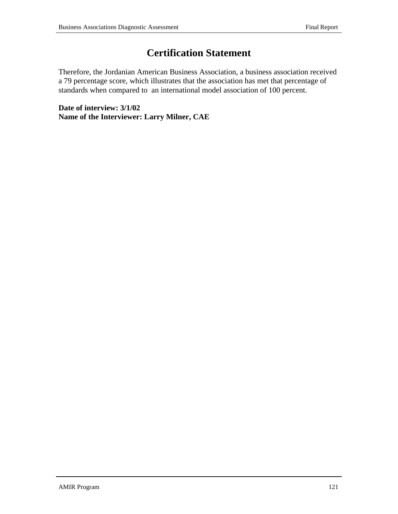# **Certification Statement**

Therefore, the Jordanian American Business Association, a business association received a 79 percentage score, which illustrates that the association has met that percentage of standards when compared to an international model association of 100 percent.

**Date of interview: 3/1/02 Name of the Interviewer: Larry Milner, CAE**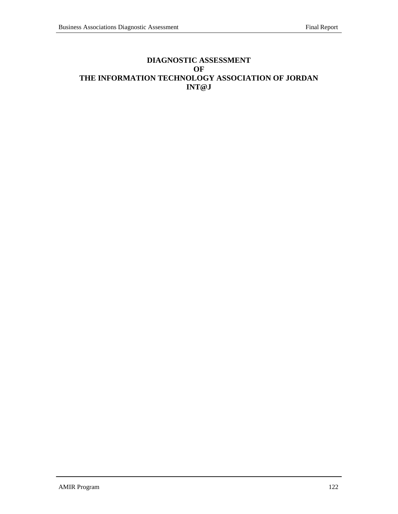## **DIAGNOSTIC ASSESSMENT OF THE INFORMATION TECHNOLOGY ASSOCIATION OF JORDAN INT@J**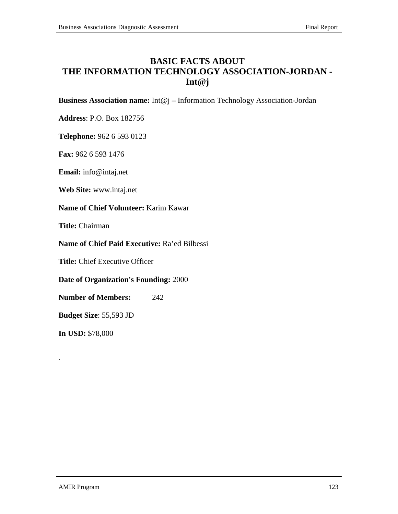## **BASIC FACTS ABOUT THE INFORMATION TECHNOLOGY ASSOCIATION-JORDAN - Int@j**

**Business Association name:** Int@j **–** Information Technology Association-Jordan

**Address**: P.O. Box 182756

**Telephone:** 962 6 593 0123

**Fax:** 962 6 593 1476

**Email:** info@intaj.net

**Web Site:** www.intaj.net

**Name of Chief Volunteer:** Karim Kawar

**Title:** Chairman

**Name of Chief Paid Executive:** Ra'ed Bilbessi

**Title:** Chief Executive Officer

**Date of Organization's Founding:** 2000

**Number of Members:** 242

**Budget Size**: 55,593 JD

**In USD:** \$78,000

.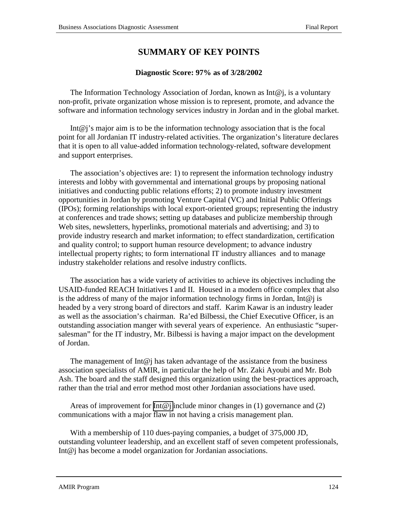## **SUMMARY OF KEY POINTS**

## **Diagnostic Score: 97% as of 3/28/2002**

The Information Technology Association of Jordan, known as Int $\omega$ j, is a voluntary non-profit, private organization whose mission is to represent, promote, and advance the software and information technology services industry in Jordan and in the global market.

Int@j's major aim is to be the information technology association that is the focal point for all Jordanian IT industry-related activities. The organization's literature declares that it is open to all value-added information technology-related, software development and support enterprises.

The association's objectives are: 1) to represent the information technology industry interests and lobby with governmental and international groups by proposing national initiatives and conducting public relations efforts; 2) to promote industry investment opportunities in Jordan by promoting Venture Capital (VC) and Initial Public Offerings (IPOs); forming relationships with local export-oriented groups; representing the industry at conferences and trade shows; setting up databases and publicize membership through Web sites, newsletters, hyperlinks, promotional materials and advertising; and 3) to provide industry research and market information; to effect standardization, certification and quality control; to support human resource development; to advance industry intellectual property rights; to form international IT industry alliances and to manage industry stakeholder relations and resolve industry conflicts.

The association has a wide variety of activities to achieve its objectives including the USAID-funded REACH Initiatives I and II. Housed in a modern office complex that also is the address of many of the major information technology firms in Jordan, Int $\omega$  is headed by a very strong board of directors and staff. Karim Kawar is an industry leader as well as the association's chairman. Ra'ed Bilbessi, the Chief Executive Officer, is an outstanding association manger with several years of experience. An enthusiastic "supersalesman" for the IT industry, Mr. Bilbessi is having a major impact on the development of Jordan.

The management of Int $\omega$  has taken advantage of the assistance from the business association specialists of AMIR, in particular the help of Mr. Zaki Ayoubi and Mr. Bob Ash. The board and the staff designed this organization using the best-practices approach, rather than the trial and error method most other Jordanian associations have used.

Areas of improvement for [Int@j](mailto:Int@j) include minor changes in (1) governance and (2) communications with a major flaw in not having a crisis management plan.

With a membership of 110 dues-paying companies, a budget of 375,000 JD, outstanding volunteer leadership, and an excellent staff of seven competent professionals, Int@j has become a model organization for Jordanian associations.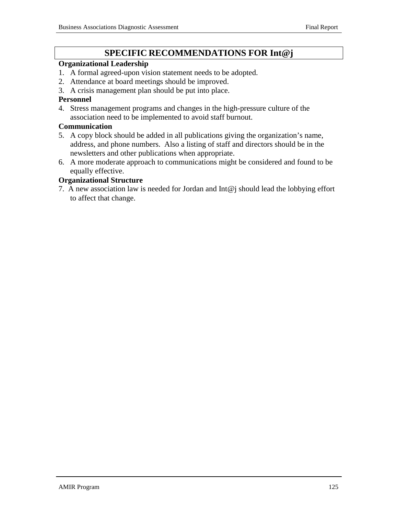## **SPECIFIC RECOMMENDATIONS FOR Int@j**

## **Organizational Leadership**

- 1. A formal agreed-upon vision statement needs to be adopted.
- 2. Attendance at board meetings should be improved.
- 3. A crisis management plan should be put into place.

## **Personnel**

4. Stress management programs and changes in the high-pressure culture of the association need to be implemented to avoid staff burnout.

## **Communication**

- 5. A copy block should be added in all publications giving the organization's name, address, and phone numbers. Also a listing of staff and directors should be in the newsletters and other publications when appropriate.
- 6. A more moderate approach to communications might be considered and found to be equally effective.

## **Organizational Structure**

7. A new association law is needed for Jordan and Int@j should lead the lobbying effort to affect that change.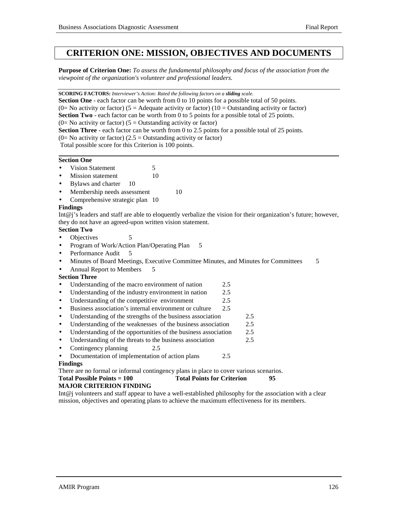## **CRITERION ONE: MISSION, OBJECTIVES AND DOCUMENTS**

**Purpose of Criterion One:** *To assess the fundamental philosophy and focus of the association from the viewpoint of the organization's volunteer and professional leaders.*

**SCORING FACTORS:** *Interviewer's Action: Rated the following factors on a sliding scale.*

**Section One** - each factor can be worth from 0 to 10 points for a possible total of 50 points. (0= No activity or factor) (5 = Adequate activity or factor) (10 = Outstanding activity or factor) **Section Two** - each factor can be worth from 0 to 5 points for a possible total of 25 points. (0= No activity or factor) ( $5 =$  Outstanding activity or factor) **Section Three** - each factor can be worth from 0 to 2.5 points for a possible total of 25 points.  $(0=$  No activity or factor)  $(2.5 =$  Outstanding activity or factor) Total possible score for this Criterion is 100 points.

#### **Section One**

- Vision Statement 5
- **Mission statement** 10
- Bylaws and charter 10
- Membership needs assessment 10
- Comprehensive strategic plan 10

## **Findings**

Int@j's leaders and staff are able to eloquently verbalize the vision for their organization's future; however, they do not have an agreed-upon written vision statement.

## **Section Two**

- Objectives 5
- Program of Work/Action Plan/Operating Plan 5
- Performance Audit
- Minutes of Board Meetings, Executive Committee Minutes, and Minutes for Committees 5
- Annual Report to Members 5

## **Section Three**

- Understanding of the macro environment of nation 2.5
- Understanding of the industry environment in nation 2.5
- Understanding of the competitive environment 2.5
- Business association's internal environment or culture 2.5
- Understanding of the strengths of the business association 2.5
- Understanding of the weaknesses of the business association 2.5
- Understanding of the opportunities of the business association 2.5
- Understanding of the threats to the business association 2.5
- Contingency planning 2.5
- Documentation of implementation of action plans 2.5

## **Findings**

There are no formal or informal contingency plans in place to cover various scenarios.

## Total Possible Points = 100 Total Points for Criterion 95

## **MAJOR CRITERION FINDING**

Int@j volunteers and staff appear to have a well-established philosophy for the association with a clear mission, objectives and operating plans to achieve the maximum effectiveness for its members.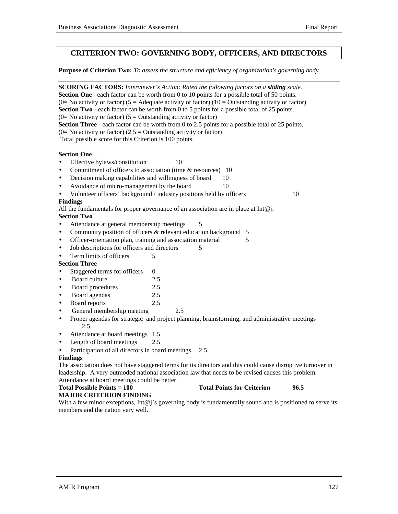## **CRITERION TWO: GOVERNING BODY, OFFICERS, AND DIRECTORS**

**Purpose of Criterion Two:** *To assess the structure and efficiency of organization's governing body.*

| <b>SCORING FACTORS:</b> Interviewer's Action: Rated the following factors on a sliding scale.<br>Section One - each factor can be worth from 0 to 10 points for a possible total of 50 points. |     |                                   |    |      |
|------------------------------------------------------------------------------------------------------------------------------------------------------------------------------------------------|-----|-----------------------------------|----|------|
| (0= No activity or factor) (5 = Adequate activity or factor) (10 = Outstanding activity or factor)                                                                                             |     |                                   |    |      |
| <b>Section Two</b> - each factor can be worth from 0 to 5 points for a possible total of 25 points.                                                                                            |     |                                   |    |      |
| (0= No activity or factor) ( $5 =$ Outstanding activity or factor)                                                                                                                             |     |                                   |    |      |
| Section Three - each factor can be worth from 0 to 2.5 points for a possible total of 25 points.                                                                                               |     |                                   |    |      |
| (0= No activity or factor) (2.5 = Outstanding activity or factor)                                                                                                                              |     |                                   |    |      |
| Total possible score for this Criterion is 100 points.                                                                                                                                         |     |                                   |    |      |
| <b>Section One</b>                                                                                                                                                                             |     |                                   |    |      |
| Effective bylaws/constitution<br>$\bullet$                                                                                                                                                     | 10  |                                   |    |      |
| Commitment of officers to association (time & resources) 10<br>$\bullet$                                                                                                                       |     |                                   |    |      |
| Decision making capabilities and willingness of board<br>$\bullet$                                                                                                                             |     | 10                                |    |      |
| Avoidance of micro-management by the board<br>$\bullet$                                                                                                                                        |     | 10                                |    |      |
| Volunteer officers' background / industry positions held by officers<br>$\bullet$                                                                                                              |     |                                   |    | 10   |
| <b>Findings</b>                                                                                                                                                                                |     |                                   |    |      |
| All the fundamentals for proper governance of an association are in place at Int $@$ j.                                                                                                        |     |                                   |    |      |
| <b>Section Two</b>                                                                                                                                                                             |     |                                   |    |      |
| Attendance at general membership meetings<br>$\bullet$                                                                                                                                         |     |                                   |    |      |
| Community position of officers & relevant education background<br>$\bullet$                                                                                                                    |     |                                   | -5 |      |
| Officer-orientation plan, training and association material<br>$\bullet$                                                                                                                       |     |                                   | 5  |      |
| Job descriptions for officers and directors<br>$\bullet$                                                                                                                                       |     | 5                                 |    |      |
| Term limits of officers<br>5<br>$\bullet$                                                                                                                                                      |     |                                   |    |      |
| <b>Section Three</b>                                                                                                                                                                           |     |                                   |    |      |
| Staggered terms for officers<br>$\mathbf{0}$<br>$\bullet$                                                                                                                                      |     |                                   |    |      |
| Board culture<br>2.5<br>$\bullet$                                                                                                                                                              |     |                                   |    |      |
| Board procedures<br>2.5<br>$\bullet$                                                                                                                                                           |     |                                   |    |      |
| Board agendas<br>2.5<br>$\bullet$                                                                                                                                                              |     |                                   |    |      |
| 2.5<br>Board reports<br>$\bullet$                                                                                                                                                              |     |                                   |    |      |
| General membership meeting<br>$\bullet$                                                                                                                                                        | 2.5 |                                   |    |      |
| Proper agendas for strategic and project planning, brainstorming, and administrative meetings<br>$\bullet$                                                                                     |     |                                   |    |      |
| 2.5                                                                                                                                                                                            |     |                                   |    |      |
| Attendance at board meetings 1.5<br>$\bullet$                                                                                                                                                  |     |                                   |    |      |
| Length of board meetings<br>2.5<br>$\bullet$                                                                                                                                                   |     |                                   |    |      |
| Participation of all directors in board meetings<br>$\bullet$                                                                                                                                  |     | 2.5                               |    |      |
| <b>Findings</b>                                                                                                                                                                                |     |                                   |    |      |
| The association does not have staggered terms for its directors and this could cause disruptive turnover in                                                                                    |     |                                   |    |      |
| leadership. A very outmoded national association law that needs to be revised causes this problem.                                                                                             |     |                                   |    |      |
| Attendance at board meetings could be better.                                                                                                                                                  |     |                                   |    |      |
| <b>Total Possible Points = 100</b>                                                                                                                                                             |     | <b>Total Points for Criterion</b> |    | 96.5 |
| <b>MAJOR CRITERION FINDING</b>                                                                                                                                                                 |     |                                   |    |      |

With a few minor exceptions, Int@j's governing body is fundamentally sound and is positioned to serve its members and the nation very well.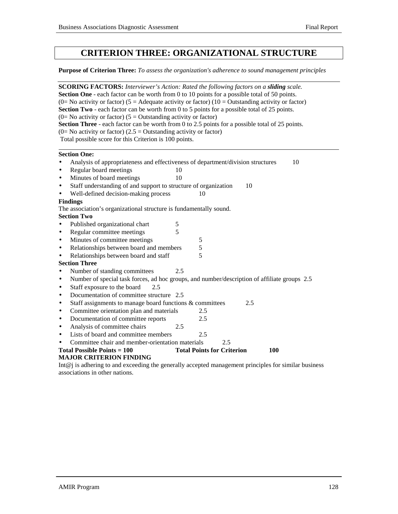## **CRITERION THREE: ORGANIZATIONAL STRUCTURE**

**Purpose of Criterion Three:** *To assess the organization's adherence to sound management principles*

|                 | <b>SCORING FACTORS:</b> Interviewer's Action: Rated the following factors on a sliding scale.<br><b>Section One</b> - each factor can be worth from 0 to 10 points for a possible total of 50 points.<br>(0= No activity or factor) (5 = Adequate activity or factor) (10 = Outstanding activity or factor)<br>Section Two - each factor can be worth from 0 to 5 points for a possible total of 25 points.<br>(0= No activity or factor) ( $5 =$ Outstanding activity or factor)<br>Section Three - each factor can be worth from 0 to 2.5 points for a possible total of 25 points.<br>$(0=$ No activity or factor) (2.5 = Outstanding activity or factor) |     |                                   |            |  |
|-----------------|--------------------------------------------------------------------------------------------------------------------------------------------------------------------------------------------------------------------------------------------------------------------------------------------------------------------------------------------------------------------------------------------------------------------------------------------------------------------------------------------------------------------------------------------------------------------------------------------------------------------------------------------------------------|-----|-----------------------------------|------------|--|
|                 | Total possible score for this Criterion is 100 points.                                                                                                                                                                                                                                                                                                                                                                                                                                                                                                                                                                                                       |     |                                   |            |  |
|                 | <b>Section One:</b>                                                                                                                                                                                                                                                                                                                                                                                                                                                                                                                                                                                                                                          |     |                                   |            |  |
| $\bullet$       | Analysis of appropriateness and effectiveness of department/division structures                                                                                                                                                                                                                                                                                                                                                                                                                                                                                                                                                                              |     |                                   | 10         |  |
| $\bullet$       | Regular board meetings                                                                                                                                                                                                                                                                                                                                                                                                                                                                                                                                                                                                                                       | 10  |                                   |            |  |
| $\bullet$       | Minutes of board meetings                                                                                                                                                                                                                                                                                                                                                                                                                                                                                                                                                                                                                                    | 10  |                                   |            |  |
| $\bullet$       | Staff understanding of and support to structure of organization                                                                                                                                                                                                                                                                                                                                                                                                                                                                                                                                                                                              |     |                                   | 10         |  |
| $\bullet$       | Well-defined decision-making process                                                                                                                                                                                                                                                                                                                                                                                                                                                                                                                                                                                                                         |     | 10                                |            |  |
| <b>Findings</b> |                                                                                                                                                                                                                                                                                                                                                                                                                                                                                                                                                                                                                                                              |     |                                   |            |  |
|                 | The association's organizational structure is fundamentally sound.                                                                                                                                                                                                                                                                                                                                                                                                                                                                                                                                                                                           |     |                                   |            |  |
|                 | <b>Section Two</b>                                                                                                                                                                                                                                                                                                                                                                                                                                                                                                                                                                                                                                           |     |                                   |            |  |
| $\bullet$       | Published organizational chart                                                                                                                                                                                                                                                                                                                                                                                                                                                                                                                                                                                                                               | 5   |                                   |            |  |
| $\bullet$       | Regular committee meetings                                                                                                                                                                                                                                                                                                                                                                                                                                                                                                                                                                                                                                   | 5   |                                   |            |  |
| $\bullet$       | Minutes of committee meetings                                                                                                                                                                                                                                                                                                                                                                                                                                                                                                                                                                                                                                |     | 5                                 |            |  |
| $\bullet$       | Relationships between board and members                                                                                                                                                                                                                                                                                                                                                                                                                                                                                                                                                                                                                      |     | 5                                 |            |  |
| $\bullet$       | Relationships between board and staff                                                                                                                                                                                                                                                                                                                                                                                                                                                                                                                                                                                                                        |     | 5                                 |            |  |
|                 | <b>Section Three</b>                                                                                                                                                                                                                                                                                                                                                                                                                                                                                                                                                                                                                                         |     |                                   |            |  |
| $\bullet$       | Number of standing committees                                                                                                                                                                                                                                                                                                                                                                                                                                                                                                                                                                                                                                | 2.5 |                                   |            |  |
| $\bullet$       | Number of special task forces, ad hoc groups, and number/description of affiliate groups 2.5                                                                                                                                                                                                                                                                                                                                                                                                                                                                                                                                                                 |     |                                   |            |  |
| $\bullet$       | Staff exposure to the board<br>2.5                                                                                                                                                                                                                                                                                                                                                                                                                                                                                                                                                                                                                           |     |                                   |            |  |
| $\bullet$       | Documentation of committee structure 2.5                                                                                                                                                                                                                                                                                                                                                                                                                                                                                                                                                                                                                     |     |                                   |            |  |
| $\bullet$       | Staff assignments to manage board functions & committees                                                                                                                                                                                                                                                                                                                                                                                                                                                                                                                                                                                                     |     |                                   | 2.5        |  |
| $\bullet$       | Committee orientation plan and materials                                                                                                                                                                                                                                                                                                                                                                                                                                                                                                                                                                                                                     |     | 2.5                               |            |  |
| $\bullet$       | Documentation of committee reports                                                                                                                                                                                                                                                                                                                                                                                                                                                                                                                                                                                                                           |     | 2.5                               |            |  |
| $\bullet$       | Analysis of committee chairs                                                                                                                                                                                                                                                                                                                                                                                                                                                                                                                                                                                                                                 | 2.5 |                                   |            |  |
| $\bullet$       | Lists of board and committee members                                                                                                                                                                                                                                                                                                                                                                                                                                                                                                                                                                                                                         |     | 2.5                               |            |  |
|                 | Committee chair and member-orientation materials                                                                                                                                                                                                                                                                                                                                                                                                                                                                                                                                                                                                             |     | 2.5                               |            |  |
|                 | <b>Total Possible Points = 100</b><br><b>MAJOR CRITERION FINDING</b>                                                                                                                                                                                                                                                                                                                                                                                                                                                                                                                                                                                         |     | <b>Total Points for Criterion</b> | <b>100</b> |  |

Int@j is adhering to and exceeding the generally accepted management principles for similar business associations in other nations.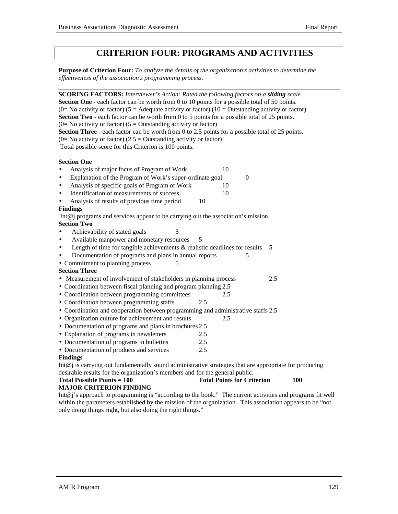## **CRITERION FOUR: PROGRAMS AND ACTIVITIES**

**Purpose of Criterion Four:** *To analyze the details of the organization's activities to determine the effectiveness of the association's programming process.*

| <b>SCORING FACTORS:</b> Interviewer's Action: Rated the following factors on a sliding scale.                                               |                                   |     |
|---------------------------------------------------------------------------------------------------------------------------------------------|-----------------------------------|-----|
| <b>Section One</b> - each factor can be worth from 0 to 10 points for a possible total of 50 points.                                        |                                   |     |
| (0= No activity or factor) (5 = Adequate activity or factor) (10 = Outstanding activity or factor)                                          |                                   |     |
| Section Two - each factor can be worth from 0 to 5 points for a possible total of 25 points.                                                |                                   |     |
| (0= No activity or factor) ( $5 =$ Outstanding activity or factor)                                                                          |                                   |     |
| Section Three - each factor can be worth from 0 to 2.5 points for a possible total of 25 points.                                            |                                   |     |
| (0= No activity or factor) (2.5 = Outstanding activity or factor)                                                                           |                                   |     |
| Total possible score for this Criterion is 100 points.                                                                                      |                                   |     |
| <b>Section One</b>                                                                                                                          |                                   |     |
| Analysis of major focus of Program of Work<br>$\bullet$                                                                                     | 10                                |     |
| Explanation of the Program of Work's super-ordinate goal<br>$\bullet$                                                                       | $\boldsymbol{0}$                  |     |
| Analysis of specific goals of Program of Work<br>$\bullet$                                                                                  | 10                                |     |
| Identification of measurements of success<br>$\bullet$                                                                                      | 10                                |     |
| Analysis of results of previous time period<br>$\bullet$                                                                                    | 10                                |     |
| <b>Findings</b>                                                                                                                             |                                   |     |
| Int $@j$ programs and services appear to be carrying out the association's mission.                                                         |                                   |     |
| <b>Section Two</b>                                                                                                                          |                                   |     |
| Achievability of stated goals<br>5<br>$\bullet$                                                                                             |                                   |     |
| Available manpower and monetary resources<br>$\bullet$                                                                                      | 5                                 |     |
| Length of time for tangible achievements $\&$ realistic deadlines for results<br>$\bullet$                                                  |                                   | 5   |
| Documentation of programs and plans in annual reports                                                                                       | 5                                 |     |
| • Commitment to planning process<br>5                                                                                                       |                                   |     |
| <b>Section Three</b>                                                                                                                        |                                   |     |
| • Measurement of involvement of stakeholders in planning process                                                                            |                                   | 2.5 |
| • Coordination between fiscal planning and program planning 2.5                                                                             |                                   |     |
| • Coordination between programming committees                                                                                               | 2.5                               |     |
| • Coordination between programming staffs                                                                                                   | 2.5                               |     |
| • Coordination and cooperation between programming and administrative staffs 2.5                                                            |                                   |     |
| • Organization culture for achievement and results                                                                                          | 2.5                               |     |
| • Documentation of programs and plans in brochures 2.5                                                                                      |                                   |     |
| • Explanation of programs in newsletters                                                                                                    | 2.5                               |     |
| • Documentation of programs in bulletins                                                                                                    | 2.5                               |     |
| • Documentation of products and services                                                                                                    | 2.5                               |     |
| <b>Findings</b>                                                                                                                             |                                   |     |
| Int@j is carrying out fundamentally sound administrative strategies that are appropriate for producing                                      |                                   |     |
| desirable results for the organization's members and for the general public.                                                                |                                   |     |
| <b>Total Possible Points = 100</b>                                                                                                          | <b>Total Points for Criterion</b> | 100 |
| <b>MAJOR CRITERION FINDING</b><br>$Int@i'$ approach to programming is "according to the book". The current activities and programs fit well |                                   |     |
|                                                                                                                                             |                                   |     |

Int@j's approach to programming is "according to the book." The current activities and programs fit well within the parameters established by the mission of the organization. This association appears to be "not only doing things right, but also doing the right things."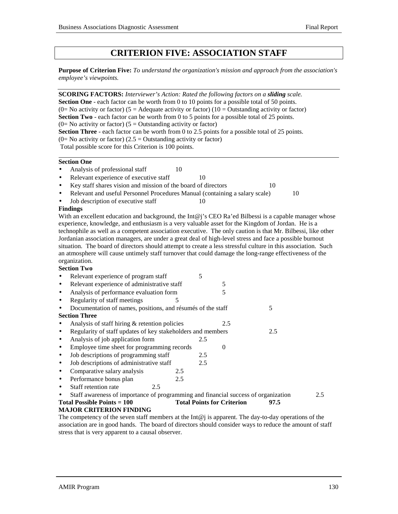## **CRITERION FIVE: ASSOCIATION STAFF**

**Purpose of Criterion Five:** *To understand the organization's mission and approach from the association's employee's viewpoints.*

| SCORING FACTORS: Interviewer's Action: Rated the following factors on a sliding scale.<br>Section One - each factor can be worth from 0 to 10 points for a possible total of 50 points.<br>(0= No activity or factor) (5 = Adequate activity or factor) (10 = Outstanding activity or factor)<br>Section Two - each factor can be worth from 0 to 5 points for a possible total of 25 points.<br>(0= No activity or factor) ( $5 =$ Outstanding activity or factor)<br>Section Three - each factor can be worth from 0 to 2.5 points for a possible total of 25 points.<br>(0= No activity or factor) (2.5 = Outstanding activity or factor)<br>Total possible score for this Criterion is 100 points. |     |     |                                   |      |     |
|--------------------------------------------------------------------------------------------------------------------------------------------------------------------------------------------------------------------------------------------------------------------------------------------------------------------------------------------------------------------------------------------------------------------------------------------------------------------------------------------------------------------------------------------------------------------------------------------------------------------------------------------------------------------------------------------------------|-----|-----|-----------------------------------|------|-----|
| <b>Section One</b>                                                                                                                                                                                                                                                                                                                                                                                                                                                                                                                                                                                                                                                                                     |     |     |                                   |      |     |
| Analysis of professional staff                                                                                                                                                                                                                                                                                                                                                                                                                                                                                                                                                                                                                                                                         | 10  |     |                                   |      |     |
| Relevant experience of executive staff<br>$\bullet$                                                                                                                                                                                                                                                                                                                                                                                                                                                                                                                                                                                                                                                    |     | 10  |                                   |      |     |
| Key staff shares vision and mission of the board of directors<br>$\bullet$                                                                                                                                                                                                                                                                                                                                                                                                                                                                                                                                                                                                                             |     |     |                                   | 10   |     |
| Relevant and useful Personnel Procedures Manual (containing a salary scale)<br>$\bullet$                                                                                                                                                                                                                                                                                                                                                                                                                                                                                                                                                                                                               |     |     |                                   | 10   |     |
| Job description of executive staff                                                                                                                                                                                                                                                                                                                                                                                                                                                                                                                                                                                                                                                                     |     | 10  |                                   |      |     |
| <b>Findings</b>                                                                                                                                                                                                                                                                                                                                                                                                                                                                                                                                                                                                                                                                                        |     |     |                                   |      |     |
| With an excellent education and background, the Int@j's CEO Ra'ed Bilbessi is a capable manager whose<br>experience, knowledge, and enthusiasm is a very valuable asset for the Kingdom of Jordan. He is a<br>technophile as well as a competent association executive. The only caution is that Mr. Bilbessi, like other<br>Jordanian association managers, are under a great deal of high-level stress and face a possible burnout<br>situation. The board of directors should attempt to create a less stressful culture in this association. Such<br>an atmosphere will cause untimely staff turnover that could damage the long-range effectiveness of the<br>organization.<br><b>Section Two</b> |     |     |                                   |      |     |
| Relevant experience of program staff                                                                                                                                                                                                                                                                                                                                                                                                                                                                                                                                                                                                                                                                   |     | 5   |                                   |      |     |
| Relevant experience of administrative staff<br>$\bullet$                                                                                                                                                                                                                                                                                                                                                                                                                                                                                                                                                                                                                                               |     |     | 5                                 |      |     |
| Analysis of performance evaluation form<br>$\bullet$                                                                                                                                                                                                                                                                                                                                                                                                                                                                                                                                                                                                                                                   |     |     | 5                                 |      |     |
| Regularity of staff meetings<br>$\bullet$                                                                                                                                                                                                                                                                                                                                                                                                                                                                                                                                                                                                                                                              | 5   |     |                                   |      |     |
| Documentation of names, positions, and résumés of the staff                                                                                                                                                                                                                                                                                                                                                                                                                                                                                                                                                                                                                                            |     |     |                                   | 5    |     |
| <b>Section Three</b>                                                                                                                                                                                                                                                                                                                                                                                                                                                                                                                                                                                                                                                                                   |     |     |                                   |      |     |
| Analysis of staff hiring & retention policies<br>$\bullet$                                                                                                                                                                                                                                                                                                                                                                                                                                                                                                                                                                                                                                             |     |     | 2.5                               |      |     |
| Regularity of staff updates of key stakeholders and members<br>$\bullet$                                                                                                                                                                                                                                                                                                                                                                                                                                                                                                                                                                                                                               |     |     |                                   | 2.5  |     |
| Analysis of job application form<br>$\bullet$                                                                                                                                                                                                                                                                                                                                                                                                                                                                                                                                                                                                                                                          |     | 2.5 |                                   |      |     |
| Employee time sheet for programming records<br>$\bullet$                                                                                                                                                                                                                                                                                                                                                                                                                                                                                                                                                                                                                                               |     |     | $\boldsymbol{0}$                  |      |     |
| Job descriptions of programming staff<br>$\bullet$                                                                                                                                                                                                                                                                                                                                                                                                                                                                                                                                                                                                                                                     |     | 2.5 |                                   |      |     |
| Job descriptions of administrative staff<br>$\bullet$                                                                                                                                                                                                                                                                                                                                                                                                                                                                                                                                                                                                                                                  |     | 2.5 |                                   |      |     |
| Comparative salary analysis<br>$\bullet$                                                                                                                                                                                                                                                                                                                                                                                                                                                                                                                                                                                                                                                               | 2.5 |     |                                   |      |     |
| Performance bonus plan<br>$\bullet$                                                                                                                                                                                                                                                                                                                                                                                                                                                                                                                                                                                                                                                                    | 2.5 |     |                                   |      |     |
| Staff retention rate<br>2.5<br>$\bullet$                                                                                                                                                                                                                                                                                                                                                                                                                                                                                                                                                                                                                                                               |     |     |                                   |      |     |
| Staff awareness of importance of programming and financial success of organization                                                                                                                                                                                                                                                                                                                                                                                                                                                                                                                                                                                                                     |     |     |                                   |      | 2.5 |
| <b>Total Possible Points = 100</b>                                                                                                                                                                                                                                                                                                                                                                                                                                                                                                                                                                                                                                                                     |     |     | <b>Total Points for Criterion</b> | 97.5 |     |
| <b>MAJOR CRITERION FINDING</b>                                                                                                                                                                                                                                                                                                                                                                                                                                                                                                                                                                                                                                                                         |     |     |                                   |      |     |

The competency of the seven staff members at the Int@j is apparent. The day-to-day operations of the association are in good hands. The board of directors should consider ways to reduce the amount of staff stress that is very apparent to a causal observer.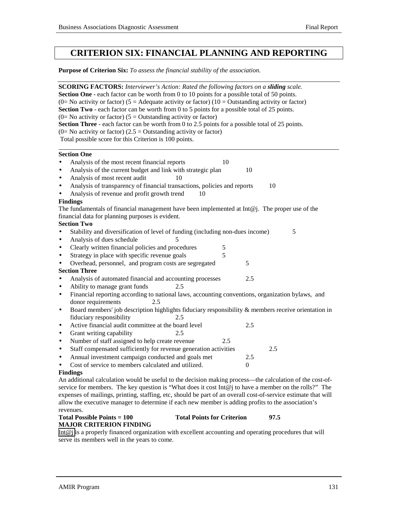## **CRITERION SIX: FINANCIAL PLANNING AND REPORTING**

**Purpose of Criterion Six:** *To assess the financial stability of the association.*

**SCORING FACTORS:** *Interviewer's Action: Rated the following factors on a sliding scale.* **Section One** - each factor can be worth from 0 to 10 points for a possible total of 50 points. (0= No activity or factor) (5 = Adequate activity or factor) (10 = Outstanding activity or factor) **Section Two** - each factor can be worth from 0 to 5 points for a possible total of 25 points.  $(0=$  No activity or factor)  $(5=$  Outstanding activity or factor) **Section Three** - each factor can be worth from 0 to 2.5 points for a possible total of 25 points.  $(0=$  No activity or factor)  $(2.5 =$  Outstanding activity or factor) Total possible score for this Criterion is 100 points. l **Section One**

- Analysis of the most recent financial reports 10
- Analysis of the current budget and link with strategic plan 10
- Analysis of most recent audit 10
- Analysis of transparency of financial transactions, policies and reports 10
- Analysis of revenue and profit growth trend 10

## **Findings**

The fundamentals of financial management have been implemented at Int $\omega$ . The proper use of the financial data for planning purposes is evident.

## **Section Two**

- Stability and diversification of level of funding (including non-dues income) 5
- Analysis of dues schedule
- Clearly written financial policies and procedures 5
- Strategy in place with specific revenue goals 5
- Overhead, personnel, and program costs are segregated 5

## **Section Three**

- Analysis of automated financial and accounting processes 2.5
- Ability to manage grant funds 2.5
- Financial reporting according to national laws, accounting conventions, organization bylaws, and donor requirements 2.5
- Board members' job description highlights fiduciary responsibility & members receive orientation in fiduciary responsibility 2.5
- Active financial audit committee at the board level 2.5
- Grant writing capability 2.5
- Number of staff assigned to help create revenue 2.5
- Staff compensated sufficiently for revenue generation activities 2.5
- Annual investment campaign conducted and goals met 2.5
- Cost of service to members calculated and utilized. 0

## **Findings**

An additional calculation would be useful to the decision making process—the calculation of the cost-ofservice for members. The key question is "What does it cost  $Int@j$  to have a member on the rolls?" The expenses of mailings, printing, staffing, etc, should be part of an overall cost-of-service estimate that will allow the executive manager to determine if each new member is adding profits to the association's revenues.

#### Total Possible Points = 100 Total Points for Criterion 97.5 **MAJOR CRITERION FINDING**

[Int@j](mailto:Int@j) is a properly financed organization with excellent accounting and operating procedures that will serve its members well in the years to come.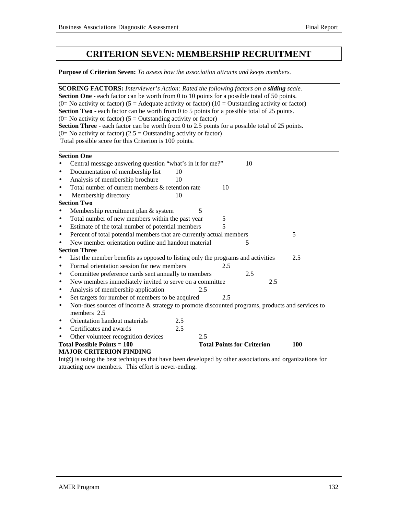## **CRITERION SEVEN: MEMBERSHIP RECRUITMENT**

**Purpose of Criterion Seven:** *To assess how the association attracts and keeps members.*

| <b>SCORING FACTORS:</b> Interviewer's Action: Rated the following factors on a sliding scale.                                      |
|------------------------------------------------------------------------------------------------------------------------------------|
| <b>Section One</b> - each factor can be worth from 0 to 10 points for a possible total of 50 points.                               |
| (0= No activity or factor) (5 = Adequate activity or factor) (10 = Outstanding activity or factor)                                 |
| <b>Section Two</b> - each factor can be worth from 0 to 5 points for a possible total of 25 points.                                |
| (0= No activity or factor) ( $5 =$ Outstanding activity or factor)                                                                 |
| Section Three - each factor can be worth from 0 to 2.5 points for a possible total of 25 points.                                   |
| (0= No activity or factor) (2.5 = Outstanding activity or factor)                                                                  |
| Total possible score for this Criterion is 100 points.                                                                             |
| <b>Section One</b>                                                                                                                 |
| Central message answering question "what's in it for me?"<br>10                                                                    |
| Documentation of membership list<br>10<br>$\bullet$                                                                                |
| Analysis of membership brochure<br>10<br>$\bullet$                                                                                 |
| Total number of current members & retention rate<br>10<br>$\bullet$                                                                |
| Membership directory<br>10<br>$\bullet$                                                                                            |
| <b>Section Two</b>                                                                                                                 |
| 5<br>Membership recruitment plan & system<br>$\bullet$                                                                             |
| Total number of new members within the past year<br>$\sqrt{5}$<br>$\bullet$                                                        |
| 5<br>Estimate of the total number of potential members<br>$\bullet$                                                                |
| Percent of total potential members that are currently actual members<br>5<br>$\bullet$                                             |
| New member orientation outline and handout material<br>5<br>$\bullet$                                                              |
| <b>Section Three</b>                                                                                                               |
| List the member benefits as opposed to listing only the programs and activities<br>2.5<br>$\bullet$                                |
| Formal orientation session for new members<br>2.5<br>$\bullet$                                                                     |
| Committee preference cards sent annually to members<br>2.5<br>$\bullet$                                                            |
| New members immediately invited to serve on a committee<br>2.5<br>$\bullet$                                                        |
| Analysis of membership application<br>2.5<br>$\bullet$                                                                             |
| Set targets for number of members to be acquired<br>2.5<br>$\bullet$                                                               |
| Non-dues sources of income & strategy to promote discounted programs, products and services to<br>$\bullet$                        |
| members 2.5<br>Orientation handout materials                                                                                       |
| 2.5<br>$\bullet$                                                                                                                   |
| 2.5<br>Certificates and awards<br>$\bullet$<br>2.5                                                                                 |
| Other volunteer recognition devices<br>$\bullet$<br><b>Total Possible Points = 100</b><br><b>Total Points for Criterion</b><br>100 |
| <b>MAJOR CRITERION FINDING</b>                                                                                                     |
| Int $@j$ is using the best techniques that have been developed by other associations and organizations for                         |

attracting new members. This effort is never-ending.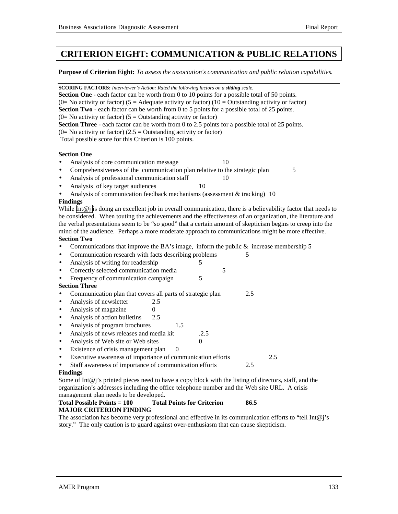## **CRITERION EIGHT: COMMUNICATION & PUBLIC RELATIONS**

**Purpose of Criterion Eight:** *To assess the association's communication and public relation capabilities.*

**SCORING FACTORS:** *Interviewer's Action: Rated the following factors on a sliding scale.* **Section One** - each factor can be worth from 0 to 10 points for a possible total of 50 points. (0= No activity or factor) (5 = Adequate activity or factor) (10 = Outstanding activity or factor) **Section Two** - each factor can be worth from 0 to 5 points for a possible total of 25 points.  $(0=$  No activity or factor)  $(5 =$  Outstanding activity or factor) **Section Three** - each factor can be worth from 0 to 2.5 points for a possible total of 25 points.  $(0=$  No activity or factor) (2.5 = Outstanding activity or factor) Total possible score for this Criterion is 100 points. l

## **Section One**

- Analysis of core communication message 10
- Comprehensiveness of the communication plan relative to the strategic plan 5
- Analysis of professional communication staff 10
- Analysis of key target audiences 10
- Analysis of communication feedback mechanisms (assessment & tracking) 10

#### **Findings**

While Int $\omega$  is doing an excellent job in overall communication, there is a believability factor that needs to be considered. When touting the achievements and the effectiveness of an organization, the literature and the verbal presentations seem to be "so good" that a certain amount of skepticism begins to creep into the mind of the audience. Perhaps a more moderate approach to communications might be more effective.

## **Section Two**

- Communications that improve the BA's image, inform the public  $\&$  increase membership 5
- Communication research with facts describing problems 5
- Analysis of writing for readership 5
- Correctly selected communication media 5
- Frequency of communication campaign 5

## **Section Three**

- Communication plan that covers all parts of strategic plan 2.5
- Analysis of newsletter 2.5
- Analysis of magazine  $0$
- Analysis of action bulletins 2.5
- Analysis of program brochures 1.5
- Analysis of news releases and media kit .2.5
- Analysis of Web site or Web sites 0
- Existence of crisis management plan 0
- Executive awareness of importance of communication efforts 2.5
- Staff awareness of importance of communication efforts 2.5

#### **Findings**

Some of Int $@i$ 's printed pieces need to have a copy block with the listing of directors, staff, and the organization's addresses including the office telephone number and the Web site URL. A crisis management plan needs to be developed.

#### **Total Possible Points = 100 Total Points for Criterion 86.5 MAJOR CRITERION FINDING**

The association has become very professional and effective in its communication efforts to "tell Int $@j$ 's story." The only caution is to guard against over-enthusiasm that can cause skepticism.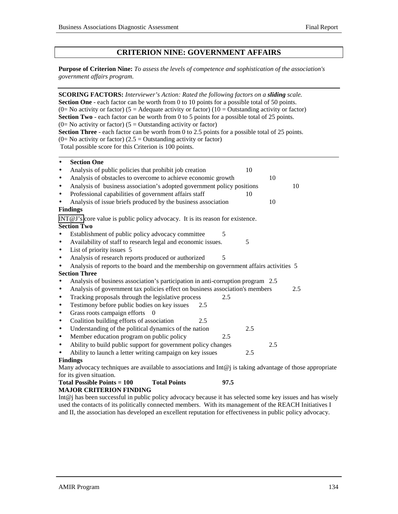## **CRITERION NINE: GOVERNMENT AFFAIRS**

**Purpose of Criterion Nine:** *To assess the levels of competence and sophistication of the association's government affairs program.*

|                                 | <b>SCORING FACTORS:</b> Interviewer's Action: Rated the following factors on a sliding scale.               |     |     |     |     |     |
|---------------------------------|-------------------------------------------------------------------------------------------------------------|-----|-----|-----|-----|-----|
|                                 | Section One - each factor can be worth from 0 to 10 points for a possible total of 50 points.               |     |     |     |     |     |
|                                 | (0= No activity or factor) (5 = Adequate activity or factor) (10 = Outstanding activity or factor)          |     |     |     |     |     |
|                                 | Section Two - each factor can be worth from 0 to 5 points for a possible total of 25 points.                |     |     |     |     |     |
|                                 | (0= No activity or factor) ( $5 =$ Outstanding activity or factor)                                          |     |     |     |     |     |
|                                 | <b>Section Three</b> - each factor can be worth from 0 to 2.5 points for a possible total of 25 points.     |     |     |     |     |     |
|                                 | (0= No activity or factor) (2.5 = Outstanding activity or factor)                                           |     |     |     |     |     |
|                                 | Total possible score for this Criterion is 100 points.                                                      |     |     |     |     |     |
| <b>Section One</b><br>$\bullet$ |                                                                                                             |     |     |     |     |     |
| $\bullet$                       | Analysis of public policies that prohibit job creation                                                      |     |     | 10  |     |     |
| $\bullet$                       | Analysis of obstacles to overcome to achieve economic growth                                                |     |     |     | 10  |     |
| $\bullet$                       | Analysis of business association's adopted government policy positions                                      |     |     |     |     | 10  |
| $\bullet$                       | Professional capabilities of government affairs staff                                                       |     |     | 10  |     |     |
| $\bullet$                       | Analysis of issue briefs produced by the business association                                               |     |     |     | 10  |     |
| <b>Findings</b>                 |                                                                                                             |     |     |     |     |     |
|                                 | INT@J's core value is public policy advocacy. It is its reason for existence.                               |     |     |     |     |     |
| <b>Section Two</b>              |                                                                                                             |     |     |     |     |     |
| $\bullet$                       | Establishment of public policy advocacy committee                                                           |     | 5   |     |     |     |
| $\bullet$                       | Availability of staff to research legal and economic issues.                                                |     |     | 5   |     |     |
| $\bullet$                       | List of priority issues 5                                                                                   |     |     |     |     |     |
| $\bullet$                       | Analysis of research reports produced or authorized                                                         |     | 5   |     |     |     |
| $\bullet$                       | Analysis of reports to the board and the membership on government affairs activities 5                      |     |     |     |     |     |
| <b>Section Three</b>            |                                                                                                             |     |     |     |     |     |
| $\bullet$                       | Analysis of business association's participation in anti-corruption program 2.5                             |     |     |     |     |     |
| $\bullet$                       | Analysis of government tax policies effect on business association's members                                |     |     |     |     | 2.5 |
| $\bullet$                       | Tracking proposals through the legislative process                                                          |     | 2.5 |     |     |     |
| $\bullet$                       | Testimony before public bodies on key issues                                                                | 2.5 |     |     |     |     |
| $\bullet$                       | Grass roots campaign efforts<br>$\Omega$                                                                    |     |     |     |     |     |
| $\bullet$                       | Coalition building efforts of association                                                                   | 2.5 |     |     |     |     |
| $\bullet$                       | Understanding of the political dynamics of the nation                                                       |     |     | 2.5 |     |     |
| $\bullet$                       | Member education program on public policy                                                                   |     | 2.5 |     |     |     |
| $\bullet$                       | Ability to build public support for government policy changes                                               |     |     |     | 2.5 |     |
| $\bullet$                       | Ability to launch a letter writing campaign on key issues                                                   |     |     | 2.5 |     |     |
| <b>Findings</b>                 |                                                                                                             |     |     |     |     |     |
|                                 | Many advocacy techniques are available to associations and $Int@j$ is taking advantage of those appropriate |     |     |     |     |     |
| for its given situation.        |                                                                                                             |     |     |     |     |     |

#### **Total Possible Points = 100 Total Points 97.5 MAJOR CRITERION FINDING**

Int@j has been successful in public policy advocacy because it has selected some key issues and has wisely used the contacts of its politically connected members. With its management of the REACH Initiatives I and II, the association has developed an excellent reputation for effectiveness in public policy advocacy.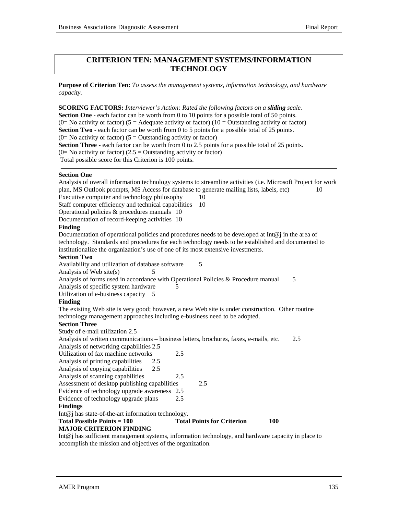## **CRITERION TEN: MANAGEMENT SYSTEMS/INFORMATION TECHNOLOGY**

**Purpose of Criterion Ten:** *To assess the management systems, information technology, and hardware capacity.*

**SCORING FACTORS:** *Interviewer's Action: Rated the following factors on a sliding scale.* **Section One** - each factor can be worth from 0 to 10 points for a possible total of 50 points. (0= No activity or factor) (5 = Adequate activity or factor) (10 = Outstanding activity or factor) **Section Two** - each factor can be worth from 0 to 5 points for a possible total of 25 points.  $(0=$  No activity or factor)  $(5 =$  Outstanding activity or factor) **Section Three** - each factor can be worth from 0 to 2.5 points for a possible total of 25 points.  $(0=$  No activity or factor) (2.5 = Outstanding activity or factor) Total possible score for this Criterion is 100 points.

#### **Section One**

l

Analysis of overall information technology systems to streamline activities (i.e. Microsoft Project for work plan, MS Outlook prompts, MS Access for database to generate mailing lists, labels, etc) 10 Executive computer and technology philosophy 10 Staff computer efficiency and technical capabilities 10 Operational policies & procedures manuals 10 Documentation of record-keeping activities 10 **Finding** Documentation of operational policies and procedures needs to be developed at  $Int@$  in the area of technology. Standards and procedures for each technology needs to be established and documented to institutionalize the organization's use of one of its most extensive investments. **Section Two** Availability and utilization of database software 5 Analysis of Web site $(s)$  5 Analysis of forms used in accordance with Operational Policies & Procedure manual 5 Analysis of specific system hardware 5 Utilization of e-business capacity 5 **Finding** The existing Web site is very good; however, a new Web site is under construction. Other routine technology management approaches including e-business need to be adopted. **Section Three** Study of e-mail utilization 2.5 Analysis of written communications – business letters, brochures, faxes, e-mails, etc. 2.5 Analysis of networking capabilities 2.5 Utilization of fax machine networks 2.5 Analysis of printing capabilities 2.5 Analysis of copying capabilities 2.5 Analysis of scanning capabilities 2.5 Assessment of desktop publishing capabilities 2.5 Evidence of technology upgrade awareness 2.5 Evidence of technology upgrade plans 2.5 **Findings** Int@j has state-of-the-art information technology. Total Possible Points = 100 Total Points for Criterion 100 **MAJOR CRITERION FINDING** Int@j has sufficient management systems, information technology, and hardware capacity in place to

accomplish the mission and objectives of the organization.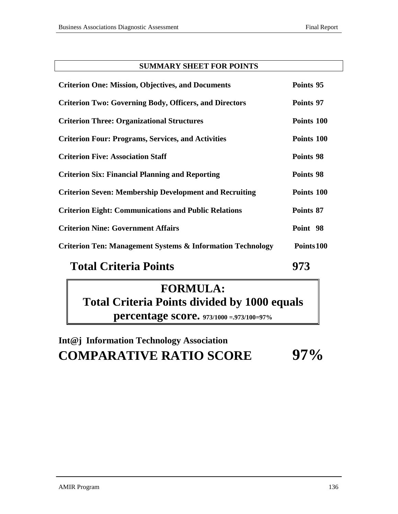## **SUMMARY SHEET FOR POINTS**

| <b>Criterion One: Mission, Objectives, and Documents</b>                                            | Points 95  |
|-----------------------------------------------------------------------------------------------------|------------|
| <b>Criterion Two: Governing Body, Officers, and Directors</b>                                       | Points 97  |
| <b>Criterion Three: Organizational Structures</b>                                                   | Points 100 |
| <b>Criterion Four: Programs, Services, and Activities</b>                                           | Points 100 |
| <b>Criterion Five: Association Staff</b>                                                            | Points 98  |
| <b>Criterion Six: Financial Planning and Reporting</b>                                              | Points 98  |
| <b>Criterion Seven: Membership Development and Recruiting</b>                                       | Points 100 |
| <b>Criterion Eight: Communications and Public Relations</b>                                         | Points 87  |
| <b>Criterion Nine: Government Affairs</b>                                                           | Point 98   |
| <b>Criterion Ten: Management Systems &amp; Information Technology</b>                               | Points 100 |
| $\mathbf{T}_{\alpha}$ and $\mathbf{C}_{\alpha}$ and $\mathbf{D}_{\alpha}$ and $\mathbf{D}_{\alpha}$ | лпл        |

# **Total Criteria Points 973**

# **FORMULA: Total Criteria Points divided by 1000 equals percentage score. 973/1000 =.973/100=97%**

# **Int@j Information Technology Association COMPARATIVE RATIO SCORE 97%**

AMIR Program 136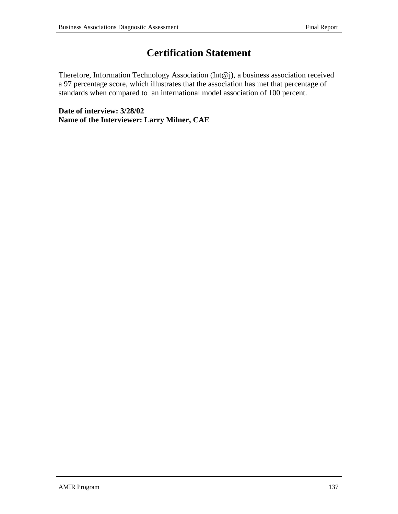# **Certification Statement**

Therefore, Information Technology Association (Int@j), a business association received a 97 percentage score, which illustrates that the association has met that percentage of standards when compared to an international model association of 100 percent.

**Date of interview: 3/28/02 Name of the Interviewer: Larry Milner, CAE**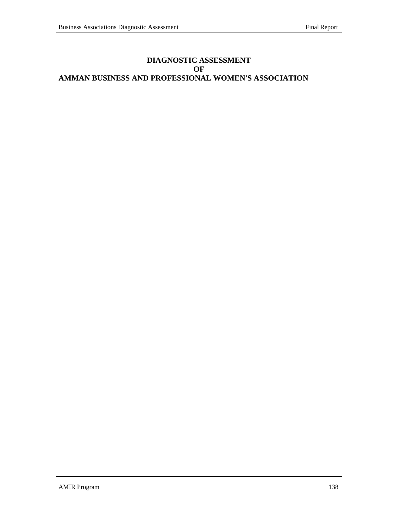## **DIAGNOSTIC ASSESSMENT OF AMMAN BUSINESS AND PROFESSIONAL WOMEN'S ASSOCIATION**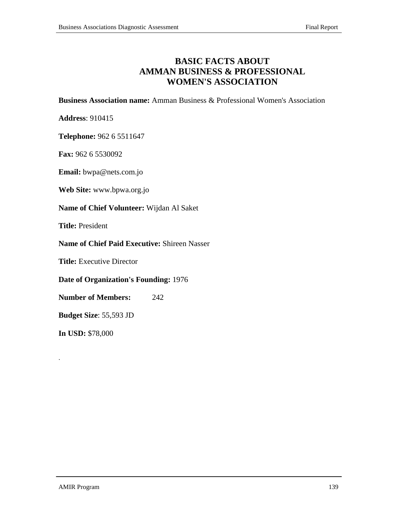## **BASIC FACTS ABOUT AMMAN BUSINESS & PROFESSIONAL WOMEN'S ASSOCIATION**

**Business Association name:** Amman Business & Professional Women's Association

**Address**: 910415

**Telephone:** 962 6 5511647

**Fax:** 962 6 5530092

**Email:** bwpa@nets.com.jo

**Web Site:** www.bpwa.org.jo

**Name of Chief Volunteer:** Wijdan Al Saket

**Title:** President

**Name of Chief Paid Executive:** Shireen Nasser

**Title:** Executive Director

**Date of Organization's Founding:** 1976

**Number of Members:** 242

**Budget Size**: 55,593 JD

**In USD:** \$78,000

.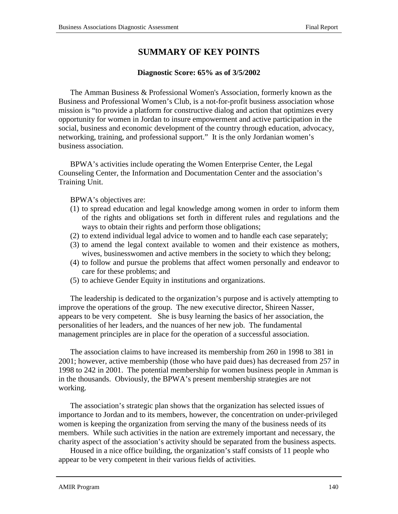## **SUMMARY OF KEY POINTS**

## **Diagnostic Score: 65% as of 3/5/2002**

The Amman Business & Professional Women's Association, formerly known as the Business and Professional Women's Club, is a not-for-profit business association whose mission is "to provide a platform for constructive dialog and action that optimizes every opportunity for women in Jordan to insure empowerment and active participation in the social, business and economic development of the country through education, advocacy, networking, training, and professional support." It is the only Jordanian women's business association.

BPWA's activities include operating the Women Enterprise Center, the Legal Counseling Center, the Information and Documentation Center and the association's Training Unit.

BPWA's objectives are:

- (1) to spread education and legal knowledge among women in order to inform them of the rights and obligations set forth in different rules and regulations and the ways to obtain their rights and perform those obligations;
- (2) to extend individual legal advice to women and to handle each case separately;
- (3) to amend the legal context available to women and their existence as mothers, wives, businesswomen and active members in the society to which they belong;
- (4) to follow and pursue the problems that affect women personally and endeavor to care for these problems; and
- (5) to achieve Gender Equity in institutions and organizations.

The leadership is dedicated to the organization's purpose and is actively attempting to improve the operations of the group. The new executive director, Shireen Nasser, appears to be very competent. She is busy learning the basics of her association, the personalities of her leaders, and the nuances of her new job. The fundamental management principles are in place for the operation of a successful association.

The association claims to have increased its membership from 260 in 1998 to 381 in 2001; however, active membership (those who have paid dues) has decreased from 257 in 1998 to 242 in 2001. The potential membership for women business people in Amman is in the thousands. Obviously, the BPWA's present membership strategies are not working.

The association's strategic plan shows that the organization has selected issues of importance to Jordan and to its members, however, the concentration on under-privileged women is keeping the organization from serving the many of the business needs of its members. While such activities in the nation are extremely important and necessary, the charity aspect of the association's activity should be separated from the business aspects.

Housed in a nice office building, the organization's staff consists of 11 people who appear to be very competent in their various fields of activities.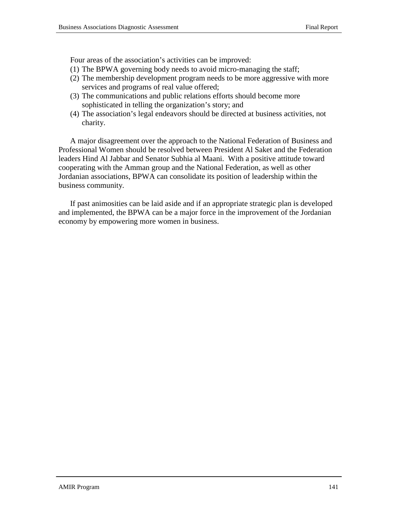Four areas of the association's activities can be improved:

- (1) The BPWA governing body needs to avoid micro-managing the staff;
- (2) The membership development program needs to be more aggressive with more services and programs of real value offered;
- (3) The communications and public relations efforts should become more sophisticated in telling the organization's story; and
- (4) The association's legal endeavors should be directed at business activities, not charity.

A major disagreement over the approach to the National Federation of Business and Professional Women should be resolved between President Al Saket and the Federation leaders Hind Al Jabbar and Senator Subhia al Maani. With a positive attitude toward cooperating with the Amman group and the National Federation, as well as other Jordanian associations, BPWA can consolidate its position of leadership within the business community.

If past animosities can be laid aside and if an appropriate strategic plan is developed and implemented, the BPWA can be a major force in the improvement of the Jordanian economy by empowering more women in business.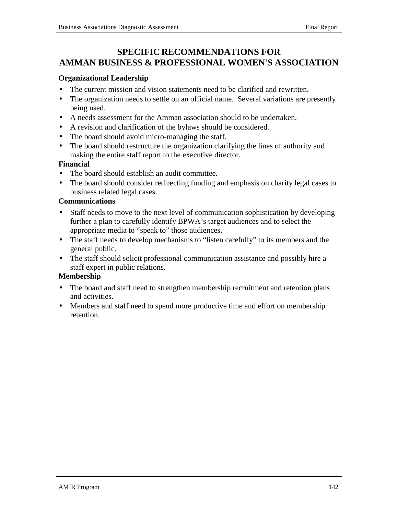# **SPECIFIC RECOMMENDATIONS FOR AMMAN BUSINESS & PROFESSIONAL WOMEN'S ASSOCIATION**

## **Organizational Leadership**

- The current mission and vision statements need to be clarified and rewritten.
- The organization needs to settle on an official name. Several variations are presently being used.
- A needs assessment for the Amman association should to be undertaken.
- A revision and clarification of the bylaws should be considered.
- The board should avoid micro-managing the staff.
- The board should restructure the organization clarifying the lines of authority and making the entire staff report to the executive director.

## **Financial**

- The board should establish an audit committee.
- The board should consider redirecting funding and emphasis on charity legal cases to business related legal cases.

## **Communications**

- Staff needs to move to the next level of communication sophistication by developing further a plan to carefully identify BPWA's target audiences and to select the appropriate media to "speak to" those audiences.
- The staff needs to develop mechanisms to "listen carefully" to its members and the general public.
- The staff should solicit professional communication assistance and possibly hire a staff expert in public relations.

## **Membership**

- The board and staff need to strengthen membership recruitment and retention plans and activities.
- Members and staff need to spend more productive time and effort on membership retention.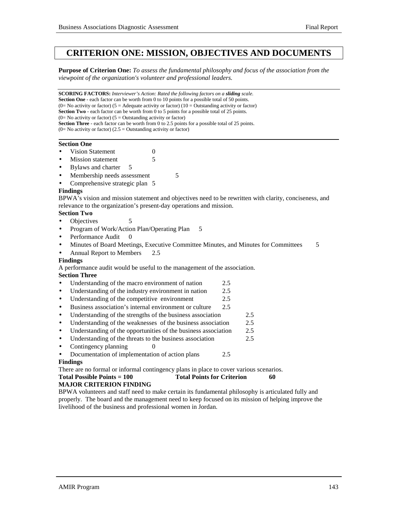# **CRITERION ONE: MISSION, OBJECTIVES AND DOCUMENTS**

**Purpose of Criterion One:** *To assess the fundamental philosophy and focus of the association from the viewpoint of the organization's volunteer and professional leaders.*

**SCORING FACTORS:** *Interviewer's Action: Rated the following factors on a sliding scale.* **Section One** - each factor can be worth from 0 to 10 points for a possible total of 50 points. (0= No activity or factor) (5 = Adequate activity or factor) (10 = Outstanding activity or factor) **Section Two** - each factor can be worth from 0 to 5 points for a possible total of 25 points.  $(0=$  No activity or factor)  $(5 =$  Outstanding activity or factor) **Section Three** - each factor can be worth from 0 to 2.5 points for a possible total of 25 points.  $(0=$  No activity or factor)  $(2.5 =$  Outstanding activity or factor)

### **Section One**

- **Vision Statement** 0
- **Mission statement** 5
- Bylaws and charter 5
- Membership needs assessment 5
- Comprehensive strategic plan 5

#### **Findings**

BPWA's vision and mission statement and objectives need to be rewritten with clarity, conciseness, and relevance to the organization's present-day operations and mission.

## **Section Two**

- Objectives 5
- Program of Work/Action Plan/Operating Plan 5
- Performance Audit 0
- Minutes of Board Meetings, Executive Committee Minutes, and Minutes for Committees 5
- Annual Report to Members 2.5

#### **Findings**

A performance audit would be useful to the management of the association.

## **Section Three**

- Understanding of the macro environment of nation 2.5
- Understanding of the industry environment in nation 2.5
- Understanding of the competitive environment 2.5
- Business association's internal environment or culture 2.5
- Understanding of the strengths of the business association 2.5
- Understanding of the weaknesses of the business association 2.5
- Understanding of the opportunities of the business association 2.5
- Understanding of the threats to the business association 2.5
- Contingency planning  $\qquad \qquad 0$
- Documentation of implementation of action plans 2.5

#### **Findings**

There are no formal or informal contingency plans in place to cover various scenarios.

| <b>Total Possible Points = 100</b> | <b>Total Points for Criterion</b> |  |
|------------------------------------|-----------------------------------|--|
|                                    |                                   |  |

## **MAJOR CRITERION FINDING**

BPWA volunteers and staff need to make certain its fundamental philosophy is articulated fully and properly. The board and the management need to keep focused on its mission of helping improve the livelihood of the business and professional women in Jordan.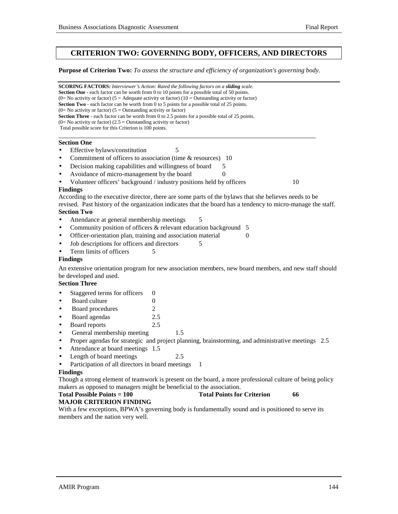## **CRITERION TWO: GOVERNING BODY, OFFICERS, AND DIRECTORS**

#### **Purpose of Criterion Two:** *To assess the structure and efficiency of organization's governing body.*

**SCORING FACTORS:** *Interviewer's Action: Rated the following factors on a sliding scale.* **Section One** - each factor can be worth from 0 to 10 points for a possible total of 50 points. (0= No activity or factor) (5 = Adequate activity or factor) (10 = Outstanding activity or factor) **Section Two** - each factor can be worth from 0 to 5 points for a possible total of 25 points.  $(0=$  No activity or factor)  $(5 =$  Outstanding activity or factor) **Section Three** - each factor can be worth from 0 to 2.5 points for a possible total of 25 points.  $(0=$  No activity or factor)  $(2.5 =$  Outstanding activity or factor) Total possible score for this Criterion is 100 points. l **Section One** • Effective bylaws/constitution 5 Commitment of officers to association (time & resources) 10 Decision making capabilities and willingness of board 5 Avoidance of micro-management by the board 0 • Volunteer officers' background / industry positions held by officers 10 **Findings** According to the executive director, there are some parts of the bylaws that she believes needs to be revised. Past history of the organization indicates that the board has a tendency to micro-manage the staff. **Section Two** Attendance at general membership meetings 5 • Community position of officers & relevant education background 5 Officer-orientation plan, training and association material 0 Job descriptions for officers and directors 5 Term limits of officers 5 **Findings** An extensive orientation program for new association members, new board members, and new staff should be developed and used. **Section Three** • Staggered terms for officers 0 **Board culture** 0 • Board procedures 2 • Board agendas 2.5 • Board reports 2.5 General membership meeting 1.5 • Proper agendas for strategic and project planning, brainstorming, and administrative meetings 2.5 • Attendance at board meetings 1.5 • Length of board meetings 2.5 Participation of all directors in board meetings 1 **Findings** Though a strong element of teamwork is present on the board, a more professional culture of being policy makers as opposed to managers might be beneficial to the association.

#### **Total Possible Points = 100** Total Points for Criterion 66 **MAJOR CRITERION FINDING**

With a few exceptions, BPWA's governing body is fundamentally sound and is positioned to serve its members and the nation very well.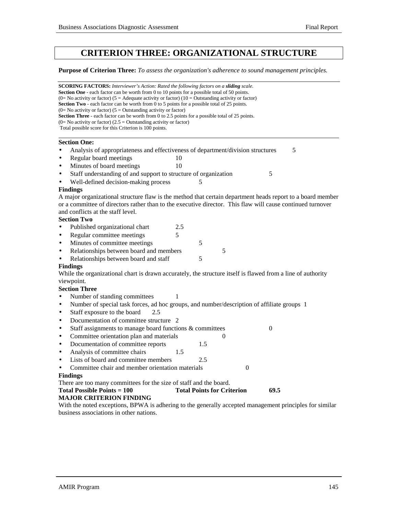# **CRITERION THREE: ORGANIZATIONAL STRUCTURE**

**Purpose of Criterion Three:** *To assess the organization's adherence to sound management principles.*

| <b>SCORING FACTORS:</b> Interviewer's Action: Rated the following factors on a sliding scale.                                                                                                              |                                   |   |                  |   |
|------------------------------------------------------------------------------------------------------------------------------------------------------------------------------------------------------------|-----------------------------------|---|------------------|---|
| <b>Section One</b> - each factor can be worth from 0 to 10 points for a possible total of 50 points.<br>(0= No activity or factor) (5 = Adequate activity or factor) (10 = Outstanding activity or factor) |                                   |   |                  |   |
| <b>Section Two</b> - each factor can be worth from 0 to 5 points for a possible total of 25 points.                                                                                                        |                                   |   |                  |   |
| $(0=$ No activity or factor) $(5=$ Outstanding activity or factor)                                                                                                                                         |                                   |   |                  |   |
| <b>Section Three</b> - each factor can be worth from 0 to 2.5 points for a possible total of 25 points.                                                                                                    |                                   |   |                  |   |
| $(0=$ No activity or factor) $(2.5=$ Outstanding activity or factor)                                                                                                                                       |                                   |   |                  |   |
| Total possible score for this Criterion is 100 points.                                                                                                                                                     |                                   |   |                  |   |
| <b>Section One:</b>                                                                                                                                                                                        |                                   |   |                  |   |
| Analysis of appropriateness and effectiveness of department/division structures<br>$\bullet$                                                                                                               |                                   |   |                  | 5 |
| Regular board meetings<br>$\bullet$<br>10                                                                                                                                                                  |                                   |   |                  |   |
| Minutes of board meetings<br>10<br>$\bullet$                                                                                                                                                               |                                   |   |                  |   |
| Staff understanding of and support to structure of organization<br>$\bullet$                                                                                                                               |                                   |   | 5                |   |
| Well-defined decision-making process                                                                                                                                                                       | 5                                 |   |                  |   |
| <b>Findings</b>                                                                                                                                                                                            |                                   |   |                  |   |
| A major organizational structure flaw is the method that certain department heads report to a board member                                                                                                 |                                   |   |                  |   |
| or a committee of directors rather than to the executive director. This flaw will cause continued turnover                                                                                                 |                                   |   |                  |   |
| and conflicts at the staff level.                                                                                                                                                                          |                                   |   |                  |   |
| <b>Section Two</b>                                                                                                                                                                                         |                                   |   |                  |   |
| 2.5<br>Published organizational chart<br>$\bullet$                                                                                                                                                         |                                   |   |                  |   |
| 5<br>Regular committee meetings<br>$\bullet$                                                                                                                                                               |                                   |   |                  |   |
| Minutes of committee meetings<br>$\bullet$                                                                                                                                                                 | 5                                 |   |                  |   |
|                                                                                                                                                                                                            |                                   |   |                  |   |
| Relationships between board and members<br>$\bullet$                                                                                                                                                       |                                   | 5 |                  |   |
| Relationships between board and staff<br>$\bullet$                                                                                                                                                         | 5                                 |   |                  |   |
| <b>Findings</b>                                                                                                                                                                                            |                                   |   |                  |   |
| While the organizational chart is drawn accurately, the structure itself is flawed from a line of authority                                                                                                |                                   |   |                  |   |
| viewpoint.                                                                                                                                                                                                 |                                   |   |                  |   |
| <b>Section Three</b>                                                                                                                                                                                       |                                   |   |                  |   |
| Number of standing committees<br>1<br>$\bullet$                                                                                                                                                            |                                   |   |                  |   |
| Number of special task forces, ad hoc groups, and number/description of affiliate groups 1<br>$\bullet$                                                                                                    |                                   |   |                  |   |
| Staff exposure to the board<br>2.5<br>$\bullet$                                                                                                                                                            |                                   |   |                  |   |
| Documentation of committee structure 2<br>$\bullet$                                                                                                                                                        |                                   |   |                  |   |
| Staff assignments to manage board functions & committees<br>$\bullet$                                                                                                                                      |                                   |   | $\boldsymbol{0}$ |   |
| Committee orientation plan and materials<br>$\bullet$                                                                                                                                                      |                                   | 0 |                  |   |
| Documentation of committee reports<br>$\bullet$                                                                                                                                                            | 1.5                               |   |                  |   |
| Analysis of committee chairs<br>1.5<br>$\bullet$                                                                                                                                                           |                                   |   |                  |   |
| Lists of board and committee members<br>$\bullet$                                                                                                                                                          | 2.5                               |   |                  |   |
| Committee chair and member orientation materials                                                                                                                                                           |                                   |   | $\theta$         |   |
| <b>Findings</b>                                                                                                                                                                                            |                                   |   |                  |   |
| There are too many committees for the size of staff and the board.                                                                                                                                         |                                   |   |                  |   |
| <b>Total Possible Points = 100</b>                                                                                                                                                                         | <b>Total Points for Criterion</b> |   | 69.5             |   |
| <b>MAJOR CRITERION FINDING</b>                                                                                                                                                                             |                                   |   |                  |   |
| With the noted exceptions, BPWA is adhering to the generally accepted management principles for similar                                                                                                    |                                   |   |                  |   |
| business associations in other nations.                                                                                                                                                                    |                                   |   |                  |   |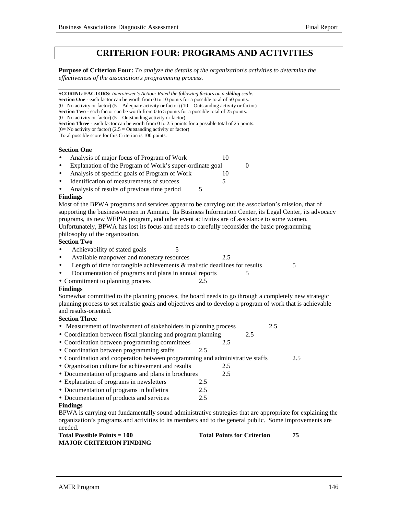# **CRITERION FOUR: PROGRAMS AND ACTIVITIES**

**Purpose of Criterion Four:** *To analyze the details of the organization's activities to determine the effectiveness of the association's programming process.*

**SCORING FACTORS:** *Interviewer's Action: Rated the following factors on a sliding scale.* **Section One** - each factor can be worth from 0 to 10 points for a possible total of 50 points. (0= No activity or factor) (5 = Adequate activity or factor) (10 = Outstanding activity or factor) **Section Two** - each factor can be worth from 0 to 5 points for a possible total of 25 points.  $(0=$  No activity or factor)  $(5 =$  Outstanding activity or factor) **Section Three** - each factor can be worth from 0 to 2.5 points for a possible total of 25 points.  $(0=$  No activity or factor)  $(2.5 =$  Outstanding activity or factor) Total possible score for this Criterion is 100 points.

## **Section One**

l

- Identification of measurements of success 5
- Analysis of results of previous time period 5

#### **Findings**

Most of the BPWA programs and services appear to be carrying out the association's mission, that of supporting the businesswomen in Amman. Its Business Information Center, its Legal Center, its advocacy programs, its new WEPIA program, and other event activities are of assistance to some women. Unfortunately, BPWA has lost its focus and needs to carefully reconsider the basic programming philosophy of the organization.

#### **Section Two**

- Achievability of stated goals 5
- Available manpower and monetary resources 2.5
- Length of time for tangible achievements  $\&$  realistic deadlines for results  $5$
- Documentation of programs and plans in annual reports 5
- Commitment to planning process 2**.**5

## **Findings**

Somewhat committed to the planning process, the board needs to go through a completely new strategic planning process to set realistic goals and objectives and to develop a program of work that is achievable and results-oriented.

#### **Section Three**

- Measurement of involvement of stakeholders in planning process 2.5
- Coordination between fiscal planning and program planning 2.5
- Coordination between programming committees 2.5
- Coordination between programming staffs 2.5
- Coordination and cooperation between programming and administrative staffs 2.5
- Organization culture for achievement and results 2.5
- Documentation of programs and plans in brochures 2.5
- Explanation of programs in newsletters 2.5
- Documentation of programs in bulletins 2.5
- Documentation of products and services 2.5

## **Findings**

BPWA is carrying out fundamentally sound administrative strategies that are appropriate for explaining the organization's programs and activities to its members and to the general public. Some improvements are needed.

| <b>Total Possible Points = 100</b> | <b>Total Points for Criterion</b> |  |
|------------------------------------|-----------------------------------|--|
| <b>MAJOR CRITERION FINDING</b>     |                                   |  |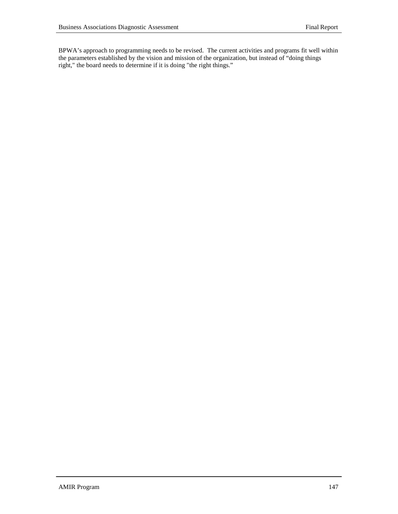BPWA's approach to programming needs to be revised. The current activities and programs fit well within the parameters established by the vision and mission of the organization, but instead of "doing things right," the board needs to determine if it is doing "the right things."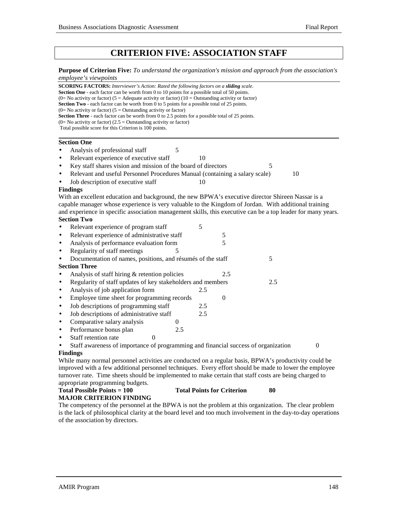# **CRITERION FIVE: ASSOCIATION STAFF**

#### **Purpose of Criterion Five:** *To understand the organization's mission and approach from the association's employee's viewpoints*

| SCORING FACTORS: Interviewer's Action: Rated the following factors on a sliding scale.                                                                                                             |     |                  |     |                |
|----------------------------------------------------------------------------------------------------------------------------------------------------------------------------------------------------|-----|------------------|-----|----------------|
| <b>Section One</b> - each factor can be worth from 0 to 10 points for a possible total of 50 points.                                                                                               |     |                  |     |                |
| (0= No activity or factor) (5 = Adequate activity or factor) (10 = Outstanding activity or factor)<br>Section Two - each factor can be worth from 0 to 5 points for a possible total of 25 points. |     |                  |     |                |
| $(0=$ No activity or factor) $(5=$ Outstanding activity or factor)                                                                                                                                 |     |                  |     |                |
| Section Three - each factor can be worth from 0 to 2.5 points for a possible total of 25 points.                                                                                                   |     |                  |     |                |
| $(0=$ No activity or factor) $(2.5 =$ Outstanding activity or factor)                                                                                                                              |     |                  |     |                |
| Total possible score for this Criterion is 100 points.                                                                                                                                             |     |                  |     |                |
| <b>Section One</b>                                                                                                                                                                                 |     |                  |     |                |
| Analysis of professional staff<br>5                                                                                                                                                                |     |                  |     |                |
| Relevant experience of executive staff<br>$\bullet$                                                                                                                                                | 10  |                  |     |                |
| Key staff shares vision and mission of the board of directors<br>$\bullet$                                                                                                                         |     |                  | 5   |                |
| Relevant and useful Personnel Procedures Manual (containing a salary scale)<br>$\bullet$                                                                                                           |     |                  |     | 10             |
| Job description of executive staff                                                                                                                                                                 | 10  |                  |     |                |
| <b>Findings</b>                                                                                                                                                                                    |     |                  |     |                |
| With an excellent education and background, the new BPWA's executive director Shireen Nassar is a                                                                                                  |     |                  |     |                |
| capable manager whose experience is very valuable to the Kingdom of Jordan. With additional training                                                                                               |     |                  |     |                |
| and experience in specific association management skills, this executive can be a top leader for many years.                                                                                       |     |                  |     |                |
| <b>Section Two</b>                                                                                                                                                                                 |     |                  |     |                |
| Relevant experience of program staff                                                                                                                                                               | 5   |                  |     |                |
| Relevant experience of administrative staff<br>$\bullet$                                                                                                                                           |     | 5                |     |                |
| Analysis of performance evaluation form<br>$\bullet$                                                                                                                                               |     | 5                |     |                |
| Regularity of staff meetings<br>5<br>$\bullet$                                                                                                                                                     |     |                  |     |                |
| Documentation of names, positions, and résumés of the staff<br>$\bullet$                                                                                                                           |     |                  | 5   |                |
| <b>Section Three</b>                                                                                                                                                                               |     |                  |     |                |
| Analysis of staff hiring & retention policies<br>$\bullet$                                                                                                                                         |     | 2.5              |     |                |
| Regularity of staff updates of key stakeholders and members<br>$\bullet$                                                                                                                           |     |                  | 2.5 |                |
| Analysis of job application form<br>$\bullet$                                                                                                                                                      | 2.5 |                  |     |                |
| Employee time sheet for programming records<br>$\bullet$                                                                                                                                           |     | $\boldsymbol{0}$ |     |                |
| Job descriptions of programming staff<br>$\bullet$                                                                                                                                                 | 2.5 |                  |     |                |
| Job descriptions of administrative staff<br>$\bullet$                                                                                                                                              | 2.5 |                  |     |                |
| Comparative salary analysis<br>$\boldsymbol{0}$<br>$\bullet$                                                                                                                                       |     |                  |     |                |
| Performance bonus plan<br>2.5<br>$\bullet$                                                                                                                                                         |     |                  |     |                |
| Staff retention rate<br>$\Omega$<br>$\bullet$                                                                                                                                                      |     |                  |     |                |
| Staff awareness of importance of programming and financial success of organization                                                                                                                 |     |                  |     | $\overline{0}$ |
| <b>Findings</b>                                                                                                                                                                                    |     |                  |     |                |
| While many normal personnel activities are conducted on a regular basis, BPWA's productivity could be                                                                                              |     |                  |     |                |
| improved with a few additional personnel techniques. Every effort should be made to lower the employee                                                                                             |     |                  |     |                |
| turnover rate. Time sheets should be implemented to make certain that staff costs are being charged to                                                                                             |     |                  |     |                |
| appropriate programming budgets.                                                                                                                                                                   |     |                  |     |                |
|                                                                                                                                                                                                    |     |                  |     |                |

## Total Possible Points = 100 Total Points for Criterion 80 **MAJOR CRITERION FINDING**

The competency of the personnel at the BPWA is not the problem at this organization. The clear problem is the lack of philosophical clarity at the board level and too much involvement in the day-to-day operations of the association by directors.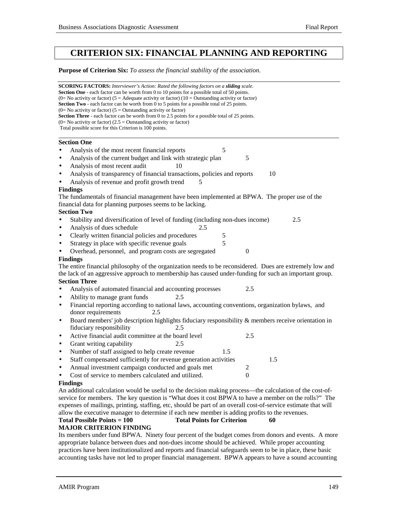# **CRITERION SIX: FINANCIAL PLANNING AND REPORTING**

#### **Purpose of Criterion Six:** *To assess the financial stability of the association.*

| <b>SCORING FACTORS:</b> Interviewer's Action: Rated the following factors on a <b>sliding</b> scale.<br><b>Section One</b> - each factor can be worth from 0 to 10 points for a possible total of 50 points. |  |  |  |  |
|--------------------------------------------------------------------------------------------------------------------------------------------------------------------------------------------------------------|--|--|--|--|
| (0= No activity or factor) (5 = Adequate activity or factor) (10 = Outstanding activity or factor)<br><b>Section Two</b> - each factor can be worth from 0 to 5 points for a possible total of 25 points.    |  |  |  |  |
| $(0=$ No activity or factor) $(5 =$ Outstanding activity or factor)                                                                                                                                          |  |  |  |  |
| Section Three - each factor can be worth from 0 to 2.5 points for a possible total of 25 points.                                                                                                             |  |  |  |  |
| $(0=$ No activity or factor) $(2.5 =$ Outstanding activity or factor)<br>Total possible score for this Criterion is 100 points.                                                                              |  |  |  |  |
|                                                                                                                                                                                                              |  |  |  |  |
| <b>Section One</b>                                                                                                                                                                                           |  |  |  |  |
| Analysis of the most recent financial reports<br>5                                                                                                                                                           |  |  |  |  |
| Analysis of the current budget and link with strategic plan<br>5<br>$\bullet$                                                                                                                                |  |  |  |  |
| Analysis of most recent audit<br>10                                                                                                                                                                          |  |  |  |  |
| Analysis of transparency of financial transactions, policies and reports<br>10<br>$\bullet$                                                                                                                  |  |  |  |  |
| Analysis of revenue and profit growth trend<br>5                                                                                                                                                             |  |  |  |  |
| <b>Findings</b>                                                                                                                                                                                              |  |  |  |  |
| The fundamentals of financial management have been implemented at BPWA. The proper use of the                                                                                                                |  |  |  |  |
| financial data for planning purposes seems to be lacking.                                                                                                                                                    |  |  |  |  |
| <b>Section Two</b>                                                                                                                                                                                           |  |  |  |  |
| Stability and diversification of level of funding (including non-dues income)<br>2.5                                                                                                                         |  |  |  |  |
| Analysis of dues schedule<br>2.5<br>$\bullet$                                                                                                                                                                |  |  |  |  |
| Clearly written financial policies and procedures<br>5<br>$\bullet$                                                                                                                                          |  |  |  |  |
| 5<br>Strategy in place with specific revenue goals<br>$\bullet$                                                                                                                                              |  |  |  |  |
| Overhead, personnel, and program costs are segregated<br>$\boldsymbol{0}$                                                                                                                                    |  |  |  |  |
| <b>Findings</b>                                                                                                                                                                                              |  |  |  |  |
| The entire financial philosophy of the organization needs to be reconsidered. Dues are extremely low and                                                                                                     |  |  |  |  |
| the lack of an aggressive approach to membership has caused under-funding for such an important group.                                                                                                       |  |  |  |  |
| <b>Section Three</b>                                                                                                                                                                                         |  |  |  |  |
| 2.5<br>Analysis of automated financial and accounting processes                                                                                                                                              |  |  |  |  |
| Ability to manage grant funds<br>2.5<br>$\bullet$                                                                                                                                                            |  |  |  |  |
| Financial reporting according to national laws, accounting conventions, organization bylaws, and<br>$\bullet$                                                                                                |  |  |  |  |
| donor requirements<br>2.5                                                                                                                                                                                    |  |  |  |  |
| Board members' job description highlights fiduciary responsibility & members receive orientation in<br>$\bullet$                                                                                             |  |  |  |  |
| fiduciary responsibility<br>2.5                                                                                                                                                                              |  |  |  |  |
| Active financial audit committee at the board level<br>2.5<br>$\bullet$                                                                                                                                      |  |  |  |  |
| Grant writing capability<br>2.5<br>$\bullet$                                                                                                                                                                 |  |  |  |  |
| Number of staff assigned to help create revenue<br>1.5<br>$\bullet$                                                                                                                                          |  |  |  |  |
| Staff compensated sufficiently for revenue generation activities<br>1.5<br>$\bullet$                                                                                                                         |  |  |  |  |
| Annual investment campaign conducted and goals met<br>2<br>$\bullet$                                                                                                                                         |  |  |  |  |
| Cost of service to members calculated and utilized.<br>$\boldsymbol{0}$                                                                                                                                      |  |  |  |  |
| <b>Findings</b>                                                                                                                                                                                              |  |  |  |  |
| An additional calculation would be useful to the decision making process—the calculation of the cost-of-                                                                                                     |  |  |  |  |
| service for members. The key question is "What does it cost BPWA to have a member on the rolls?" The                                                                                                         |  |  |  |  |
| expenses of mailings, printing, staffing, etc, should be part of an overall cost-of-service estimate that will                                                                                               |  |  |  |  |
| allow the executive manager to determine if each new member is adding profits to the revenues.                                                                                                               |  |  |  |  |

## Total Possible Points = 100 Total Points for Criterion 60

## **MAJOR CRITERION FINDING**

Its members under fund BPWA. Ninety four percent of the budget comes from donors and events. A more appropriate balance between dues and non-dues income should be achieved. While proper accounting practices have been institutionalized and reports and financial safeguards seem to be in place, these basic accounting tasks have not led to proper financial management. BPWA appears to have a sound accounting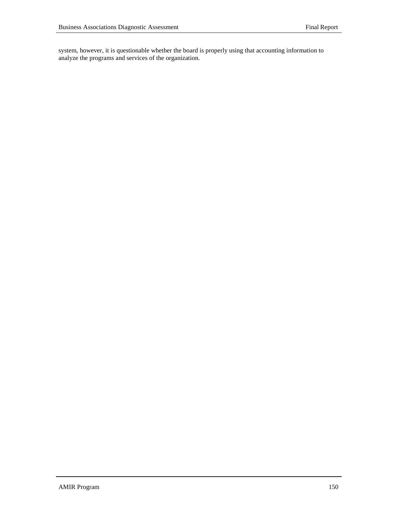system, however, it is questionable whether the board is properly using that accounting information to analyze the programs and services of the organization.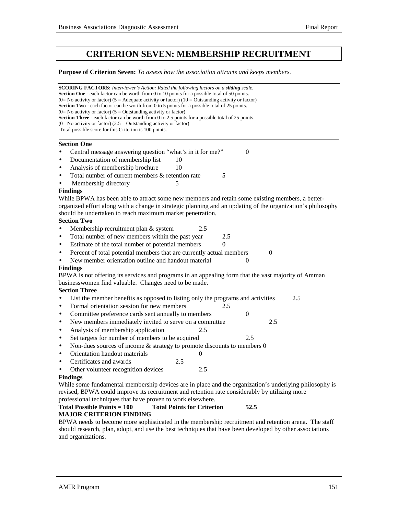# **CRITERION SEVEN: MEMBERSHIP RECRUITMENT**

**Purpose of Criterion Seven:** *To assess how the association attracts and keeps members.*

**SCORING FACTORS:** *Interviewer's Action: Rated the following factors on a sliding scale.* **Section One** - each factor can be worth from 0 to 10 points for a possible total of 50 points. (0= No activity or factor) (5 = Adequate activity or factor) (10 = Outstanding activity or factor) **Section Two** - each factor can be worth from 0 to 5 points for a possible total of 25 points.  $(0=$  No activity or factor)  $(5 =$  Outstanding activity or factor) **Section Three** - each factor can be worth from 0 to 2.5 points for a possible total of 25 points.  $(0=$  No activity or factor)  $(2.5 =$  Outstanding activity or factor) Total possible score for this Criterion is 100 points. l **Section One** • Central message answering question "what's in it for me?" 0 Documentation of membership list 10 Analysis of membership brochure 10 Total number of current members & retention rate 5 Membership directory 5 **Findings** While BPWA has been able to attract some new members and retain some existing members, a betterorganized effort along with a change in strategic planning and an updating of the organization's philosophy should be undertaken to reach maximum market penetration. **Section Two** Membership recruitment plan & system 2.5 • Total number of new members within the past year 2.5 Estimate of the total number of potential members 0 Percent of total potential members that are currently actual members 0 New member orientation outline and handout material 0 **Findings** BPWA is not offering its services and programs in an appealing form that the vast majority of Amman businesswomen find valuable. Changes need to be made. **Section Three** • List the member benefits as opposed to listing only the programs and activities 2.5 • Formal orientation session for new members 2.5 • Committee preference cards sent annually to members 0 New members immediately invited to serve on a committee 2.5 • Analysis of membership application 2.5 • Set targets for number of members to be acquired 2.5 Non-dues sources of income  $&$  strategy to promote discounts to members  $0$ • Orientation handout materials 0 • Certificates and awards 2.5 Other volunteer recognition devices 2.5 **Findings** While some fundamental membership devices are in place and the organization's underlying philosophy is revised, BPWA could improve its recruitment and retention rate considerably by utilizing more professional techniques that have proven to work elsewhere. **Total Possible Points = 100 Total Points for Criterion 52.5 MAJOR CRITERION FINDING** BPWA needs to become more sophisticated in the membership recruitment and retention arena. The staff

should research, plan, adopt, and use the best techniques that have been developed by other associations and organizations.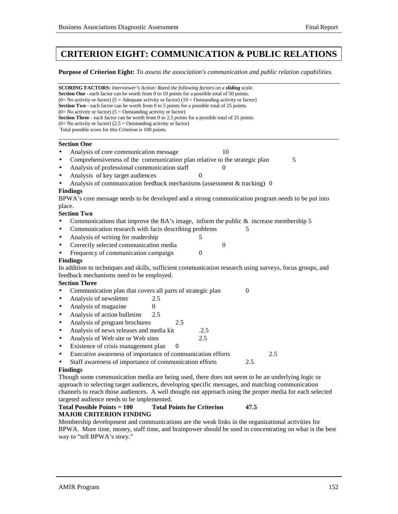# **CRITERION EIGHT: COMMUNICATION & PUBLIC RELATIONS**

**Purpose of Criterion Eight:** *To assess the association's communication and public relation capabilities.*

**SCORING FACTORS:** *Interviewer's Action: Rated the following factors on a sliding scale.* **Section One** - each factor can be worth from 0 to 10 points for a possible total of 50 points. (0= No activity or factor) (5 = Adequate activity or factor) (10 = Outstanding activity or factor) **Section Two** - each factor can be worth from 0 to 5 points for a possible total of 25 points.  $(0=$  No activity or factor)  $(5 =$  Outstanding activity or factor) **Section Three** - each factor can be worth from 0 to 2.5 points for a possible total of 25 points.  $(0=$  No activity or factor)  $(2.5 =$  Outstanding activity or factor) Total possible score for this Criterion is 100 points. l **Section One** Analysis of core communication message 10 • Comprehensiveness of the communication plan relative to the strategic plan 5 Analysis of professional communication staff 0 Analysis of key target audiences • Analysis of communication feedback mechanisms (assessment & tracking) 0 **Findings** BPWA's core message needs to be developed and a strong communication program needs to be put into place. **Section Two** Communications that improve the BA's image, inform the public  $&$  increase membership 5 • Communication research with facts describing problems 5 • Analysis of writing for readership 5 Correctly selected communication media 0 Frequency of communication campaign 0 **Findings** In addition to techniques and skills, sufficient communication research using surveys, focus groups, and feedback mechanisms need to be employed. **Section Three** • Communication plan that covers all parts of strategic plan 0 Analysis of newsletter 2.5 Analysis of magazine 0 • Analysis of action bulletins 2.5 Analysis of program brochures 2.5 Analysis of news releases and media kit .2.5 • Analysis of Web site or Web sites 2.5 Existence of crisis management plan 0 • Executive awareness of importance of communication efforts 2.5 Staff awareness of importance of communication efforts 2.5 **Findings** Though some communication media are being used, there does not seem to be an underlying logic or approach to selecting target audiences, developing specific messages, and matching communication

channels to reach those audiences. A well thought out approach using the proper media for each selected targeted audience needs to be implemented.

#### **Total Possible Points = 100 Total Points for Criterion 47.5 MAJOR CRITERION FINDING**

Membership development and communications are the weak links in the organizational activities for BPWA. More time, money, staff time, and brainpower should be used in concentrating on what is the best way to "tell BPWA's story."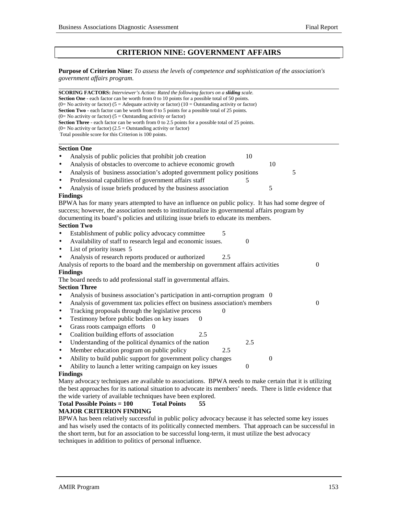## **CRITERION NINE: GOVERNMENT AFFAIRS**

**Purpose of Criterion Nine:** *To assess the levels of competence and sophistication of the association's government affairs program.*

| <b>SCORING FACTORS:</b> Interviewer's Action: Rated the following factors on a sliding scale.<br>Section One - each factor can be worth from 0 to 10 points for a possible total of 50 points.<br>(0= No activity or factor) (5 = Adequate activity or factor) (10 = Outstanding activity or factor)<br>Section Two - each factor can be worth from 0 to 5 points for a possible total of 25 points.<br>$(0=$ No activity or factor) $(5 =$ Outstanding activity or factor)<br><b>Section Three</b> - each factor can be worth from 0 to 2.5 points for a possible total of 25 points.<br>(0= No activity or factor) (2.5 = Outstanding activity or factor)<br>Total possible score for this Criterion is 100 points. |
|-----------------------------------------------------------------------------------------------------------------------------------------------------------------------------------------------------------------------------------------------------------------------------------------------------------------------------------------------------------------------------------------------------------------------------------------------------------------------------------------------------------------------------------------------------------------------------------------------------------------------------------------------------------------------------------------------------------------------|
| <b>Section One</b>                                                                                                                                                                                                                                                                                                                                                                                                                                                                                                                                                                                                                                                                                                    |
| Analysis of public policies that prohibit job creation<br>10                                                                                                                                                                                                                                                                                                                                                                                                                                                                                                                                                                                                                                                          |
| Analysis of obstacles to overcome to achieve economic growth<br>10<br>$\bullet$                                                                                                                                                                                                                                                                                                                                                                                                                                                                                                                                                                                                                                       |
| Analysis of business association's adopted government policy positions<br>5<br>$\bullet$                                                                                                                                                                                                                                                                                                                                                                                                                                                                                                                                                                                                                              |
| Professional capabilities of government affairs staff<br>5<br>٠                                                                                                                                                                                                                                                                                                                                                                                                                                                                                                                                                                                                                                                       |
| Analysis of issue briefs produced by the business association<br>5                                                                                                                                                                                                                                                                                                                                                                                                                                                                                                                                                                                                                                                    |
| <b>Findings</b>                                                                                                                                                                                                                                                                                                                                                                                                                                                                                                                                                                                                                                                                                                       |
| BPWA has for many years attempted to have an influence on public policy. It has had some degree of<br>success; however, the association needs to institutionalize its governmental affairs program by<br>documenting its board's policies and utilizing issue briefs to educate its members.<br><b>Section Two</b>                                                                                                                                                                                                                                                                                                                                                                                                    |
| Establishment of public policy advocacy committee<br>5                                                                                                                                                                                                                                                                                                                                                                                                                                                                                                                                                                                                                                                                |
| Availability of staff to research legal and economic issues.<br>$\Omega$<br>$\bullet$                                                                                                                                                                                                                                                                                                                                                                                                                                                                                                                                                                                                                                 |
| List of priority issues 5<br>$\bullet$                                                                                                                                                                                                                                                                                                                                                                                                                                                                                                                                                                                                                                                                                |
| Analysis of research reports produced or authorized<br>2.5                                                                                                                                                                                                                                                                                                                                                                                                                                                                                                                                                                                                                                                            |
| Analysis of reports to the board and the membership on government affairs activities<br>$\boldsymbol{0}$                                                                                                                                                                                                                                                                                                                                                                                                                                                                                                                                                                                                              |
| <b>Findings</b>                                                                                                                                                                                                                                                                                                                                                                                                                                                                                                                                                                                                                                                                                                       |
| The board needs to add professional staff in governmental affairs.                                                                                                                                                                                                                                                                                                                                                                                                                                                                                                                                                                                                                                                    |
| <b>Section Three</b>                                                                                                                                                                                                                                                                                                                                                                                                                                                                                                                                                                                                                                                                                                  |
| Analysis of business association's participation in anti-corruption program 0                                                                                                                                                                                                                                                                                                                                                                                                                                                                                                                                                                                                                                         |
| Analysis of government tax policies effect on business association's members<br>$\theta$<br>$\bullet$                                                                                                                                                                                                                                                                                                                                                                                                                                                                                                                                                                                                                 |
| Tracking proposals through the legislative process<br>$\Omega$<br>$\bullet$                                                                                                                                                                                                                                                                                                                                                                                                                                                                                                                                                                                                                                           |
| Testimony before public bodies on key issues<br>$\theta$<br>$\bullet$                                                                                                                                                                                                                                                                                                                                                                                                                                                                                                                                                                                                                                                 |
| Grass roots campaign efforts<br>$\bullet$                                                                                                                                                                                                                                                                                                                                                                                                                                                                                                                                                                                                                                                                             |
| Coalition building efforts of association<br>2.5<br>$\bullet$                                                                                                                                                                                                                                                                                                                                                                                                                                                                                                                                                                                                                                                         |
| Understanding of the political dynamics of the nation<br>2.5<br>$\bullet$                                                                                                                                                                                                                                                                                                                                                                                                                                                                                                                                                                                                                                             |
| Member education program on public policy<br>2.5<br>$\bullet$                                                                                                                                                                                                                                                                                                                                                                                                                                                                                                                                                                                                                                                         |
| Ability to build public support for government policy changes<br>$\overline{0}$<br>$\bullet$                                                                                                                                                                                                                                                                                                                                                                                                                                                                                                                                                                                                                          |
| Ability to launch a letter writing campaign on key issues<br>$\theta$                                                                                                                                                                                                                                                                                                                                                                                                                                                                                                                                                                                                                                                 |
| <b>Findings</b>                                                                                                                                                                                                                                                                                                                                                                                                                                                                                                                                                                                                                                                                                                       |
| Many advocacy techniques are available to associations. BPWA needs to make certain that it is utilizing                                                                                                                                                                                                                                                                                                                                                                                                                                                                                                                                                                                                               |

the best approaches for its national situation to advocate its members' needs. There is little evidence that the wide variety of available techniques have been explored.

## **Total Possible Points = 100 Total Points 55**

## **MAJOR CRITERION FINDING**

BPWA has been relatively successful in public policy advocacy because it has selected some key issues and has wisely used the contacts of its politically connected members. That approach can be successful in the short term, but for an association to be successful long-term, it must utilize the best advocacy techniques in addition to politics of personal influence.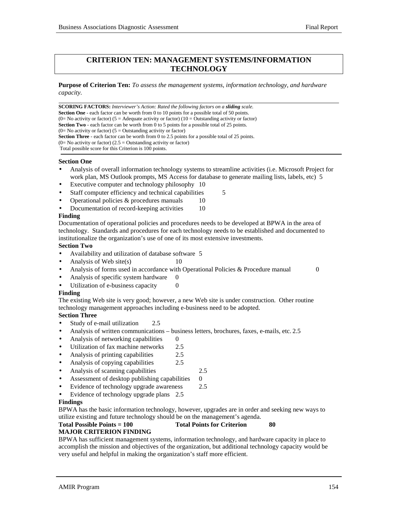## **CRITERION TEN: MANAGEMENT SYSTEMS/INFORMATION TECHNOLOGY**

**Purpose of Criterion Ten:** *To assess the management systems, information technology, and hardware capacity.*

l **SCORING FACTORS:** *Interviewer's Action: Rated the following factors on a sliding scale.* **Section One** - each factor can be worth from 0 to 10 points for a possible total of 50 points.  $(0=$  No activity or factor)  $(5 =$  Adequate activity or factor)  $(10 =$  Outstanding activity or factor) **Section Two** - each factor can be worth from 0 to 5 points for a possible total of 25 points.  $(0=$  No activity or factor)  $(5 =$  Outstanding activity or factor) **Section Three** - each factor can be worth from 0 to 2.5 points for a possible total of 25 points.  $(0=$  No activity or factor)  $(2.5 =$  Outstanding activity or factor) Total possible score for this Criterion is 100 points.

## **Section One**

- Analysis of overall information technology systems to streamline activities (i.e. Microsoft Project for work plan, MS Outlook prompts, MS Access for database to generate mailing lists, labels, etc) 5
- Executive computer and technology philosophy 10
- Staff computer efficiency and technical capabilities 5
- Operational policies  $&$  procedures manuals 10
- Documentation of record-keeping activities 10

## **Finding**

Documentation of operational policies and procedures needs to be developed at BPWA in the area of technology. Standards and procedures for each technology needs to be established and documented to institutionalize the organization's use of one of its most extensive investments.

## **Section Two**

- Availability and utilization of database software 5
- Analysis of Web site(s)  $10$
- Analysis of forms used in accordance with Operational Policies & Procedure manual 0
	-

- Analysis of specific system hardware 0
- Utilization of e-business capacity 0

## **Finding**

The existing Web site is very good; however, a new Web site is under construction. Other routine technology management approaches including e-business need to be adopted.

## **Section Three**

- Study of e-mail utilization 2.5
- Analysis of written communications business letters, brochures, faxes, e-mails, etc. 2.5
- Analysis of networking capabilities  $\qquad 0$
- Utilization of fax machine networks 2.5
- Analysis of printing capabilities 2.5
- Analysis of copying capabilities 2.5
- Analysis of scanning capabilities 2.5
- Assessment of desktop publishing capabilities  $\qquad 0$
- Evidence of technology upgrade awareness 2.5
- Evidence of technology upgrade plans 2.5

#### **Findings**

BPWA has the basic information technology, however, upgrades are in order and seeking new ways to utilize existing and future technology should be on the management's agenda.

## **Total Possible Points = 100 Total Points for Criterion 80**

## **MAJOR CRITERION FINDING**

BPWA has sufficient management systems, information technology, and hardware capacity in place to accomplish the mission and objectives of the organization, but additional technology capacity would be very useful and helpful in making the organization's staff more efficient.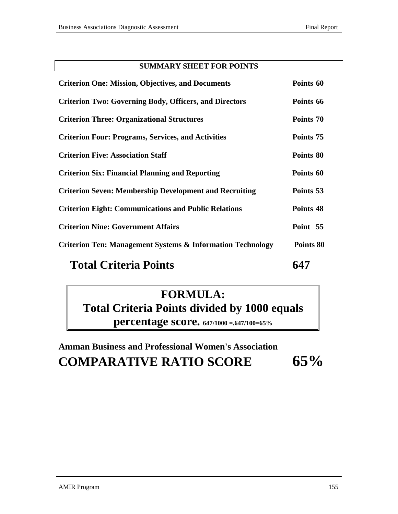## **SUMMARY SHEET FOR POINTS**

| <b>Total Criteria Points</b>                                          |           |
|-----------------------------------------------------------------------|-----------|
| <b>Criterion Ten: Management Systems &amp; Information Technology</b> | Points 80 |
| <b>Criterion Nine: Government Affairs</b>                             | Point 55  |
| <b>Criterion Eight: Communications and Public Relations</b>           | Points 48 |
| <b>Criterion Seven: Membership Development and Recruiting</b>         | Points 53 |
| <b>Criterion Six: Financial Planning and Reporting</b>                | Points 60 |
| <b>Criterion Five: Association Staff</b>                              | Points 80 |
| <b>Criterion Four: Programs, Services, and Activities</b>             | Points 75 |
| <b>Criterion Three: Organizational Structures</b>                     | Points 70 |
| <b>Criterion Two: Governing Body, Officers, and Directors</b>         | Points 66 |
| <b>Criterion One: Mission, Objectives, and Documents</b>              | Points 60 |

# **FORMULA:**

**Total Criteria Points divided by 1000 equals percentage score. 647/1000 =.647/100=65%**

**Amman Business and Professional Women's Association COMPARATIVE RATIO SCORE 65%**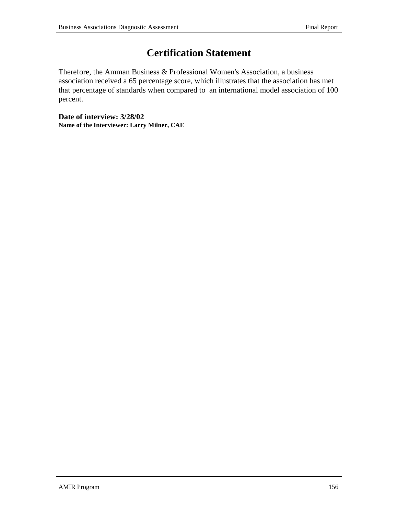# **Certification Statement**

Therefore, the Amman Business & Professional Women's Association, a business association received a 65 percentage score, which illustrates that the association has met that percentage of standards when compared to an international model association of 100 percent.

**Date of interview: 3/28/02 Name of the Interviewer: Larry Milner, CAE**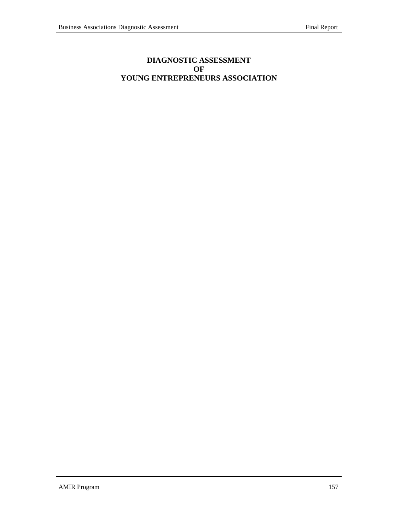## **DIAGNOSTIC ASSESSMENT OF YOUNG ENTREPRENEURS ASSOCIATION**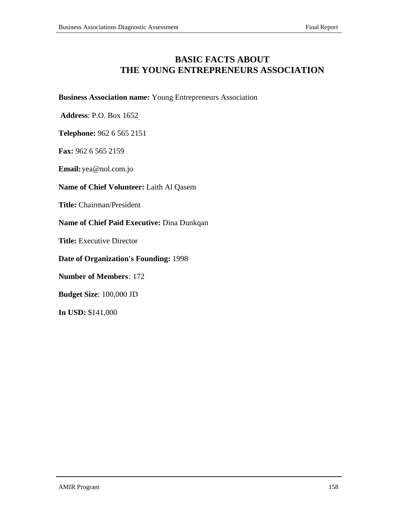# **BASIC FACTS ABOUT THE YOUNG ENTREPRENEURS ASSOCIATION**

## **Business Association name:** Young Entrepreneurs Association

 **Address**: P.O. Box 1652

**Telephone:** 962 6 565 2151

**Fax:** 962 6 565 2159

**Email:**yea@nol.com.jo

## **Name of Chief Volunteer:** Laith Al Qasem

**Title:** Chairman/President

**Name of Chief Paid Executive:** Dina Dunkqan

**Title:** Executive Director

**Date of Organization's Founding:** 1998

**Number of Members**: 172

**Budget Size**: 100,000 JD

**In USD:** \$141,000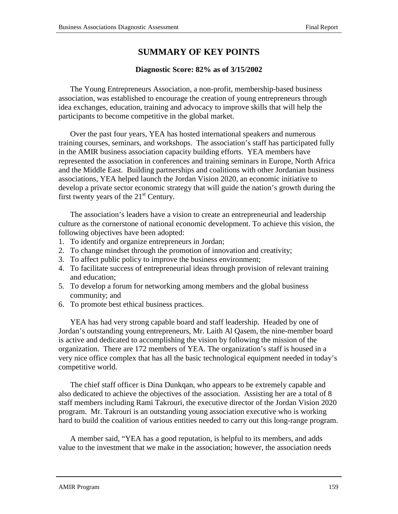# **SUMMARY OF KEY POINTS**

## **Diagnostic Score: 82% as of 3/15/2002**

The Young Entrepreneurs Association, a non-profit, membership-based business association, was established to encourage the creation of young entrepreneurs through idea exchanges, education, training and advocacy to improve skills that will help the participants to become competitive in the global market.

Over the past four years, YEA has hosted international speakers and numerous training courses, seminars, and workshops. The association's staff has participated fully in the AMIR business association capacity building efforts. YEA members have represented the association in conferences and training seminars in Europe, North Africa and the Middle East. Building partnerships and coalitions with other Jordanian business associations, YEA helped launch the Jordan Vision 2020, an economic initiative to develop a private sector economic strategy that will guide the nation's growth during the first twenty years of the  $21<sup>st</sup>$  Century.

The association's leaders have a vision to create an entrepreneurial and leadership culture as the cornerstone of national economic development. To achieve this vision, the following objectives have been adopted:

- 1. To identify and organize entrepreneurs in Jordan;
- 2. To change mindset through the promotion of innovation and creativity;
- 3. To affect public policy to improve the business environment;
- 4. To facilitate success of entrepreneurial ideas through provision of relevant training and education;
- 5. To develop a forum for networking among members and the global business community; and
- 6. To promote best ethical business practices.

YEA has had very strong capable board and staff leadership. Headed by one of Jordan's outstanding young entrepreneurs, Mr. Laith Al Qasem, the nine-member board is active and dedicated to accomplishing the vision by following the mission of the organization. There are 172 members of YEA. The organization's staff is housed in a very nice office complex that has all the basic technological equipment needed in today's competitive world.

The chief staff officer is Dina Dunkqan, who appears to be extremely capable and also dedicated to achieve the objectives of the association. Assisting her are a total of 8 staff members including Rami Takrouri, the executive director of the Jordan Vision 2020 program. Mr. Takrouri is an outstanding young association executive who is working hard to build the coalition of various entities needed to carry out this long-range program.

A member said, "YEA has a good reputation, is helpful to its members, and adds value to the investment that we make in the association; however, the association needs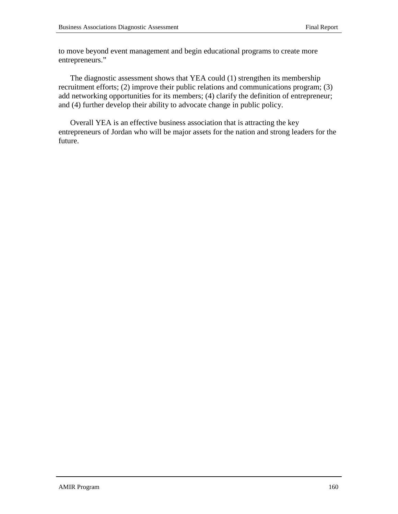to move beyond event management and begin educational programs to create more entrepreneurs."

The diagnostic assessment shows that YEA could (1) strengthen its membership recruitment efforts; (2) improve their public relations and communications program; (3) add networking opportunities for its members; (4) clarify the definition of entrepreneur; and (4) further develop their ability to advocate change in public policy.

Overall YEA is an effective business association that is attracting the key entrepreneurs of Jordan who will be major assets for the nation and strong leaders for the future.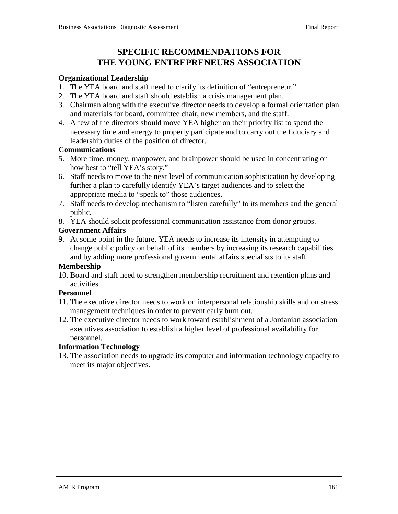# **SPECIFIC RECOMMENDATIONS FOR THE YOUNG ENTREPRENEURS ASSOCIATION**

## **Organizational Leadership**

- 1. The YEA board and staff need to clarify its definition of "entrepreneur."
- 2. The YEA board and staff should establish a crisis management plan.
- 3. Chairman along with the executive director needs to develop a formal orientation plan and materials for board, committee chair, new members, and the staff.
- 4. A few of the directors should move YEA higher on their priority list to spend the necessary time and energy to properly participate and to carry out the fiduciary and leadership duties of the position of director.

## **Communications**

- 5. More time, money, manpower, and brainpower should be used in concentrating on how best to "tell YEA's story."
- 6. Staff needs to move to the next level of communication sophistication by developing further a plan to carefully identify YEA's target audiences and to select the appropriate media to "speak to" those audiences.
- 7. Staff needs to develop mechanism to "listen carefully" to its members and the general public.
- 8. YEA should solicit professional communication assistance from donor groups.

## **Government Affairs**

9. At some point in the future, YEA needs to increase its intensity in attempting to change public policy on behalf of its members by increasing its research capabilities and by adding more professional governmental affairs specialists to its staff.

## **Membership**

10. Board and staff need to strengthen membership recruitment and retention plans and activities.

## **Personnel**

- 11. The executive director needs to work on interpersonal relationship skills and on stress management techniques in order to prevent early burn out.
- 12. The executive director needs to work toward establishment of a Jordanian association executives association to establish a higher level of professional availability for personnel.

## **Information Technology**

13. The association needs to upgrade its computer and information technology capacity to meet its major objectives.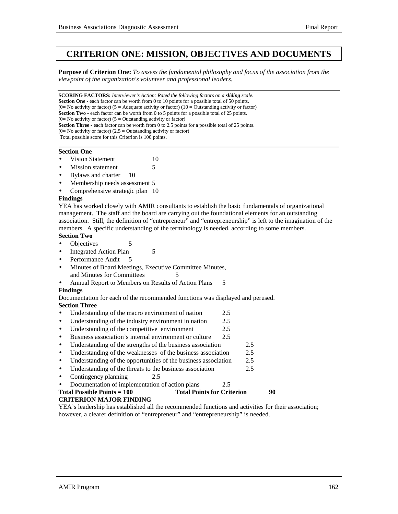## **CRITERION ONE: MISSION, OBJECTIVES AND DOCUMENTS**

**Purpose of Criterion One:** *To assess the fundamental philosophy and focus of the association from the viewpoint of the organization's volunteer and professional leaders.*

**SCORING FACTORS:** *Interviewer's Action: Rated the following factors on a sliding scale.* **Section One** - each factor can be worth from 0 to 10 points for a possible total of 50 points. (0= No activity or factor) (5 = Adequate activity or factor) (10 = Outstanding activity or factor) **Section Two** - each factor can be worth from 0 to 5 points for a possible total of 25 points.  $(0=$  No activity or factor)  $(5=$  Outstanding activity or factor) **Section Three** - each factor can be worth from 0 to 2.5 points for a possible total of 25 points.  $(0=$  No activity or factor)  $(2.5 =$  Outstanding activity or factor) Total possible score for this Criterion is 100 points. 

## **Section One**

- Vision Statement 10
- **Mission statement** 5
- Bylaws and charter 10
- Membership needs assessment 5
- Comprehensive strategic plan 10

#### **Findings**

YEA has worked closely with AMIR consultants to establish the basic fundamentals of organizational management. The staff and the board are carrying out the foundational elements for an outstanding association. Still, the definition of "entrepreneur" and "entrepreneurship" is left to the imagination of the members. A specific understanding of the terminology is needed, according to some members. **Section Two**

- Objectives 5
- Integrated Action Plan 5
- 
- Performance Audit 5
- Minutes of Board Meetings, Executive Committee Minutes, and Minutes for Committees 5
- Annual Report to Members on Results of Action Plans 5

#### **Findings**

Documentation for each of the recommended functions was displayed and perused. **Section Three**

- Understanding of the macro environment of nation 2.5
- Understanding of the industry environment in nation 2.5
- Understanding of the competitive environment 2.5
- Business association's internal environment or culture 2.5
- Understanding of the strengths of the business association 2.5
- Understanding of the weaknesses of the business association 2.5
- Understanding of the opportunities of the business association 2.5
- Understanding of the threats to the business association 2.5
- Contingency planning 2.5
	- Documentation of implementation of action plans 2.5

| <b>Total Possible Points = 100</b> | <b>Total Points for Criterion</b> | 90 |  |
|------------------------------------|-----------------------------------|----|--|
| <b>CRITERION MAJOR FINDING</b>     |                                   |    |  |

YEA's leadership has established all the recommended functions and activities for their association; however, a clearer definition of "entrepreneur" and "entrepreneurship" is needed.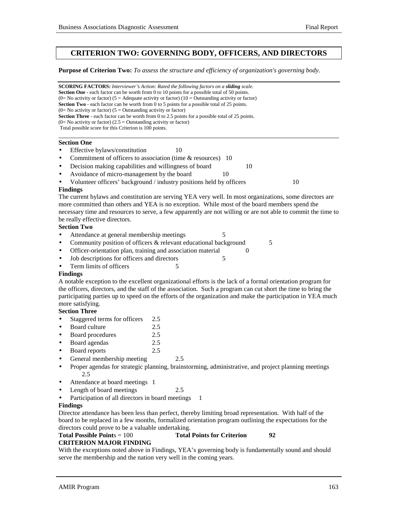## **CRITERION TWO: GOVERNING BODY, OFFICERS, AND DIRECTORS**

#### **Purpose of Criterion Two:** *To assess the structure and efficiency of organization's governing body.*

**SCORING FACTORS:** *Interviewer's Action: Rated the following factors on a sliding scale.* **Section One** - each factor can be worth from 0 to 10 points for a possible total of 50 points. (0= No activity or factor) (5 = Adequate activity or factor) (10 = Outstanding activity or factor) **Section Two** - each factor can be worth from 0 to 5 points for a possible total of 25 points. (0= No activity or factor) ( $5 =$  Outstanding activity or factor) **Section Three** - each factor can be worth from 0 to 2.5 points for a possible total of 25 points.  $(0=$  No activity or factor)  $(2.5 =$  Outstanding activity or factor) Total possible score for this Criterion is 100 points. l **Section One** • Effective bylaws/constitution 10 Commitment of officers to association (time & resources) 10 Decision making capabilities and willingness of board 10 Avoidance of micro-management by the board 10 Volunteer officers' background / industry positions held by officers 10 **Findings** The current bylaws and constitution are serving YEA very well. In most organizations, some directors are more committed than others and YEA is no exception. While most of the board members spend the necessary time and resources to serve, a few apparently are not willing or are not able to commit the time to be really effective directors. **Section Two** • Attendance at general membership meetings 5 • Community position of officers & relevant educational background 5 • Officer-orientation plan, training and association material 0 Job descriptions for officers and directors 5 From limits of officers 5 **Findings** A notable exception to the excellent organizational efforts is the lack of a formal orientation program for the officers, directors, and the staff of the association. Such a program can cut short the time to bring the

#### participating parties up to speed on the efforts of the organization and make the participation in YEA much more satisfying.

## **Section Three**

- Staggered terms for officers 2.5
- Board culture 2.5
- Board procedures 2.5
- Board agendas 2.5
- Board reports 2.5
- General membership meeting 2.5
- Proper agendas for strategic planning, brainstorming, administrative, and project planning meetings 2.5
- Attendance at board meetings 1
- Length of board meetings 2.5
- Participation of all directors in board meetings 1

#### **Findings**

Director attendance has been less than perfect, thereby limiting broad representation. With half of the board to be replaced in a few months, formalized orientation program outlining the expectations for the directors could prove to be a valuable undertaking.

## **Total Possible Point**s = 100 **Total Points for Criterion 92 CRITERION MAJOR FINDING**

With the exceptions noted above in Findings, YEA's governing body is fundamentally sound and should serve the membership and the nation very well in the coming years.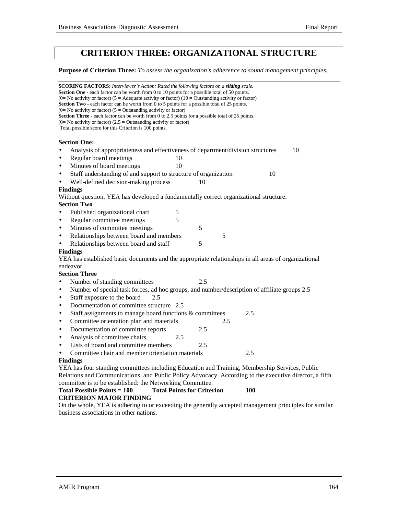# **CRITERION THREE: ORGANIZATIONAL STRUCTURE**

**Purpose of Criterion Three:** *To assess the organization's adherence to sound management principles.*

| <b>SCORING FACTORS:</b> Interviewer's Action: Rated the following factors on a <b>sliding</b> scale.<br><b>Section One</b> - each factor can be worth from 0 to 10 points for a possible total of 50 points.<br>(0= No activity or factor) (5 = Adequate activity or factor) (10 = Outstanding activity or factor)<br><b>Section Two</b> - each factor can be worth from 0 to 5 points for a possible total of 25 points. |  |
|---------------------------------------------------------------------------------------------------------------------------------------------------------------------------------------------------------------------------------------------------------------------------------------------------------------------------------------------------------------------------------------------------------------------------|--|
| $(0=$ No activity or factor) $(5=$ Outstanding activity or factor)                                                                                                                                                                                                                                                                                                                                                        |  |
| <b>Section Three</b> - each factor can be worth from 0 to 2.5 points for a possible total of 25 points.<br>$(0=$ No activity or factor) $(2.5 =$ Outstanding activity or factor)                                                                                                                                                                                                                                          |  |
| Total possible score for this Criterion is 100 points.                                                                                                                                                                                                                                                                                                                                                                    |  |
|                                                                                                                                                                                                                                                                                                                                                                                                                           |  |
| <b>Section One:</b>                                                                                                                                                                                                                                                                                                                                                                                                       |  |
| 10<br>Analysis of appropriateness and effectiveness of department/division structures<br>$\bullet$                                                                                                                                                                                                                                                                                                                        |  |
| Regular board meetings<br>10<br>$\bullet$                                                                                                                                                                                                                                                                                                                                                                                 |  |
| Minutes of board meetings<br>10<br>$\bullet$                                                                                                                                                                                                                                                                                                                                                                              |  |
| Staff understanding of and support to structure of organization<br>10<br>$\bullet$                                                                                                                                                                                                                                                                                                                                        |  |
| Well-defined decision-making process<br>$\bullet$<br>10                                                                                                                                                                                                                                                                                                                                                                   |  |
| <b>Findings</b>                                                                                                                                                                                                                                                                                                                                                                                                           |  |
| Without question, YEA has developed a fundamentally correct organizational structure.                                                                                                                                                                                                                                                                                                                                     |  |
| <b>Section Two</b>                                                                                                                                                                                                                                                                                                                                                                                                        |  |
| Published organizational chart<br>5<br>$\bullet$                                                                                                                                                                                                                                                                                                                                                                          |  |
| 5<br>Regular committee meetings<br>$\bullet$                                                                                                                                                                                                                                                                                                                                                                              |  |
| 5<br>Minutes of committee meetings<br>$\bullet$                                                                                                                                                                                                                                                                                                                                                                           |  |
| Relationships between board and members<br>5<br>$\bullet$                                                                                                                                                                                                                                                                                                                                                                 |  |
| Relationships between board and staff<br>5<br>$\bullet$                                                                                                                                                                                                                                                                                                                                                                   |  |
| <b>Findings</b>                                                                                                                                                                                                                                                                                                                                                                                                           |  |
| YEA has established basic documents and the appropriate relationships in all areas of organizational                                                                                                                                                                                                                                                                                                                      |  |
| endeavor.                                                                                                                                                                                                                                                                                                                                                                                                                 |  |
| <b>Section Three</b>                                                                                                                                                                                                                                                                                                                                                                                                      |  |
| Number of standing committees<br>2.5<br>$\bullet$                                                                                                                                                                                                                                                                                                                                                                         |  |
| Number of special task forces, ad hoc groups, and number/description of affiliate groups 2.5<br>$\bullet$                                                                                                                                                                                                                                                                                                                 |  |
| Staff exposure to the board<br>2.5<br>$\bullet$                                                                                                                                                                                                                                                                                                                                                                           |  |
| Documentation of committee structure 2.5<br>$\bullet$                                                                                                                                                                                                                                                                                                                                                                     |  |
| Staff assignments to manage board functions & committees<br>2.5<br>$\bullet$                                                                                                                                                                                                                                                                                                                                              |  |
| Committee orientation plan and materials<br>2.5<br>$\bullet$                                                                                                                                                                                                                                                                                                                                                              |  |
| Documentation of committee reports<br>2.5<br>$\bullet$                                                                                                                                                                                                                                                                                                                                                                    |  |
| Analysis of committee chairs<br>2.5<br>$\bullet$                                                                                                                                                                                                                                                                                                                                                                          |  |
| Lists of board and committee members<br>2.5<br>$\bullet$                                                                                                                                                                                                                                                                                                                                                                  |  |
| Committee chair and member orientation materials<br>2.5<br>$\bullet$                                                                                                                                                                                                                                                                                                                                                      |  |
| <b>Findings</b>                                                                                                                                                                                                                                                                                                                                                                                                           |  |
| YEA has four standing committees including Education and Training, Membership Services, Public                                                                                                                                                                                                                                                                                                                            |  |
| Relations and Communications, and Public Policy Advocacy. According to the executive director, a fifth                                                                                                                                                                                                                                                                                                                    |  |
| committee is to be established: the Networking Committee.                                                                                                                                                                                                                                                                                                                                                                 |  |
| 100.                                                                                                                                                                                                                                                                                                                                                                                                                      |  |

## **Total Possible Points = 100 Total Points for Criterion 100 CRITERION MAJOR FINDING**

On the whole, YEA is adhering to or exceeding the generally accepted management principles for similar business associations in other nations.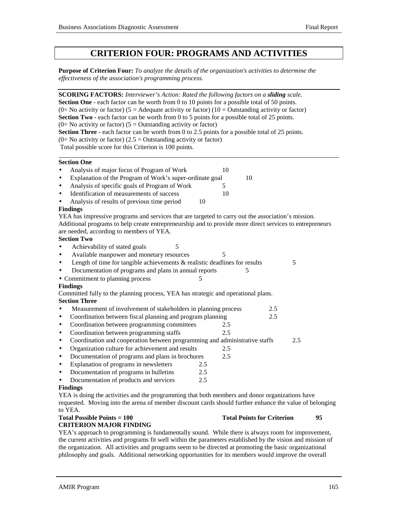# **CRITERION FOUR: PROGRAMS AND ACTIVITIES**

**Purpose of Criterion Four:** *To analyze the details of the organization's activities to determine the effectiveness of the association's programming process.*

| <b>SCORING FACTORS:</b> Interviewer's Action: Rated the following factors on a sliding scale.             |     |    |     |
|-----------------------------------------------------------------------------------------------------------|-----|----|-----|
| <b>Section One</b> - each factor can be worth from 0 to 10 points for a possible total of 50 points.      |     |    |     |
| (0= No activity or factor) (5 = Adequate activity or factor) (10 = Outstanding activity or factor)        |     |    |     |
| Section Two - each factor can be worth from 0 to 5 points for a possible total of 25 points.              |     |    |     |
| $(0=$ No activity or factor) $(5 =$ Outstanding activity or factor)                                       |     |    |     |
| <b>Section Three</b> - each factor can be worth from $0$ to 2.5 points for a possible total of 25 points. |     |    |     |
| $(0=$ No activity or factor) (2.5 = Outstanding activity or factor)                                       |     |    |     |
| Total possible score for this Criterion is 100 points.                                                    |     |    |     |
| <b>Section One</b>                                                                                        |     |    |     |
| Analysis of major focus of Program of Work<br>$\bullet$                                                   | 10  |    |     |
| Explanation of the Program of Work's super-ordinate goal<br>$\bullet$                                     |     | 10 |     |
| Analysis of specific goals of Program of Work<br>$\bullet$                                                | 5   |    |     |
| Identification of measurements of success<br>$\bullet$                                                    | 10  |    |     |
| Analysis of results of previous time period<br>$\bullet$                                                  | 10  |    |     |
| <b>Findings</b>                                                                                           |     |    |     |
| YEA has impressive programs and services that are targeted to carry out the association's mission.        |     |    |     |
| Additional programs to help create entrepreneurship and to provide more direct services to entrepreneurs  |     |    |     |
| are needed, according to members of YEA.                                                                  |     |    |     |
| <b>Section Two</b>                                                                                        |     |    |     |
| 5<br>Achievability of stated goals<br>$\bullet$                                                           |     |    |     |
| Available manpower and monetary resources<br>$\bullet$                                                    | 5   |    |     |
| Length of time for tangible achievements $\&$ realistic deadlines for results<br>$\bullet$                |     |    | 5   |
| Documentation of programs and plans in annual reports<br>$\bullet$                                        |     | 5  |     |
| • Commitment to planning process                                                                          | 5   |    |     |
| <b>Findings</b>                                                                                           |     |    |     |
| Committed fully to the planning process, YEA has strategic and operational plans.                         |     |    |     |
| <b>Section Three</b>                                                                                      |     |    |     |
| Measurement of involvement of stakeholders in planning process<br>$\bullet$                               |     |    | 2.5 |
| Coordination between fiscal planning and program planning<br>$\bullet$                                    |     |    | 2.5 |
| Coordination between programming committees<br>$\bullet$                                                  | 2.5 |    |     |
| Coordination between programming staffs<br>$\bullet$                                                      | 2.5 |    |     |
| Coordination and cooperation between programming and administrative staffs<br>$\bullet$                   |     |    | 2.5 |
| Organization culture for achievement and results<br>$\bullet$                                             | 2.5 |    |     |
| Documentation of programs and plans in brochures<br>$\bullet$                                             | 2.5 |    |     |
| Explanation of programs in newsletters<br>$\bullet$                                                       | 2.5 |    |     |
| Documentation of programs in bulletins<br>$\bullet$                                                       | 2.5 |    |     |
| Documentation of products and services<br>$\bullet$                                                       | 2.5 |    |     |
| <b>Findings</b>                                                                                           |     |    |     |
| YEA is doing the activities and the programming that both members and donor organizations have            |     |    |     |
| requested. Moving into the arena of member discount cards should further enhance the value of belonging   |     |    |     |

# to YEA. **CRITERION MAJOR FINDING**

**Total Possible Points = 100** Total Points for Criterion 95

YEA's approach to programming is fundamentally sound. While there is always room for improvement, the current activities and programs fit well within the parameters established by the vision and mission of the organization. All activities and programs seem to be directed at promoting the basic organizational philosophy and goals. Additional networking opportunities for its members would improve the overall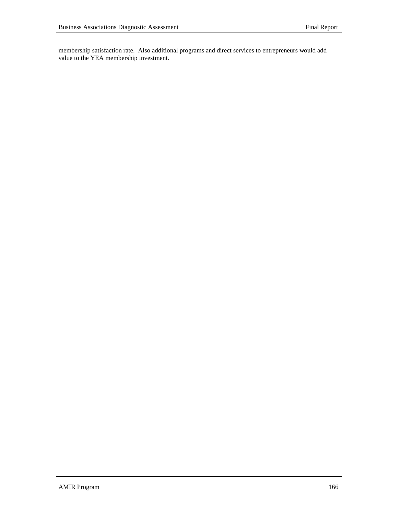membership satisfaction rate. Also additional programs and direct services to entrepreneurs would add value to the YEA membership investment.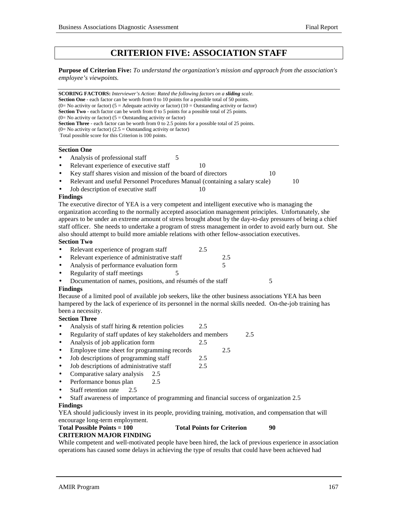# **CRITERION FIVE: ASSOCIATION STAFF**

**Purpose of Criterion Five:** *To understand the organization's mission and approach from the association's employee's viewpoints.*

**SCORING FACTORS:** *Interviewer's Action: Rated the following factors on a sliding scale.* **Section One** - each factor can be worth from 0 to 10 points for a possible total of 50 points. (0= No activity or factor) (5 = Adequate activity or factor) (10 = Outstanding activity or factor) **Section Two** - each factor can be worth from 0 to 5 points for a possible total of 25 points.  $(0=$  No activity or factor)  $(5 =$  Outstanding activity or factor) **Section Three** - each factor can be worth from 0 to 2.5 points for a possible total of 25 points.  $(0=$  No activity or factor)  $(2.5 =$  Outstanding activity or factor) Total possible score for this Criterion is 100 points.

#### **Section One**

- Analysis of professional staff 5
- Relevant experience of executive staff 10
- Key staff shares vision and mission of the board of directors 10
- Relevant and useful Personnel Procedures Manual (containing a salary scale) 10
- Job description of executive staff 10

## **Findings**

The executive director of YEA is a very competent and intelligent executive who is managing the organization according to the normally accepted association management principles. Unfortunately, she appears to be under an extreme amount of stress brought about by the day-to-day pressures of being a chief staff officer. She needs to undertake a program of stress management in order to avoid early burn out. She also should attempt to build more amiable relations with other fellow-association executives.

## **Section Two**

- Relevant experience of program staff 2.5
- Relevant experience of administrative staff 2.5
- Analysis of performance evaluation form 5
- Regularity of staff meetings 5
- Documentation of names, positions, and résumés of the staff 5

#### **Findings**

Because of a limited pool of available job seekers, like the other business associations YEA has been hampered by the lack of experience of its personnel in the normal skills needed. On-the-job training has been a necessity.

## **Section Three**

- Analysis of staff hiring & retention policies 2.5
- Regularity of staff updates of key stakeholders and members 2.5
- Analysis of job application form 2.5
- Employee time sheet for programming records 2.5
- Job descriptions of programming staff 2.5
- Job descriptions of administrative staff 2.5
- Comparative salary analysis 2.5
- Performance bonus plan 2.5
- Staff retention rate 2.5

• Staff awareness of importance of programming and financial success of organization 2.5

## **Findings**

YEA should judiciously invest in its people, providing training, motivation, and compensation that will encourage long-term employment.

## **Total Possible Points = 100 Total Points for Criterion 90**

## **CRITERION MAJOR FINDING**

While competent and well-motivated people have been hired, the lack of previous experience in association operations has caused some delays in achieving the type of results that could have been achieved had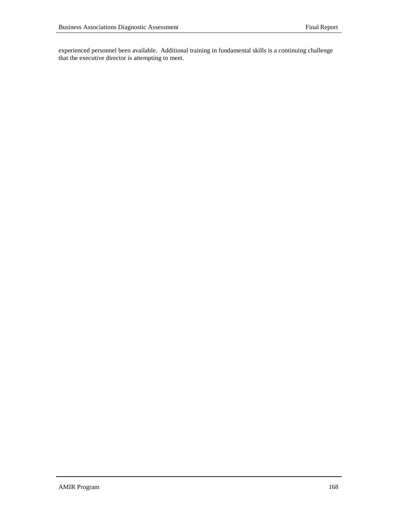experienced personnel been available. Additional training in fundamental skills is a continuing challenge that the executive director is attempting to meet.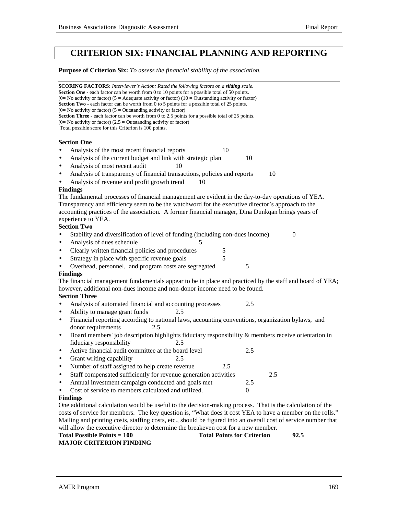# **CRITERION SIX: FINANCIAL PLANNING AND REPORTING**

**Purpose of Criterion Six:** *To assess the financial stability of the association.*

| <b>SCORING FACTORS:</b> Interviewer's Action: Rated the following factors on a sliding scale.<br><b>Section One</b> - each factor can be worth from 0 to 10 points for a possible total of 50 points.<br>(0= No activity or factor) (5 = Adequate activity or factor) (10 = Outstanding activity or factor)<br><b>Section Two</b> - each factor can be worth from 0 to 5 points for a possible total of 25 points.<br>$(0=$ No activity or factor) $(5 =$ Outstanding activity or factor)<br>Section Three - each factor can be worth from 0 to 2.5 points for a possible total of 25 points.<br>$(0=$ No activity or factor) $(2.5 =$ Outstanding activity or factor)<br>Total possible score for this Criterion is 100 points. |                  |
|----------------------------------------------------------------------------------------------------------------------------------------------------------------------------------------------------------------------------------------------------------------------------------------------------------------------------------------------------------------------------------------------------------------------------------------------------------------------------------------------------------------------------------------------------------------------------------------------------------------------------------------------------------------------------------------------------------------------------------|------------------|
|                                                                                                                                                                                                                                                                                                                                                                                                                                                                                                                                                                                                                                                                                                                                  |                  |
| <b>Section One</b>                                                                                                                                                                                                                                                                                                                                                                                                                                                                                                                                                                                                                                                                                                               |                  |
| Analysis of the most recent financial reports<br>10                                                                                                                                                                                                                                                                                                                                                                                                                                                                                                                                                                                                                                                                              |                  |
| Analysis of the current budget and link with strategic plan<br>$\bullet$                                                                                                                                                                                                                                                                                                                                                                                                                                                                                                                                                                                                                                                         | 10               |
| Analysis of most recent audit<br>10<br>$\bullet$                                                                                                                                                                                                                                                                                                                                                                                                                                                                                                                                                                                                                                                                                 |                  |
| Analysis of transparency of financial transactions, policies and reports<br>$\bullet$                                                                                                                                                                                                                                                                                                                                                                                                                                                                                                                                                                                                                                            | 10               |
| Analysis of revenue and profit growth trend<br>10<br>$\bullet$                                                                                                                                                                                                                                                                                                                                                                                                                                                                                                                                                                                                                                                                   |                  |
| <b>Findings</b>                                                                                                                                                                                                                                                                                                                                                                                                                                                                                                                                                                                                                                                                                                                  |                  |
| The fundamental processes of financial management are evident in the day-to-day operations of YEA.                                                                                                                                                                                                                                                                                                                                                                                                                                                                                                                                                                                                                               |                  |
| Transparency and efficiency seem to be the watchword for the executive director's approach to the                                                                                                                                                                                                                                                                                                                                                                                                                                                                                                                                                                                                                                |                  |
| accounting practices of the association. A former financial manager, Dina Dunkqan brings years of                                                                                                                                                                                                                                                                                                                                                                                                                                                                                                                                                                                                                                |                  |
| experience to YEA.                                                                                                                                                                                                                                                                                                                                                                                                                                                                                                                                                                                                                                                                                                               |                  |
| <b>Section Two</b>                                                                                                                                                                                                                                                                                                                                                                                                                                                                                                                                                                                                                                                                                                               |                  |
| Stability and diversification of level of funding (including non-dues income)                                                                                                                                                                                                                                                                                                                                                                                                                                                                                                                                                                                                                                                    | $\boldsymbol{0}$ |
| Analysis of dues schedule<br>5<br>$\bullet$                                                                                                                                                                                                                                                                                                                                                                                                                                                                                                                                                                                                                                                                                      |                  |
| Clearly written financial policies and procedures<br>5<br>$\bullet$                                                                                                                                                                                                                                                                                                                                                                                                                                                                                                                                                                                                                                                              |                  |
| 5<br>Strategy in place with specific revenue goals<br>$\bullet$                                                                                                                                                                                                                                                                                                                                                                                                                                                                                                                                                                                                                                                                  |                  |
| Overhead, personnel, and program costs are segregated                                                                                                                                                                                                                                                                                                                                                                                                                                                                                                                                                                                                                                                                            | 5                |
| <b>Findings</b>                                                                                                                                                                                                                                                                                                                                                                                                                                                                                                                                                                                                                                                                                                                  |                  |
| The financial management fundamentals appear to be in place and practiced by the staff and board of YEA;                                                                                                                                                                                                                                                                                                                                                                                                                                                                                                                                                                                                                         |                  |
| however, additional non-dues income and non-donor income need to be found.                                                                                                                                                                                                                                                                                                                                                                                                                                                                                                                                                                                                                                                       |                  |
| <b>Section Three</b>                                                                                                                                                                                                                                                                                                                                                                                                                                                                                                                                                                                                                                                                                                             |                  |
| Analysis of automated financial and accounting processes<br>$\bullet$                                                                                                                                                                                                                                                                                                                                                                                                                                                                                                                                                                                                                                                            | 2.5              |
| Ability to manage grant funds<br>2.5<br>$\bullet$                                                                                                                                                                                                                                                                                                                                                                                                                                                                                                                                                                                                                                                                                |                  |
| Financial reporting according to national laws, accounting conventions, organization bylaws, and<br>$\bullet$                                                                                                                                                                                                                                                                                                                                                                                                                                                                                                                                                                                                                    |                  |
| donor requirements<br>2.5                                                                                                                                                                                                                                                                                                                                                                                                                                                                                                                                                                                                                                                                                                        |                  |
| Board members' job description highlights fiduciary responsibility & members receive orientation in<br>$\bullet$<br>fiduciary responsibility<br>2.5                                                                                                                                                                                                                                                                                                                                                                                                                                                                                                                                                                              |                  |
| Active financial audit committee at the board level<br>$\bullet$                                                                                                                                                                                                                                                                                                                                                                                                                                                                                                                                                                                                                                                                 | 2.5              |
| Grant writing capability<br>2.5<br>$\bullet$                                                                                                                                                                                                                                                                                                                                                                                                                                                                                                                                                                                                                                                                                     |                  |
| Number of staff assigned to help create revenue<br>2.5<br>$\bullet$                                                                                                                                                                                                                                                                                                                                                                                                                                                                                                                                                                                                                                                              |                  |
| Staff compensated sufficiently for revenue generation activities                                                                                                                                                                                                                                                                                                                                                                                                                                                                                                                                                                                                                                                                 | 2.5              |
| Annual investment campaign conducted and goals met                                                                                                                                                                                                                                                                                                                                                                                                                                                                                                                                                                                                                                                                               | 2.5              |
| Cost of service to members calculated and utilized.<br>$\bullet$                                                                                                                                                                                                                                                                                                                                                                                                                                                                                                                                                                                                                                                                 | $\mathbf{0}$     |
| <b>Findings</b>                                                                                                                                                                                                                                                                                                                                                                                                                                                                                                                                                                                                                                                                                                                  |                  |
| One additional calculation would be useful to the decision-making process. That is the calculation of the                                                                                                                                                                                                                                                                                                                                                                                                                                                                                                                                                                                                                        |                  |
| costs of service for members. The key question is, "What does it cost YEA to have a member on the rolls."                                                                                                                                                                                                                                                                                                                                                                                                                                                                                                                                                                                                                        |                  |
| Mailing and printing costs, staffing costs, etc., should be figured into an overall cost of service number that                                                                                                                                                                                                                                                                                                                                                                                                                                                                                                                                                                                                                  |                  |
| will allow the executive director to determine the breakeven cost for a new member.                                                                                                                                                                                                                                                                                                                                                                                                                                                                                                                                                                                                                                              |                  |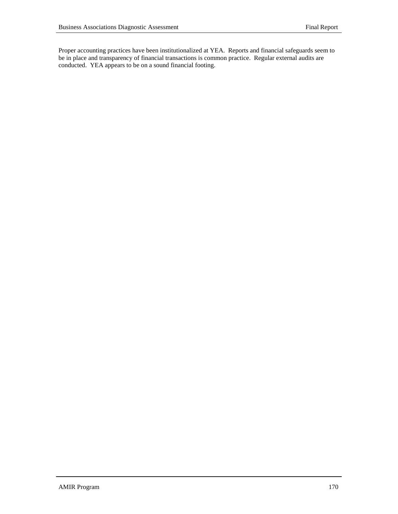Proper accounting practices have been institutionalized at YEA. Reports and financial safeguards seem to be in place and transparency of financial transactions is common practice. Regular external audits are conducted. YEA appears to be on a sound financial footing.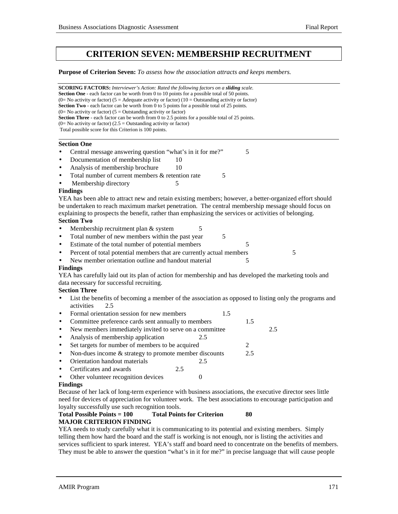# **CRITERION SEVEN: MEMBERSHIP RECRUITMENT**

**Purpose of Criterion Seven:** *To assess how the association attracts and keeps members.*

**SCORING FACTORS:** *Interviewer's Action: Rated the following factors on a sliding scale.* **Section One** - each factor can be worth from 0 to 10 points for a possible total of 50 points. (0= No activity or factor) (5 = Adequate activity or factor) (10 = Outstanding activity or factor) **Section Two** - each factor can be worth from 0 to 5 points for a possible total of 25 points.  $(0=$  No activity or factor)  $(5 =$  Outstanding activity or factor) Section Three - each factor can be worth from 0 to 2.5 points for a possible total of 25 points.  $(0=$  No activity or factor)  $(2.5 =$  Outstanding activity or factor) Total possible score for this Criterion is 100 points. l **Section One** • Central message answering question "what's in it for me?" 5 Documentation of membership list 10 Analysis of membership brochure 10 Total number of current members & retention rate 5 Membership directory 5 **Findings** YEA has been able to attract new and retain existing members; however, a better-organized effort should be undertaken to reach maximum market penetration. The central membership message should focus on explaining to prospects the benefit, rather than emphasizing the services or activities of belonging. **Section Two** • Membership recruitment plan & system 5 • Total number of new members within the past year 5 Estimate of the total number of potential members 5 Percent of total potential members that are currently actual members 5 New member orientation outline and handout material 5 **Findings** YEA has carefully laid out its plan of action for membership and has developed the marketing tools and data necessary for successful recruiting. **Section Three** • List the benefits of becoming a member of the association as opposed to listing only the programs and activities 2.5 • Formal orientation session for new members 1.5 Committee preference cards sent annually to members 1.5 • New members immediately invited to serve on a committee 2.5 Analysis of membership application 2.5 • Set targets for number of members to be acquired 2 • Non-dues income  $&$  strategy to promote member discounts 2.5 • Orientation handout materials 2.5 • Certificates and awards 2.5 Other volunteer recognition devices 0 **Findings** Because of her lack of long-term experience with business associations, the executive director sees little

need for devices of appreciation for volunteer work. The best associations to encourage participation and loyalty successfully use such recognition tools.

## **Total Possible Points = 100 Total Points for Criterion 80 MAJOR CRITERION FINDING**

YEA needs to study carefully what it is communicating to its potential and existing members. Simply telling them how hard the board and the staff is working is not enough, nor is listing the activities and services sufficient to spark interest. YEA's staff and board need to concentrate on the benefits of members. They must be able to answer the question "what's in it for me?" in precise language that will cause people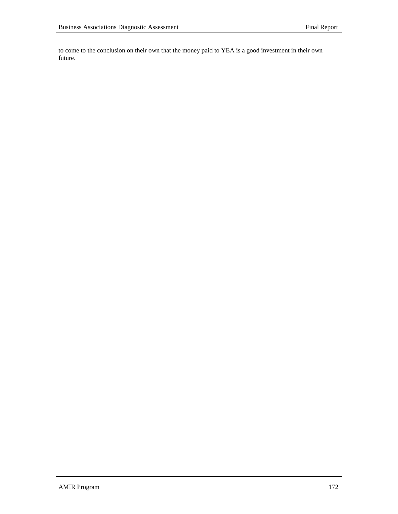to come to the conclusion on their own that the money paid to YEA is a good investment in their own future.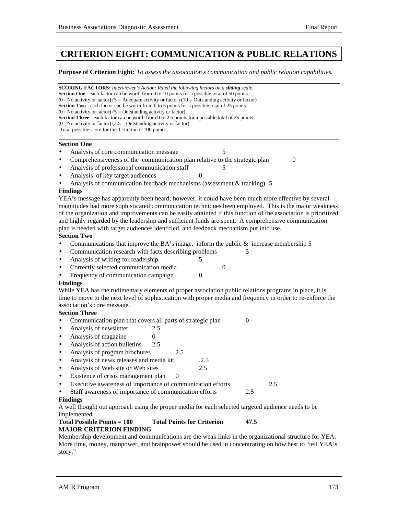# **CRITERION EIGHT: COMMUNICATION & PUBLIC RELATIONS**

**Purpose of Criterion Eight:** *To assess the association's communication and public relation capabilities.*

**SCORING FACTORS:** *Interviewer's Action: Rated the following factors on a sliding scale.* **Section One** - each factor can be worth from 0 to 10 points for a possible total of 50 points. (0= No activity or factor) (5 = Adequate activity or factor) (10 = Outstanding activity or factor) **Section Two** - each factor can be worth from 0 to 5 points for a possible total of 25 points.  $(0=$  No activity or factor)  $(5 =$  Outstanding activity or factor) **Section Three** - each factor can be worth from 0 to 2.5 points for a possible total of 25 points.  $(0=$  No activity or factor)  $(2.5 =$  Outstanding activity or factor) Total possible score for this Criterion is 100 points. l **Section One** Analysis of core communication message 5 • Comprehensiveness of the communication plan relative to the strategic plan 0 Analysis of professional communication staff 5 Analysis of key target audiences • Analysis of communication feedback mechanisms (assessment & tracking) 5 **Findings** YEA's message has apparently been heard; however, it could have been much more effective by several magnitudes had more sophisticated communication techniques been employed. This is the major weakness of the organization and improvements can be easily attainted if this function of the association is prioritized

and highly regarded by the leadership and sufficient funds are spent. A comprehensive communication plan is needed with target audiences identified, and feedback mechanism put into use.

- **Section Two**
- Communications that improve the BA's image, inform the public  $\&$  increase membership 5
- Communication research with facts describing problems 5
- Analysis of writing for readership 5
- Correctly selected communication media 0
- Frequency of communication campaign 0

#### **Findings**

While YEA has the rudimentary elements of proper association public relations programs in place, it is time to move to the next level of sophistication with proper media and frequency in order to re-enforce the association's core message.

## **Section Three**

- Communication plan that covers all parts of strategic plan 0
- Analysis of newsletter 2.5
- Analysis of magazine 0
- Analysis of action bulletins 2.5
- Analysis of program brochures 2.5
- Analysis of news releases and media kit .2.5
- Analysis of Web site or Web sites 2.5
- Existence of crisis management plan 0
- Executive awareness of importance of communication efforts 2.5
- Staff awareness of importance of communication efforts 2.5

#### **Findings**

A well thought out approach using the proper media for each selected targeted audience needs to be implemented.

#### **Total Possible Points = 100 Total Points for Criterion 47.5 MAJOR CRITERION FINDING**

Membership development and communications are the weak links in the organizational structure for YEA. More time, money, manpower, and brainpower should be used in concentrating on how best to "tell YEA's" story."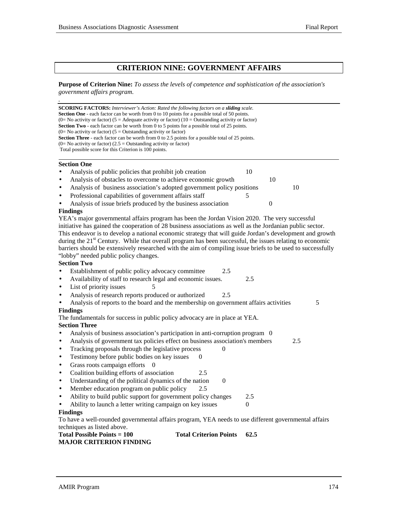$\mathcal{L}_{\mathcal{A}}$ 

## **CRITERION NINE: GOVERNMENT AFFAIRS**

## **Purpose of Criterion Nine:** *To assess the levels of competence and sophistication of the association's government affairs program.*

| <b>SCORING FACTORS:</b> Interviewer's Action: Rated the following factors on a sliding scale.<br><b>Section One</b> - each factor can be worth from 0 to 10 points for a possible total of 50 points.<br>(0= No activity or factor) (5 = Adequate activity or factor) (10 = Outstanding activity or factor)<br>Section Two - each factor can be worth from 0 to 5 points for a possible total of 25 points.<br>(0= No activity or factor) ( $5 =$ Outstanding activity or factor)<br><b>Section Three</b> - each factor can be worth from 0 to 2.5 points for a possible total of 25 points. |                  |
|----------------------------------------------------------------------------------------------------------------------------------------------------------------------------------------------------------------------------------------------------------------------------------------------------------------------------------------------------------------------------------------------------------------------------------------------------------------------------------------------------------------------------------------------------------------------------------------------|------------------|
| $(0=$ No activity or factor) $(2.5 =$ Outstanding activity or factor)                                                                                                                                                                                                                                                                                                                                                                                                                                                                                                                        |                  |
| Total possible score for this Criterion is 100 points.                                                                                                                                                                                                                                                                                                                                                                                                                                                                                                                                       |                  |
| <b>Section One</b>                                                                                                                                                                                                                                                                                                                                                                                                                                                                                                                                                                           |                  |
| Analysis of public policies that prohibit job creation<br>10                                                                                                                                                                                                                                                                                                                                                                                                                                                                                                                                 |                  |
| Analysis of obstacles to overcome to achieve economic growth<br>٠                                                                                                                                                                                                                                                                                                                                                                                                                                                                                                                            | 10               |
| Analysis of business association's adopted government policy positions<br>$\bullet$                                                                                                                                                                                                                                                                                                                                                                                                                                                                                                          | 10               |
| Professional capabilities of government affairs staff<br>5<br>$\bullet$                                                                                                                                                                                                                                                                                                                                                                                                                                                                                                                      |                  |
| Analysis of issue briefs produced by the business association                                                                                                                                                                                                                                                                                                                                                                                                                                                                                                                                | $\boldsymbol{0}$ |
| <b>Findings</b>                                                                                                                                                                                                                                                                                                                                                                                                                                                                                                                                                                              |                  |
| YEA's major governmental affairs program has been the Jordan Vision 2020. The very successful                                                                                                                                                                                                                                                                                                                                                                                                                                                                                                |                  |
| initiative has gained the cooperation of 28 business associations as well as the Jordanian public sector.                                                                                                                                                                                                                                                                                                                                                                                                                                                                                    |                  |
| This endeavor is to develop a national economic strategy that will guide Jordan's development and growth                                                                                                                                                                                                                                                                                                                                                                                                                                                                                     |                  |
| during the 21 <sup>st</sup> Century. While that overall program has been successful, the issues relating to economic                                                                                                                                                                                                                                                                                                                                                                                                                                                                         |                  |
| barriers should be extensively researched with the aim of compiling issue briefs to be used to successfully                                                                                                                                                                                                                                                                                                                                                                                                                                                                                  |                  |
| "lobby" needed public policy changes.                                                                                                                                                                                                                                                                                                                                                                                                                                                                                                                                                        |                  |
| <b>Section Two</b>                                                                                                                                                                                                                                                                                                                                                                                                                                                                                                                                                                           |                  |
| Establishment of public policy advocacy committee<br>2.5                                                                                                                                                                                                                                                                                                                                                                                                                                                                                                                                     |                  |
| Availability of staff to research legal and economic issues.<br>2.5<br>$\bullet$                                                                                                                                                                                                                                                                                                                                                                                                                                                                                                             |                  |
| List of priority issues<br>5<br>$\bullet$                                                                                                                                                                                                                                                                                                                                                                                                                                                                                                                                                    |                  |
| Analysis of research reports produced or authorized<br>2.5<br>$\bullet$                                                                                                                                                                                                                                                                                                                                                                                                                                                                                                                      |                  |
| Analysis of reports to the board and the membership on government affairs activities                                                                                                                                                                                                                                                                                                                                                                                                                                                                                                         | 5                |
| <b>Findings</b>                                                                                                                                                                                                                                                                                                                                                                                                                                                                                                                                                                              |                  |
| The fundamentals for success in public policy advocacy are in place at YEA.                                                                                                                                                                                                                                                                                                                                                                                                                                                                                                                  |                  |
| <b>Section Three</b>                                                                                                                                                                                                                                                                                                                                                                                                                                                                                                                                                                         |                  |
| Analysis of business association's participation in anti-corruption program 0<br>$\bullet$                                                                                                                                                                                                                                                                                                                                                                                                                                                                                                   |                  |
| Analysis of government tax policies effect on business association's members<br>$\bullet$                                                                                                                                                                                                                                                                                                                                                                                                                                                                                                    | 2.5              |
| Tracking proposals through the legislative process<br>$\Omega$<br>$\bullet$                                                                                                                                                                                                                                                                                                                                                                                                                                                                                                                  |                  |
| Testimony before public bodies on key issues<br>$\Omega$<br>$\bullet$                                                                                                                                                                                                                                                                                                                                                                                                                                                                                                                        |                  |
| Grass roots campaign efforts<br>- 0<br>$\bullet$                                                                                                                                                                                                                                                                                                                                                                                                                                                                                                                                             |                  |
| Coalition building efforts of association<br>2.5<br>$\bullet$                                                                                                                                                                                                                                                                                                                                                                                                                                                                                                                                |                  |
| Understanding of the political dynamics of the nation<br>$\boldsymbol{0}$<br>$\bullet$                                                                                                                                                                                                                                                                                                                                                                                                                                                                                                       |                  |
| Member education program on public policy                                                                                                                                                                                                                                                                                                                                                                                                                                                                                                                                                    |                  |
| Ability to build public support for government policy changes<br>2.5<br>$\bullet$                                                                                                                                                                                                                                                                                                                                                                                                                                                                                                            |                  |
| Ability to launch a letter writing campaign on key issues<br>$\theta$                                                                                                                                                                                                                                                                                                                                                                                                                                                                                                                        |                  |
| <b>Findings</b>                                                                                                                                                                                                                                                                                                                                                                                                                                                                                                                                                                              |                  |
| To have a well-rounded governmental affairs program, YEA needs to use different governmental affairs                                                                                                                                                                                                                                                                                                                                                                                                                                                                                         |                  |
| techniques as listed above.                                                                                                                                                                                                                                                                                                                                                                                                                                                                                                                                                                  |                  |
| <b>Total Possible Points = 100</b><br><b>Total Criterion Points</b><br>62.5                                                                                                                                                                                                                                                                                                                                                                                                                                                                                                                  |                  |
| <b>MAJOR CRITERION FINDING</b>                                                                                                                                                                                                                                                                                                                                                                                                                                                                                                                                                               |                  |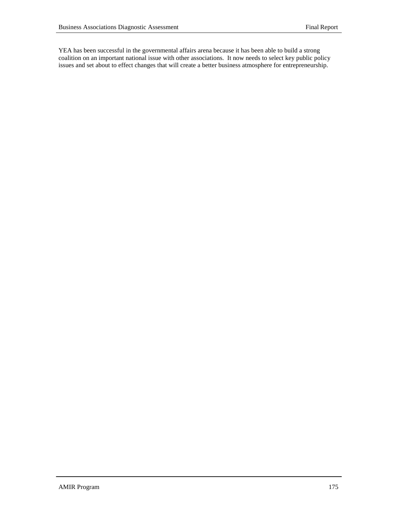YEA has been successful in the governmental affairs arena because it has been able to build a strong coalition on an important national issue with other associations. It now needs to select key public policy issues and set about to effect changes that will create a better business atmosphere for entrepreneurship.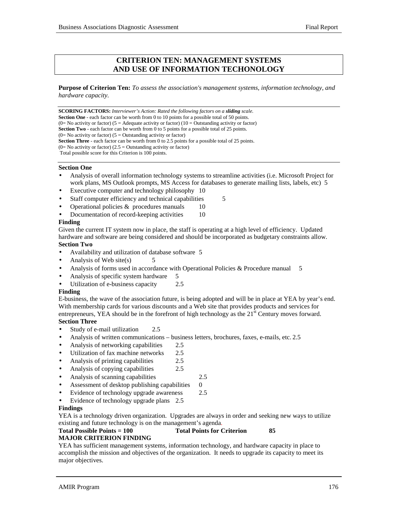## **CRITERION TEN: MANAGEMENT SYSTEMS AND USE OF INFORMATION TECHONOLOGY**

**Purpose of Criterion Ten:** *To assess the association's management systems, information technology, and hardware capacity.*

**SCORING FACTORS:** *Interviewer's Action: Rated the following factors on a sliding scale.* **Section One** - each factor can be worth from 0 to 10 points for a possible total of 50 points.  $(0=$  No activity or factor)  $(5 =$  Adequate activity or factor)  $(10 =$  Outstanding activity or factor) **Section Two** - each factor can be worth from 0 to 5 points for a possible total of 25 points.  $(0=$  No activity or factor)  $(5 =$  Outstanding activity or factor) **Section Three** - each factor can be worth from 0 to 2.5 points for a possible total of 25 points.  $(0=$  No activity or factor)  $(2.5 =$  Outstanding activity or factor) Total possible score for this Criterion is 100 points.

## **Section One**

- Analysis of overall information technology systems to streamline activities (i.e. Microsoft Project for work plans, MS Outlook prompts, MS Access for databases to generate mailing lists, labels, etc) 5
- Executive computer and technology philosophy 10
- Staff computer efficiency and technical capabilities 5
- Operational policies  $&$  procedures manuals 10
- Documentation of record-keeping activities 10

## **Finding**

Given the current IT system now in place, the staff is operating at a high level of efficiency. Updated hardware and software are being considered and should be incorporated as budgetary constraints allow. **Section Two**

- Availability and utilization of database software 5
- Analysis of Web site(s)  $5$
- Analysis of forms used in accordance with Operational Policies & Procedure manual 5
- Analysis of specific system hardware 5
- Utilization of e-business capacity 2.5

#### **Finding**

E-business, the wave of the association future, is being adopted and will be in place at YEA by year's end. With membership cards for various discounts and a Web site that provides products and services for entrepreneurs, YEA should be in the forefront of high technology as the  $21<sup>st</sup>$  Century moves forward. **Section Three**

- Study of e-mail utilization 2.5
- Analysis of written communications business letters, brochures, faxes, e-mails, etc. 2.5
- Analysis of networking capabilities 2.5
- Utilization of fax machine networks 2.5
- Analysis of printing capabilities 2.5
- Analysis of copying capabilities 2.5
- Analysis of scanning capabilities 2.5
- Assessment of desktop publishing capabilities 0
- Evidence of technology upgrade awareness 2.5
- Evidence of technology upgrade plans 2.5

## **Findings**

YEA is a technology driven organization. Upgrades are always in order and seeking new ways to utilize existing and future technology is on the management's agenda.

#### **Total Possible Points = 100 Total Points for Criterion 85 MAJOR CRITERION FINDING**

YEA has sufficient management systems, information technology, and hardware capacity in place to accomplish the mission and objectives of the organization. It needs to upgrade its capacity to meet its major objectives.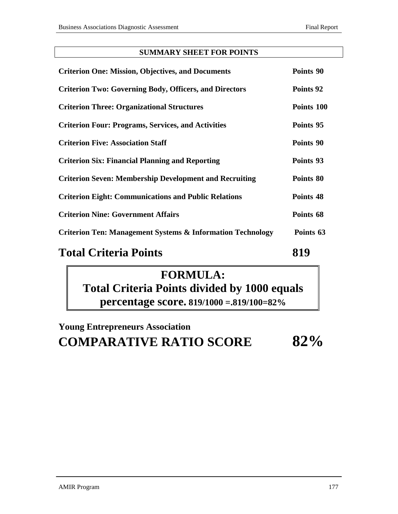## **SUMMARY SHEET FOR POINTS**

| <b>Criterion One: Mission, Objectives, and Documents</b>              | Points 90  |
|-----------------------------------------------------------------------|------------|
| <b>Criterion Two: Governing Body, Officers, and Directors</b>         | Points 92  |
| <b>Criterion Three: Organizational Structures</b>                     | Points 100 |
| <b>Criterion Four: Programs, Services, and Activities</b>             | Points 95  |
| <b>Criterion Five: Association Staff</b>                              | Points 90  |
| <b>Criterion Six: Financial Planning and Reporting</b>                | Points 93  |
| <b>Criterion Seven: Membership Development and Recruiting</b>         | Points 80  |
| <b>Criterion Eight: Communications and Public Relations</b>           | Points 48  |
| <b>Criterion Nine: Government Affairs</b>                             | Points 68  |
| <b>Criterion Ten: Management Systems &amp; Information Technology</b> | Points 63  |

# **Total Criteria Points** 819

# **FORMULA: Total Criteria Points divided by 1000 equals percentage score. 819/1000 =.819/100=82%**

# **Young Entrepreneurs Association COMPARATIVE RATIO SCORE 82%**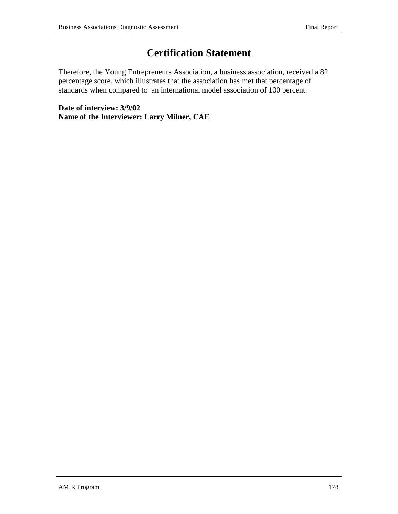## **Certification Statement**

Therefore, the Young Entrepreneurs Association, a business association, received a 82 percentage score, which illustrates that the association has met that percentage of standards when compared to an international model association of 100 percent.

**Date of interview: 3/9/02 Name of the Interviewer: Larry Milner, CAE**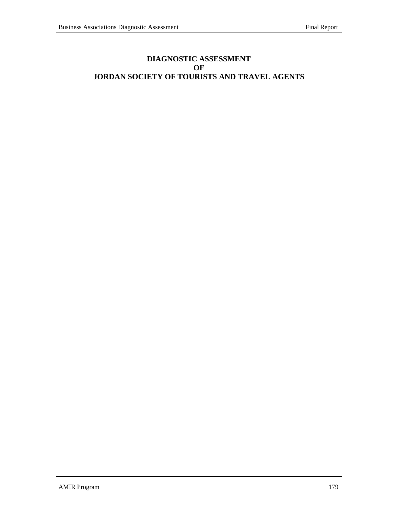### **DIAGNOSTIC ASSESSMENT OF JORDAN SOCIETY OF TOURISTS AND TRAVEL AGENTS**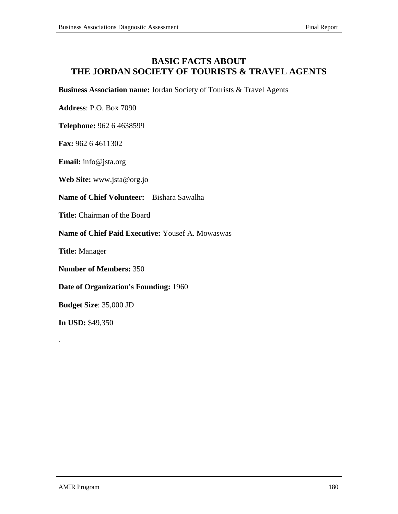### **BASIC FACTS ABOUT THE JORDAN SOCIETY OF TOURISTS & TRAVEL AGENTS**

**Business Association name:** Jordan Society of Tourists & Travel Agents

**Address**: P.O. Box 7090

**Telephone:** 962 6 4638599

**Fax:** 962 6 4611302

**Email:** info@jsta.org

**Web Site:** www.jsta@org.jo

**Name of Chief Volunteer:** Bishara Sawalha

**Title:** Chairman of the Board

**Name of Chief Paid Executive:** Yousef A. Mowaswas

**Title:** Manager

**Number of Members:** 350

**Date of Organization's Founding:** 1960

**Budget Size**: 35,000 JD

**In USD:** \$49,350

.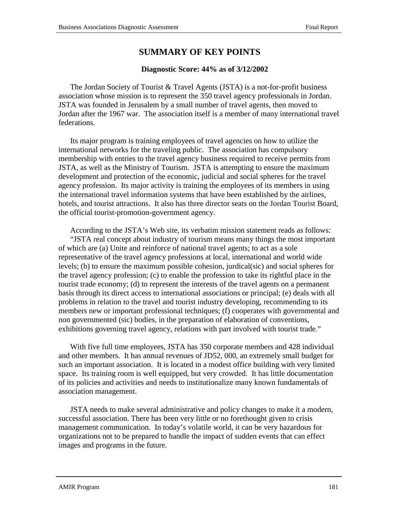### **SUMMARY OF KEY POINTS**

### **Diagnostic Score: 44% as of 3/12/2002**

The Jordan Society of Tourist & Travel Agents (JSTA) is a not-for-profit business association whose mission is to represent the 350 travel agency professionals in Jordan. JSTA was founded in Jerusalem by a small number of travel agents, then moved to Jordan after the 1967 war. The association itself is a member of many international travel federations.

Its major program is training employees of travel agencies on how to utilize the international networks for the traveling public. The association has compulsory membership with entries to the travel agency business required to receive permits from JSTA, as well as the Ministry of Tourism. JSTA is attempting to ensure the maximum development and protection of the economic, judicial and social spheres for the travel agency profession. Its major activity is training the employees of its members in using the international travel information systems that have been established by the airlines, hotels, and tourist attractions. It also has three director seats on the Jordan Tourist Board, the official tourist-promotion-government agency.

According to the JSTA's Web site, its verbatim mission statement reads as follows: "JSTA real concept about industry of tourism means many things the most important of which are (a) Unite and reinforce of national travel agents; to act as a sole representative of the travel agency professions at local, international and world wide levels; (b) to ensure the maximum possible cohesion, jurdical(sic) and social spheres for the travel agency profession; (c) to enable the profession to take its rightful place in the tourist trade economy; (d) to represent the interests of the travel agents on a permanent basis through its direct access to international associations or principal; (e) deals with all problems in relation to the travel and tourist industry developing, recommending to its members new or important professional techniques; (f) cooperates with governmental and non governmented (sic) bodies, in the preparation of elaboration of conventions, exhibitions governing travel agency, relations with part involved with tourist trade."

With five full time employees, JSTA has 350 corporate members and 428 individual and other members. It has annual revenues of JD52, 000, an extremely small budget for such an important association. It is located in a modest office building with very limited space. Its training room is well equipped, but very crowded. It has little documentation of its policies and activities and needs to institutionalize many known fundamentals of association management.

JSTA needs to make several administrative and policy changes to make it a modern, successful association. There has been very little or no forethought given to crisis management communication. In today's volatile world, it can be very hazardous for organizations not to be prepared to handle the impact of sudden events that can effect images and programs in the future.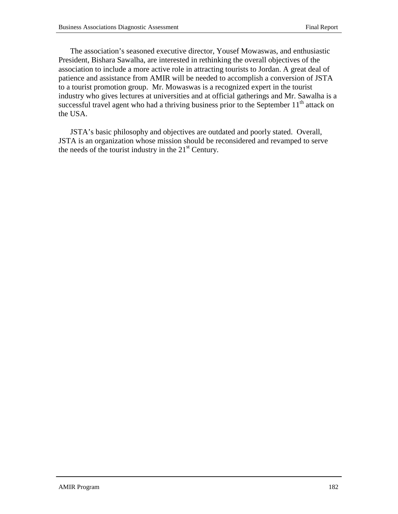The association's seasoned executive director, Yousef Mowaswas, and enthusiastic President, Bishara Sawalha, are interested in rethinking the overall objectives of the association to include a more active role in attracting tourists to Jordan. A great deal of patience and assistance from AMIR will be needed to accomplish a conversion of JSTA to a tourist promotion group. Mr. Mowaswas is a recognized expert in the tourist industry who gives lectures at universities and at official gatherings and Mr. Sawalha is a successful travel agent who had a thriving business prior to the September  $11<sup>th</sup>$  attack on the USA.

JSTA's basic philosophy and objectives are outdated and poorly stated. Overall, JSTA is an organization whose mission should be reconsidered and revamped to serve the needs of the tourist industry in the  $21<sup>st</sup>$  Century.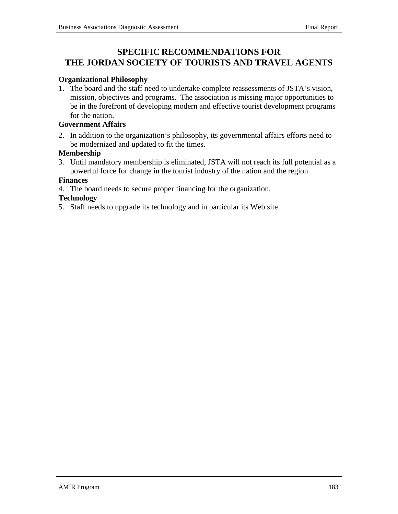### **SPECIFIC RECOMMENDATIONS FOR THE JORDAN SOCIETY OF TOURISTS AND TRAVEL AGENTS**

### **Organizational Philosophy**

1. The board and the staff need to undertake complete reassessments of JSTA's vision, mission, objectives and programs. The association is missing major opportunities to be in the forefront of developing modern and effective tourist development programs for the nation.

#### **Government Affairs**

2. In addition to the organization's philosophy, its governmental affairs efforts need to be modernized and updated to fit the times.

#### **Membership**

3. Until mandatory membership is eliminated, JSTA will not reach its full potential as a powerful force for change in the tourist industry of the nation and the region.

#### **Finances**

4. The board needs to secure proper financing for the organization.

#### **Technology**

5. Staff needs to upgrade its technology and in particular its Web site.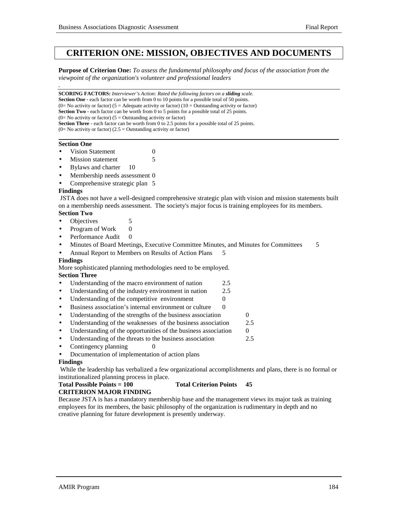### **CRITERION ONE: MISSION, OBJECTIVES AND DOCUMENTS**

**Purpose of Criterion One:** *To assess the fundamental philosophy and focus of the association from the viewpoint of the organization's volunteer and professional leaders*

**SCORING FACTORS:** *Interviewer's Action: Rated the following factors on a sliding scale.* **Section One** - each factor can be worth from 0 to 10 points for a possible total of 50 points. (0= No activity or factor) (5 = Adequate activity or factor) (10 = Outstanding activity or factor) **Section Two** - each factor can be worth from 0 to 5 points for a possible total of 25 points.  $(0=$  No activity or factor)  $(5 =$  Outstanding activity or factor) **Section Three** - each factor can be worth from 0 to 2.5 points for a possible total of 25 points.  $(0=$  No activity or factor)  $(2.5 =$  Outstanding activity or factor)

#### **Section One**

*.*

- **Vision Statement** 0
- **Mission statement** 5
- Bylaws and charter 10
- Membership needs assessment 0
- Comprehensive strategic plan 5

#### **Findings**

 JSTA does not have a well-designed comprehensive strategic plan with vision and mission statements built on a membership needs assessment. The society's major focus is training employees for its members. **Section Two**

### Objectives 5

- Program of Work 0
- Performance Audit 0
- Minutes of Board Meetings, Executive Committee Minutes, and Minutes for Committees 5
- Annual Report to Members on Results of Action Plans 5

#### **Findings**

More sophisticated planning methodologies need to be employed.

#### **Section Three**

- Understanding of the macro environment of nation 2.5
- Understanding of the industry environment in nation 2.5
- Understanding of the competitive environment 0
- Business association's internal environment or culture 0
- Understanding of the strengths of the business association  $\qquad \qquad 0$
- Understanding of the weaknesses of the business association 2.5
- Understanding of the opportunities of the business association  $\qquad 0$
- Understanding of the threats to the business association 2.5
- Contingency planning  $\qquad \qquad 0$
- Documentation of implementation of action plans

#### **Findings**

 While the leadership has verbalized a few organizational accomplishments and plans, there is no formal or institutionalized planning process in place.

#### Total Possible Points = 100 Total Criterion Points 45

#### **CRITERION MAJOR FINDING**

Because JSTA is has a mandatory membership base and the management views its major task as training employees for its members, the basic philosophy of the organization is rudimentary in depth and no creative planning for future development is presently underway.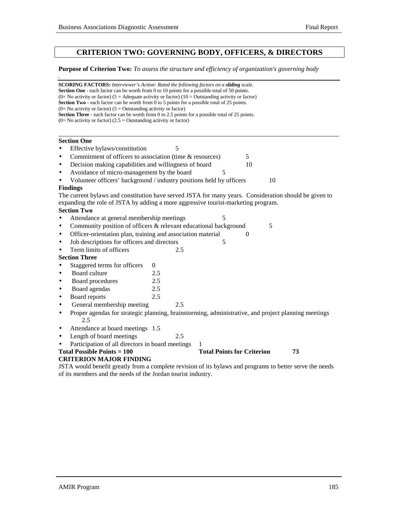*.*

#### **CRITERION TWO: GOVERNING BODY, OFFICERS, & DIRECTORS**

#### **Purpose of Criterion Two:** *To assess the structure and efficiency of organization's governing body*

**SCORING FACTORS:** *Interviewer's Action: Rated the following factors on a sliding scale.* **Section One** - each factor can be worth from 0 to 10 points for a possible total of 50 points. (0= No activity or factor) (5 = Adequate activity or factor) (10 = Outstanding activity or factor) **Section Two** - each factor can be worth from 0 to 5 points for a possible total of 25 points.  $(0=$  No activity or factor)  $(5 =$  Outstanding activity or factor) **Section Three** - each factor can be worth from 0 to 2.5 points for a possible total of 25 points.  $(0=$  No activity or factor)  $(2.5 =$  Outstanding activity or factor) l **Section One** • Effective bylaws/constitution 5 Commitment of officers to association (time & resources) 5 Decision making capabilities and willingness of board 10 Avoidance of micro-management by the board 5 Volunteer officers' background / industry positions held by officers 10 **Findings** The current bylaws and constitution have served JSTA for many years. Consideration should be given to expanding the role of JSTA by adding a more aggressive tourist-marketing program. **Section Two** Attendance at general membership meetings Community position of officers  $&$  relevant educational background  $5$ Officer-orientation plan, training and association material 0 Job descriptions for officers and directors 5 Term limits of officers 2.5 **Section Three** • Staggered terms for officers 0 • Board culture 2.5 • Board procedures 2.5 • Board agendas 2.5 • Board reports 2.5 General membership meeting 2.5 • Proper agendas for strategic planning, brainstorming, administrative, and project planning meetings 2.5 • Attendance at board meetings 1.5 Length of board meetings 2.5 Participation of all directors in board meetings Total Possible Points = 100 Total Points for Criterion 73 **CRITERION MAJOR FINDING** JSTA would benefit greatly from a complete revision of its bylaws and programs to better serve the needs of its members and the needs of the Jordan tourist industry.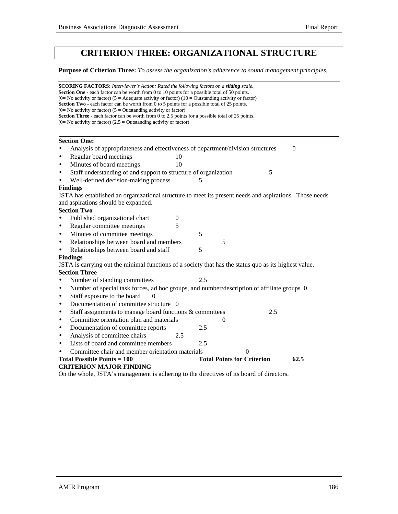### **CRITERION THREE: ORGANIZATIONAL STRUCTURE**

**Purpose of Criterion Three:** *To assess the organization's adherence to sound management principles.*

| <b>SCORING FACTORS:</b> Interviewer's Action: Rated the following factors on a <b>sliding</b> scale.                                                                      |                                           |  |  |  |  |
|---------------------------------------------------------------------------------------------------------------------------------------------------------------------------|-------------------------------------------|--|--|--|--|
| <b>Section One</b> - each factor can be worth from 0 to 10 points for a possible total of 50 points.                                                                      |                                           |  |  |  |  |
| (0= No activity or factor) (5 = Adequate activity or factor) (10 = Outstanding activity or factor)                                                                        |                                           |  |  |  |  |
| <b>Section Two</b> - each factor can be worth from 0 to 5 points for a possible total of 25 points.<br>(0= No activity or factor) ( $5 =$ Outstanding activity or factor) |                                           |  |  |  |  |
| <b>Section Three</b> - each factor can be worth from 0 to 2.5 points for a possible total of 25 points.                                                                   |                                           |  |  |  |  |
| $(0=$ No activity or factor) $(2.5 =$ Outstanding activity or factor)                                                                                                     |                                           |  |  |  |  |
|                                                                                                                                                                           |                                           |  |  |  |  |
| <b>Section One:</b>                                                                                                                                                       |                                           |  |  |  |  |
| Analysis of appropriateness and effectiveness of department/division structures                                                                                           | $\boldsymbol{0}$                          |  |  |  |  |
| Regular board meetings<br>10<br>$\bullet$                                                                                                                                 |                                           |  |  |  |  |
| Minutes of board meetings<br>10<br>$\bullet$                                                                                                                              |                                           |  |  |  |  |
| Staff understanding of and support to structure of organization<br>$\bullet$                                                                                              | 5                                         |  |  |  |  |
| Well-defined decision-making process                                                                                                                                      | 5                                         |  |  |  |  |
| <b>Findings</b>                                                                                                                                                           |                                           |  |  |  |  |
| JSTA has established an organizational structure to meet its present needs and aspirations. Those needs                                                                   |                                           |  |  |  |  |
| and aspirations should be expanded.                                                                                                                                       |                                           |  |  |  |  |
| <b>Section Two</b>                                                                                                                                                        |                                           |  |  |  |  |
| Published organizational chart<br>$\boldsymbol{0}$                                                                                                                        |                                           |  |  |  |  |
| 5<br>Regular committee meetings<br>$\bullet$                                                                                                                              |                                           |  |  |  |  |
| Minutes of committee meetings<br>$\bullet$                                                                                                                                | 5                                         |  |  |  |  |
| Relationships between board and members<br>$\bullet$                                                                                                                      | 5                                         |  |  |  |  |
| Relationships between board and staff<br>$\bullet$                                                                                                                        | 5                                         |  |  |  |  |
| <b>Findings</b>                                                                                                                                                           |                                           |  |  |  |  |
| JSTA is carrying out the minimal functions of a society that has the status quo as its highest value.                                                                     |                                           |  |  |  |  |
| <b>Section Three</b>                                                                                                                                                      |                                           |  |  |  |  |
| Number of standing committees<br>$\bullet$                                                                                                                                | 2.5                                       |  |  |  |  |
| Number of special task forces, ad hoc groups, and number/description of affiliate groups 0<br>$\bullet$                                                                   |                                           |  |  |  |  |
| Staff exposure to the board<br>$\Omega$<br>$\bullet$                                                                                                                      |                                           |  |  |  |  |
| Documentation of committee structure 0<br>$\bullet$                                                                                                                       |                                           |  |  |  |  |
| Staff assignments to manage board functions & committees<br>$\bullet$                                                                                                     | 2.5                                       |  |  |  |  |
| Committee orientation plan and materials<br>$\bullet$                                                                                                                     | 0                                         |  |  |  |  |
| Documentation of committee reports<br>$\bullet$                                                                                                                           | 2.5                                       |  |  |  |  |
| Analysis of committee chairs<br>2.5<br>$\bullet$                                                                                                                          |                                           |  |  |  |  |
| Lists of board and committee members<br>$\bullet$                                                                                                                         | 2.5                                       |  |  |  |  |
| Committee chair and member orientation materials                                                                                                                          | 0                                         |  |  |  |  |
| Total Possible Points $= 100$                                                                                                                                             | <b>Total Points for Criterion</b><br>62.5 |  |  |  |  |
| <b>CRITERION MAJOR FINDING</b>                                                                                                                                            |                                           |  |  |  |  |
| On the whole, JSTA's management is adhering to the directives of its board of directors.                                                                                  |                                           |  |  |  |  |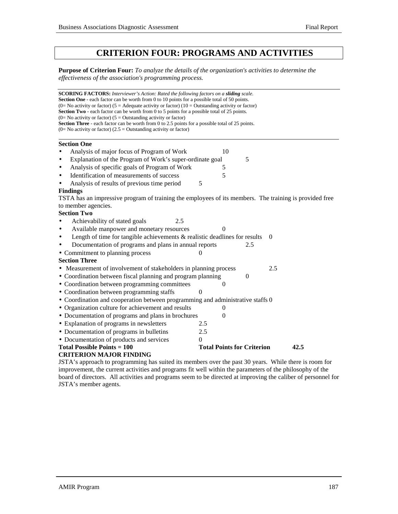### **CRITERION FOUR: PROGRAMS AND ACTIVITIES**

**Purpose of Criterion Four:** *To analyze the details of the organization's activities to determine the effectiveness of the association's programming process.*

| <b>SCORING FACTORS:</b> Interviewer's Action: Rated the following factors on a sliding scale.                                                                                                              |                |                                   |          |
|------------------------------------------------------------------------------------------------------------------------------------------------------------------------------------------------------------|----------------|-----------------------------------|----------|
| <b>Section One</b> - each factor can be worth from 0 to 10 points for a possible total of 50 points.<br>(0= No activity or factor) (5 = Adequate activity or factor) (10 = Outstanding activity or factor) |                |                                   |          |
| <b>Section Two</b> - each factor can be worth from 0 to 5 points for a possible total of 25 points.                                                                                                        |                |                                   |          |
| (0= No activity or factor) ( $5 =$ Outstanding activity or factor)<br><b>Section Three</b> - each factor can be worth from 0 to 2.5 points for a possible total of 25 points.                              |                |                                   |          |
| (0= No activity or factor) (2.5 = Outstanding activity or factor)                                                                                                                                          |                |                                   |          |
|                                                                                                                                                                                                            |                |                                   |          |
| <b>Section One</b>                                                                                                                                                                                         |                |                                   |          |
| Analysis of major focus of Program of Work                                                                                                                                                                 | 10             |                                   |          |
| Explanation of the Program of Work's super-ordinate goal                                                                                                                                                   |                | 5                                 |          |
| Analysis of specific goals of Program of Work                                                                                                                                                              | 5              |                                   |          |
| Identification of measurements of success                                                                                                                                                                  | 5              |                                   |          |
| Analysis of results of previous time period                                                                                                                                                                | 5              |                                   |          |
| <b>Findings</b>                                                                                                                                                                                            |                |                                   |          |
| TSTA has an impressive program of training the employees of its members. The training is provided free                                                                                                     |                |                                   |          |
| to member agencies.<br><b>Section Two</b>                                                                                                                                                                  |                |                                   |          |
| Achievability of stated goals<br>2.5                                                                                                                                                                       |                |                                   |          |
| Available manpower and monetary resources                                                                                                                                                                  | 0              |                                   |          |
| Length of time for tangible achievements $\&$ realistic deadlines for results                                                                                                                              |                |                                   | $\theta$ |
| Documentation of programs and plans in annual reports                                                                                                                                                      |                | 2.5                               |          |
|                                                                                                                                                                                                            | 0              |                                   |          |
| • Commitment to planning process<br><b>Section Three</b>                                                                                                                                                   |                |                                   |          |
| • Measurement of involvement of stakeholders in planning process                                                                                                                                           |                |                                   | 2.5      |
| • Coordination between fiscal planning and program planning                                                                                                                                                |                | $\theta$                          |          |
| • Coordination between programming committees                                                                                                                                                              | 0              |                                   |          |
| • Coordination between programming staffs                                                                                                                                                                  | $\Omega$       |                                   |          |
| • Coordination and cooperation between programming and administrative staffs 0                                                                                                                             |                |                                   |          |
| • Organization culture for achievement and results                                                                                                                                                         | $\theta$       |                                   |          |
| • Documentation of programs and plans in brochures                                                                                                                                                         | $\overline{0}$ |                                   |          |
| • Explanation of programs in newsletters                                                                                                                                                                   | 2.5            |                                   |          |
| • Documentation of programs in bulletins                                                                                                                                                                   | 2.5            |                                   |          |
| • Documentation of products and services                                                                                                                                                                   | $\theta$       |                                   |          |
| Total Possible Points $= 100$                                                                                                                                                                              |                | <b>Total Points for Criterion</b> | 42.5     |
| <b>CRITERION MAJOR FINDING</b>                                                                                                                                                                             |                |                                   |          |
| JSTA's approach to programming has suited its members over the past 30 years. While there is room for                                                                                                      |                |                                   |          |

improvement, the current activities and programs fit well within the parameters of the philosophy of the board of directors. All activities and programs seem to be directed at improving the caliber of personnel for JSTA's member agents.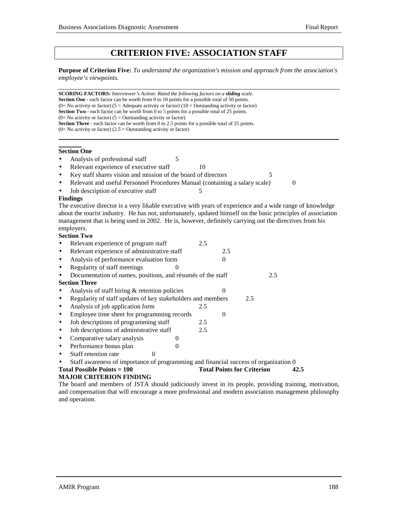### **CRITERION FIVE: ASSOCIATION STAFF**

**Purpose of Criterion Five:** *To understand the organization's mission and approach from the association's employee's viewpoints.*

**SCORING FACTORS:** *Interviewer's Action: Rated the following factors on a sliding scale.* **Section One** - each factor can be worth from 0 to 10 points for a possible total of 50 points. (0= No activity or factor) (5 = Adequate activity or factor) (10 = Outstanding activity or factor) **Section Two** - each factor can be worth from 0 to 5 points for a possible total of 25 points.  $(0=$  No activity or factor)  $(5 =$  Outstanding activity or factor) **Section Three** - each factor can be worth from 0 to 2.5 points for a possible total of 25 points.  $(0=$  No activity or factor)  $(2.5 =$  Outstanding activity or factor)

#### **Section One**

- Analysis of professional staff 5
- Relevant experience of executive staff 10
- Key staff shares vision and mission of the board of directors 5

• Relevant and useful Personnel Procedures Manual (containing a salary scale) 0

Job description of executive staff 5

#### **Findings**

The executive director is a very likable executive with years of experience and a wide range of knowledge about the tourist industry. He has not, unfortunately, updated himself on the basic principles of association management that is being used in 2002. He is, however, definitely carrying out the directives from his employers.

#### **Section Two**

|           | Relevant experience of program staff                                                 | 2.5 |          |                                   |      |
|-----------|--------------------------------------------------------------------------------------|-----|----------|-----------------------------------|------|
| $\bullet$ | Relevant experience of administrative staff                                          |     | 2.5      |                                   |      |
| $\bullet$ | Analysis of performance evaluation form                                              |     | $^{(1)}$ |                                   |      |
| $\bullet$ | Regularity of staff meetings                                                         |     |          |                                   |      |
|           | Documentation of names, positions, and résumés of the staff                          |     |          |                                   | 2.5  |
|           | <b>Section Three</b>                                                                 |     |          |                                   |      |
|           | Analysis of staff hiring & retention policies                                        |     |          |                                   |      |
| ٠         | Regularity of staff updates of key stakeholders and members                          |     |          | 2.5                               |      |
| $\bullet$ | Analysis of job application form                                                     | 2.5 |          |                                   |      |
| $\bullet$ | Employee time sheet for programming records                                          |     | $\Omega$ |                                   |      |
| $\bullet$ | Job descriptions of programming staff                                                | 2.5 |          |                                   |      |
| $\bullet$ | Job descriptions of administrative staff                                             | 2.5 |          |                                   |      |
| $\bullet$ | Comparative salary analysis                                                          |     |          |                                   |      |
| $\bullet$ | Performance bonus plan                                                               |     |          |                                   |      |
| $\bullet$ | Staff retention rate                                                                 |     |          |                                   |      |
|           | Staff awareness of importance of programming and financial success of organization 0 |     |          |                                   |      |
|           | Total Possible Points $= 100$                                                        |     |          | <b>Total Points for Criterion</b> | 42.5 |
|           | <b>MAJOR CRITERION FINDING</b>                                                       |     |          |                                   |      |

The board and members of JSTA should judiciously invest in its people, providing training, motivation, and compensation that will encourage a more professional and modern association management philosophy and operation.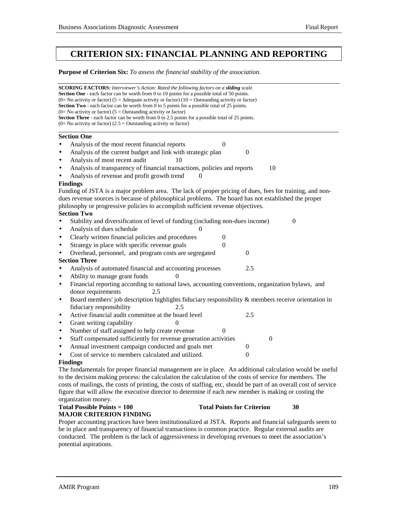### **CRITERION SIX: FINANCIAL PLANNING AND REPORTING**

#### **Purpose of Criterion Six:** *To assess the financial stability of the association.*

**SCORING FACTORS:** *Interviewer's Action: Rated the following factors on a sliding scale.* **Section One** - each factor can be worth from 0 to 10 points for a possible total of 50 points. (0= No activity or factor) (5 = Adequate activity or factor) (10 = Outstanding activity or factor) **Section Two** - each factor can be worth from 0 to 5 points for a possible total of 25 points.  $(0=$  No activity or factor)  $(5 =$  Outstanding activity or factor) Section Three - each factor can be worth from 0 to 2.5 points for a possible total of 25 points.  $(0=$  No activity or factor)  $(2.5 =$  Outstanding activity or factor)  $\overline{a}$ **Section One** Analysis of the most recent financial reports 0 Analysis of the current budget and link with strategic plan 0 Analysis of most recent audit 10 Analysis of transparency of financial transactions, policies and reports 10 Analysis of revenue and profit growth trend  $\qquad 0$ **Findings** Funding of JSTA is a major problem area. The lack of proper pricing of dues, fees for training, and nondues revenue sources is because of philosophical problems. The board has not established the proper philosophy or progressive policies to accomplish sufficient revenue objectives. **Section Two** • Stability and diversification of level of funding (including non-dues income) 0 Analysis of dues schedule • Clearly written financial policies and procedures 0 Strategy in place with specific revenue goals  $\qquad \qquad 0$ Overhead, personnel, and program costs are segregated 0 **Section Three** • Analysis of automated financial and accounting processes 2.5 Ability to manage grant funds 0 • Financial reporting according to national laws, accounting conventions, organization bylaws, and donor requirements 2.5 • Board members' job description highlights fiduciary responsibility & members receive orientation in fiduciary responsibility 2.5 Active financial audit committee at the board level 2.5 • Grant writing capability Number of staff assigned to help create revenue 0 • Staff compensated sufficiently for revenue generation activities 0 • Annual investment campaign conducted and goals met 0 Cost of service to members calculated and utilized.  $\qquad \qquad 0$ **Findings** The fundamentals for proper financial management are in place. An additional calculation would be useful

#### to the decision making process: the calculation the calculation of the costs of service for members. The costs of mailings, the costs of printing, the costs of staffing, etc, should be part of an overall cost of service figure that will allow the executive director to determine if each new member is making or costing the organization money.

#### **Total Possible Points = 100 Total Points for Criterion 30 MAJOR CRITERION FINDING**

Proper accounting practices have been institutionalized at JSTA. Reports and financial safeguards seem to be in place and transparency of financial transactions is common practice. Regular external audits are conducted. The problem is the lack of aggressiveness in developing revenues to meet the association's potential aspirations.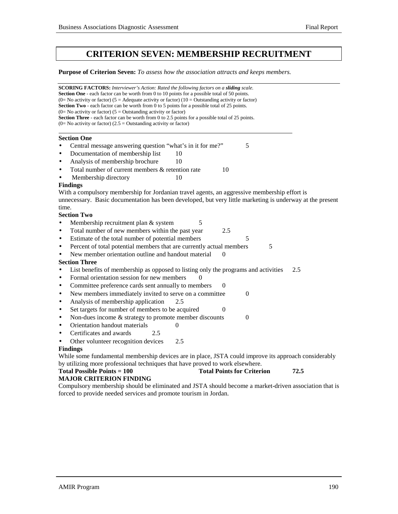### **CRITERION SEVEN: MEMBERSHIP RECRUITMENT**

**Purpose of Criterion Seven:** *To assess how the association attracts and keeps members.*

**SCORING FACTORS:** *Interviewer's Action: Rated the following factors on a sliding scale.* **Section One** - each factor can be worth from 0 to 10 points for a possible total of 50 points. (0= No activity or factor) (5 = Adequate activity or factor) (10 = Outstanding activity or factor) **Section Two** - each factor can be worth from 0 to 5 points for a possible total of 25 points.  $(0=$  No activity or factor)  $(5 =$  Outstanding activity or factor) Section Three - each factor can be worth from 0 to 2.5 points for a possible total of 25 points.  $(0=$  No activity or factor)  $(2.5 =$  Outstanding activity or factor)  $\overline{a}$ **Section One** Central message answering question "what's in it for me?" 5 Documentation of membership list 10 Analysis of membership brochure 10 Total number of current members & retention rate 10 Membership directory 10 **Findings** With a compulsory membership for Jordanian travel agents, an aggressive membership effort is unnecessary. Basic documentation has been developed, but very little marketing is underway at the present time. **Section Two** • Membership recruitment plan & system 5 Total number of new members within the past year 2.5 • Estimate of the total number of potential members 5 Percent of total potential members that are currently actual members  $\qquad 5$ New member orientation outline and handout material **Section Three** • List benefits of membership as opposed to listing only the programs and activities 2.5 • Formal orientation session for new members • Committee preference cards sent annually to members 0 • New members immediately invited to serve on a committee 0 • Analysis of membership application 2.5 • Set targets for number of members to be acquired  $\qquad \qquad 0$ • Non-dues income  $&$  strategy to promote member discounts  $0$ **• Orientation handout materials** 0 • Certificates and awards 2.5 Other volunteer recognition devices 2.5 **Findings** While some fundamental membership devices are in place, JSTA could improve its approach considerably by utilizing more professional techniques that have proved to work elsewhere. **Total Possible Points = 100 Total Points for Criterion 72.5 MAJOR CRITERION FINDING**

Compulsory membership should be eliminated and JSTA should become a market-driven association that is forced to provide needed services and promote tourism in Jordan.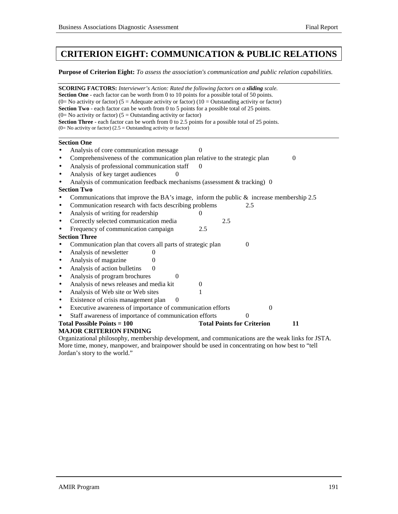### **CRITERION EIGHT: COMMUNICATION & PUBLIC RELATIONS**

#### **Purpose of Criterion Eight:** *To assess the association's communication and public relation capabilities.*

| <b>SCORING FACTORS:</b> Interviewer's Action: Rated the following factors on a sliding scale.<br>Section One - each factor can be worth from 0 to 10 points for a possible total of 50 points. |                                         |
|------------------------------------------------------------------------------------------------------------------------------------------------------------------------------------------------|-----------------------------------------|
| (0= No activity or factor) (5 = Adequate activity or factor) (10 = Outstanding activity or factor)                                                                                             |                                         |
| Section Two - each factor can be worth from 0 to 5 points for a possible total of 25 points.                                                                                                   |                                         |
| (0= No activity or factor) ( $5 =$ Outstanding activity or factor)                                                                                                                             |                                         |
| Section Three - each factor can be worth from 0 to 2.5 points for a possible total of 25 points.<br>$(0=$ No activity or factor) (2.5 = Outstanding activity or factor)                        |                                         |
|                                                                                                                                                                                                |                                         |
| <b>Section One</b>                                                                                                                                                                             |                                         |
| Analysis of core communication message                                                                                                                                                         | $\Omega$                                |
| Comprehensiveness of the communication plan relative to the strategic plan<br>$\bullet$                                                                                                        | $\theta$                                |
| Analysis of professional communication staff<br>$\bullet$                                                                                                                                      | $\Omega$                                |
| Analysis of key target audiences<br>$\bullet$                                                                                                                                                  |                                         |
| Analysis of communication feedback mechanisms (assessment & tracking) 0<br>$\bullet$                                                                                                           |                                         |
| <b>Section Two</b>                                                                                                                                                                             |                                         |
| Communications that improve the BA's image, inform the public $\&$ increase membership 2.5<br>$\bullet$                                                                                        |                                         |
| Communication research with facts describing problems<br>$\bullet$                                                                                                                             | 2.5                                     |
| Analysis of writing for readership<br>$\bullet$                                                                                                                                                | $\overline{0}$                          |
| Correctly selected communication media<br>$\bullet$                                                                                                                                            | 2.5                                     |
| Frequency of communication campaign<br>$\bullet$                                                                                                                                               | 2.5                                     |
| <b>Section Three</b>                                                                                                                                                                           |                                         |
| Communication plan that covers all parts of strategic plan<br>$\bullet$                                                                                                                        | $\boldsymbol{0}$                        |
| Analysis of newsletter<br>0<br>$\bullet$                                                                                                                                                       |                                         |
| Analysis of magazine<br>0<br>٠                                                                                                                                                                 |                                         |
| Analysis of action bulletins<br>$\Omega$<br>$\bullet$                                                                                                                                          |                                         |
| Analysis of program brochures<br>$\theta$<br>$\bullet$                                                                                                                                         |                                         |
| Analysis of news releases and media kit<br>$\bullet$                                                                                                                                           | $\theta$                                |
| Analysis of Web site or Web sites<br>$\bullet$                                                                                                                                                 | 1                                       |
| Existence of crisis management plan<br>$\theta$<br>$\bullet$                                                                                                                                   |                                         |
| Executive awareness of importance of communication efforts<br>$\bullet$                                                                                                                        | $\boldsymbol{0}$                        |
| Staff awareness of importance of communication efforts                                                                                                                                         | $\theta$                                |
| <b>Total Possible Points = 100</b>                                                                                                                                                             | <b>Total Points for Criterion</b><br>11 |
| <b>MAJOR CRITERION FINDING</b>                                                                                                                                                                 |                                         |
| Organizational philosophy, membership development, and communications are the weak links for JSTA.                                                                                             |                                         |
| More time, money, manpower, and brainpower should be used in concentrating on how best to "tell                                                                                                |                                         |

Jordan's story to the world."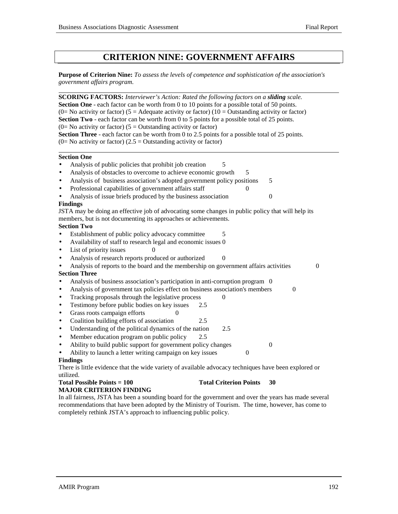### **CRITERION NINE: GOVERNMENT AFFAIRS**

**Purpose of Criterion Nine:** *To assess the levels of competence and sophistication of the association's government affairs program.*

| <b>SCORING FACTORS:</b> Interviewer's Action: Rated the following factors on a sliding scale.                         |
|-----------------------------------------------------------------------------------------------------------------------|
| <b>Section One</b> - each factor can be worth from 0 to 10 points for a possible total of 50 points.                  |
| (0= No activity or factor) (5 = Adequate activity or factor) (10 = Outstanding activity or factor)                    |
| <b>Section Two</b> - each factor can be worth from 0 to 5 points for a possible total of 25 points.                   |
| (0= No activity or factor) ( $5 =$ Outstanding activity or factor)                                                    |
| <b>Section Three</b> - each factor can be worth from 0 to 2.5 points for a possible total of 25 points.               |
| (0= No activity or factor) (2.5 = Outstanding activity or factor)                                                     |
| <b>Section One</b>                                                                                                    |
| Analysis of public policies that prohibit job creation<br>$\bullet$<br>5                                              |
| Analysis of obstacles to overcome to achieve economic growth<br>$\bullet$<br>5                                        |
| Analysis of business association's adopted government policy positions<br>5<br>$\bullet$                              |
| Professional capabilities of government affairs staff<br>0<br>$\bullet$                                               |
| Analysis of issue briefs produced by the business association<br>$\mathbf{0}$<br>$\bullet$                            |
| <b>Findings</b>                                                                                                       |
| JSTA may be doing an effective job of advocating some changes in public policy that will help its                     |
| members, but is not documenting its approaches or achievements.                                                       |
| <b>Section Two</b>                                                                                                    |
| Establishment of public policy advocacy committee<br>5<br>$\bullet$                                                   |
| Availability of staff to research legal and economic issues 0<br>$\bullet$                                            |
| List of priority issues<br>$\bullet$<br>$\mathbf{\Omega}$                                                             |
| Analysis of research reports produced or authorized<br>$\theta$<br>$\bullet$                                          |
| Analysis of reports to the board and the membership on government affairs activities<br>$\boldsymbol{0}$<br>$\bullet$ |
| <b>Section Three</b>                                                                                                  |
| Analysis of business association's participation in anti-corruption program 0<br>$\bullet$                            |
| Analysis of government tax policies effect on business association's members<br>$\boldsymbol{0}$<br>$\bullet$         |
| Tracking proposals through the legislative process<br>0<br>$\bullet$                                                  |
| Testimony before public bodies on key issues<br>2.5<br>$\bullet$                                                      |
| Grass roots campaign efforts<br>0<br>$\bullet$                                                                        |
| Coalition building efforts of association<br>2.5<br>$\bullet$                                                         |
| Understanding of the political dynamics of the nation<br>2.5<br>$\bullet$                                             |
| Member education program on public policy<br>2.5<br>$\bullet$                                                         |
| Ability to build public support for government policy changes<br>$\mathbf{0}$<br>$\bullet$                            |
| Ability to launch a letter writing campaign on key issues<br>$\boldsymbol{0}$<br>$\bullet$                            |
| <b>Findings</b>                                                                                                       |
| There is little evidence that the wide variety of available advocacy techniques have been explored or                 |
| utilized.                                                                                                             |
| <b>Total Possible Points = 100</b><br><b>Total Criterion Points</b><br>30                                             |

### **MAJOR CRITERION FINDING**

In all fairness, JSTA has been a sounding board for the government and over the years has made several recommendations that have been adopted by the Ministry of Tourism. The time, however, has come to completely rethink JSTA's approach to influencing public policy.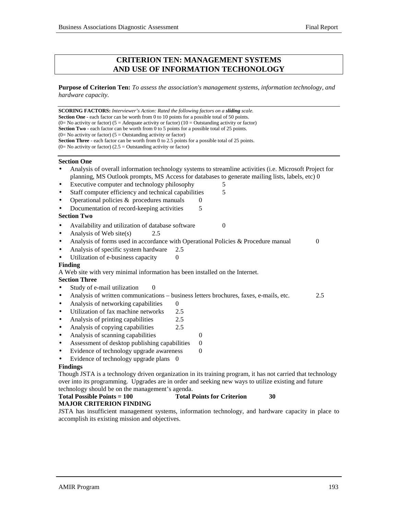#### **CRITERION TEN: MANAGEMENT SYSTEMS AND USE OF INFORMATION TECHONOLOGY**

**Purpose of Criterion Ten:** *To assess the association's management systems, information technology, and hardware capacity.*

**SCORING FACTORS:** *Interviewer's Action: Rated the following factors on a sliding scale.* **Section One** - each factor can be worth from 0 to 10 points for a possible total of 50 points. (0= No activity or factor) (5 = Adequate activity or factor) (10 = Outstanding activity or factor) **Section Two** - each factor can be worth from 0 to 5 points for a possible total of 25 points.  $(0=$  No activity or factor) (5 = Outstanding activity or factor) **Section Three** - each factor can be worth from 0 to 2.5 points for a possible total of 25 points.  $(0=$  No activity or factor)  $(2.5 =$  Outstanding activity or factor) **Section One** • Analysis of overall information technology systems to streamline activities (i.e. Microsoft Project for planning, MS Outlook prompts, MS Access for databases to generate mailing lists, labels, etc) 0 Executive computer and technology philosophy 5 Staff computer efficiency and technical capabilities 5 Operational policies  $\&$  procedures manuals  $\qquad$  0 Documentation of record-keeping activities 5 **Section Two** Availability and utilization of database software 0 Analysis of Web site(s)  $2.5$ • Analysis of forms used in accordance with Operational Policies & Procedure manual 0 Analysis of specific system hardware 2.5 Utilization of e-business capacity 0 **Finding** A Web site with very minimal information has been installed on the Internet. **Section Three** Study of e-mail utilization 0 • Analysis of written communications – business letters brochures, faxes, e-mails, etc. 2.5 Analysis of networking capabilities  $\qquad 0$ Utilization of fax machine networks 2.5 • Analysis of printing capabilities 2.5 • Analysis of copying capabilities 2.5 • Analysis of scanning capabilities 0 Assessment of desktop publishing capabilities 0 Evidence of technology upgrade awareness  $\qquad 0$ Evidence of technology upgrade plans 0 **Findings** Though JSTA is a technology driven organization in its training program, it has not carried that technology over into its programming. Upgrades are in order and seeking new ways to utilize existing and future technology should be on the management's agenda. **Total Possible Points = 100 Total Points for Criterion 30**

### **MAJOR CRITERION FINDING**

JSTA has insufficient management systems, information technology, and hardware capacity in place to accomplish its existing mission and objectives.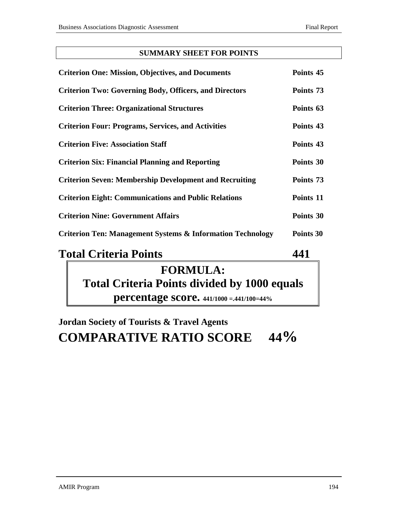### **SUMMARY SHEET FOR POINTS**

| <b>Criterion One: Mission, Objectives, and Documents</b>              | Points 45 |
|-----------------------------------------------------------------------|-----------|
| <b>Criterion Two: Governing Body, Officers, and Directors</b>         | Points 73 |
| <b>Criterion Three: Organizational Structures</b>                     | Points 63 |
| <b>Criterion Four: Programs, Services, and Activities</b>             | Points 43 |
| <b>Criterion Five: Association Staff</b>                              | Points 43 |
| <b>Criterion Six: Financial Planning and Reporting</b>                | Points 30 |
| <b>Criterion Seven: Membership Development and Recruiting</b>         | Points 73 |
| <b>Criterion Eight: Communications and Public Relations</b>           | Points 11 |
| <b>Criterion Nine: Government Affairs</b>                             | Points 30 |
| <b>Criterion Ten: Management Systems &amp; Information Technology</b> | Points 30 |

## **Total Criteria Points 441**

## **FORMULA: Total Criteria Points divided by 1000 equals percentage score. 441/1000 =.441/100=44%**

## **Jordan Society of Tourists & Travel Agents COMPARATIVE RATIO SCORE 44%**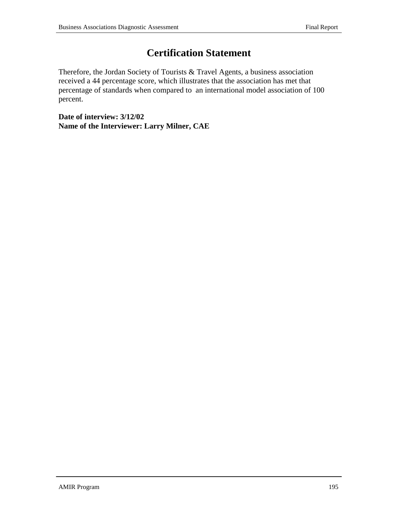## **Certification Statement**

Therefore, the Jordan Society of Tourists & Travel Agents, a business association received a 44 percentage score, which illustrates that the association has met that percentage of standards when compared to an international model association of 100 percent.

**Date of interview: 3/12/02 Name of the Interviewer: Larry Milner, CAE**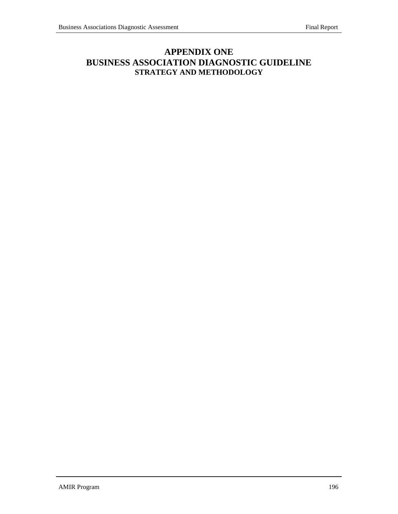### **APPENDIX ONE BUSINESS ASSOCIATION DIAGNOSTIC GUIDELINE STRATEGY AND METHODOLOGY**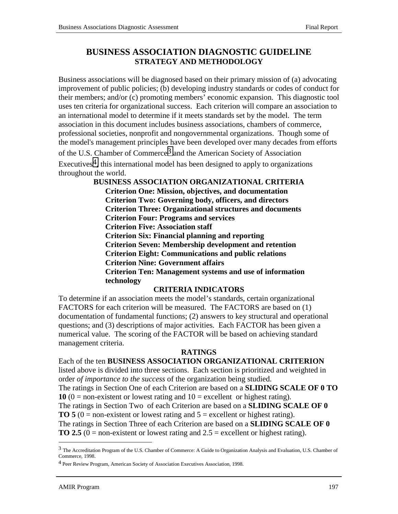### **BUSINESS ASSOCIATION DIAGNOSTIC GUIDELINE STRATEGY AND METHODOLOGY**

Business associations will be diagnosed based on their primary mission of (a) advocating improvement of public policies; (b) developing industry standards or codes of conduct for their members; and/or (c) promoting members' economic expansion. This diagnostic tool uses ten criteria for organizational success. Each criterion will compare an association to an international model to determine if it meets standards set by the model. The term association in this document includes business associations, chambers of commerce, professional societies, nonprofit and nongovernmental organizations. Though some of the model's management principles have been developed over many decades from efforts

of the U.S. Chamber of Commerce<sup>3</sup> and the American Society of Association Executives<sup>4</sup>, this international model has been designed to apply to organizations throughout the world.

> **BUSINESS ASSOCIATION ORGANIZATIONAL CRITERIA Criterion One: Mission, objectives, and documentation Criterion Two: Governing body, officers, and directors Criterion Three: Organizational structures and documents Criterion Four: Programs and services Criterion Five: Association staff Criterion Six: Financial planning and reporting Criterion Seven: Membership development and retention Criterion Eight: Communications and public relations Criterion Nine: Government affairs Criterion Ten: Management systems and use of information technology**

### **CRITERIA INDICATORS**

To determine if an association meets the model's standards, certain organizational FACTORS for each criterion will be measured. The FACTORS are based on (1) documentation of fundamental functions; (2) answers to key structural and operational questions; and (3) descriptions of major activities. Each FACTOR has been given a numerical value. The scoring of the FACTOR will be based on achieving standard management criteria.

### **RATINGS**

Each of the ten **BUSINESS ASSOCIATION ORGANIZATIONAL CRITERION** listed above is divided into three sections. Each section is prioritized and weighted in order *of importance to the success* of the organization being studied. The ratings in Section One of each Criterion are based on a **SLIDING SCALE OF 0 TO 10** (0 = non-existent or lowest rating and  $10$  = excellent or highest rating). The ratings in Section Two of each Criterion are based on a **SLIDING SCALE OF 0 TO 5** (0 = non-existent or lowest rating and  $5$  = excellent or highest rating). The ratings in Section Three of each Criterion are based on a **SLIDING SCALE OF 0 TO 2.5** ( $0 =$  non-existent or lowest rating and  $2.5 =$  excellent or highest rating).

l

<sup>3</sup> The Accreditation Program of the U.S. Chamber of Commerce: A Guide to Organization Analysis and Evaluation, U.S. Chamber of Commerce, 1998.

<sup>4</sup> Peer Review Program, American Society of Association Executives Association, 1998.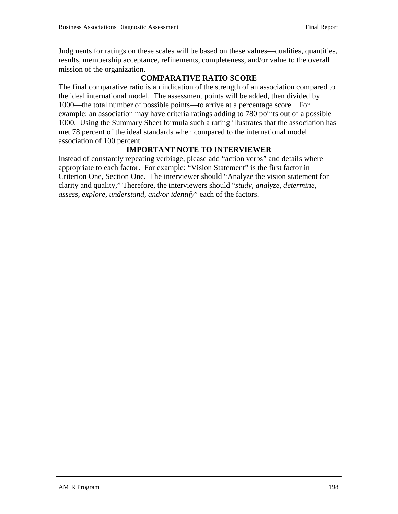Judgments for ratings on these scales will be based on these values—qualities, quantities, results, membership acceptance, refinements, completeness, and/or value to the overall mission of the organization.

### **COMPARATIVE RATIO SCORE**

The final comparative ratio is an indication of the strength of an association compared to the ideal international model. The assessment points will be added, then divided by 1000—the total number of possible points—to arrive at a percentage score. For example: an association may have criteria ratings adding to 780 points out of a possible 1000. Using the Summary Sheet formula such a rating illustrates that the association has met 78 percent of the ideal standards when compared to the international model association of 100 percent.

### **IMPORTANT NOTE TO INTERVIEWER**

Instead of constantly repeating verbiage, please add "action verbs" and details where appropriate to each factor. For example: "Vision Statement" is the first factor in Criterion One, Section One. The interviewer should "Analyze the vision statement for clarity and quality," Therefore, the interviewers should "*study, analyze, determine, assess, explore, understand, and/or identify*" each of the factors.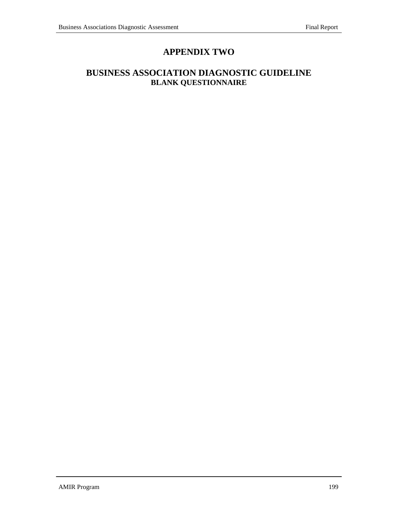### **APPENDIX TWO**

### **BUSINESS ASSOCIATION DIAGNOSTIC GUIDELINE BLANK QUESTIONNAIRE**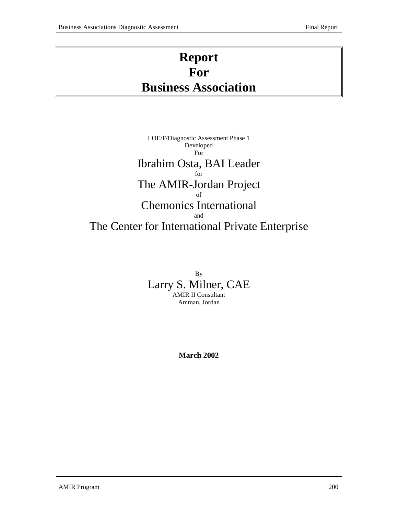## **Report For Business Association**

### LOE/F/Diagnostic Assessment Phase 1 Developed For Ibrahim Osta, BAI Leader for The AMIR-Jordan Project of Chemonics International and The Center for International Private Enterprise

By Larry S. Milner, CAE AMIR II Consultant Amman, Jordan

**March 2002**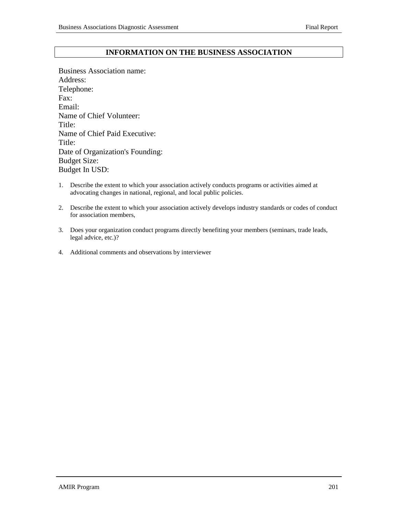### **INFORMATION ON THE BUSINESS ASSOCIATION**

Business Association name: Address: Telephone: Fax: Email: Name of Chief Volunteer: Title: Name of Chief Paid Executive: Title: Date of Organization's Founding: Budget Size: Budget In USD:

- 1. Describe the extent to which your association actively conducts programs or activities aimed at advocating changes in national, regional, and local public policies.
- 2. Describe the extent to which your association actively develops industry standards or codes of conduct for association members,
- 3. Does your organization conduct programs directly benefiting your members (seminars, trade leads, legal advice, etc.)?
- 4. Additional comments and observations by interviewer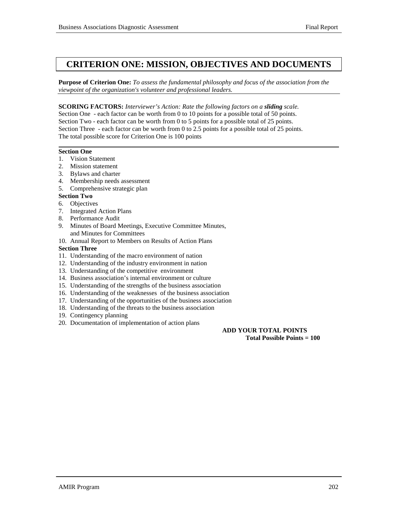### **CRITERION ONE: MISSION, OBJECTIVES AND DOCUMENTS**

**Purpose of Criterion One:** *To assess the fundamental philosophy and focus of the association from the viewpoint of the organization's volunteer and professional leaders.*

**SCORING FACTORS:** *Interviewer's Action: Rate the following factors on a sliding scale.* Section One - each factor can be worth from 0 to 10 points for a possible total of 50 points. Section Two - each factor can be worth from 0 to 5 points for a possible total of 25 points. Section Three - each factor can be worth from 0 to 2.5 points for a possible total of 25 points. The total possible score for Criterion One is 100 points

#### **Section One**

- 1. Vision Statement
- 2. Mission statement
- 3. Bylaws and charter
- 4. Membership needs assessment
- 5. Comprehensive strategic plan

#### **Section Two**

- 6. Objectives
- 7. Integrated Action Plans
- 8. Performance Audit
- 9. Minutes of Board Meetings, Executive Committee Minutes, and Minutes for Committees
- 10. Annual Report to Members on Results of Action Plans

#### **Section Three**

- 11. Understanding of the macro environment of nation
- 12. Understanding of the industry environment in nation
- 13. Understanding of the competitive environment
- 14. Business association's internal environment or culture
- 15. Understanding of the strengths of the business association
- 16. Understanding of the weaknesses of the business association
- 17. Understanding of the opportunities of the business association
- 18. Understanding of the threats to the business association
- 19. Contingency planning
- 20. Documentation of implementation of action plans

#### **ADD YOUR TOTAL POINTS Total Possible Points = 100**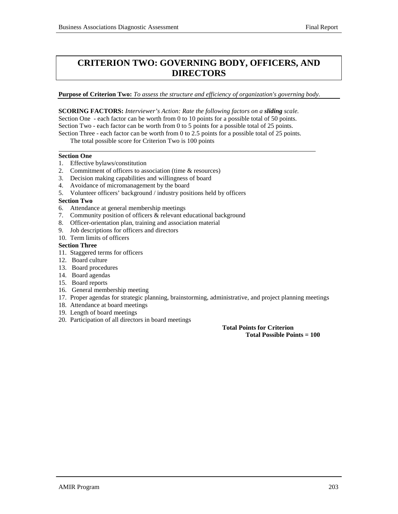### **CRITERION TWO: GOVERNING BODY, OFFICERS, AND DIRECTORS**

**Purpose of Criterion Two:** *To assess the structure and efficiency of organization's governing body.*

**SCORING FACTORS:** *Interviewer's Action: Rate the following factors on a sliding scale.* Section One - each factor can be worth from 0 to 10 points for a possible total of 50 points. Section Two - each factor can be worth from 0 to 5 points for a possible total of 25 points. Section Three - each factor can be worth from 0 to 2.5 points for a possible total of 25 points.

The total possible score for Criterion Two is 100 points

#### **Section One**

l

- 1. Effective bylaws/constitution
- 2. Commitment of officers to association (time & resources)
- 3. Decision making capabilities and willingness of board
- 4. Avoidance of micromanagement by the board
- 5. Volunteer officers' background / industry positions held by officers

#### **Section Two**

- 6. Attendance at general membership meetings
- 7. Community position of officers & relevant educational background
- 8. Officer-orientation plan, training and association material
- 9. Job descriptions for officers and directors
- 10. Term limits of officers

#### **Section Three**

- 11. Staggered terms for officers
- 12. Board culture
- 13. Board procedures
- 14. Board agendas
- 15. Board reports
- 16. General membership meeting
- 17. Proper agendas for strategic planning, brainstorming, administrative, and project planning meetings
- 18. Attendance at board meetings
- 19. Length of board meetings
- 20. Participation of all directors in board meetings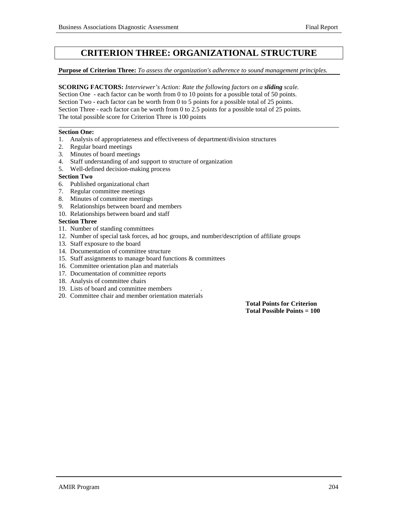### **CRITERION THREE: ORGANIZATIONAL STRUCTURE**

#### **Purpose of Criterion Three:** *To assess the organization's adherence to sound management principles.*

**SCORING FACTORS:** *Interviewer's Action: Rate the following factors on a sliding scale.* Section One - each factor can be worth from 0 to 10 points for a possible total of 50 points. Section Two - each factor can be worth from 0 to 5 points for a possible total of 25 points. Section Three - each factor can be worth from 0 to 2.5 points for a possible total of 25 points. The total possible score for Criterion Three is 100 points

#### **Section One:**

l

- 1. Analysis of appropriateness and effectiveness of department/division structures
- 2. Regular board meetings
- 3. Minutes of board meetings
- 4. Staff understanding of and support to structure of organization
- 5. Well-defined decision-making process

#### **Section Two**

- 6. Published organizational chart
- 7. Regular committee meetings
- 8. Minutes of committee meetings
- 9. Relationships between board and members
- 10. Relationships between board and staff

#### **Section Three**

- 11. Number of standing committees
- 12. Number of special task forces, ad hoc groups, and number/description of affiliate groups
- 13. Staff exposure to the board
- 14. Documentation of committee structure
- 15. Staff assignments to manage board functions & committees
- 16. Committee orientation plan and materials
- 17. Documentation of committee reports
- 18. Analysis of committee chairs
- 19. Lists of board and committee members .
- 20. Committee chair and member orientation materials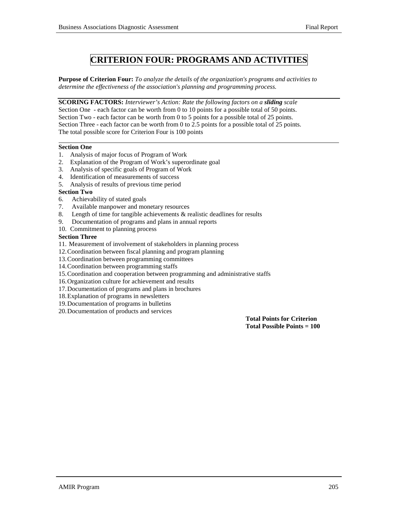### **CRITERION FOUR: PROGRAMS AND ACTIVITIES**

**Purpose of Criterion Four:** *To analyze the details of the organization's programs and activities to determine the effectiveness of the association's planning and programming process.*

**SCORING FACTORS:** *Interviewer's Action: Rate the following factors on a sliding scale* Section One - each factor can be worth from 0 to 10 points for a possible total of 50 points. Section Two - each factor can be worth from 0 to 5 points for a possible total of 25 points. Section Three - each factor can be worth from 0 to 2.5 points for a possible total of 25 points. The total possible score for Criterion Four is 100 points

#### **Section One**

l

- 1. Analysis of major focus of Program of Work
- 2. Explanation of the Program of Work's superordinate goal
- 3. Analysis of specific goals of Program of Work
- 4. Identification of measurements of success
- 5. Analysis of results of previous time period

#### **Section Two**

- 6. Achievability of stated goals
- 7. Available manpower and monetary resources
- 8. Length of time for tangible achievements & realistic deadlines for results
- 9. Documentation of programs and plans in annual reports
- 10. Commitment to planning process

#### **Section Three**

- 11. Measurement of involvement of stakeholders in planning process
- 12.Coordination between fiscal planning and program planning
- 13.Coordination between programming committees
- 14.Coordination between programming staffs
- 15.Coordination and cooperation between programming and administrative staffs
- 16.Organization culture for achievement and results
- 17.Documentation of programs and plans in brochures
- 18.Explanation of programs in newsletters
- 19.Documentation of programs in bulletins
- 20.Documentation of products and services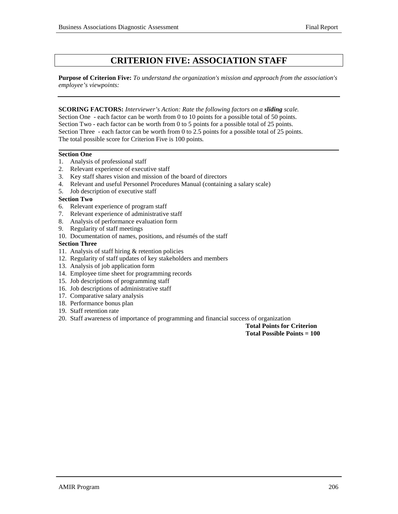### **CRITERION FIVE: ASSOCIATION STAFF**

**Purpose of Criterion Five:** *To understand the organization's mission and approach from the association's employee's viewpoints:*

**SCORING FACTORS:** *Interviewer's Action: Rate the following factors on a sliding scale.* Section One - each factor can be worth from 0 to 10 points for a possible total of 50 points. Section Two - each factor can be worth from 0 to 5 points for a possible total of 25 points. Section Three - each factor can be worth from 0 to 2.5 points for a possible total of 25 points. The total possible score for Criterion Five is 100 points*.*

#### **Section One**

- 1. Analysis of professional staff
- 2. Relevant experience of executive staff
- 3. Key staff shares vision and mission of the board of directors
- 4. Relevant and useful Personnel Procedures Manual (containing a salary scale)
- 5. Job description of executive staff

#### **Section Two**

- 6. Relevant experience of program staff
- 7. Relevant experience of administrative staff
- 8. Analysis of performance evaluation form
- 9. Regularity of staff meetings
- 10. Documentation of names, positions, and résumés of the staff

#### **Section Three**

- 11. Analysis of staff hiring & retention policies
- 12. Regularity of staff updates of key stakeholders and members
- 13. Analysis of job application form
- 14. Employee time sheet for programming records
- 15. Job descriptions of programming staff
- 16. Job descriptions of administrative staff
- 17. Comparative salary analysis
- 18. Performance bonus plan
- 19. Staff retention rate
- 20. Staff awareness of importance of programming and financial success of organization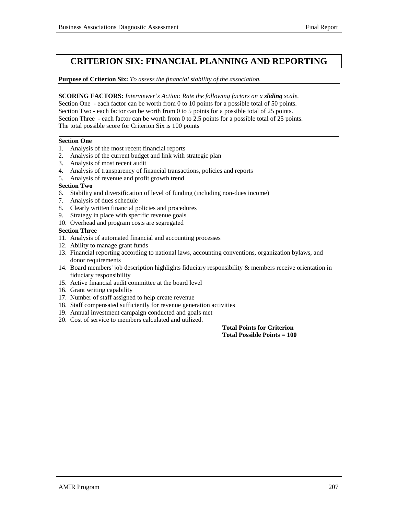### **CRITERION SIX: FINANCIAL PLANNING AND REPORTING**

#### **Purpose of Criterion Six:** *To assess the financial stability of the association.*

**SCORING FACTORS:** *Interviewer's Action: Rate the following factors on a sliding scale.* Section One - each factor can be worth from 0 to 10 points for a possible total of 50 points. Section Two - each factor can be worth from 0 to 5 points for a possible total of 25 points. Section Three - each factor can be worth from 0 to 2.5 points for a possible total of 25 points. The total possible score for Criterion Six is 100 points

#### **Section One**

l

- 1. Analysis of the most recent financial reports
- 2. Analysis of the current budget and link with strategic plan
- 3. Analysis of most recent audit
- 4. Analysis of transparency of financial transactions, policies and reports
- 5. Analysis of revenue and profit growth trend

#### **Section Two**

- 6. Stability and diversification of level of funding (including non-dues income)
- 7. Analysis of dues schedule
- 8. Clearly written financial policies and procedures
- 9. Strategy in place with specific revenue goals
- 10. Overhead and program costs are segregated

#### **Section Three**

- 11. Analysis of automated financial and accounting processes
- 12. Ability to manage grant funds
- 13. Financial reporting according to national laws, accounting conventions, organization bylaws, and donor requirements
- 14. Board members' job description highlights fiduciary responsibility & members receive orientation in fiduciary responsibility
- 15. Active financial audit committee at the board level
- 16. Grant writing capability
- 17. Number of staff assigned to help create revenue
- 18. Staff compensated sufficiently for revenue generation activities
- 19. Annual investment campaign conducted and goals met
- 20. Cost of service to members calculated and utilized.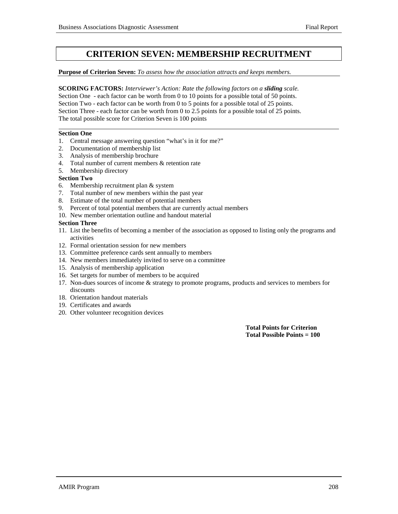### **CRITERION SEVEN: MEMBERSHIP RECRUITMENT**

#### **Purpose of Criterion Seven:** *To assess how the association attracts and keeps members.*

**SCORING FACTORS:** *Interviewer's Action: Rate the following factors on a sliding scale.* Section One - each factor can be worth from 0 to 10 points for a possible total of 50 points. Section Two - each factor can be worth from 0 to 5 points for a possible total of 25 points. Section Three - each factor can be worth from 0 to 2.5 points for a possible total of 25 points. The total possible score for Criterion Seven is 100 points

#### **Section One**

l

- 1. Central message answering question "what's in it for me?"
- 2. Documentation of membership list
- 3. Analysis of membership brochure
- 4. Total number of current members & retention rate
- 5. Membership directory

#### **Section Two**

- 6. Membership recruitment plan & system
- 7. Total number of new members within the past year
- 8. Estimate of the total number of potential members
- 9. Percent of total potential members that are currently actual members
- 10. New member orientation outline and handout material

#### **Section Three**

- 11. List the benefits of becoming a member of the association as opposed to listing only the programs and activities
- 12. Formal orientation session for new members
- 13. Committee preference cards sent annually to members
- 14. New members immediately invited to serve on a committee
- 15. Analysis of membership application
- 16. Set targets for number of members to be acquired
- 17. Non-dues sources of income & strategy to promote programs, products and services to members for discounts
- 18. Orientation handout materials
- 19. Certificates and awards
- 20. Other volunteer recognition devices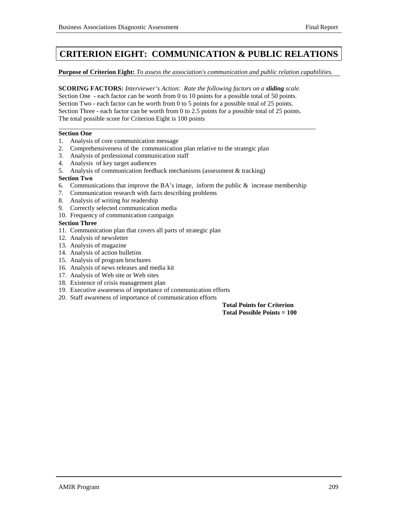### **CRITERION EIGHT: COMMUNICATION & PUBLIC RELATIONS**

**Purpose of Criterion Eight:** *To assess the association's communication and public relation capabilities.*

**SCORING FACTORS:** *Interviewer's Action: Rate the following factors on a sliding scale.* Section One - each factor can be worth from 0 to 10 points for a possible total of 50 points. Section Two - each factor can be worth from 0 to 5 points for a possible total of 25 points. Section Three - each factor can be worth from 0 to 2.5 points for a possible total of 25 points. The total possible score for Criterion Eight is 100 points

#### **Section One**

l

- 1. Analysis of core communication message
- 2. Comprehensiveness of the communication plan relative to the strategic plan
- 3. Analysis of professional communication staff
- 4. Analysis of key target audiences
- 5. Analysis of communication feedback mechanisms (assessment & tracking)

#### **Section Two**

- 6. Communications that improve the BA's image, inform the public  $\&$  increase membership
- 7. Communication research with facts describing problems
- 8. Analysis of writing for readership
- 9. Correctly selected communication media
- 10. Frequency of communication campaign

#### **Section Three**

- 11. Communication plan that covers all parts of strategic plan
- 12. Analysis of newsletter
- 13. Analysis of magazine
- 14. Analysis of action bulletins
- 15. Analysis of program brochures
- 16. Analysis of news releases and media kit
- 17. Analysis of Web site or Web sites
- 18. Existence of crisis management plan
- 19. Executive awareness of importance of communication efforts
- 20. Staff awareness of importance of communication efforts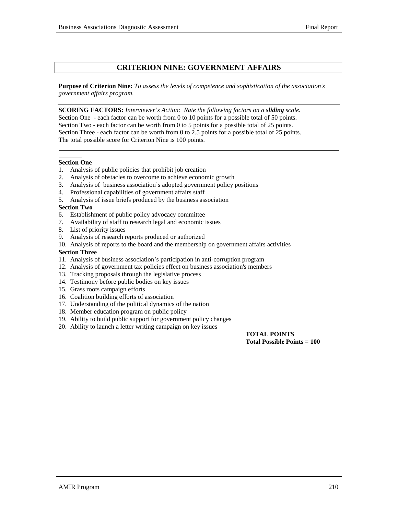#### **CRITERION NINE: GOVERNMENT AFFAIRS**

**Purpose of Criterion Nine:** *To assess the levels of competence and sophistication of the association's government affairs program.*

**SCORING FACTORS:** *Interviewer's Action: Rate the following factors on a sliding scale.* Section One - each factor can be worth from 0 to 10 points for a possible total of 50 points. Section Two - each factor can be worth from 0 to 5 points for a possible total of 25 points. Section Three - each factor can be worth from 0 to 2.5 points for a possible total of 25 points. The total possible score for Criterion Nine is 100 points*.*

#### l **Section One**

l

- 1. Analysis of public policies that prohibit job creation
- 2. Analysis of obstacles to overcome to achieve economic growth
- 3. Analysis of business association's adopted government policy positions
- 4. Professional capabilities of government affairs staff
- 5. Analysis of issue briefs produced by the business association

#### **Section Two**

- 6. Establishment of public policy advocacy committee
- 7. Availability of staff to research legal and economic issues
- 8. List of priority issues
- 9. Analysis of research reports produced or authorized
- 10. Analysis of reports to the board and the membership on government affairs activities

#### **Section Three**

- 11. Analysis of business association's participation in anti-corruption program
- 12. Analysis of government tax policies effect on business association's members
- 13. Tracking proposals through the legislative process
- 14. Testimony before public bodies on key issues
- 15. Grass roots campaign efforts
- 16. Coalition building efforts of association
- 17. Understanding of the political dynamics of the nation
- 18. Member education program on public policy
- 19. Ability to build public support for government policy changes
- 20. Ability to launch a letter writing campaign on key issues

**TOTAL POINTS Total Possible Points = 100**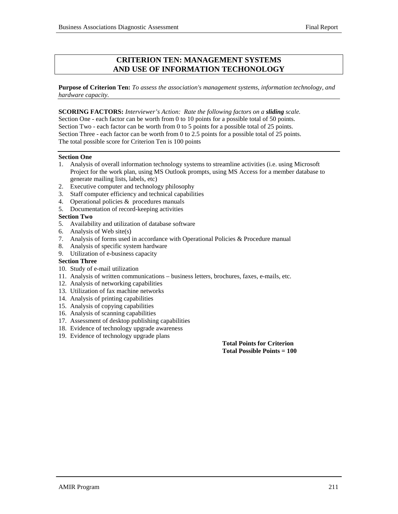#### **CRITERION TEN: MANAGEMENT SYSTEMS AND USE OF INFORMATION TECHONOLOGY**

**Purpose of Criterion Ten:** *To assess the association's management systems, information technology, and hardware capacity.*

**SCORING FACTORS:** *Interviewer's Action: Rate the following factors on a sliding scale.* Section One - each factor can be worth from 0 to 10 points for a possible total of 50 points. Section Two - each factor can be worth from 0 to 5 points for a possible total of 25 points. Section Three - each factor can be worth from 0 to 2.5 points for a possible total of 25 points. The total possible score for Criterion Ten is 100 points

#### **Section One**

- 1. Analysis of overall information technology systems to streamline activities (i.e. using Microsoft Project for the work plan, using MS Outlook prompts, using MS Access for a member database to generate mailing lists, labels, etc)
- 2. Executive computer and technology philosophy
- 3. Staff computer efficiency and technical capabilities
- 4. Operational policies  $&$  procedures manuals
- 5. Documentation of record-keeping activities

#### **Section Two**

- 5. Availability and utilization of database software
- 6. Analysis of Web site(s)
- 7. Analysis of forms used in accordance with Operational Policies & Procedure manual
- 8. Analysis of specific system hardware
- 9. Utilization of e-business capacity

#### **Section Three**

- 10. Study of e-mail utilization
- 11. Analysis of written communications business letters, brochures, faxes, e-mails, etc.
- 12. Analysis of networking capabilities
- 13. Utilization of fax machine networks
- 14. Analysis of printing capabilities
- 15. Analysis of copying capabilities
- 16. Analysis of scanning capabilities
- 17. Assessment of desktop publishing capabilities
- 18. Evidence of technology upgrade awareness
- 19. Evidence of technology upgrade plans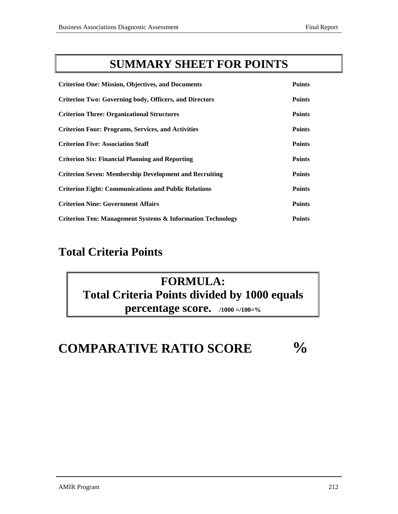## **SUMMARY SHEET FOR POINTS**

| <b>Criterion One: Mission, Objectives, and Documents</b>              | <b>Points</b> |
|-----------------------------------------------------------------------|---------------|
| <b>Criterion Two: Governing body, Officers, and Directors</b>         | <b>Points</b> |
| <b>Criterion Three: Organizational Structures</b>                     | <b>Points</b> |
| <b>Criterion Four: Programs, Services, and Activities</b>             | <b>Points</b> |
| <b>Criterion Five: Association Staff</b>                              | <b>Points</b> |
| <b>Criterion Six: Financial Planning and Reporting</b>                | <b>Points</b> |
| <b>Criterion Seven: Membership Development and Recruiting</b>         | <b>Points</b> |
| <b>Criterion Eight: Communications and Public Relations</b>           | <b>Points</b> |
| <b>Criterion Nine: Government Affairs</b>                             | <b>Points</b> |
| <b>Criterion Ten: Management Systems &amp; Information Technology</b> | <b>Points</b> |

## **Total Criteria Points**

## **FORMULA: Total Criteria Points divided by 1000 equals percentage score. /1000 =/100=%**

# **COMPARATIVE RATIO SCORE %**